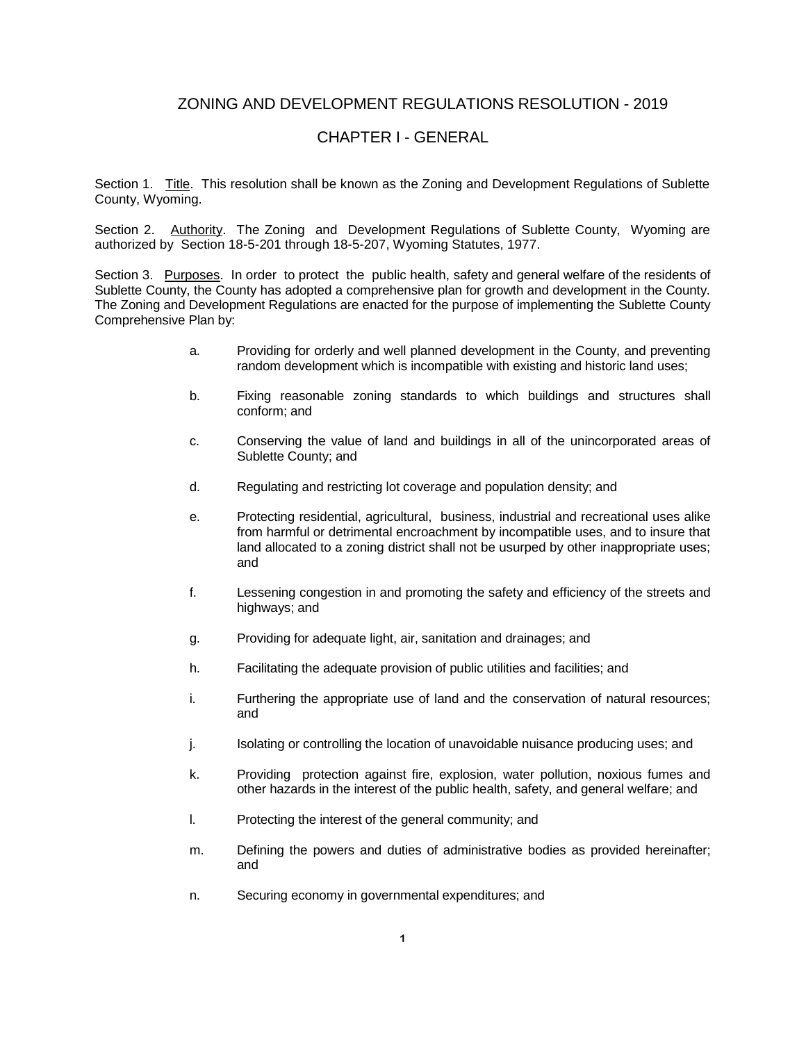# ZONING AND DEVELOPMENT REGULATIONS RESOLUTION - 2019

## CHAPTER I - GENERAL

Section 1. Title. This resolution shall be known as the Zoning and Development Regulations of Sublette County, Wyoming.

Section 2. Authority. The Zoning and Development Regulations of Sublette County, Wyoming are authorized by Section 18-5-201 through 18-5-207, Wyoming Statutes, 1977.

Section 3. Purposes. In order to protect the public health, safety and general welfare of the residents of Sublette County, the County has adopted a comprehensive plan for growth and development in the County. The Zoning and Development Regulations are enacted for the purpose of implementing the Sublette County Comprehensive Plan by:

- a. Providing for orderly and well planned development in the County, and preventing random development which is incompatible with existing and historic land uses;
- b. Fixing reasonable zoning standards to which buildings and structures shall conform; and
- c. Conserving the value of land and buildings in all of the unincorporated areas of Sublette County; and
- d. Regulating and restricting lot coverage and population density; and
- e. Protecting residential, agricultural, business, industrial and recreational uses alike from harmful or detrimental encroachment by incompatible uses, and to insure that land allocated to a zoning district shall not be usurped by other inappropriate uses; and
- f. Lessening congestion in and promoting the safety and efficiency of the streets and highways; and
- g. Providing for adequate light, air, sanitation and drainages; and
- h. Facilitating the adequate provision of public utilities and facilities; and
- i. Furthering the appropriate use of land and the conservation of natural resources; and
- j. Isolating or controlling the location of unavoidable nuisance producing uses; and
- k. Providing protection against fire, explosion, water pollution, noxious fumes and other hazards in the interest of the public health, safety, and general welfare; and
- l. Protecting the interest of the general community; and
- m. Defining the powers and duties of administrative bodies as provided hereinafter; and
- n. Securing economy in governmental expenditures; and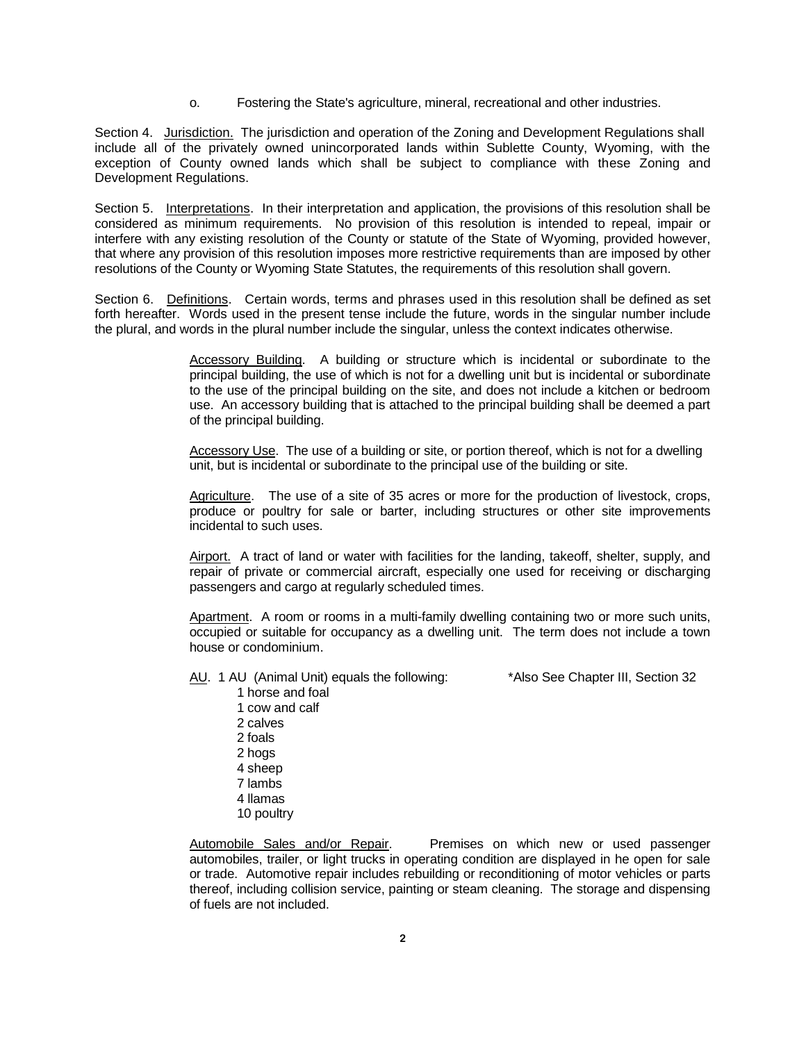o. Fostering the State's agriculture, mineral, recreational and other industries.

Section 4. Jurisdiction. The jurisdiction and operation of the Zoning and Development Regulations shall include all of the privately owned unincorporated lands within Sublette County, Wyoming, with the exception of County owned lands which shall be subject to compliance with these Zoning and Development Regulations.

Section 5. Interpretations. In their interpretation and application, the provisions of this resolution shall be considered as minimum requirements. No provision of this resolution is intended to repeal, impair or interfere with any existing resolution of the County or statute of the State of Wyoming, provided however, that where any provision of this resolution imposes more restrictive requirements than are imposed by other resolutions of the County or Wyoming State Statutes, the requirements of this resolution shall govern.

Section 6. Definitions. Certain words, terms and phrases used in this resolution shall be defined as set forth hereafter. Words used in the present tense include the future, words in the singular number include the plural, and words in the plural number include the singular, unless the context indicates otherwise.

> Accessory Building. A building or structure which is incidental or subordinate to the principal building, the use of which is not for a dwelling unit but is incidental or subordinate to the use of the principal building on the site, and does not include a kitchen or bedroom use. An accessory building that is attached to the principal building shall be deemed a part of the principal building.

Accessory Use. The use of a building or site, or portion thereof, which is not for a dwelling unit, but is incidental or subordinate to the principal use of the building or site.

Agriculture. The use of a site of 35 acres or more for the production of livestock, crops, produce or poultry for sale or barter, including structures or other site improvements incidental to such uses.

Airport. A tract of land or water with facilities for the landing, takeoff, shelter, supply, and repair of private or commercial aircraft, especially one used for receiving or discharging passengers and cargo at regularly scheduled times.

Apartment. A room or rooms in a multi-family dwelling containing two or more such units, occupied or suitable for occupancy as a dwelling unit. The term does not include a town house or condominium.

- AU. 1 AU (Animal Unit) equals the following: \*Also See Chapter III, Section 32 1 horse and foal
	- 1 cow and calf 2 calves 2 foals 2 hogs 4 sheep 7 lambs 4 llamas 10 poultry

Automobile Sales and/or Repair. Premises on which new or used passenger automobiles, trailer, or light trucks in operating condition are displayed in he open for sale or trade. Automotive repair includes rebuilding or reconditioning of motor vehicles or parts thereof, including collision service, painting or steam cleaning. The storage and dispensing of fuels are not included.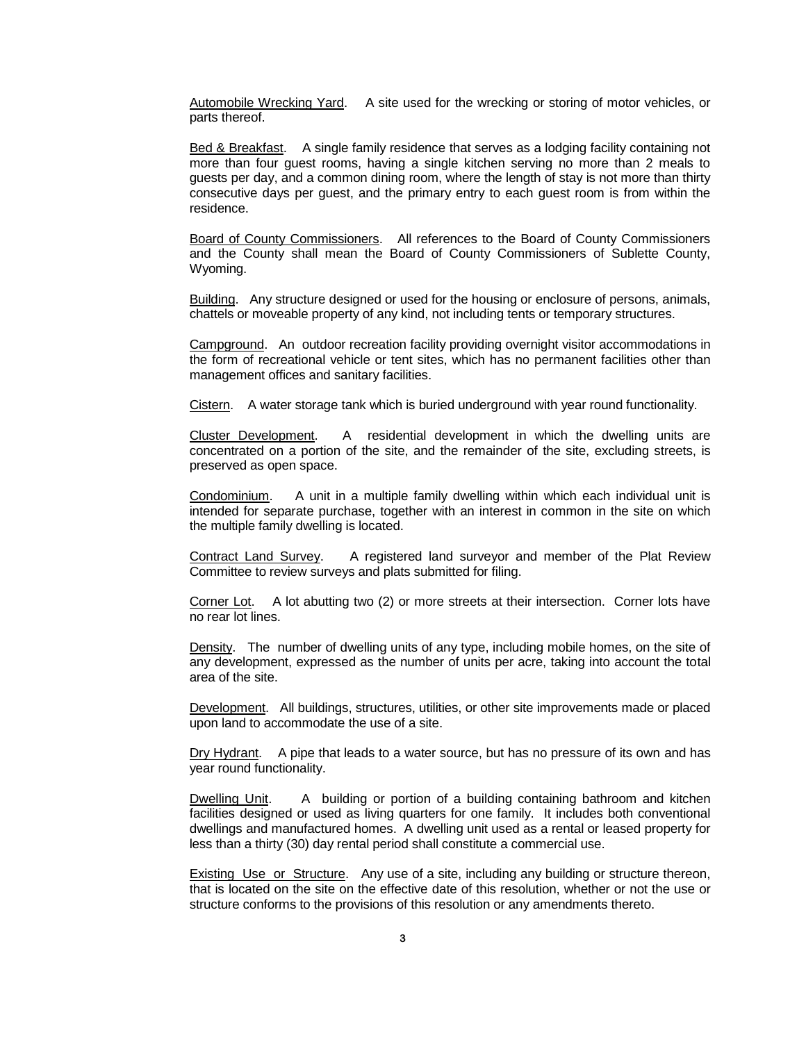Automobile Wrecking Yard. A site used for the wrecking or storing of motor vehicles, or parts thereof.

Bed & Breakfast. A single family residence that serves as a lodging facility containing not more than four guest rooms, having a single kitchen serving no more than 2 meals to guests per day, and a common dining room, where the length of stay is not more than thirty consecutive days per guest, and the primary entry to each guest room is from within the residence.

Board of County Commissioners. All references to the Board of County Commissioners and the County shall mean the Board of County Commissioners of Sublette County, Wyoming.

Building. Any structure designed or used for the housing or enclosure of persons, animals, chattels or moveable property of any kind, not including tents or temporary structures.

Campground. An outdoor recreation facility providing overnight visitor accommodations in the form of recreational vehicle or tent sites, which has no permanent facilities other than management offices and sanitary facilities.

Cistern. A water storage tank which is buried underground with year round functionality.

Cluster Development. A residential development in which the dwelling units are concentrated on a portion of the site, and the remainder of the site, excluding streets, is preserved as open space.

Condominium. A unit in a multiple family dwelling within which each individual unit is intended for separate purchase, together with an interest in common in the site on which the multiple family dwelling is located.

Contract Land Survey. A registered land surveyor and member of the Plat Review Committee to review surveys and plats submitted for filing.

Corner Lot. A lot abutting two (2) or more streets at their intersection. Corner lots have no rear lot lines.

Density. The number of dwelling units of any type, including mobile homes, on the site of any development, expressed as the number of units per acre, taking into account the total area of the site.

Development. All buildings, structures, utilities, or other site improvements made or placed upon land to accommodate the use of a site.

Dry Hydrant. A pipe that leads to a water source, but has no pressure of its own and has year round functionality.

Dwelling Unit. A building or portion of a building containing bathroom and kitchen facilities designed or used as living quarters for one family. It includes both conventional dwellings and manufactured homes. A dwelling unit used as a rental or leased property for less than a thirty (30) day rental period shall constitute a commercial use.

Existing Use or Structure. Any use of a site, including any building or structure thereon, that is located on the site on the effective date of this resolution, whether or not the use or structure conforms to the provisions of this resolution or any amendments thereto.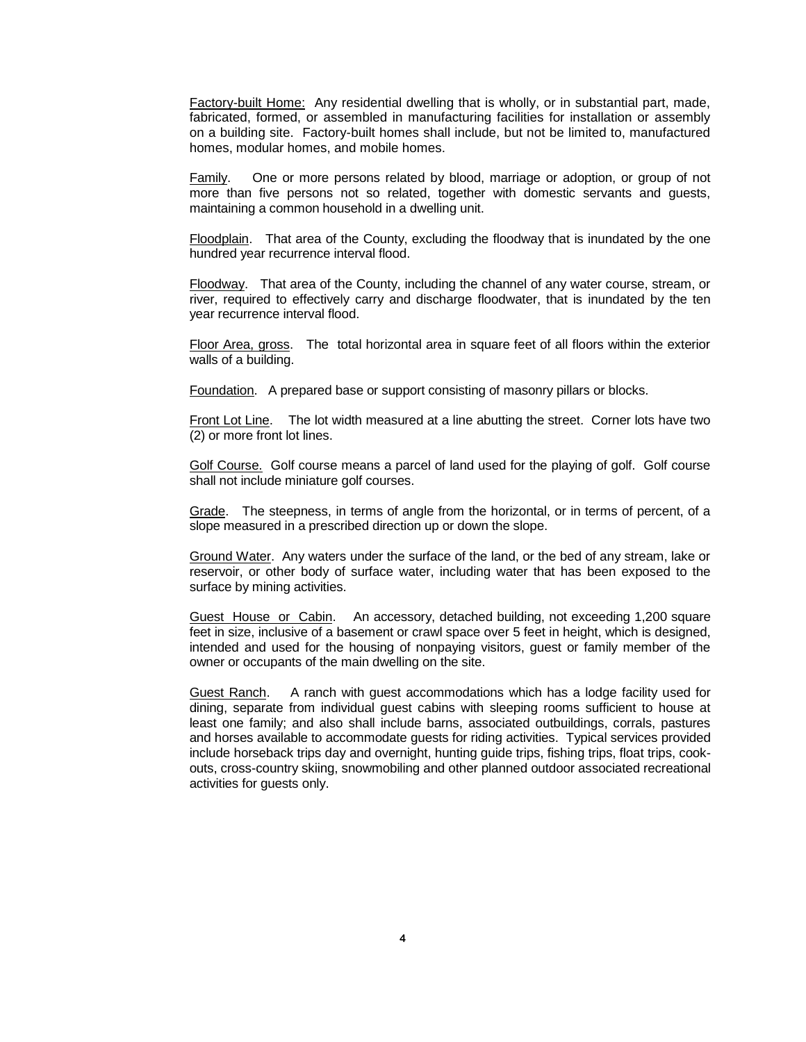Factory-built Home: Any residential dwelling that is wholly, or in substantial part, made, fabricated, formed, or assembled in manufacturing facilities for installation or assembly on a building site. Factory-built homes shall include, but not be limited to, manufactured homes, modular homes, and mobile homes.

**Family.** One or more persons related by blood, marriage or adoption, or group of not more than five persons not so related, together with domestic servants and guests, maintaining a common household in a dwelling unit.

Floodplain. That area of the County, excluding the floodway that is inundated by the one hundred year recurrence interval flood.

Floodway. That area of the County, including the channel of any water course, stream, or river, required to effectively carry and discharge floodwater, that is inundated by the ten year recurrence interval flood.

Floor Area, gross. The total horizontal area in square feet of all floors within the exterior walls of a building.

Foundation. A prepared base or support consisting of masonry pillars or blocks.

Front Lot Line. The lot width measured at a line abutting the street. Corner lots have two (2) or more front lot lines.

Golf Course. Golf course means a parcel of land used for the playing of golf. Golf course shall not include miniature golf courses.

Grade. The steepness, in terms of angle from the horizontal, or in terms of percent, of a slope measured in a prescribed direction up or down the slope.

Ground Water. Any waters under the surface of the land, or the bed of any stream, lake or reservoir, or other body of surface water, including water that has been exposed to the surface by mining activities.

Guest House or Cabin. An accessory, detached building, not exceeding 1,200 square feet in size, inclusive of a basement or crawl space over 5 feet in height, which is designed, intended and used for the housing of nonpaying visitors, guest or family member of the owner or occupants of the main dwelling on the site.

Guest Ranch. A ranch with guest accommodations which has a lodge facility used for dining, separate from individual guest cabins with sleeping rooms sufficient to house at least one family; and also shall include barns, associated outbuildings, corrals, pastures and horses available to accommodate guests for riding activities. Typical services provided include horseback trips day and overnight, hunting guide trips, fishing trips, float trips, cookouts, cross-country skiing, snowmobiling and other planned outdoor associated recreational activities for guests only.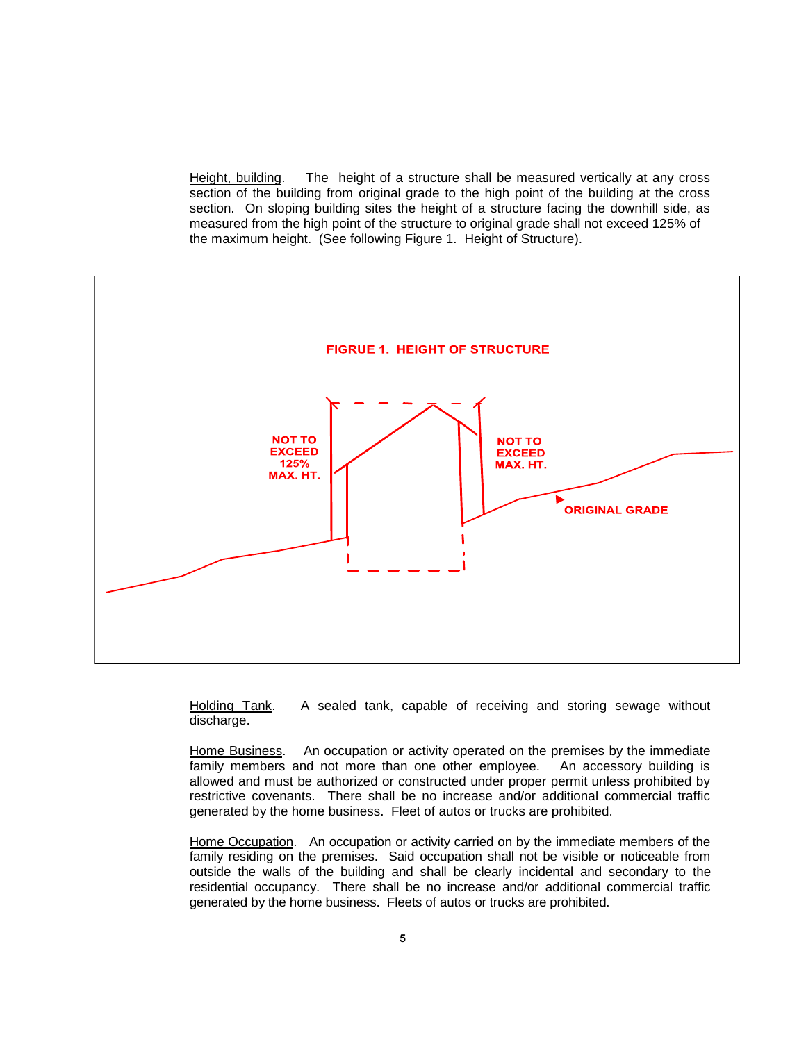Height, building. The height of a structure shall be measured vertically at any cross section of the building from original grade to the high point of the building at the cross section. On sloping building sites the height of a structure facing the downhill side, as measured from the high point of the structure to original grade shall not exceed 125% of the maximum height. (See following Figure 1. Height of Structure).



Holding Tank. A sealed tank, capable of receiving and storing sewage without discharge.

Home Business. An occupation or activity operated on the premises by the immediate family members and not more than one other employee. An accessory building is allowed and must be authorized or constructed under proper permit unless prohibited by restrictive covenants. There shall be no increase and/or additional commercial traffic generated by the home business. Fleet of autos or trucks are prohibited.

Home Occupation. An occupation or activity carried on by the immediate members of the family residing on the premises. Said occupation shall not be visible or noticeable from outside the walls of the building and shall be clearly incidental and secondary to the residential occupancy. There shall be no increase and/or additional commercial traffic generated by the home business. Fleets of autos or trucks are prohibited.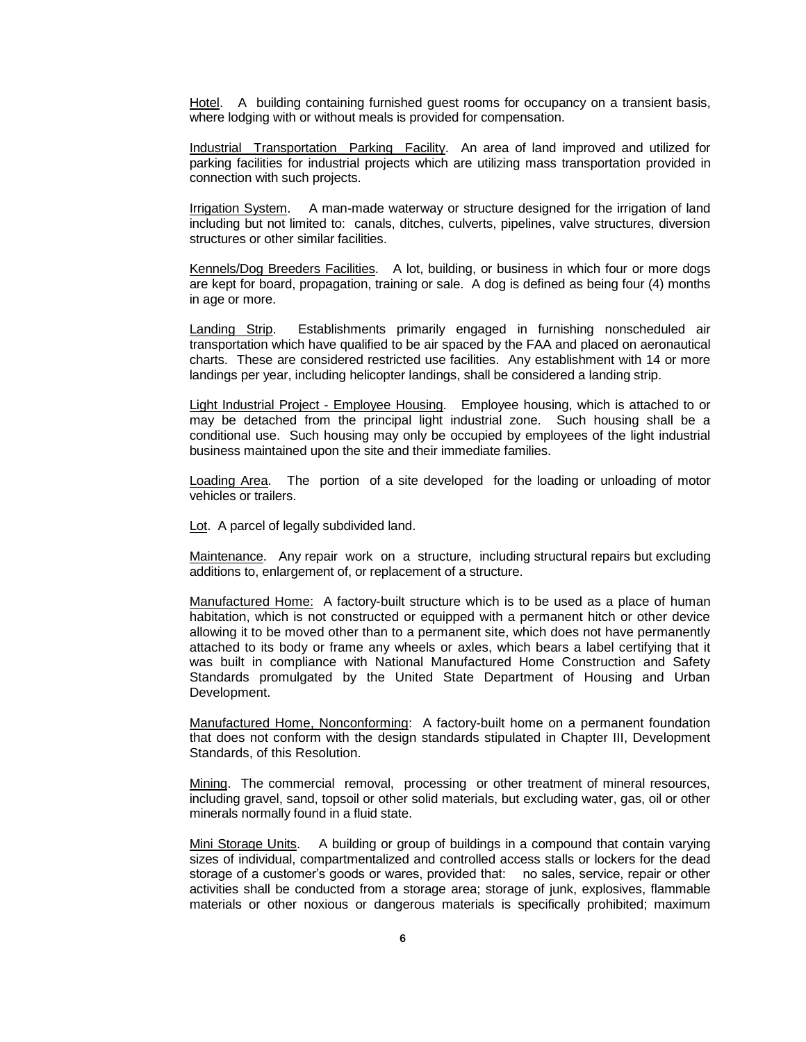Hotel. A building containing furnished guest rooms for occupancy on a transient basis, where lodging with or without meals is provided for compensation.

Industrial Transportation Parking Facility. An area of land improved and utilized for parking facilities for industrial projects which are utilizing mass transportation provided in connection with such projects.

Irrigation System. A man-made waterway or structure designed for the irrigation of land including but not limited to: canals, ditches, culverts, pipelines, valve structures, diversion structures or other similar facilities.

Kennels/Dog Breeders Facilities. A lot, building, or business in which four or more dogs are kept for board, propagation, training or sale. A dog is defined as being four (4) months in age or more.

Landing Strip. Establishments primarily engaged in furnishing nonscheduled air transportation which have qualified to be air spaced by the FAA and placed on aeronautical charts. These are considered restricted use facilities. Any establishment with 14 or more landings per year, including helicopter landings, shall be considered a landing strip.

Light Industrial Project - Employee Housing. Employee housing, which is attached to or may be detached from the principal light industrial zone. Such housing shall be a conditional use. Such housing may only be occupied by employees of the light industrial business maintained upon the site and their immediate families.

Loading Area. The portion of a site developed for the loading or unloading of motor vehicles or trailers.

Lot. A parcel of legally subdivided land.

Maintenance. Any repair work on a structure, including structural repairs but excluding additions to, enlargement of, or replacement of a structure.

Manufactured Home: A factory-built structure which is to be used as a place of human habitation, which is not constructed or equipped with a permanent hitch or other device allowing it to be moved other than to a permanent site, which does not have permanently attached to its body or frame any wheels or axles, which bears a label certifying that it was built in compliance with National Manufactured Home Construction and Safety Standards promulgated by the United State Department of Housing and Urban Development.

Manufactured Home, Nonconforming: A factory-built home on a permanent foundation that does not conform with the design standards stipulated in Chapter III, Development Standards, of this Resolution.

Mining. The commercial removal, processing or other treatment of mineral resources, including gravel, sand, topsoil or other solid materials, but excluding water, gas, oil or other minerals normally found in a fluid state.

Mini Storage Units. A building or group of buildings in a compound that contain varying sizes of individual, compartmentalized and controlled access stalls or lockers for the dead storage of a customer's goods or wares, provided that: no sales, service, repair or other activities shall be conducted from a storage area; storage of junk, explosives, flammable materials or other noxious or dangerous materials is specifically prohibited; maximum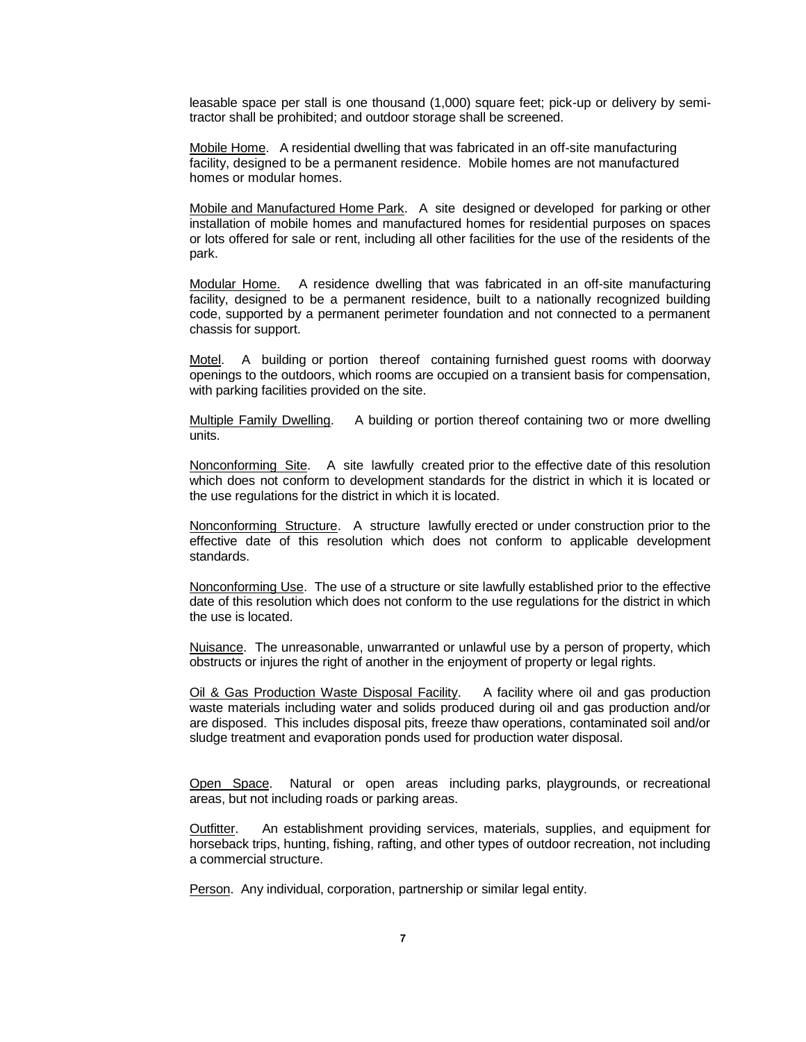leasable space per stall is one thousand (1,000) square feet; pick-up or delivery by semitractor shall be prohibited; and outdoor storage shall be screened.

Mobile Home. A residential dwelling that was fabricated in an off-site manufacturing facility, designed to be a permanent residence. Mobile homes are not manufactured homes or modular homes.

Mobile and Manufactured Home Park. A site designed or developed for parking or other installation of mobile homes and manufactured homes for residential purposes on spaces or lots offered for sale or rent, including all other facilities for the use of the residents of the park.

Modular Home. A residence dwelling that was fabricated in an off-site manufacturing facility, designed to be a permanent residence, built to a nationally recognized building code, supported by a permanent perimeter foundation and not connected to a permanent chassis for support.

Motel. A building or portion thereof containing furnished guest rooms with doorway openings to the outdoors, which rooms are occupied on a transient basis for compensation, with parking facilities provided on the site.

Multiple Family Dwelling. A building or portion thereof containing two or more dwelling units.

Nonconforming Site. A site lawfully created prior to the effective date of this resolution which does not conform to development standards for the district in which it is located or the use regulations for the district in which it is located.

Nonconforming Structure. A structure lawfully erected or under construction prior to the effective date of this resolution which does not conform to applicable development standards.

Nonconforming Use. The use of a structure or site lawfully established prior to the effective date of this resolution which does not conform to the use regulations for the district in which the use is located.

Nuisance. The unreasonable, unwarranted or unlawful use by a person of property, which obstructs or injures the right of another in the enjoyment of property or legal rights.

Oil & Gas Production Waste Disposal Facility. A facility where oil and gas production waste materials including water and solids produced during oil and gas production and/or are disposed. This includes disposal pits, freeze thaw operations, contaminated soil and/or sludge treatment and evaporation ponds used for production water disposal.

Open Space. Natural or open areas including parks, playgrounds, or recreational areas, but not including roads or parking areas.

Outfitter. An establishment providing services, materials, supplies, and equipment for horseback trips, hunting, fishing, rafting, and other types of outdoor recreation, not including a commercial structure.

Person. Any individual, corporation, partnership or similar legal entity.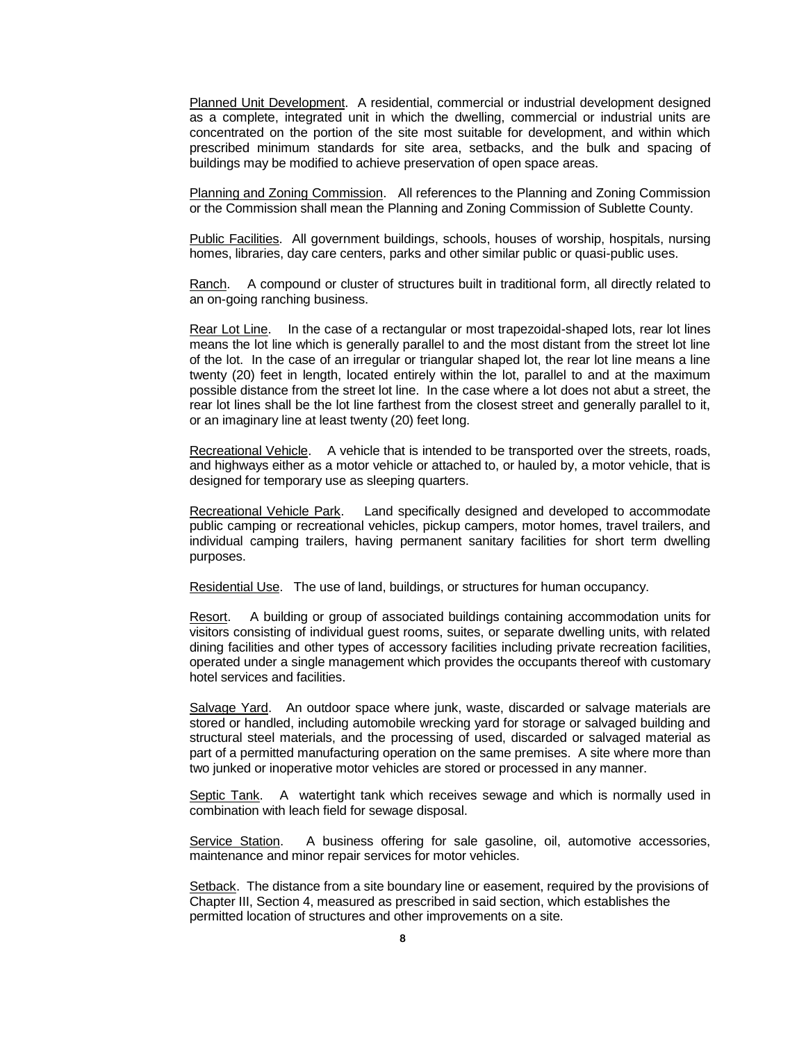Planned Unit Development. A residential, commercial or industrial development designed as a complete, integrated unit in which the dwelling, commercial or industrial units are concentrated on the portion of the site most suitable for development, and within which prescribed minimum standards for site area, setbacks, and the bulk and spacing of buildings may be modified to achieve preservation of open space areas.

Planning and Zoning Commission. All references to the Planning and Zoning Commission or the Commission shall mean the Planning and Zoning Commission of Sublette County.

Public Facilities. All government buildings, schools, houses of worship, hospitals, nursing homes, libraries, day care centers, parks and other similar public or quasi-public uses.

Ranch. A compound or cluster of structures built in traditional form, all directly related to an on-going ranching business.

Rear Lot Line. In the case of a rectangular or most trapezoidal-shaped lots, rear lot lines means the lot line which is generally parallel to and the most distant from the street lot line of the lot. In the case of an irregular or triangular shaped lot, the rear lot line means a line twenty (20) feet in length, located entirely within the lot, parallel to and at the maximum possible distance from the street lot line. In the case where a lot does not abut a street, the rear lot lines shall be the lot line farthest from the closest street and generally parallel to it, or an imaginary line at least twenty (20) feet long.

Recreational Vehicle. A vehicle that is intended to be transported over the streets, roads, and highways either as a motor vehicle or attached to, or hauled by, a motor vehicle, that is designed for temporary use as sleeping quarters.

Recreational Vehicle Park. Land specifically designed and developed to accommodate public camping or recreational vehicles, pickup campers, motor homes, travel trailers, and individual camping trailers, having permanent sanitary facilities for short term dwelling purposes.

Residential Use. The use of land, buildings, or structures for human occupancy.

Resort. A building or group of associated buildings containing accommodation units for visitors consisting of individual guest rooms, suites, or separate dwelling units, with related dining facilities and other types of accessory facilities including private recreation facilities, operated under a single management which provides the occupants thereof with customary hotel services and facilities.

Salvage Yard. An outdoor space where junk, waste, discarded or salvage materials are stored or handled, including automobile wrecking yard for storage or salvaged building and structural steel materials, and the processing of used, discarded or salvaged material as part of a permitted manufacturing operation on the same premises. A site where more than two junked or inoperative motor vehicles are stored or processed in any manner.

Septic Tank. A watertight tank which receives sewage and which is normally used in combination with leach field for sewage disposal.

Service Station. A business offering for sale gasoline, oil, automotive accessories, maintenance and minor repair services for motor vehicles.

Setback. The distance from a site boundary line or easement, required by the provisions of Chapter III, Section 4, measured as prescribed in said section, which establishes the permitted location of structures and other improvements on a site.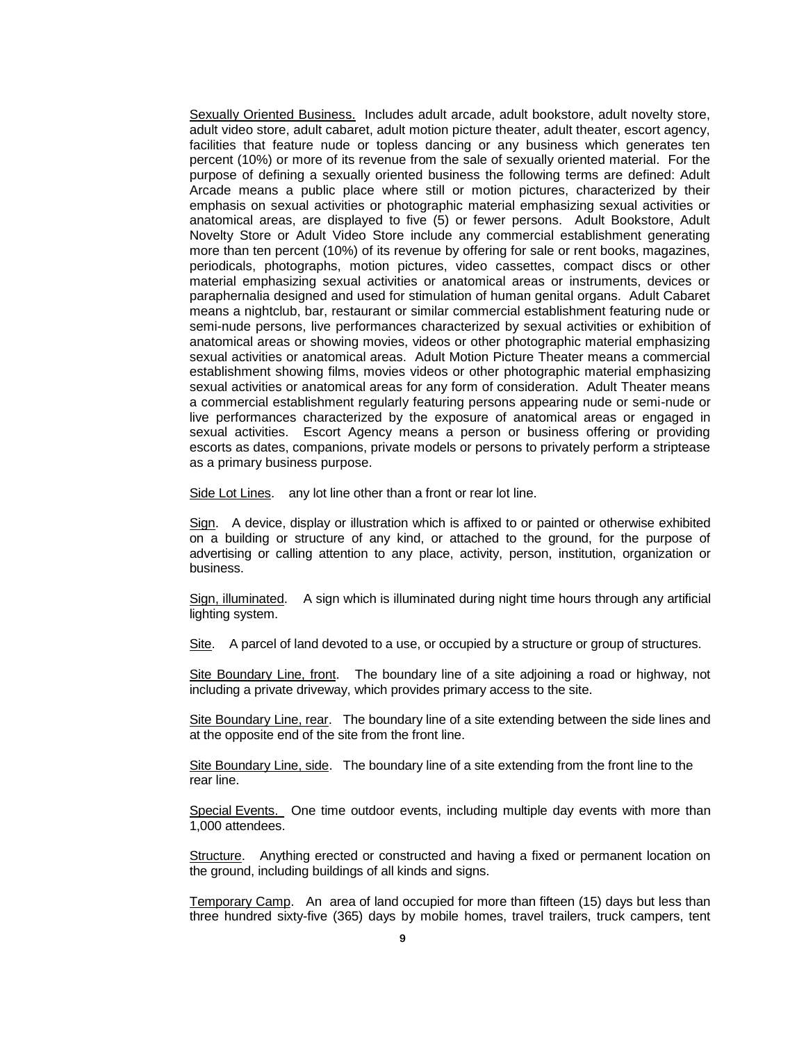Sexually Oriented Business. Includes adult arcade, adult bookstore, adult novelty store, adult video store, adult cabaret, adult motion picture theater, adult theater, escort agency, facilities that feature nude or topless dancing or any business which generates ten percent (10%) or more of its revenue from the sale of sexually oriented material. For the purpose of defining a sexually oriented business the following terms are defined: Adult Arcade means a public place where still or motion pictures, characterized by their emphasis on sexual activities or photographic material emphasizing sexual activities or anatomical areas, are displayed to five (5) or fewer persons. Adult Bookstore, Adult Novelty Store or Adult Video Store include any commercial establishment generating more than ten percent (10%) of its revenue by offering for sale or rent books, magazines, periodicals, photographs, motion pictures, video cassettes, compact discs or other material emphasizing sexual activities or anatomical areas or instruments, devices or paraphernalia designed and used for stimulation of human genital organs. Adult Cabaret means a nightclub, bar, restaurant or similar commercial establishment featuring nude or semi-nude persons, live performances characterized by sexual activities or exhibition of anatomical areas or showing movies, videos or other photographic material emphasizing sexual activities or anatomical areas. Adult Motion Picture Theater means a commercial establishment showing films, movies videos or other photographic material emphasizing sexual activities or anatomical areas for any form of consideration. Adult Theater means a commercial establishment regularly featuring persons appearing nude or semi-nude or live performances characterized by the exposure of anatomical areas or engaged in sexual activities. Escort Agency means a person or business offering or providing escorts as dates, companions, private models or persons to privately perform a striptease as a primary business purpose.

Side Lot Lines. any lot line other than a front or rear lot line.

Sign. A device, display or illustration which is affixed to or painted or otherwise exhibited on a building or structure of any kind, or attached to the ground, for the purpose of advertising or calling attention to any place, activity, person, institution, organization or business.

Sign, illuminated. A sign which is illuminated during night time hours through any artificial lighting system.

Site. A parcel of land devoted to a use, or occupied by a structure or group of structures.

Site Boundary Line, front. The boundary line of a site adjoining a road or highway, not including a private driveway, which provides primary access to the site.

Site Boundary Line, rear. The boundary line of a site extending between the side lines and at the opposite end of the site from the front line.

Site Boundary Line, side. The boundary line of a site extending from the front line to the rear line.

Special Events. One time outdoor events, including multiple day events with more than 1,000 attendees.

Structure. Anything erected or constructed and having a fixed or permanent location on the ground, including buildings of all kinds and signs.

Temporary Camp. An area of land occupied for more than fifteen (15) days but less than three hundred sixty-five (365) days by mobile homes, travel trailers, truck campers, tent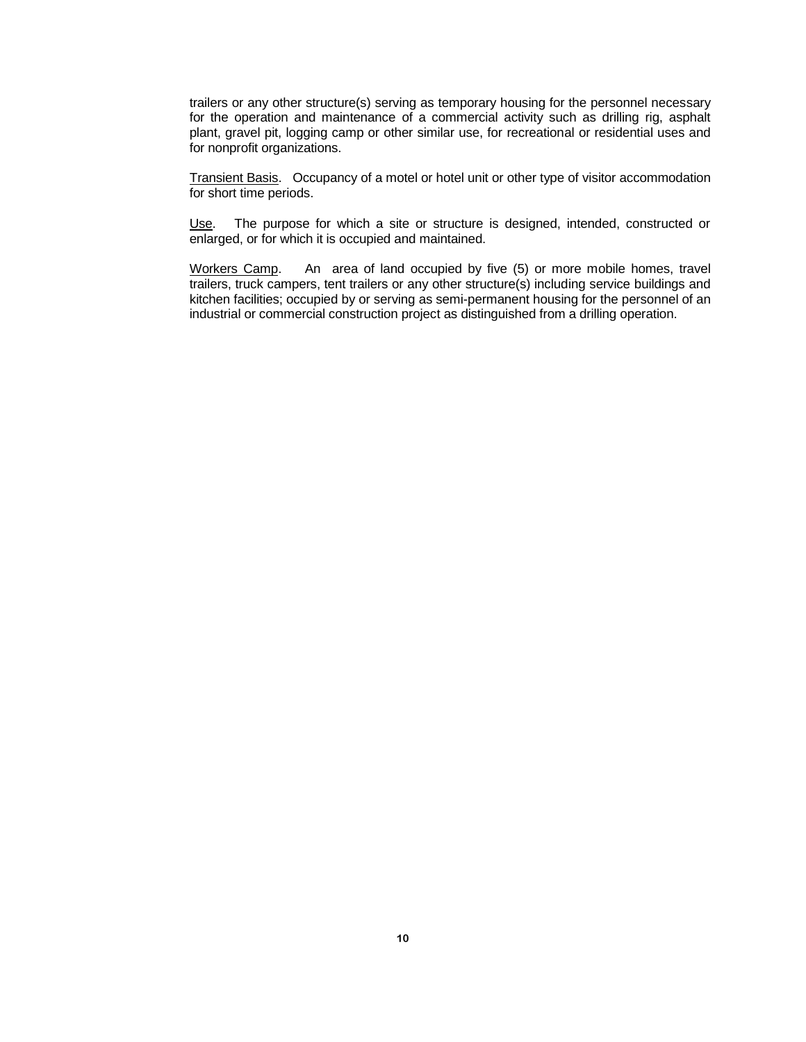trailers or any other structure(s) serving as temporary housing for the personnel necessary for the operation and maintenance of a commercial activity such as drilling rig, asphalt plant, gravel pit, logging camp or other similar use, for recreational or residential uses and for nonprofit organizations.

Transient Basis. Occupancy of a motel or hotel unit or other type of visitor accommodation for short time periods.

Use. The purpose for which a site or structure is designed, intended, constructed or enlarged, or for which it is occupied and maintained.

Workers Camp. An area of land occupied by five (5) or more mobile homes, travel trailers, truck campers, tent trailers or any other structure(s) including service buildings and kitchen facilities; occupied by or serving as semi-permanent housing for the personnel of an industrial or commercial construction project as distinguished from a drilling operation.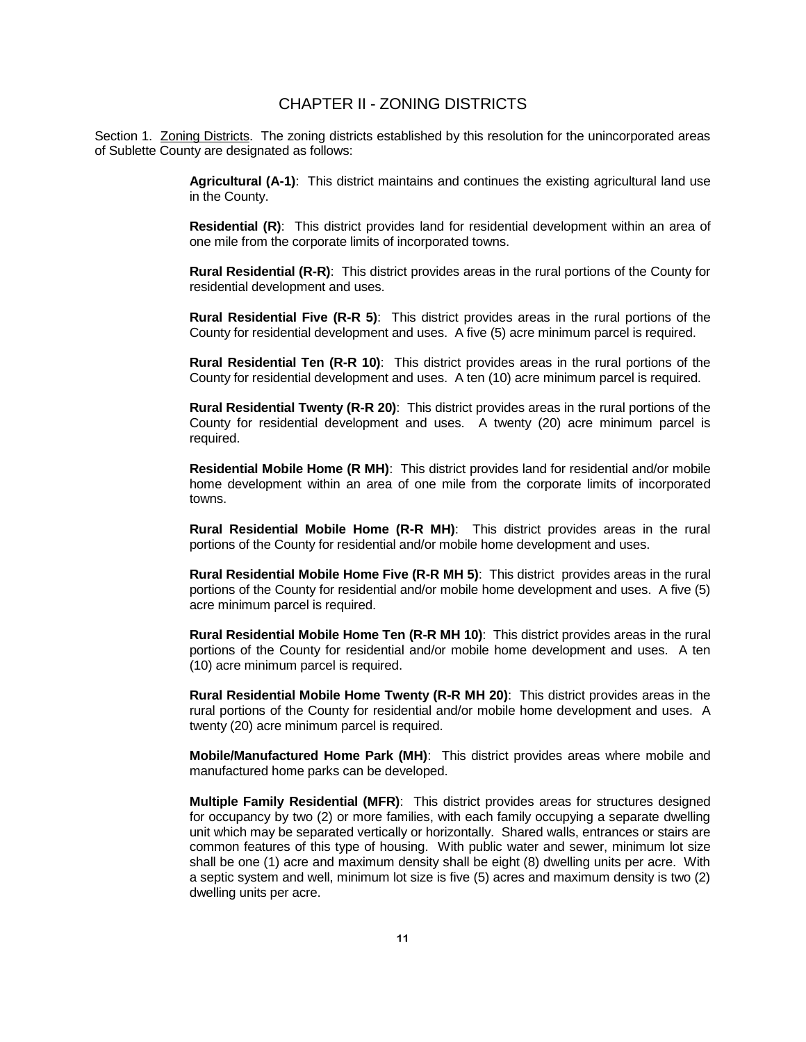## CHAPTER II - ZONING DISTRICTS

Section 1. Zoning Districts. The zoning districts established by this resolution for the unincorporated areas of Sublette County are designated as follows:

> **Agricultural (A-1)**: This district maintains and continues the existing agricultural land use in the County.

> **Residential (R)**: This district provides land for residential development within an area of one mile from the corporate limits of incorporated towns.

> **Rural Residential (R-R)**: This district provides areas in the rural portions of the County for residential development and uses.

> **Rural Residential Five (R-R 5)**: This district provides areas in the rural portions of the County for residential development and uses. A five (5) acre minimum parcel is required.

> **Rural Residential Ten (R-R 10)**: This district provides areas in the rural portions of the County for residential development and uses. A ten (10) acre minimum parcel is required.

> **Rural Residential Twenty (R-R 20)**: This district provides areas in the rural portions of the County for residential development and uses. A twenty (20) acre minimum parcel is required.

> **Residential Mobile Home (R MH)**: This district provides land for residential and/or mobile home development within an area of one mile from the corporate limits of incorporated towns.

> **Rural Residential Mobile Home (R-R MH)**: This district provides areas in the rural portions of the County for residential and/or mobile home development and uses.

> **Rural Residential Mobile Home Five (R-R MH 5)**: This district provides areas in the rural portions of the County for residential and/or mobile home development and uses. A five (5) acre minimum parcel is required.

> **Rural Residential Mobile Home Ten (R-R MH 10)**: This district provides areas in the rural portions of the County for residential and/or mobile home development and uses. A ten (10) acre minimum parcel is required.

> **Rural Residential Mobile Home Twenty (R-R MH 20)**: This district provides areas in the rural portions of the County for residential and/or mobile home development and uses. A twenty (20) acre minimum parcel is required.

> **Mobile/Manufactured Home Park (MH)**: This district provides areas where mobile and manufactured home parks can be developed.

> **Multiple Family Residential (MFR)**: This district provides areas for structures designed for occupancy by two (2) or more families, with each family occupying a separate dwelling unit which may be separated vertically or horizontally. Shared walls, entrances or stairs are common features of this type of housing. With public water and sewer, minimum lot size shall be one (1) acre and maximum density shall be eight (8) dwelling units per acre. With a septic system and well, minimum lot size is five (5) acres and maximum density is two (2) dwelling units per acre.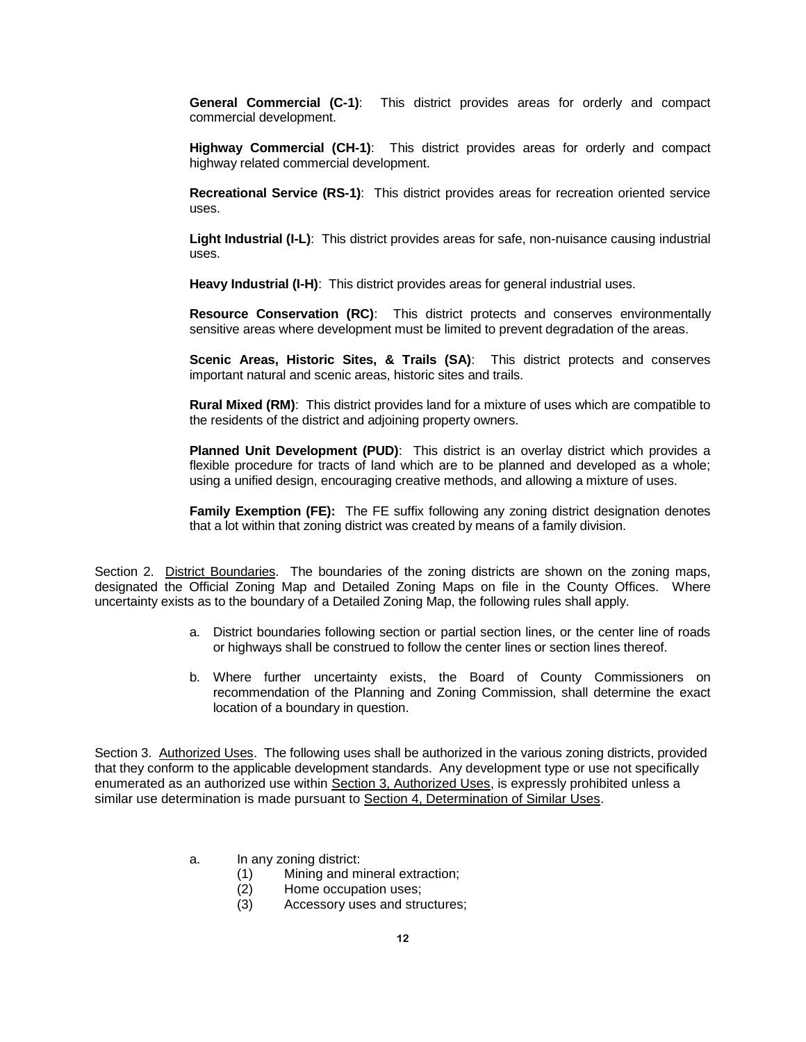**General Commercial (C-1)**: This district provides areas for orderly and compact commercial development.

**Highway Commercial (CH-1)**: This district provides areas for orderly and compact highway related commercial development.

**Recreational Service (RS-1)**: This district provides areas for recreation oriented service uses.

**Light Industrial (I-L)**: This district provides areas for safe, non-nuisance causing industrial uses.

**Heavy Industrial (I-H)**: This district provides areas for general industrial uses.

**Resource Conservation (RC)**: This district protects and conserves environmentally sensitive areas where development must be limited to prevent degradation of the areas.

**Scenic Areas, Historic Sites, & Trails (SA)**: This district protects and conserves important natural and scenic areas, historic sites and trails.

**Rural Mixed (RM)**: This district provides land for a mixture of uses which are compatible to the residents of the district and adjoining property owners.

**Planned Unit Development (PUD)**: This district is an overlay district which provides a flexible procedure for tracts of land which are to be planned and developed as a whole; using a unified design, encouraging creative methods, and allowing a mixture of uses.

**Family Exemption (FE):** The FE suffix following any zoning district designation denotes that a lot within that zoning district was created by means of a family division.

Section 2. District Boundaries. The boundaries of the zoning districts are shown on the zoning maps, designated the Official Zoning Map and Detailed Zoning Maps on file in the County Offices. Where uncertainty exists as to the boundary of a Detailed Zoning Map, the following rules shall apply.

- a. District boundaries following section or partial section lines, or the center line of roads or highways shall be construed to follow the center lines or section lines thereof.
- b. Where further uncertainty exists, the Board of County Commissioners on recommendation of the Planning and Zoning Commission, shall determine the exact location of a boundary in question.

Section 3. Authorized Uses. The following uses shall be authorized in the various zoning districts, provided that they conform to the applicable development standards. Any development type or use not specifically enumerated as an authorized use within Section 3, Authorized Uses, is expressly prohibited unless a similar use determination is made pursuant to Section 4, Determination of Similar Uses.

- a. In any zoning district:
	- (1) Mining and mineral extraction;
	- (2) Home occupation uses;
	- (3) Accessory uses and structures;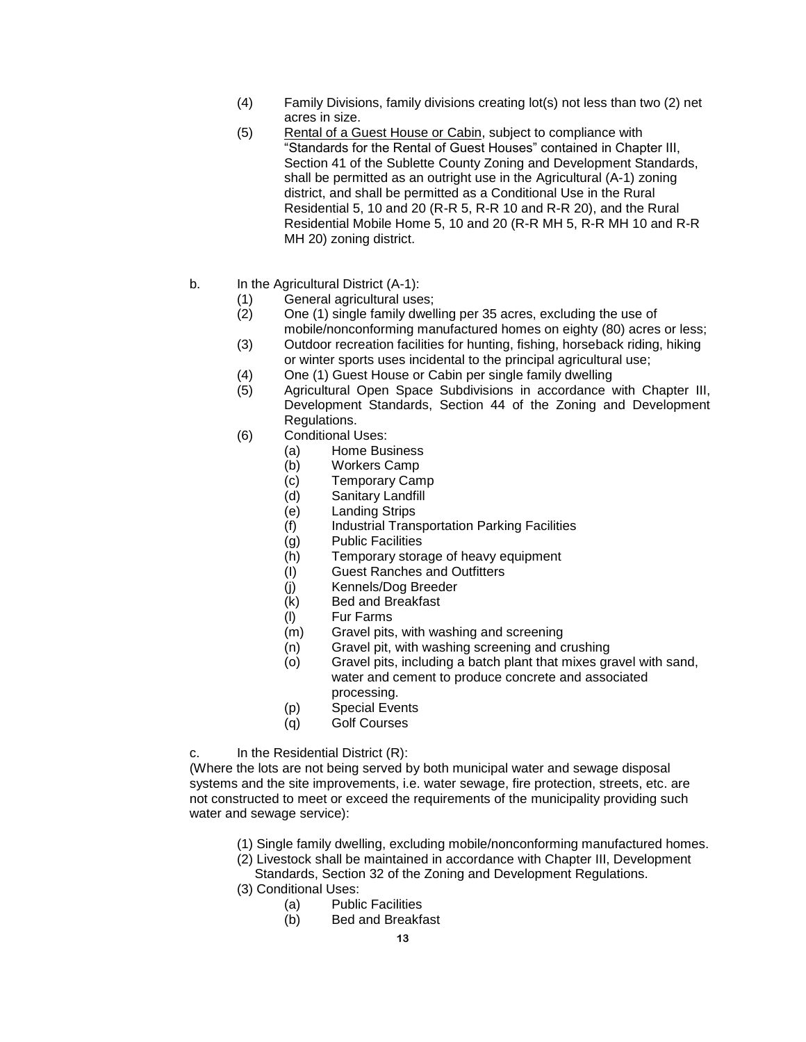- (4) Family Divisions, family divisions creating lot(s) not less than two (2) net acres in size.
- (5) Rental of a Guest House or Cabin, subject to compliance with "Standards for the Rental of Guest Houses" contained in Chapter III, Section 41 of the Sublette County Zoning and Development Standards, shall be permitted as an outright use in the Agricultural (A-1) zoning district, and shall be permitted as a Conditional Use in the Rural Residential 5, 10 and 20 (R-R 5, R-R 10 and R-R 20), and the Rural Residential Mobile Home 5, 10 and 20 (R-R MH 5, R-R MH 10 and R-R MH 20) zoning district.
- b. In the Agricultural District (A-1):
	- (1) General agricultural uses;
	- (2) One (1) single family dwelling per 35 acres, excluding the use of mobile/nonconforming manufactured homes on eighty (80) acres or less;
	- (3) Outdoor recreation facilities for hunting, fishing, horseback riding, hiking or winter sports uses incidental to the principal agricultural use;
	- (4) One (1) Guest House or Cabin per single family dwelling
	- (5) Agricultural Open Space Subdivisions in accordance with Chapter III, Development Standards, Section 44 of the Zoning and Development Regulations.
	- (6) Conditional Uses:
		- (a) Home Business
		- (b) Workers Camp
		- (c) Temporary Camp
		- (d) Sanitary Landfill
		- (e) Landing Strips
		- (f) Industrial Transportation Parking Facilities
		- (g) Public Facilities
		- (h) Temporary storage of heavy equipment
		- (I) Guest Ranches and Outfitters
		- (j) Kennels/Dog Breeder
		- (k) Bed and Breakfast
		- (l) Fur Farms
		- (m) Gravel pits, with washing and screening
		- (n) Gravel pit, with washing screening and crushing
		- (o) Gravel pits, including a batch plant that mixes gravel with sand, water and cement to produce concrete and associated processing.
		- (p) Special Events
		- (q) Golf Courses

c. In the Residential District (R):

(Where the lots are not being served by both municipal water and sewage disposal systems and the site improvements, i.e. water sewage, fire protection, streets, etc. are not constructed to meet or exceed the requirements of the municipality providing such water and sewage service):

- (1) Single family dwelling, excluding mobile/nonconforming manufactured homes.
- (2) Livestock shall be maintained in accordance with Chapter III, Development
	- Standards, Section 32 of the Zoning and Development Regulations.
- (3) Conditional Uses:
	- (a) Public Facilities
	- (b) Bed and Breakfast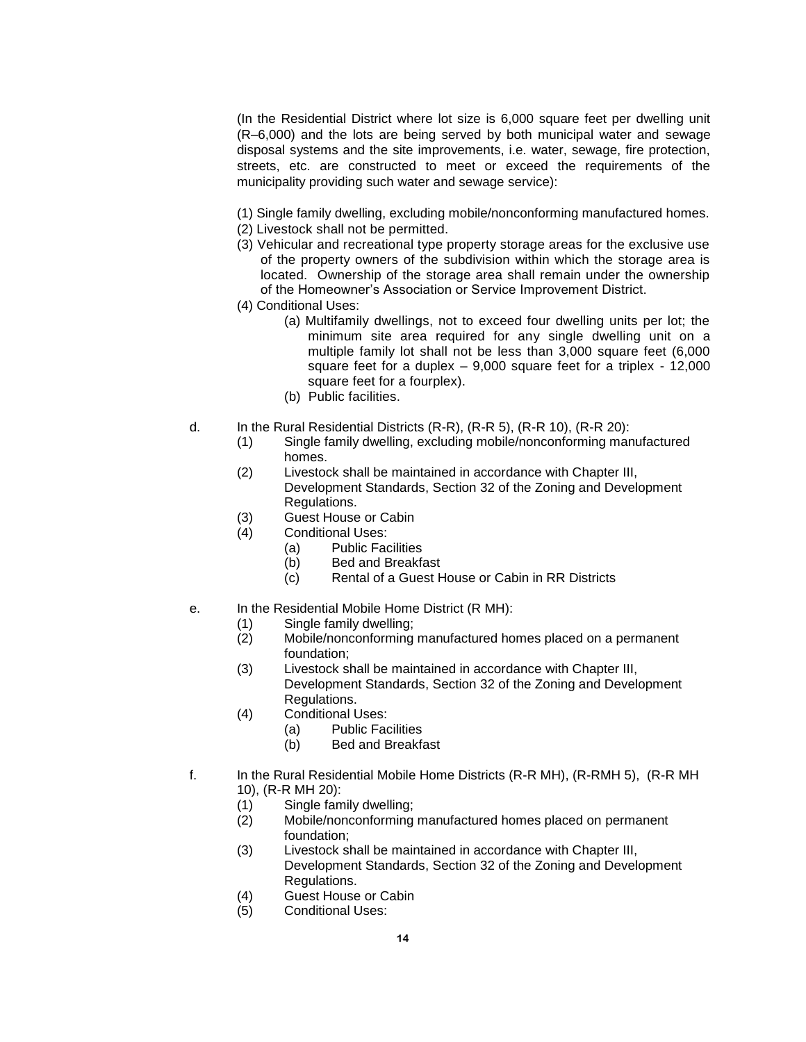(In the Residential District where lot size is 6,000 square feet per dwelling unit (R–6,000) and the lots are being served by both municipal water and sewage disposal systems and the site improvements, i.e. water, sewage, fire protection, streets, etc. are constructed to meet or exceed the requirements of the municipality providing such water and sewage service):

- (1) Single family dwelling, excluding mobile/nonconforming manufactured homes.
- (2) Livestock shall not be permitted.
- (3) Vehicular and recreational type property storage areas for the exclusive use of the property owners of the subdivision within which the storage area is located. Ownership of the storage area shall remain under the ownership of the Homeowner's Association or Service Improvement District.
- (4) Conditional Uses:
	- (a) Multifamily dwellings, not to exceed four dwelling units per lot; the minimum site area required for any single dwelling unit on a multiple family lot shall not be less than 3,000 square feet (6,000 square feet for a duplex – 9,000 square feet for a triplex - 12,000 square feet for a fourplex).
	- (b) Public facilities.
- d. In the Rural Residential Districts (R-R), (R-R 5), (R-R 10), (R-R 20):
	- (1) Single family dwelling, excluding mobile/nonconforming manufactured homes.
	- (2) Livestock shall be maintained in accordance with Chapter III, Development Standards, Section 32 of the Zoning and Development Regulations.
	- (3) Guest House or Cabin
	- (4) Conditional Uses:
		- (a) Public Facilities
		- (b) Bed and Breakfast
		- (c) Rental of a Guest House or Cabin in RR Districts
- e. In the Residential Mobile Home District (R MH):
	- (1) Single family dwelling;
	- (2) Mobile/nonconforming manufactured homes placed on a permanent foundation;
	- (3) Livestock shall be maintained in accordance with Chapter III, Development Standards, Section 32 of the Zoning and Development Regulations.
	- (4) Conditional Uses:
		- (a) Public Facilities
		- (b) Bed and Breakfast
- f. In the Rural Residential Mobile Home Districts (R-R MH), (R-RMH 5), (R-R MH 10), (R-R MH 20):
	- (1) Single family dwelling;
	- (2) Mobile/nonconforming manufactured homes placed on permanent foundation;
	- (3) Livestock shall be maintained in accordance with Chapter III, Development Standards, Section 32 of the Zoning and Development Regulations.
	- (4) Guest House or Cabin
	- (5) Conditional Uses: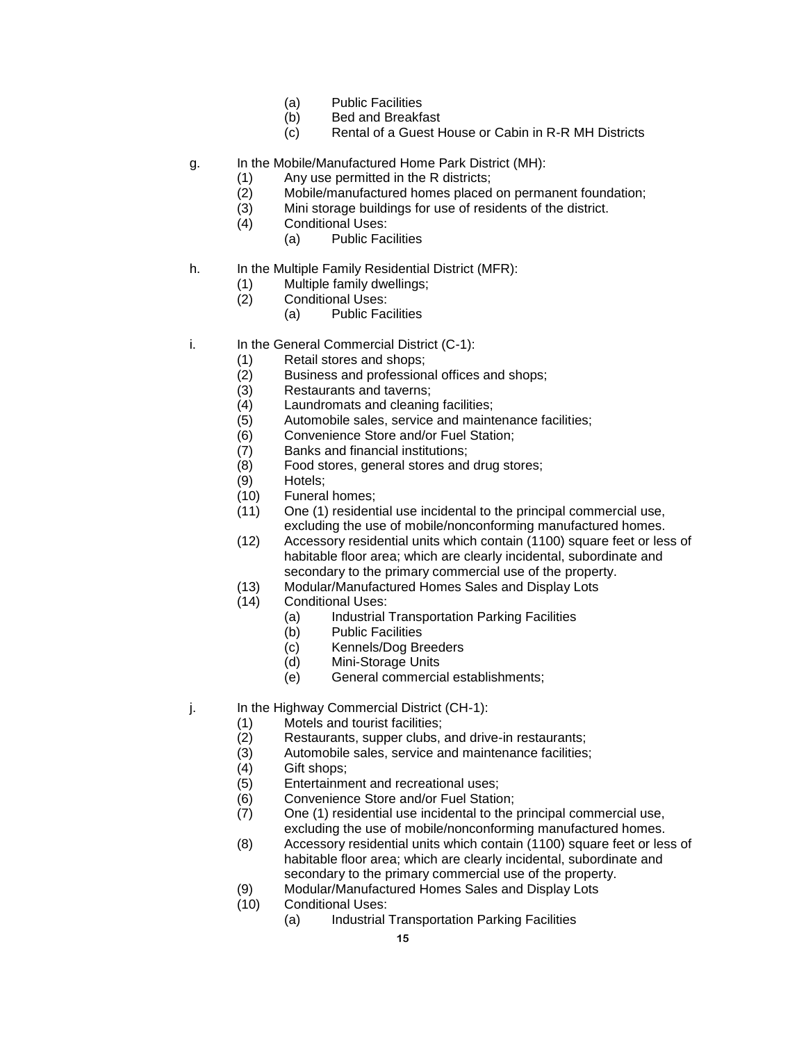- (a) Public Facilities
- (b) Bed and Breakfast
- (c) Rental of a Guest House or Cabin in R-R MH Districts
- g. In the Mobile/Manufactured Home Park District (MH):
	- (1) Any use permitted in the R districts;
	- (2) Mobile/manufactured homes placed on permanent foundation;
	- (3) Mini storage buildings for use of residents of the district.
	- (4) Conditional Uses:
		- (a) Public Facilities
- h. In the Multiple Family Residential District (MFR):
	- (1) Multiple family dwellings;
	- (2) Conditional Uses:
		- (a) Public Facilities
- i. In the General Commercial District (C-1):
	- (1) Retail stores and shops;
	- (2) Business and professional offices and shops;
	- (3) Restaurants and taverns;
	- (4) Laundromats and cleaning facilities;
	- (5) Automobile sales, service and maintenance facilities;
	- (6) Convenience Store and/or Fuel Station;
	- (7) Banks and financial institutions;
	- (8) Food stores, general stores and drug stores;
	- (9) Hotels;
	- (10) Funeral homes;
	- (11) One (1) residential use incidental to the principal commercial use, excluding the use of mobile/nonconforming manufactured homes.
	- (12) Accessory residential units which contain (1100) square feet or less of habitable floor area; which are clearly incidental, subordinate and secondary to the primary commercial use of the property.
	- (13) Modular/Manufactured Homes Sales and Display Lots
	- (14) Conditional Uses:
		- (a) Industrial Transportation Parking Facilities
		- (b) Public Facilities
		- (c) Kennels/Dog Breeders
		- (d) Mini-Storage Units
		- (e) General commercial establishments;
- j. In the Highway Commercial District (CH-1):
	- (1) Motels and tourist facilities;
	- (2) Restaurants, supper clubs, and drive-in restaurants;
	- (3) Automobile sales, service and maintenance facilities;
	- (4) Gift shops;
	- (5) Entertainment and recreational uses;
	- (6) Convenience Store and/or Fuel Station;
	- (7) One (1) residential use incidental to the principal commercial use, excluding the use of mobile/nonconforming manufactured homes.
	- (8) Accessory residential units which contain (1100) square feet or less of habitable floor area; which are clearly incidental, subordinate and secondary to the primary commercial use of the property.
	- (9) Modular/Manufactured Homes Sales and Display Lots
	- (10) Conditional Uses:
		- (a) Industrial Transportation Parking Facilities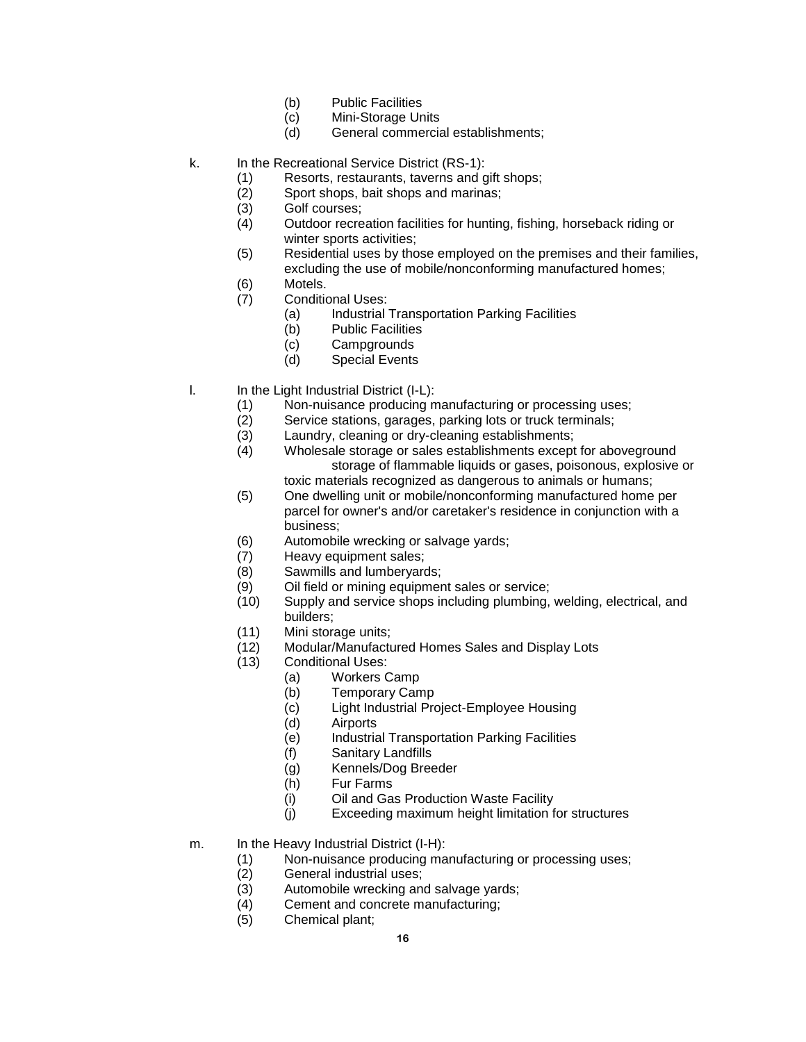- (b) Public Facilities
- (c) Mini-Storage Units
- (d) General commercial establishments;
- k. In the Recreational Service District (RS-1):
	- (1) Resorts, restaurants, taverns and gift shops;
	- (2) Sport shops, bait shops and marinas;
	- (3) Golf courses;
	- (4) Outdoor recreation facilities for hunting, fishing, horseback riding or winter sports activities;
	- (5) Residential uses by those employed on the premises and their families, excluding the use of mobile/nonconforming manufactured homes;
	- (6) Motels.
	- (7) Conditional Uses:
		- (a) Industrial Transportation Parking Facilities
		- (b) Public Facilities
		- (c) Campgrounds
		- (d) Special Events
- l. In the Light Industrial District (I-L):
	- (1) Non-nuisance producing manufacturing or processing uses;
	- (2) Service stations, garages, parking lots or truck terminals;
	- (3) Laundry, cleaning or dry-cleaning establishments;
	- (4) Wholesale storage or sales establishments except for aboveground storage of flammable liquids or gases, poisonous, explosive or toxic materials recognized as dangerous to animals or humans;
	- (5) One dwelling unit or mobile/nonconforming manufactured home per parcel for owner's and/or caretaker's residence in conjunction with a business;
	- (6) Automobile wrecking or salvage yards;
	- (7) Heavy equipment sales;
	- (8) Sawmills and lumberyards;
	- (9) Oil field or mining equipment sales or service;
	- (10) Supply and service shops including plumbing, welding, electrical, and builders;
	- (11) Mini storage units;
	- (12) Modular/Manufactured Homes Sales and Display Lots
	- (13) Conditional Uses:
		- (a) Workers Camp
		- (b) Temporary Camp
		- (c) Light Industrial Project-Employee Housing
		- (d) Airports
		- (e) Industrial Transportation Parking Facilities
		- (f) Sanitary Landfills
		- (g) Kennels/Dog Breeder
		- (h) Fur Farms
		- (i) Oil and Gas Production Waste Facility
		- (j) Exceeding maximum height limitation for structures
- m. In the Heavy Industrial District (I-H):
	- (1) Non-nuisance producing manufacturing or processing uses;
	- (2) General industrial uses;
	- (3) Automobile wrecking and salvage yards;
	- (4) Cement and concrete manufacturing;
	- (5) Chemical plant;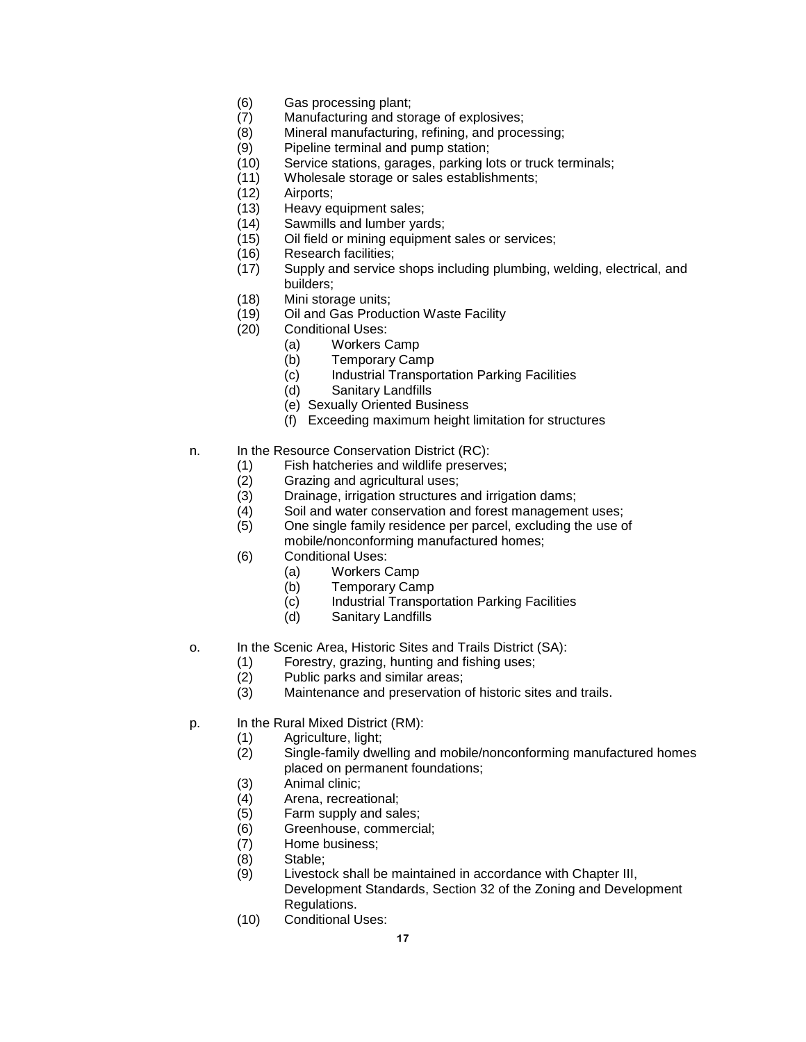- (6) Gas processing plant;
- (7) Manufacturing and storage of explosives;
- (8) Mineral manufacturing, refining, and processing;
- (9) Pipeline terminal and pump station;
- (10) Service stations, garages, parking lots or truck terminals;
- (11) Wholesale storage or sales establishments;
- (12) Airports;
- (13) Heavy equipment sales;
- (14) Sawmills and lumber yards;
- (15) Oil field or mining equipment sales or services;
- (16) Research facilities;
- (17) Supply and service shops including plumbing, welding, electrical, and builders;
- (18) Mini storage units;
- (19) Oil and Gas Production Waste Facility
- (20) Conditional Uses:
	- (a) Workers Camp
	- (b) Temporary Camp
	- (c) Industrial Transportation Parking Facilities
	- (d) Sanitary Landfills
	- (e) Sexually Oriented Business
	- (f) Exceeding maximum height limitation for structures
- n. In the Resource Conservation District (RC):
	- (1) Fish hatcheries and wildlife preserves;
	- (2) Grazing and agricultural uses;
	- (3) Drainage, irrigation structures and irrigation dams;
	- (4) Soil and water conservation and forest management uses;
	- (5) One single family residence per parcel, excluding the use of
	- mobile/nonconforming manufactured homes;
	- (6) Conditional Uses:
		- (a) Workers Camp
		- (b) Temporary Camp
		- (c) Industrial Transportation Parking Facilities
		- (d) Sanitary Landfills
- o. In the Scenic Area, Historic Sites and Trails District (SA):
	- (1) Forestry, grazing, hunting and fishing uses;
	- (2) Public parks and similar areas;
	- (3) Maintenance and preservation of historic sites and trails.
- p. In the Rural Mixed District (RM):
	- (1) Agriculture, light;
	- (2) Single-family dwelling and mobile/nonconforming manufactured homes placed on permanent foundations;
	- (3) Animal clinic;
	- (4) Arena, recreational;
	- (5) Farm supply and sales;
	- (6) Greenhouse, commercial;
	- (7) Home business;
	- (8) Stable;
	- (9) Livestock shall be maintained in accordance with Chapter III, Development Standards, Section 32 of the Zoning and Development Regulations.
	- (10) Conditional Uses: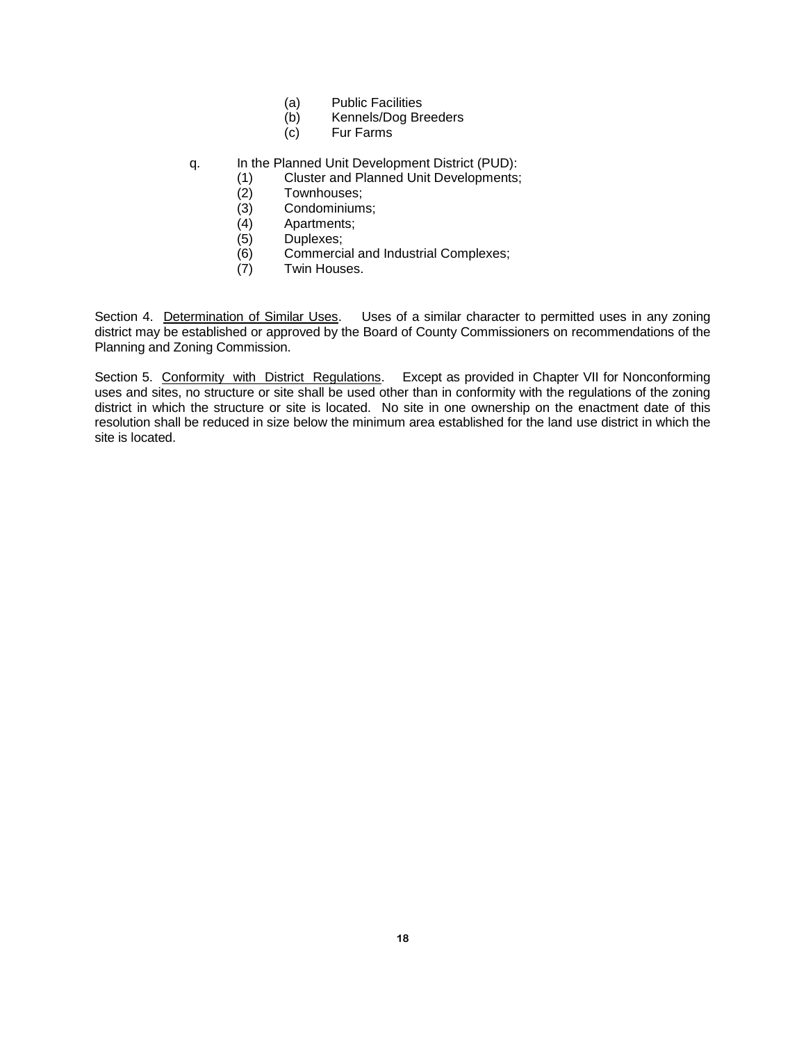- (a) Public Facilities
- (b) Kennels/Dog Breeders
- (c) Fur Farms
- q. In the Planned Unit Development District (PUD):
	- (1) Cluster and Planned Unit Developments;
	- (2) Townhouses;
	- (3) Condominiums;
	- (4) Apartments;
	- (5) Duplexes;
	- (6) Commercial and Industrial Complexes;
	- (7) Twin Houses.

Section 4. Determination of Similar Uses. Uses of a similar character to permitted uses in any zoning district may be established or approved by the Board of County Commissioners on recommendations of the Planning and Zoning Commission.

Section 5. Conformity with District Regulations. Except as provided in Chapter VII for Nonconforming uses and sites, no structure or site shall be used other than in conformity with the regulations of the zoning district in which the structure or site is located. No site in one ownership on the enactment date of this resolution shall be reduced in size below the minimum area established for the land use district in which the site is located.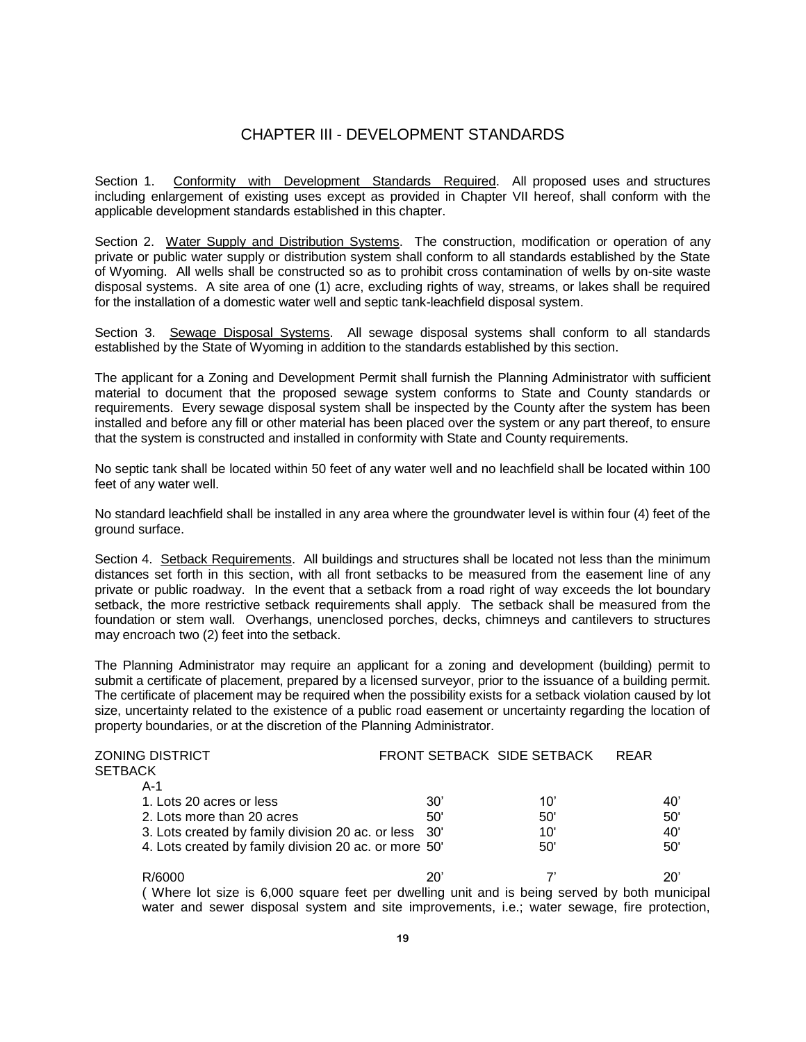# CHAPTER III - DEVELOPMENT STANDARDS

Section 1. Conformity with Development Standards Required. All proposed uses and structures including enlargement of existing uses except as provided in Chapter VII hereof, shall conform with the applicable development standards established in this chapter.

Section 2. Water Supply and Distribution Systems. The construction, modification or operation of any private or public water supply or distribution system shall conform to all standards established by the State of Wyoming. All wells shall be constructed so as to prohibit cross contamination of wells by on-site waste disposal systems. A site area of one (1) acre, excluding rights of way, streams, or lakes shall be required for the installation of a domestic water well and septic tank-leachfield disposal system.

Section 3. Sewage Disposal Systems. All sewage disposal systems shall conform to all standards established by the State of Wyoming in addition to the standards established by this section.

The applicant for a Zoning and Development Permit shall furnish the Planning Administrator with sufficient material to document that the proposed sewage system conforms to State and County standards or requirements. Every sewage disposal system shall be inspected by the County after the system has been installed and before any fill or other material has been placed over the system or any part thereof, to ensure that the system is constructed and installed in conformity with State and County requirements.

No septic tank shall be located within 50 feet of any water well and no leachfield shall be located within 100 feet of any water well.

No standard leachfield shall be installed in any area where the groundwater level is within four (4) feet of the ground surface.

Section 4. Setback Requirements. All buildings and structures shall be located not less than the minimum distances set forth in this section, with all front setbacks to be measured from the easement line of any private or public roadway. In the event that a setback from a road right of way exceeds the lot boundary setback, the more restrictive setback requirements shall apply. The setback shall be measured from the foundation or stem wall. Overhangs, unenclosed porches, decks, chimneys and cantilevers to structures may encroach two (2) feet into the setback.

The Planning Administrator may require an applicant for a zoning and development (building) permit to submit a certificate of placement, prepared by a licensed surveyor, prior to the issuance of a building permit. The certificate of placement may be required when the possibility exists for a setback violation caused by lot size, uncertainty related to the existence of a public road easement or uncertainty regarding the location of property boundaries, or at the discretion of the Planning Administrator.

| ZONING DISTRICT                                                                            |     | FRONT SETBACK SIDE SETBACK | <b>REAR</b> |
|--------------------------------------------------------------------------------------------|-----|----------------------------|-------------|
| SETBACK                                                                                    |     |                            |             |
| A-1                                                                                        |     |                            |             |
| 1. Lots 20 acres or less                                                                   | 30' | 10'                        | 40'         |
| 2. Lots more than 20 acres                                                                 | 50' | 50'                        | 50'         |
| 3. Lots created by family division 20 ac. or less 30'                                      |     | 10'                        | 40'         |
| 4. Lots created by family division 20 ac. or more 50'                                      |     | 50'                        | 50'         |
| R/6000                                                                                     | 20' |                            | 20'         |
| (Whara Int siza is 6,000 squara faat nar dwalling unit and is haing sarvad by hoth municin |     |                            |             |

( Where lot size is 6,000 square feet per dwelling unit and is being served by both municipal water and sewer disposal system and site improvements, i.e.; water sewage, fire protection,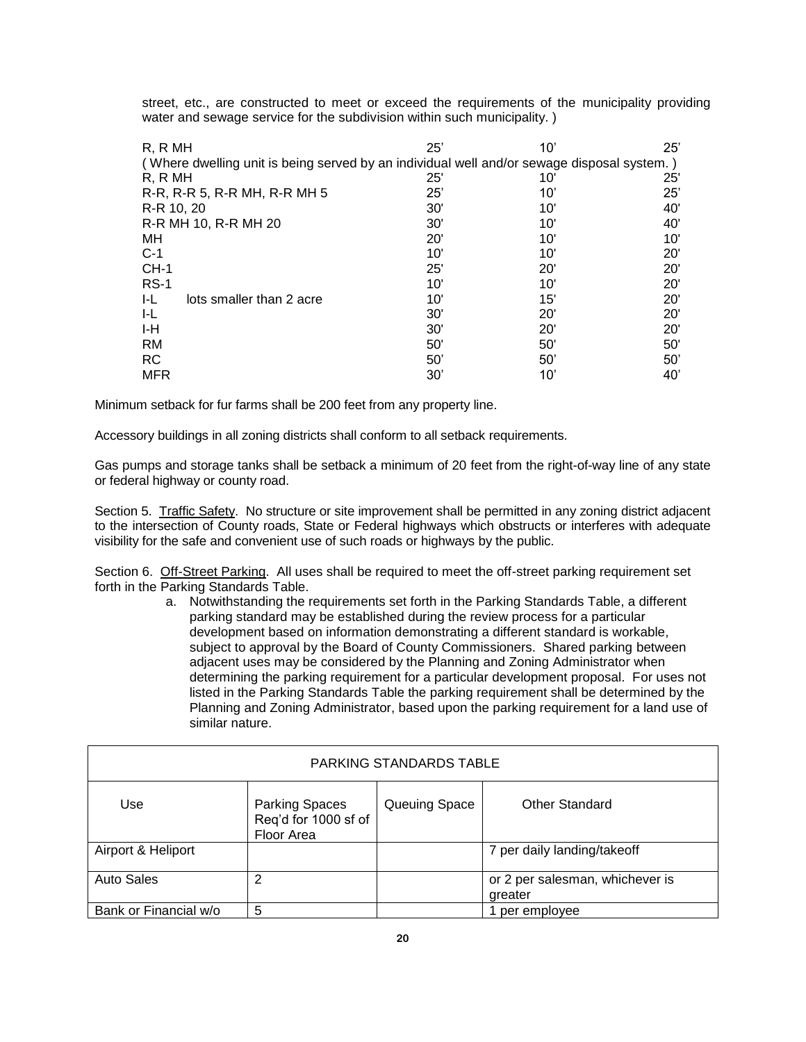street, etc., are constructed to meet or exceed the requirements of the municipality providing water and sewage service for the subdivision within such municipality.)

| R. R MH                                                                                    | 25'          | $10^{\circ}$ | 25'          |
|--------------------------------------------------------------------------------------------|--------------|--------------|--------------|
| (Where dwelling unit is being served by an individual well and/or sewage disposal system.) |              |              |              |
| R. R MH                                                                                    | 25'          | 10'          | 25'          |
| R-R, R-R 5, R-R MH, R-R MH 5                                                               | 25'          | $10^{\circ}$ | 25'          |
| R-R 10, 20                                                                                 | 30'          | 10'          | 40'          |
| R-R MH 10, R-R MH 20                                                                       | 30'          | 10'          | 40'          |
| МH                                                                                         | $20^{\circ}$ | 10'          | 10'          |
| $C-1$                                                                                      | 10'          | 10'          | 20'          |
| $CH-1$                                                                                     | 25'          | 20'          | $20^{\circ}$ |
| $RS-1$                                                                                     | 10'          | 10'          | 20'          |
| I-L<br>lots smaller than 2 acre                                                            | 10'          | 15'          | $20^{\circ}$ |
| I-L                                                                                        | 30'          | 20'          | $20^{\circ}$ |
| I-H                                                                                        | 30'          | 20'          | 20'          |
| RM                                                                                         | 50'          | 50'          | 50'          |
| <b>RC</b>                                                                                  | 50'          | $50^\circ$   | 50'          |
| <b>MFR</b>                                                                                 | 30'          | 10'          | 40'          |

Minimum setback for fur farms shall be 200 feet from any property line.

Accessory buildings in all zoning districts shall conform to all setback requirements.

Gas pumps and storage tanks shall be setback a minimum of 20 feet from the right-of-way line of any state or federal highway or county road.

Section 5. Traffic Safety. No structure or site improvement shall be permitted in any zoning district adjacent to the intersection of County roads, State or Federal highways which obstructs or interferes with adequate visibility for the safe and convenient use of such roads or highways by the public.

Section 6. Off-Street Parking. All uses shall be required to meet the off-street parking requirement set forth in the Parking Standards Table.

> a. Notwithstanding the requirements set forth in the Parking Standards Table, a different parking standard may be established during the review process for a particular development based on information demonstrating a different standard is workable, subject to approval by the Board of County Commissioners. Shared parking between adjacent uses may be considered by the Planning and Zoning Administrator when determining the parking requirement for a particular development proposal. For uses not listed in the Parking Standards Table the parking requirement shall be determined by the Planning and Zoning Administrator, based upon the parking requirement for a land use of similar nature.

| PARKING STANDARDS TABLE |                                                             |               |                                            |  |
|-------------------------|-------------------------------------------------------------|---------------|--------------------------------------------|--|
| Use                     | <b>Parking Spaces</b><br>Req'd for 1000 sf of<br>Floor Area | Queuing Space | <b>Other Standard</b>                      |  |
| Airport & Heliport      |                                                             |               | 7 per daily landing/takeoff                |  |
| <b>Auto Sales</b>       | 2                                                           |               | or 2 per salesman, whichever is<br>greater |  |
| Bank or Financial w/o   | 5                                                           |               | per employee                               |  |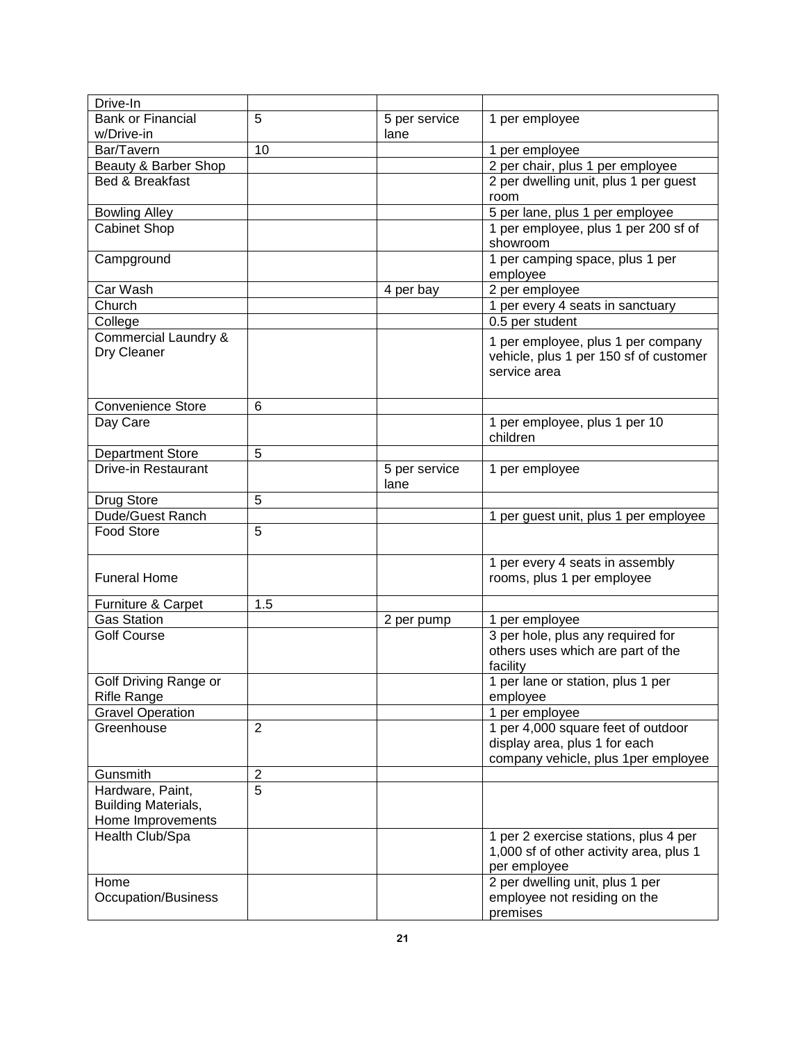| Drive-In                   |                |               |                                         |
|----------------------------|----------------|---------------|-----------------------------------------|
| <b>Bank or Financial</b>   | 5              | 5 per service | 1 per employee                          |
| w/Drive-in                 |                | lane          |                                         |
| Bar/Tavern                 | 10             |               | 1 per employee                          |
| Beauty & Barber Shop       |                |               | 2 per chair, plus 1 per employee        |
| <b>Bed &amp; Breakfast</b> |                |               | 2 per dwelling unit, plus 1 per guest   |
|                            |                |               | room                                    |
| <b>Bowling Alley</b>       |                |               | 5 per lane, plus 1 per employee         |
| Cabinet Shop               |                |               | 1 per employee, plus 1 per 200 sf of    |
|                            |                |               | showroom                                |
| Campground                 |                |               | 1 per camping space, plus 1 per         |
|                            |                |               | employee                                |
| Car Wash                   |                | 4 per bay     | 2 per employee                          |
| Church                     |                |               | 1 per every 4 seats in sanctuary        |
| College                    |                |               | 0.5 per student                         |
| Commercial Laundry &       |                |               | 1 per employee, plus 1 per company      |
| Dry Cleaner                |                |               | vehicle, plus 1 per 150 sf of customer  |
|                            |                |               | service area                            |
|                            |                |               |                                         |
| <b>Convenience Store</b>   | 6              |               |                                         |
| Day Care                   |                |               | 1 per employee, plus 1 per 10           |
|                            |                |               | children                                |
| <b>Department Store</b>    | 5              |               |                                         |
| Drive-in Restaurant        |                | 5 per service | 1 per employee                          |
|                            |                | lane          |                                         |
| Drug Store                 | 5              |               |                                         |
| Dude/Guest Ranch           |                |               | 1 per guest unit, plus 1 per employee   |
| <b>Food Store</b>          | 5              |               |                                         |
|                            |                |               |                                         |
|                            |                |               | 1 per every 4 seats in assembly         |
| <b>Funeral Home</b>        |                |               | rooms, plus 1 per employee              |
| Furniture & Carpet         | 1.5            |               |                                         |
| <b>Gas Station</b>         |                | 2 per pump    | 1 per employee                          |
| <b>Golf Course</b>         |                |               | 3 per hole, plus any required for       |
|                            |                |               | others uses which are part of the       |
|                            |                |               | facility                                |
| Golf Driving Range or      |                |               | 1 per lane or station, plus 1 per       |
| <b>Rifle Range</b>         |                |               | employee                                |
| <b>Gravel Operation</b>    |                |               | 1 per employee                          |
| Greenhouse                 | $\overline{2}$ |               | 1 per 4,000 square feet of outdoor      |
|                            |                |               | display area, plus 1 for each           |
|                            |                |               | company vehicle, plus 1per employee     |
| Gunsmith                   | $\mathbf 2$    |               |                                         |
| Hardware, Paint,           | 5              |               |                                         |
| <b>Building Materials,</b> |                |               |                                         |
| Home Improvements          |                |               |                                         |
| Health Club/Spa            |                |               | 1 per 2 exercise stations, plus 4 per   |
|                            |                |               | 1,000 sf of other activity area, plus 1 |
|                            |                |               | per employee                            |
| Home                       |                |               | 2 per dwelling unit, plus 1 per         |
| Occupation/Business        |                |               | employee not residing on the            |
|                            |                |               | premises                                |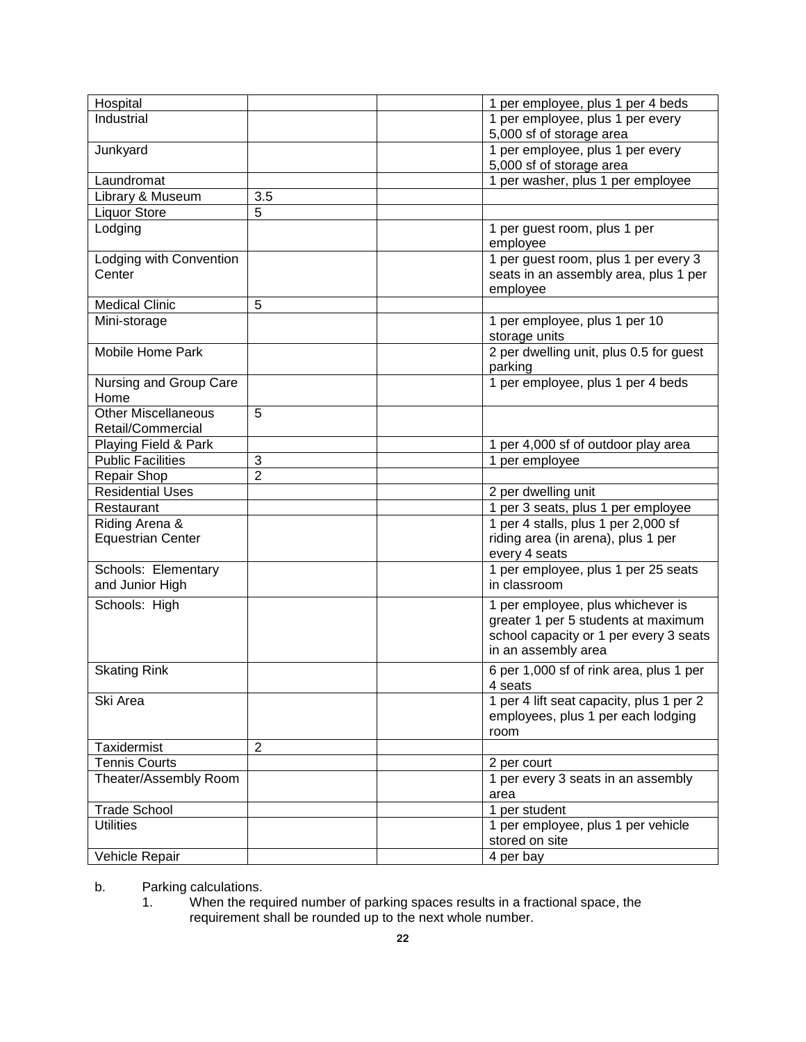| Industrial<br>1 per employee, plus 1 per every<br>5,000 sf of storage area<br>1 per employee, plus 1 per every<br>Junkyard<br>5,000 sf of storage area<br>1 per washer, plus 1 per employee<br>Laundromat<br>3.5<br>Library & Museum<br><b>Liquor Store</b><br>5<br>Lodging<br>1 per guest room, plus 1 per<br>employee<br>Lodging with Convention<br>1 per guest room, plus 1 per every 3<br>Center<br>seats in an assembly area, plus 1 per<br>employee<br><b>Medical Clinic</b><br>5<br>Mini-storage<br>1 per employee, plus 1 per 10<br>storage units<br>2 per dwelling unit, plus 0.5 for guest<br>Mobile Home Park<br>parking<br>1 per employee, plus 1 per 4 beds<br>Nursing and Group Care<br>Home<br><b>Other Miscellaneous</b><br>5<br>Retail/Commercial<br>Playing Field & Park<br>1 per 4,000 sf of outdoor play area<br><b>Public Facilities</b><br>1 per employee<br>3<br>$\overline{2}$<br>Repair Shop<br><b>Residential Uses</b><br>2 per dwelling unit<br>1 per 3 seats, plus 1 per employee<br>Restaurant<br>1 per 4 stalls, plus 1 per 2,000 sf<br>Riding Arena &<br><b>Equestrian Center</b><br>riding area (in arena), plus 1 per<br>every 4 seats<br>Schools: Elementary<br>1 per employee, plus 1 per 25 seats<br>and Junior High<br>in classroom<br>Schools: High<br>1 per employee, plus whichever is<br>greater 1 per 5 students at maximum<br>school capacity or 1 per every 3 seats<br>in an assembly area<br><b>Skating Rink</b><br>6 per 1,000 sf of rink area, plus 1 per<br>4 seats<br>1 per 4 lift seat capacity, plus 1 per 2<br>Ski Area<br>employees, plus 1 per each lodging<br>room<br>Taxidermist<br>$\overline{2}$<br><b>Tennis Courts</b><br>2 per court<br>1 per every 3 seats in an assembly<br>Theater/Assembly Room<br>area<br><b>Trade School</b><br>1 per student<br><b>Utilities</b><br>1 per employee, plus 1 per vehicle<br>stored on site<br>4 per bay<br>Vehicle Repair |          |                                   |
|-----------------------------------------------------------------------------------------------------------------------------------------------------------------------------------------------------------------------------------------------------------------------------------------------------------------------------------------------------------------------------------------------------------------------------------------------------------------------------------------------------------------------------------------------------------------------------------------------------------------------------------------------------------------------------------------------------------------------------------------------------------------------------------------------------------------------------------------------------------------------------------------------------------------------------------------------------------------------------------------------------------------------------------------------------------------------------------------------------------------------------------------------------------------------------------------------------------------------------------------------------------------------------------------------------------------------------------------------------------------------------------------------------------------------------------------------------------------------------------------------------------------------------------------------------------------------------------------------------------------------------------------------------------------------------------------------------------------------------------------------------------------------------------------------------------------------------------------------------------------------------------------------------------------------------|----------|-----------------------------------|
|                                                                                                                                                                                                                                                                                                                                                                                                                                                                                                                                                                                                                                                                                                                                                                                                                                                                                                                                                                                                                                                                                                                                                                                                                                                                                                                                                                                                                                                                                                                                                                                                                                                                                                                                                                                                                                                                                                                             | Hospital | 1 per employee, plus 1 per 4 beds |
|                                                                                                                                                                                                                                                                                                                                                                                                                                                                                                                                                                                                                                                                                                                                                                                                                                                                                                                                                                                                                                                                                                                                                                                                                                                                                                                                                                                                                                                                                                                                                                                                                                                                                                                                                                                                                                                                                                                             |          |                                   |
|                                                                                                                                                                                                                                                                                                                                                                                                                                                                                                                                                                                                                                                                                                                                                                                                                                                                                                                                                                                                                                                                                                                                                                                                                                                                                                                                                                                                                                                                                                                                                                                                                                                                                                                                                                                                                                                                                                                             |          |                                   |
|                                                                                                                                                                                                                                                                                                                                                                                                                                                                                                                                                                                                                                                                                                                                                                                                                                                                                                                                                                                                                                                                                                                                                                                                                                                                                                                                                                                                                                                                                                                                                                                                                                                                                                                                                                                                                                                                                                                             |          |                                   |
|                                                                                                                                                                                                                                                                                                                                                                                                                                                                                                                                                                                                                                                                                                                                                                                                                                                                                                                                                                                                                                                                                                                                                                                                                                                                                                                                                                                                                                                                                                                                                                                                                                                                                                                                                                                                                                                                                                                             |          |                                   |
|                                                                                                                                                                                                                                                                                                                                                                                                                                                                                                                                                                                                                                                                                                                                                                                                                                                                                                                                                                                                                                                                                                                                                                                                                                                                                                                                                                                                                                                                                                                                                                                                                                                                                                                                                                                                                                                                                                                             |          |                                   |
|                                                                                                                                                                                                                                                                                                                                                                                                                                                                                                                                                                                                                                                                                                                                                                                                                                                                                                                                                                                                                                                                                                                                                                                                                                                                                                                                                                                                                                                                                                                                                                                                                                                                                                                                                                                                                                                                                                                             |          |                                   |
|                                                                                                                                                                                                                                                                                                                                                                                                                                                                                                                                                                                                                                                                                                                                                                                                                                                                                                                                                                                                                                                                                                                                                                                                                                                                                                                                                                                                                                                                                                                                                                                                                                                                                                                                                                                                                                                                                                                             |          |                                   |
|                                                                                                                                                                                                                                                                                                                                                                                                                                                                                                                                                                                                                                                                                                                                                                                                                                                                                                                                                                                                                                                                                                                                                                                                                                                                                                                                                                                                                                                                                                                                                                                                                                                                                                                                                                                                                                                                                                                             |          |                                   |
|                                                                                                                                                                                                                                                                                                                                                                                                                                                                                                                                                                                                                                                                                                                                                                                                                                                                                                                                                                                                                                                                                                                                                                                                                                                                                                                                                                                                                                                                                                                                                                                                                                                                                                                                                                                                                                                                                                                             |          |                                   |
|                                                                                                                                                                                                                                                                                                                                                                                                                                                                                                                                                                                                                                                                                                                                                                                                                                                                                                                                                                                                                                                                                                                                                                                                                                                                                                                                                                                                                                                                                                                                                                                                                                                                                                                                                                                                                                                                                                                             |          |                                   |
|                                                                                                                                                                                                                                                                                                                                                                                                                                                                                                                                                                                                                                                                                                                                                                                                                                                                                                                                                                                                                                                                                                                                                                                                                                                                                                                                                                                                                                                                                                                                                                                                                                                                                                                                                                                                                                                                                                                             |          |                                   |
|                                                                                                                                                                                                                                                                                                                                                                                                                                                                                                                                                                                                                                                                                                                                                                                                                                                                                                                                                                                                                                                                                                                                                                                                                                                                                                                                                                                                                                                                                                                                                                                                                                                                                                                                                                                                                                                                                                                             |          |                                   |
|                                                                                                                                                                                                                                                                                                                                                                                                                                                                                                                                                                                                                                                                                                                                                                                                                                                                                                                                                                                                                                                                                                                                                                                                                                                                                                                                                                                                                                                                                                                                                                                                                                                                                                                                                                                                                                                                                                                             |          |                                   |
|                                                                                                                                                                                                                                                                                                                                                                                                                                                                                                                                                                                                                                                                                                                                                                                                                                                                                                                                                                                                                                                                                                                                                                                                                                                                                                                                                                                                                                                                                                                                                                                                                                                                                                                                                                                                                                                                                                                             |          |                                   |
|                                                                                                                                                                                                                                                                                                                                                                                                                                                                                                                                                                                                                                                                                                                                                                                                                                                                                                                                                                                                                                                                                                                                                                                                                                                                                                                                                                                                                                                                                                                                                                                                                                                                                                                                                                                                                                                                                                                             |          |                                   |
|                                                                                                                                                                                                                                                                                                                                                                                                                                                                                                                                                                                                                                                                                                                                                                                                                                                                                                                                                                                                                                                                                                                                                                                                                                                                                                                                                                                                                                                                                                                                                                                                                                                                                                                                                                                                                                                                                                                             |          |                                   |
|                                                                                                                                                                                                                                                                                                                                                                                                                                                                                                                                                                                                                                                                                                                                                                                                                                                                                                                                                                                                                                                                                                                                                                                                                                                                                                                                                                                                                                                                                                                                                                                                                                                                                                                                                                                                                                                                                                                             |          |                                   |
|                                                                                                                                                                                                                                                                                                                                                                                                                                                                                                                                                                                                                                                                                                                                                                                                                                                                                                                                                                                                                                                                                                                                                                                                                                                                                                                                                                                                                                                                                                                                                                                                                                                                                                                                                                                                                                                                                                                             |          |                                   |
|                                                                                                                                                                                                                                                                                                                                                                                                                                                                                                                                                                                                                                                                                                                                                                                                                                                                                                                                                                                                                                                                                                                                                                                                                                                                                                                                                                                                                                                                                                                                                                                                                                                                                                                                                                                                                                                                                                                             |          |                                   |
|                                                                                                                                                                                                                                                                                                                                                                                                                                                                                                                                                                                                                                                                                                                                                                                                                                                                                                                                                                                                                                                                                                                                                                                                                                                                                                                                                                                                                                                                                                                                                                                                                                                                                                                                                                                                                                                                                                                             |          |                                   |
|                                                                                                                                                                                                                                                                                                                                                                                                                                                                                                                                                                                                                                                                                                                                                                                                                                                                                                                                                                                                                                                                                                                                                                                                                                                                                                                                                                                                                                                                                                                                                                                                                                                                                                                                                                                                                                                                                                                             |          |                                   |
|                                                                                                                                                                                                                                                                                                                                                                                                                                                                                                                                                                                                                                                                                                                                                                                                                                                                                                                                                                                                                                                                                                                                                                                                                                                                                                                                                                                                                                                                                                                                                                                                                                                                                                                                                                                                                                                                                                                             |          |                                   |
|                                                                                                                                                                                                                                                                                                                                                                                                                                                                                                                                                                                                                                                                                                                                                                                                                                                                                                                                                                                                                                                                                                                                                                                                                                                                                                                                                                                                                                                                                                                                                                                                                                                                                                                                                                                                                                                                                                                             |          |                                   |
|                                                                                                                                                                                                                                                                                                                                                                                                                                                                                                                                                                                                                                                                                                                                                                                                                                                                                                                                                                                                                                                                                                                                                                                                                                                                                                                                                                                                                                                                                                                                                                                                                                                                                                                                                                                                                                                                                                                             |          |                                   |
|                                                                                                                                                                                                                                                                                                                                                                                                                                                                                                                                                                                                                                                                                                                                                                                                                                                                                                                                                                                                                                                                                                                                                                                                                                                                                                                                                                                                                                                                                                                                                                                                                                                                                                                                                                                                                                                                                                                             |          |                                   |
|                                                                                                                                                                                                                                                                                                                                                                                                                                                                                                                                                                                                                                                                                                                                                                                                                                                                                                                                                                                                                                                                                                                                                                                                                                                                                                                                                                                                                                                                                                                                                                                                                                                                                                                                                                                                                                                                                                                             |          |                                   |
|                                                                                                                                                                                                                                                                                                                                                                                                                                                                                                                                                                                                                                                                                                                                                                                                                                                                                                                                                                                                                                                                                                                                                                                                                                                                                                                                                                                                                                                                                                                                                                                                                                                                                                                                                                                                                                                                                                                             |          |                                   |
|                                                                                                                                                                                                                                                                                                                                                                                                                                                                                                                                                                                                                                                                                                                                                                                                                                                                                                                                                                                                                                                                                                                                                                                                                                                                                                                                                                                                                                                                                                                                                                                                                                                                                                                                                                                                                                                                                                                             |          |                                   |
|                                                                                                                                                                                                                                                                                                                                                                                                                                                                                                                                                                                                                                                                                                                                                                                                                                                                                                                                                                                                                                                                                                                                                                                                                                                                                                                                                                                                                                                                                                                                                                                                                                                                                                                                                                                                                                                                                                                             |          |                                   |
|                                                                                                                                                                                                                                                                                                                                                                                                                                                                                                                                                                                                                                                                                                                                                                                                                                                                                                                                                                                                                                                                                                                                                                                                                                                                                                                                                                                                                                                                                                                                                                                                                                                                                                                                                                                                                                                                                                                             |          |                                   |
|                                                                                                                                                                                                                                                                                                                                                                                                                                                                                                                                                                                                                                                                                                                                                                                                                                                                                                                                                                                                                                                                                                                                                                                                                                                                                                                                                                                                                                                                                                                                                                                                                                                                                                                                                                                                                                                                                                                             |          |                                   |
|                                                                                                                                                                                                                                                                                                                                                                                                                                                                                                                                                                                                                                                                                                                                                                                                                                                                                                                                                                                                                                                                                                                                                                                                                                                                                                                                                                                                                                                                                                                                                                                                                                                                                                                                                                                                                                                                                                                             |          |                                   |
|                                                                                                                                                                                                                                                                                                                                                                                                                                                                                                                                                                                                                                                                                                                                                                                                                                                                                                                                                                                                                                                                                                                                                                                                                                                                                                                                                                                                                                                                                                                                                                                                                                                                                                                                                                                                                                                                                                                             |          |                                   |
|                                                                                                                                                                                                                                                                                                                                                                                                                                                                                                                                                                                                                                                                                                                                                                                                                                                                                                                                                                                                                                                                                                                                                                                                                                                                                                                                                                                                                                                                                                                                                                                                                                                                                                                                                                                                                                                                                                                             |          |                                   |
|                                                                                                                                                                                                                                                                                                                                                                                                                                                                                                                                                                                                                                                                                                                                                                                                                                                                                                                                                                                                                                                                                                                                                                                                                                                                                                                                                                                                                                                                                                                                                                                                                                                                                                                                                                                                                                                                                                                             |          |                                   |
|                                                                                                                                                                                                                                                                                                                                                                                                                                                                                                                                                                                                                                                                                                                                                                                                                                                                                                                                                                                                                                                                                                                                                                                                                                                                                                                                                                                                                                                                                                                                                                                                                                                                                                                                                                                                                                                                                                                             |          |                                   |
|                                                                                                                                                                                                                                                                                                                                                                                                                                                                                                                                                                                                                                                                                                                                                                                                                                                                                                                                                                                                                                                                                                                                                                                                                                                                                                                                                                                                                                                                                                                                                                                                                                                                                                                                                                                                                                                                                                                             |          |                                   |
|                                                                                                                                                                                                                                                                                                                                                                                                                                                                                                                                                                                                                                                                                                                                                                                                                                                                                                                                                                                                                                                                                                                                                                                                                                                                                                                                                                                                                                                                                                                                                                                                                                                                                                                                                                                                                                                                                                                             |          |                                   |
|                                                                                                                                                                                                                                                                                                                                                                                                                                                                                                                                                                                                                                                                                                                                                                                                                                                                                                                                                                                                                                                                                                                                                                                                                                                                                                                                                                                                                                                                                                                                                                                                                                                                                                                                                                                                                                                                                                                             |          |                                   |
|                                                                                                                                                                                                                                                                                                                                                                                                                                                                                                                                                                                                                                                                                                                                                                                                                                                                                                                                                                                                                                                                                                                                                                                                                                                                                                                                                                                                                                                                                                                                                                                                                                                                                                                                                                                                                                                                                                                             |          |                                   |
|                                                                                                                                                                                                                                                                                                                                                                                                                                                                                                                                                                                                                                                                                                                                                                                                                                                                                                                                                                                                                                                                                                                                                                                                                                                                                                                                                                                                                                                                                                                                                                                                                                                                                                                                                                                                                                                                                                                             |          |                                   |
|                                                                                                                                                                                                                                                                                                                                                                                                                                                                                                                                                                                                                                                                                                                                                                                                                                                                                                                                                                                                                                                                                                                                                                                                                                                                                                                                                                                                                                                                                                                                                                                                                                                                                                                                                                                                                                                                                                                             |          |                                   |
|                                                                                                                                                                                                                                                                                                                                                                                                                                                                                                                                                                                                                                                                                                                                                                                                                                                                                                                                                                                                                                                                                                                                                                                                                                                                                                                                                                                                                                                                                                                                                                                                                                                                                                                                                                                                                                                                                                                             |          |                                   |
|                                                                                                                                                                                                                                                                                                                                                                                                                                                                                                                                                                                                                                                                                                                                                                                                                                                                                                                                                                                                                                                                                                                                                                                                                                                                                                                                                                                                                                                                                                                                                                                                                                                                                                                                                                                                                                                                                                                             |          |                                   |
|                                                                                                                                                                                                                                                                                                                                                                                                                                                                                                                                                                                                                                                                                                                                                                                                                                                                                                                                                                                                                                                                                                                                                                                                                                                                                                                                                                                                                                                                                                                                                                                                                                                                                                                                                                                                                                                                                                                             |          |                                   |
|                                                                                                                                                                                                                                                                                                                                                                                                                                                                                                                                                                                                                                                                                                                                                                                                                                                                                                                                                                                                                                                                                                                                                                                                                                                                                                                                                                                                                                                                                                                                                                                                                                                                                                                                                                                                                                                                                                                             |          |                                   |

b. Parking calculations.

1. When the required number of parking spaces results in a fractional space, the requirement shall be rounded up to the next whole number.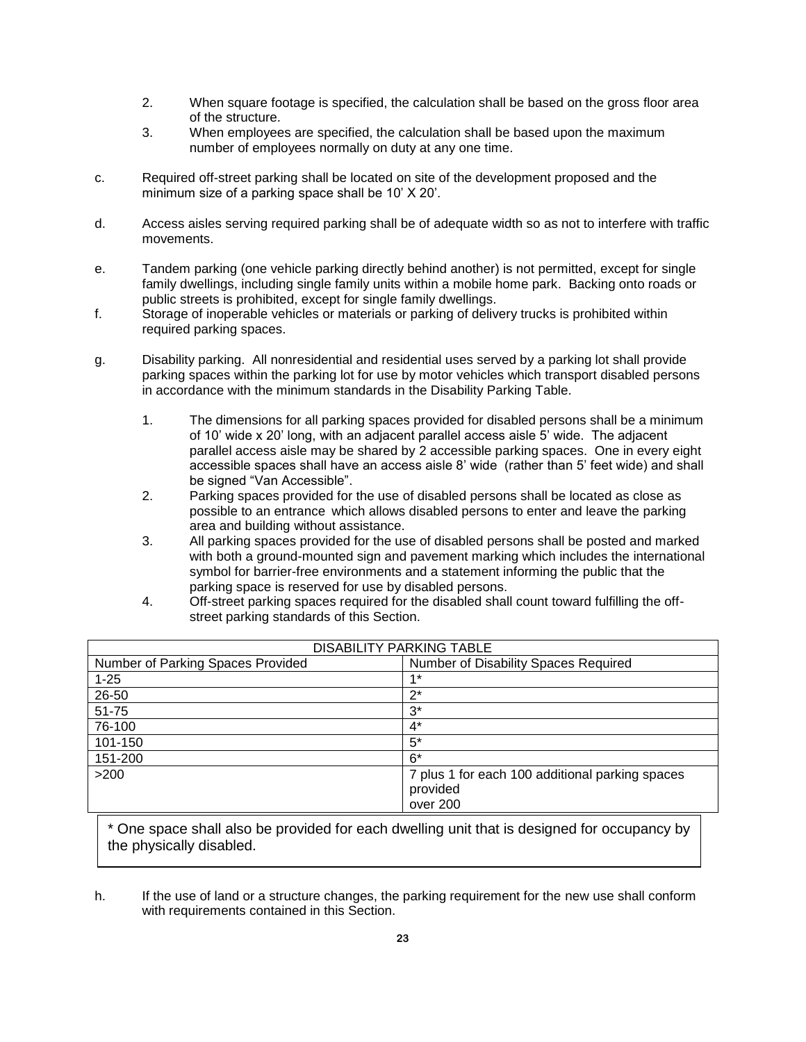- 2. When square footage is specified, the calculation shall be based on the gross floor area of the structure.
- 3. When employees are specified, the calculation shall be based upon the maximum number of employees normally on duty at any one time.
- c. Required off-street parking shall be located on site of the development proposed and the minimum size of a parking space shall be 10' X 20'.
- d. Access aisles serving required parking shall be of adequate width so as not to interfere with traffic movements.
- e. Tandem parking (one vehicle parking directly behind another) is not permitted, except for single family dwellings, including single family units within a mobile home park. Backing onto roads or public streets is prohibited, except for single family dwellings.
- f. Storage of inoperable vehicles or materials or parking of delivery trucks is prohibited within required parking spaces.
- g. Disability parking. All nonresidential and residential uses served by a parking lot shall provide parking spaces within the parking lot for use by motor vehicles which transport disabled persons in accordance with the minimum standards in the Disability Parking Table.
	- 1. The dimensions for all parking spaces provided for disabled persons shall be a minimum of 10' wide x 20' long, with an adjacent parallel access aisle 5' wide. The adjacent parallel access aisle may be shared by 2 accessible parking spaces. One in every eight accessible spaces shall have an access aisle 8' wide (rather than 5' feet wide) and shall be signed "Van Accessible".
	- 2. Parking spaces provided for the use of disabled persons shall be located as close as possible to an entrance which allows disabled persons to enter and leave the parking area and building without assistance.
	- 3. All parking spaces provided for the use of disabled persons shall be posted and marked with both a ground-mounted sign and pavement marking which includes the international symbol for barrier-free environments and a statement informing the public that the parking space is reserved for use by disabled persons.
	- 4. Off-street parking spaces required for the disabled shall count toward fulfilling the offstreet parking standards of this Section.

| <b>DISABILITY PARKING TABLE</b>   |                                                 |  |  |
|-----------------------------------|-------------------------------------------------|--|--|
| Number of Parking Spaces Provided | Number of Disability Spaces Required            |  |  |
| $1 - 25$                          | $4*$                                            |  |  |
| 26-50                             | $2^*$                                           |  |  |
| 51-75                             | $3^*$                                           |  |  |
| 76-100                            | $4^*$                                           |  |  |
| 101-150                           | $5^*$                                           |  |  |
| 151-200                           | $6*$                                            |  |  |
| >200                              | 7 plus 1 for each 100 additional parking spaces |  |  |
|                                   | provided                                        |  |  |
|                                   | over 200                                        |  |  |

\* One space shall also be provided for each dwelling unit that is designed for occupancy by the physically disabled.

h. If the use of land or a structure changes, the parking requirement for the new use shall conform with requirements contained in this Section.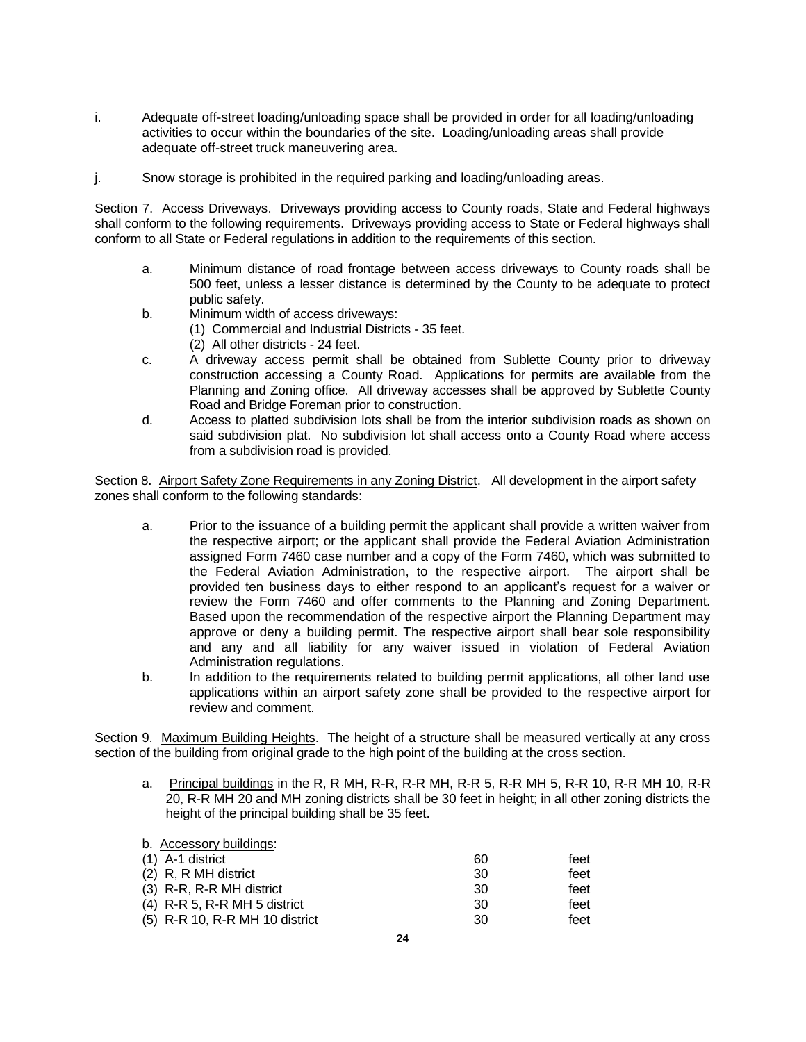- i. Adequate off-street loading/unloading space shall be provided in order for all loading/unloading activities to occur within the boundaries of the site. Loading/unloading areas shall provide adequate off-street truck maneuvering area.
- j. Snow storage is prohibited in the required parking and loading/unloading areas.

Section 7. Access Driveways. Driveways providing access to County roads, State and Federal highways shall conform to the following requirements. Driveways providing access to State or Federal highways shall conform to all State or Federal regulations in addition to the requirements of this section.

- a. Minimum distance of road frontage between access driveways to County roads shall be 500 feet, unless a lesser distance is determined by the County to be adequate to protect public safety.
- b. Minimum width of access driveways:
	- (1) Commercial and Industrial Districts 35 feet.
	- (2) All other districts 24 feet.
- c. A driveway access permit shall be obtained from Sublette County prior to driveway construction accessing a County Road. Applications for permits are available from the Planning and Zoning office. All driveway accesses shall be approved by Sublette County Road and Bridge Foreman prior to construction.
- d. Access to platted subdivision lots shall be from the interior subdivision roads as shown on said subdivision plat. No subdivision lot shall access onto a County Road where access from a subdivision road is provided.

Section 8. Airport Safety Zone Requirements in any Zoning District. All development in the airport safety zones shall conform to the following standards:

- a. Prior to the issuance of a building permit the applicant shall provide a written waiver from the respective airport; or the applicant shall provide the Federal Aviation Administration assigned Form 7460 case number and a copy of the Form 7460, which was submitted to the Federal Aviation Administration, to the respective airport. The airport shall be provided ten business days to either respond to an applicant's request for a waiver or review the Form 7460 and offer comments to the Planning and Zoning Department. Based upon the recommendation of the respective airport the Planning Department may approve or deny a building permit. The respective airport shall bear sole responsibility and any and all liability for any waiver issued in violation of Federal Aviation Administration regulations.
- b. In addition to the requirements related to building permit applications, all other land use applications within an airport safety zone shall be provided to the respective airport for review and comment.

Section 9. Maximum Building Heights. The height of a structure shall be measured vertically at any cross section of the building from original grade to the high point of the building at the cross section.

a. Principal buildings in the R, R MH, R-R, R-R MH, R-R 5, R-R MH 5, R-R 10, R-R MH 10, R-R 20, R-R MH 20 and MH zoning districts shall be 30 feet in height; in all other zoning districts the height of the principal building shall be 35 feet.

| b. Accessory buildings:        |     |      |
|--------------------------------|-----|------|
| (1) A-1 district               | 60  | feet |
| (2) R, R MH district           | 30  | feet |
| (3) R-R, R-R MH district       | -30 | feet |
| $(4)$ R-R 5, R-R MH 5 district | 30  | feet |
| (5) R-R 10, R-R MH 10 district | 30  | feet |
|                                |     |      |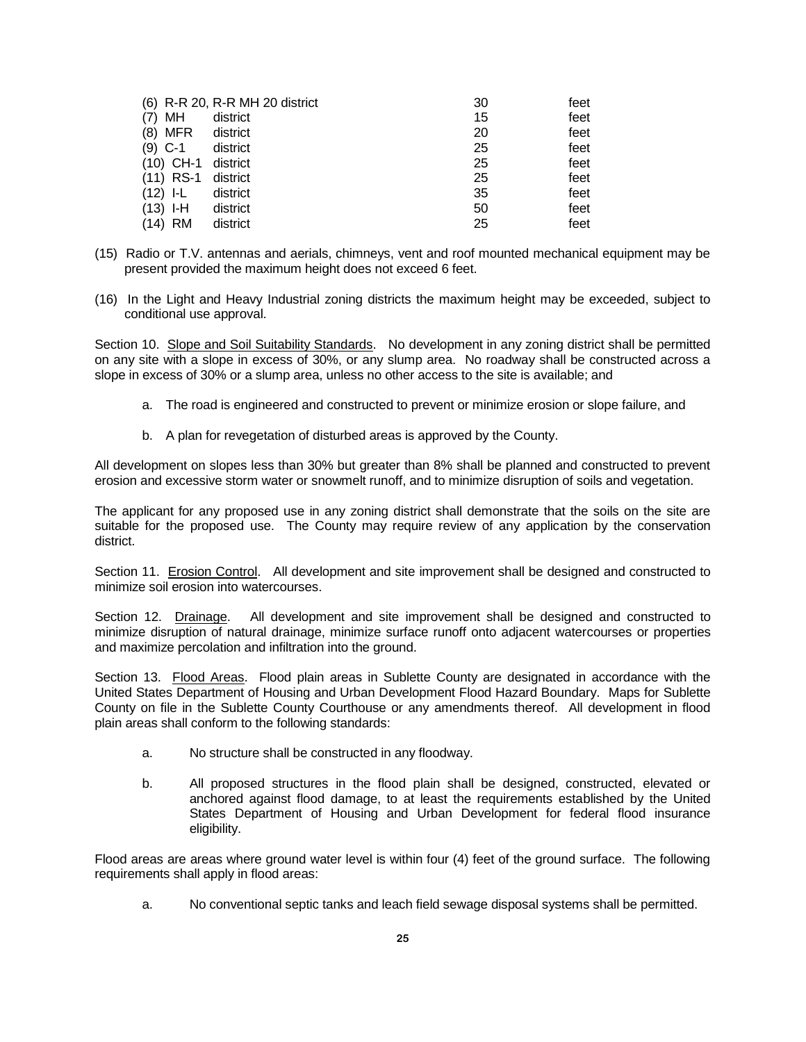|                      | (6) R-R 20, R-R MH 20 district | 30 | feet |
|----------------------|--------------------------------|----|------|
| MН<br>(7)            | district                       | 15 | feet |
| (8) MFR district     |                                | 20 | feet |
| $(9)$ C-1            | district                       | 25 | feet |
| $(10)$ CH-1 district |                                | 25 | feet |
| $(11)$ RS-1          | district                       | 25 | feet |
| $(12)$ I-L           | district                       | 35 | feet |
| $(13)$ I-H           | district                       | 50 | feet |
| $(14)$ RM            | district                       | 25 | feet |

- (15) Radio or T.V. antennas and aerials, chimneys, vent and roof mounted mechanical equipment may be present provided the maximum height does not exceed 6 feet.
- (16) In the Light and Heavy Industrial zoning districts the maximum height may be exceeded, subject to conditional use approval.

Section 10. Slope and Soil Suitability Standards. No development in any zoning district shall be permitted on any site with a slope in excess of 30%, or any slump area. No roadway shall be constructed across a slope in excess of 30% or a slump area, unless no other access to the site is available; and

- a. The road is engineered and constructed to prevent or minimize erosion or slope failure, and
- b. A plan for revegetation of disturbed areas is approved by the County.

All development on slopes less than 30% but greater than 8% shall be planned and constructed to prevent erosion and excessive storm water or snowmelt runoff, and to minimize disruption of soils and vegetation.

The applicant for any proposed use in any zoning district shall demonstrate that the soils on the site are suitable for the proposed use. The County may require review of any application by the conservation district.

Section 11. **Erosion Control.** All development and site improvement shall be designed and constructed to minimize soil erosion into watercourses.

Section 12. Drainage. All development and site improvement shall be designed and constructed to minimize disruption of natural drainage, minimize surface runoff onto adjacent watercourses or properties and maximize percolation and infiltration into the ground.

Section 13. Flood Areas. Flood plain areas in Sublette County are designated in accordance with the United States Department of Housing and Urban Development Flood Hazard Boundary. Maps for Sublette County on file in the Sublette County Courthouse or any amendments thereof. All development in flood plain areas shall conform to the following standards:

- a. No structure shall be constructed in any floodway.
- b. All proposed structures in the flood plain shall be designed, constructed, elevated or anchored against flood damage, to at least the requirements established by the United States Department of Housing and Urban Development for federal flood insurance eligibility.

Flood areas are areas where ground water level is within four (4) feet of the ground surface. The following requirements shall apply in flood areas:

a. No conventional septic tanks and leach field sewage disposal systems shall be permitted.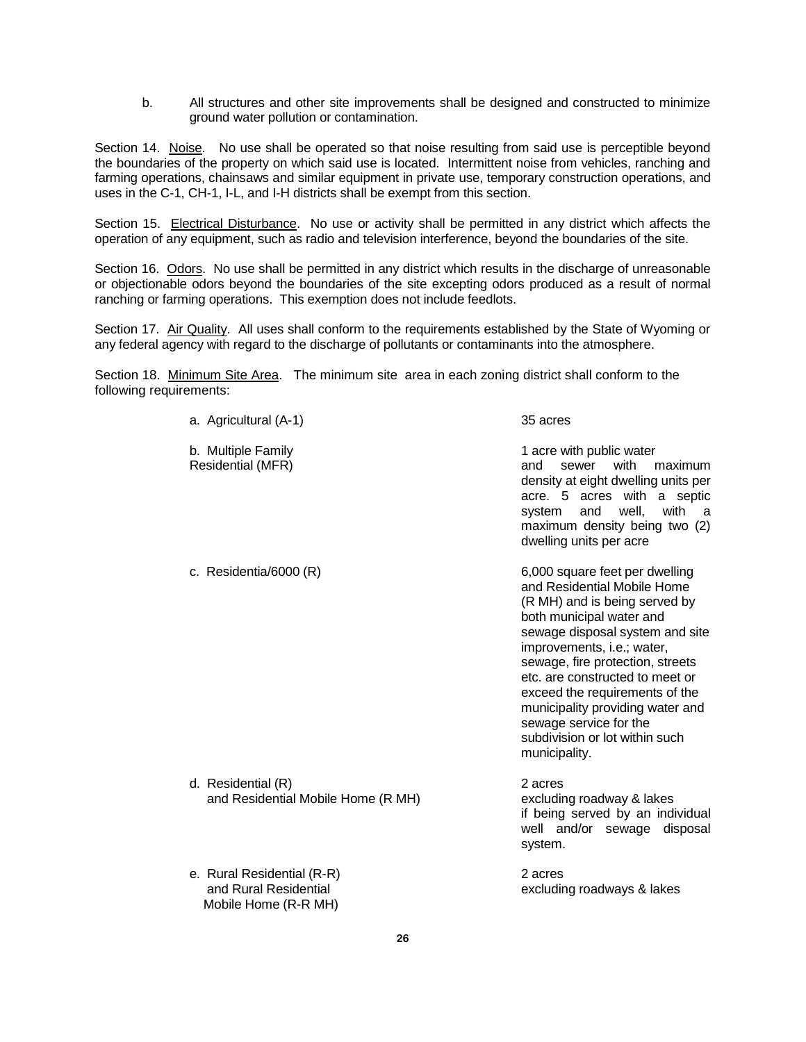b. All structures and other site improvements shall be designed and constructed to minimize ground water pollution or contamination.

Section 14. Noise. No use shall be operated so that noise resulting from said use is perceptible beyond the boundaries of the property on which said use is located. Intermittent noise from vehicles, ranching and farming operations, chainsaws and similar equipment in private use, temporary construction operations, and uses in the C-1, CH-1, I-L, and I-H districts shall be exempt from this section.

Section 15. Electrical Disturbance. No use or activity shall be permitted in any district which affects the operation of any equipment, such as radio and television interference, beyond the boundaries of the site.

Section 16. Odors. No use shall be permitted in any district which results in the discharge of unreasonable or objectionable odors beyond the boundaries of the site excepting odors produced as a result of normal ranching or farming operations. This exemption does not include feedlots.

Section 17. Air Quality. All uses shall conform to the requirements established by the State of Wyoming or any federal agency with regard to the discharge of pollutants or contaminants into the atmosphere.

Section 18. Minimum Site Area. The minimum site area in each zoning district shall conform to the following requirements:

| a. Agricultural (A-1)                                                       | 35 acres                                                                                                                                                                                                                                                                                                                                                                                                              |
|-----------------------------------------------------------------------------|-----------------------------------------------------------------------------------------------------------------------------------------------------------------------------------------------------------------------------------------------------------------------------------------------------------------------------------------------------------------------------------------------------------------------|
| b. Multiple Family<br><b>Residential (MFR)</b>                              | 1 acre with public water<br>sewer<br>with<br>and<br>maximum<br>density at eight dwelling units per<br>acre. 5 acres with a septic<br>and<br>with<br>system<br>well.<br>a<br>maximum density being two (2)<br>dwelling units per acre                                                                                                                                                                                  |
| c. Residentia/6000 (R)                                                      | 6,000 square feet per dwelling<br>and Residential Mobile Home<br>(R MH) and is being served by<br>both municipal water and<br>sewage disposal system and site<br>improvements, i.e.; water,<br>sewage, fire protection, streets<br>etc. are constructed to meet or<br>exceed the requirements of the<br>municipality providing water and<br>sewage service for the<br>subdivision or lot within such<br>municipality. |
| d. Residential (R)<br>and Residential Mobile Home (R MH)                    | 2 acres<br>excluding roadway & lakes<br>if being served by an individual<br>well and/or sewage disposal<br>system.                                                                                                                                                                                                                                                                                                    |
| e. Rural Residential (R-R)<br>and Rural Residential<br>Mobile Home (R-R MH) | 2 acres<br>excluding roadways & lakes                                                                                                                                                                                                                                                                                                                                                                                 |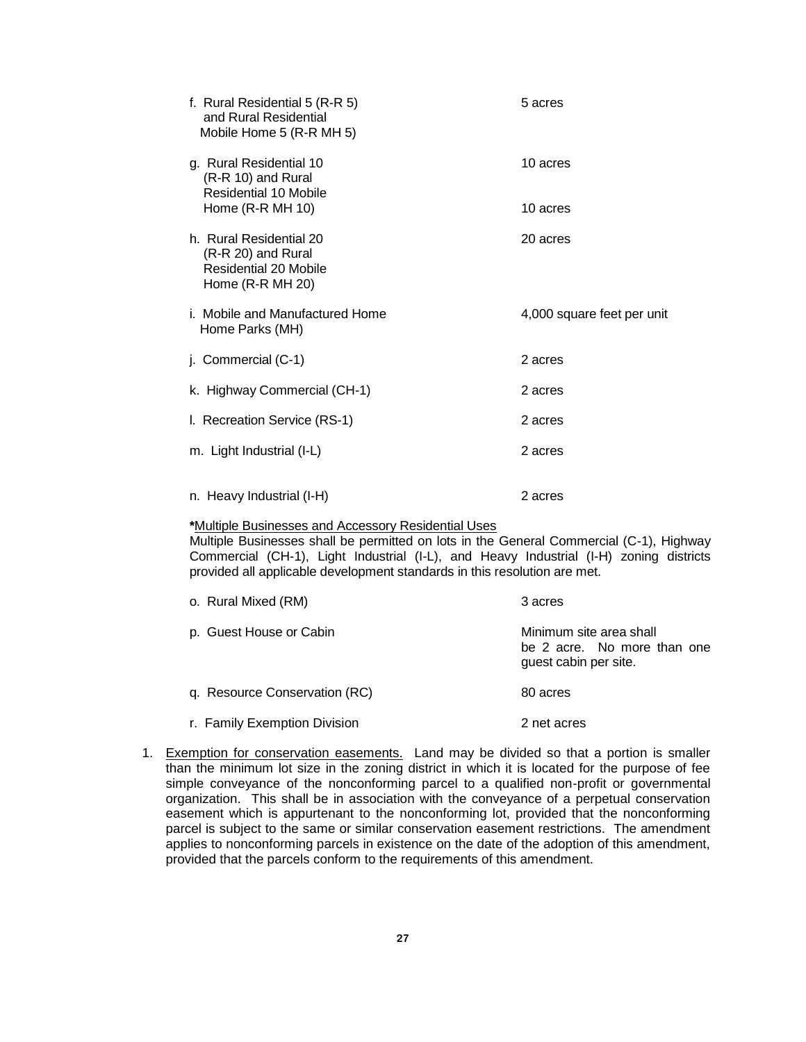| f. Rural Residential 5 (R-R 5)<br>and Rural Residential<br>Mobile Home 5 (R-R MH 5)        | 5 acres                    |
|--------------------------------------------------------------------------------------------|----------------------------|
| g. Rural Residential 10<br>(R-R 10) and Rural<br>Residential 10 Mobile                     | 10 acres                   |
| Home $(R-R MH 10)$                                                                         | 10 acres                   |
| h. Rural Residential 20<br>(R-R 20) and Rural<br>Residential 20 Mobile<br>Home (R-R MH 20) | 20 acres                   |
| i. Mobile and Manufactured Home<br>Home Parks (MH)                                         | 4,000 square feet per unit |
| j. Commercial (C-1)                                                                        | 2 acres                    |
| k. Highway Commercial (CH-1)                                                               | 2 acres                    |
| I. Recreation Service (RS-1)                                                               | 2 acres                    |
| m. Light Industrial (I-L)                                                                  | 2 acres                    |
| n. Heavy Industrial (I-H)                                                                  | 2 acres                    |

#### **\***Multiple Businesses and Accessory Residential Uses

Multiple Businesses shall be permitted on lots in the General Commercial (C-1), Highway Commercial (CH-1), Light Industrial (I-L), and Heavy Industrial (I-H) zoning districts provided all applicable development standards in this resolution are met.

| o. Rural Mixed (RM)           | 3 acres                                                                         |
|-------------------------------|---------------------------------------------------------------------------------|
| p. Guest House or Cabin       | Minimum site area shall<br>be 2 acre. No more than one<br>quest cabin per site. |
| q. Resource Conservation (RC) | 80 acres                                                                        |
| r. Family Exemption Division  | 2 net acres                                                                     |

1. Exemption for conservation easements. Land may be divided so that a portion is smaller than the minimum lot size in the zoning district in which it is located for the purpose of fee simple conveyance of the nonconforming parcel to a qualified non-profit or governmental organization. This shall be in association with the conveyance of a perpetual conservation easement which is appurtenant to the nonconforming lot, provided that the nonconforming parcel is subject to the same or similar conservation easement restrictions. The amendment applies to nonconforming parcels in existence on the date of the adoption of this amendment, provided that the parcels conform to the requirements of this amendment.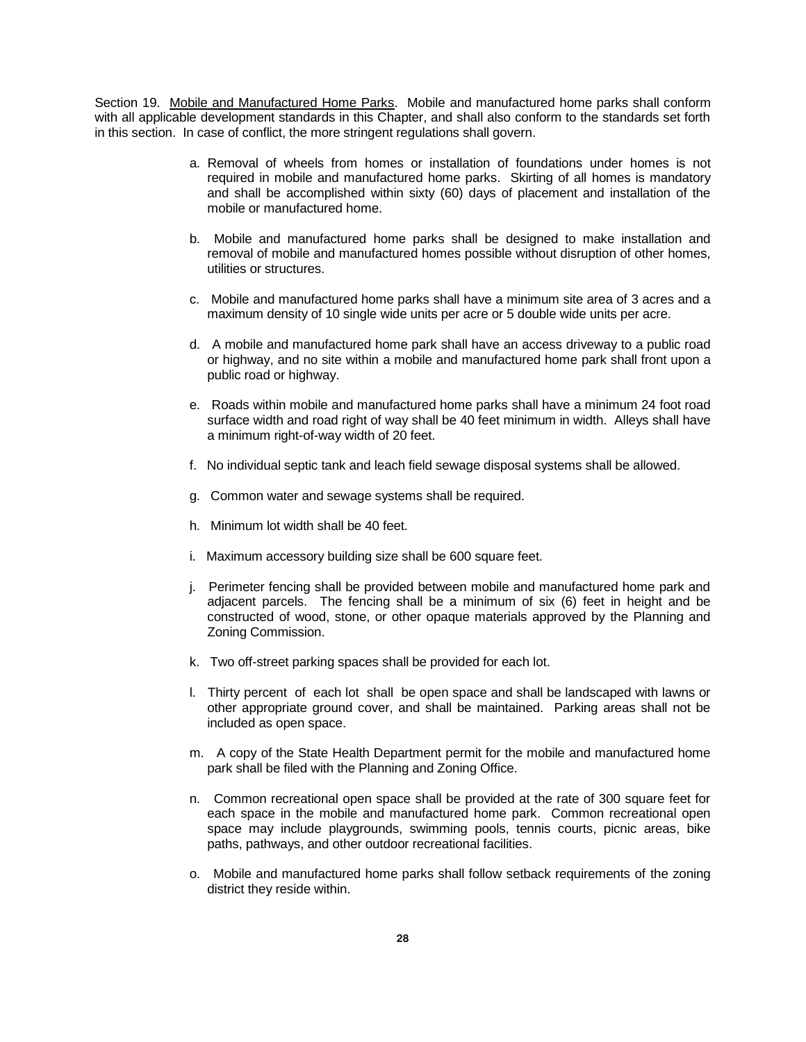Section 19. Mobile and Manufactured Home Parks. Mobile and manufactured home parks shall conform with all applicable development standards in this Chapter, and shall also conform to the standards set forth in this section. In case of conflict, the more stringent regulations shall govern.

- a. Removal of wheels from homes or installation of foundations under homes is not required in mobile and manufactured home parks. Skirting of all homes is mandatory and shall be accomplished within sixty (60) days of placement and installation of the mobile or manufactured home.
- b. Mobile and manufactured home parks shall be designed to make installation and removal of mobile and manufactured homes possible without disruption of other homes, utilities or structures.
- c. Mobile and manufactured home parks shall have a minimum site area of 3 acres and a maximum density of 10 single wide units per acre or 5 double wide units per acre.
- d. A mobile and manufactured home park shall have an access driveway to a public road or highway, and no site within a mobile and manufactured home park shall front upon a public road or highway.
- e. Roads within mobile and manufactured home parks shall have a minimum 24 foot road surface width and road right of way shall be 40 feet minimum in width. Alleys shall have a minimum right-of-way width of 20 feet.
- f. No individual septic tank and leach field sewage disposal systems shall be allowed.
- g. Common water and sewage systems shall be required.
- h. Minimum lot width shall be 40 feet.
- i. Maximum accessory building size shall be 600 square feet.
- j. Perimeter fencing shall be provided between mobile and manufactured home park and adjacent parcels. The fencing shall be a minimum of six (6) feet in height and be constructed of wood, stone, or other opaque materials approved by the Planning and Zoning Commission.
- k. Two off-street parking spaces shall be provided for each lot.
- l. Thirty percent of each lot shall be open space and shall be landscaped with lawns or other appropriate ground cover, and shall be maintained. Parking areas shall not be included as open space.
- m. A copy of the State Health Department permit for the mobile and manufactured home park shall be filed with the Planning and Zoning Office.
- n. Common recreational open space shall be provided at the rate of 300 square feet for each space in the mobile and manufactured home park. Common recreational open space may include playgrounds, swimming pools, tennis courts, picnic areas, bike paths, pathways, and other outdoor recreational facilities.
- o. Mobile and manufactured home parks shall follow setback requirements of the zoning district they reside within.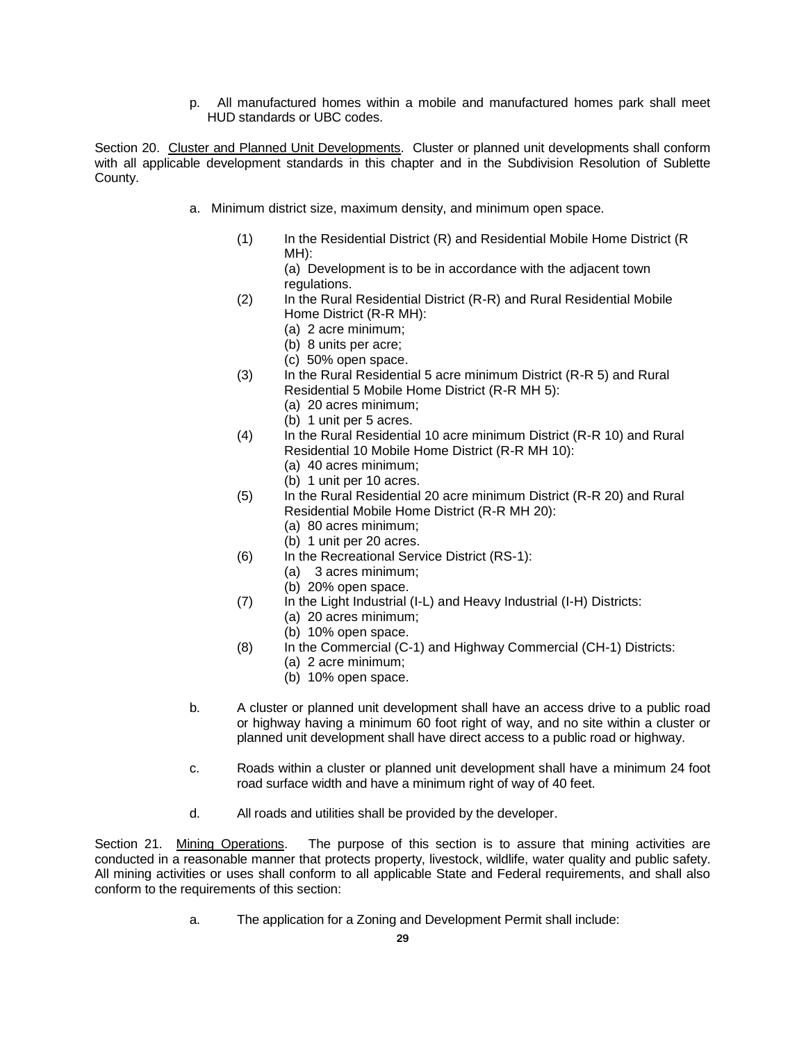p. All manufactured homes within a mobile and manufactured homes park shall meet HUD standards or UBC codes.

Section 20. Cluster and Planned Unit Developments. Cluster or planned unit developments shall conform with all applicable development standards in this chapter and in the Subdivision Resolution of Sublette County.

- a. Minimum district size, maximum density, and minimum open space.
	- (1) In the Residential District (R) and Residential Mobile Home District (R MH):
		- (a) Development is to be in accordance with the adjacent town regulations.
	- (2) In the Rural Residential District (R-R) and Rural Residential Mobile Home District (R-R MH):
		- (a) 2 acre minimum;
		- (b) 8 units per acre;
		- (c) 50% open space.
	- (3) In the Rural Residential 5 acre minimum District (R-R 5) and Rural Residential 5 Mobile Home District (R-R MH 5):
		- (a) 20 acres minimum; (b) 1 unit per 5 acres.
	- (4) In the Rural Residential 10 acre minimum District (R-R 10) and Rural Residential 10 Mobile Home District (R-R MH 10):
		- (a) 40 acres minimum;
		- (b) 1 unit per 10 acres.
	- (5) In the Rural Residential 20 acre minimum District (R-R 20) and Rural Residential Mobile Home District (R-R MH 20):
		- (a) 80 acres minimum;
		- (b) 1 unit per 20 acres.
	- (6) In the Recreational Service District (RS-1):
		- (a) 3 acres minimum;
		- (b) 20% open space.
	- (7) In the Light Industrial (I-L) and Heavy Industrial (I-H) Districts:
		- (a) 20 acres minimum;
			- (b) 10% open space.
	- (8) In the Commercial (C-1) and Highway Commercial (CH-1) Districts:
		- (a) 2 acre minimum;
		- (b) 10% open space.
- b. A cluster or planned unit development shall have an access drive to a public road or highway having a minimum 60 foot right of way, and no site within a cluster or planned unit development shall have direct access to a public road or highway.
- c. Roads within a cluster or planned unit development shall have a minimum 24 foot road surface width and have a minimum right of way of 40 feet.
- d. All roads and utilities shall be provided by the developer.

Section 21. Mining Operations. The purpose of this section is to assure that mining activities are conducted in a reasonable manner that protects property, livestock, wildlife, water quality and public safety. All mining activities or uses shall conform to all applicable State and Federal requirements, and shall also conform to the requirements of this section:

a. The application for a Zoning and Development Permit shall include: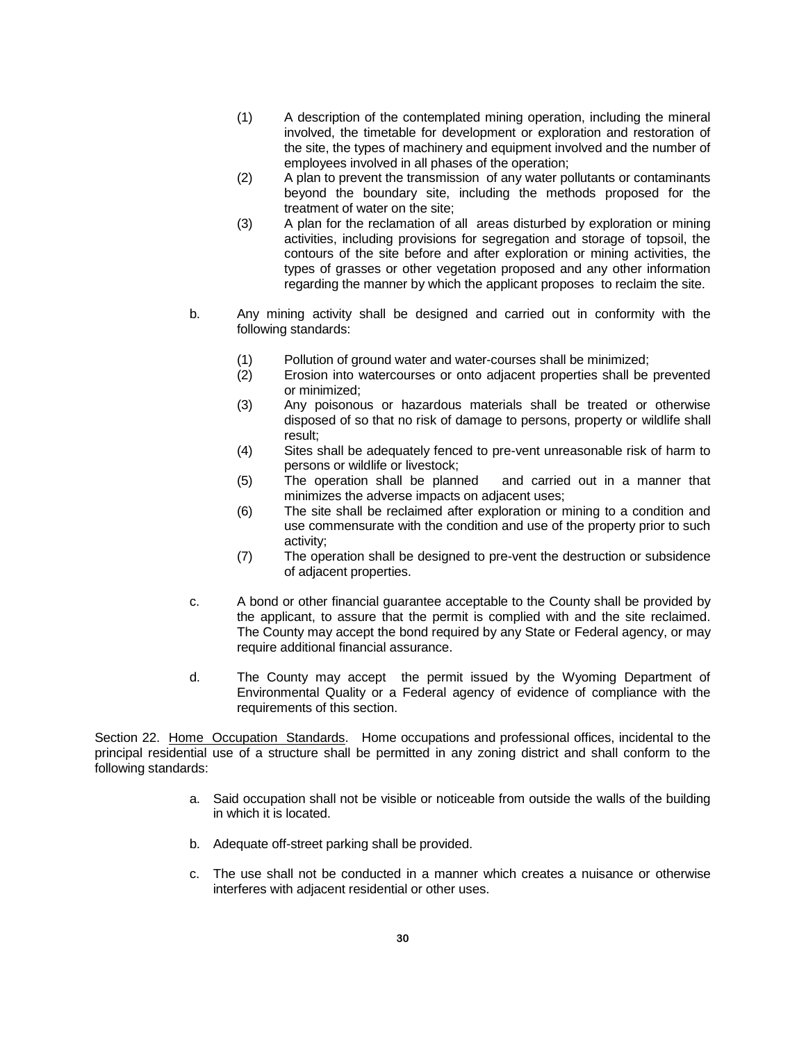- (1) A description of the contemplated mining operation, including the mineral involved, the timetable for development or exploration and restoration of the site, the types of machinery and equipment involved and the number of employees involved in all phases of the operation;
- (2) A plan to prevent the transmission of any water pollutants or contaminants beyond the boundary site, including the methods proposed for the treatment of water on the site;
- (3) A plan for the reclamation of all areas disturbed by exploration or mining activities, including provisions for segregation and storage of topsoil, the contours of the site before and after exploration or mining activities, the types of grasses or other vegetation proposed and any other information regarding the manner by which the applicant proposes to reclaim the site.
- b. Any mining activity shall be designed and carried out in conformity with the following standards:
	- (1) Pollution of ground water and water-courses shall be minimized;
	- (2) Erosion into watercourses or onto adjacent properties shall be prevented or minimized;
	- (3) Any poisonous or hazardous materials shall be treated or otherwise disposed of so that no risk of damage to persons, property or wildlife shall result;
	- (4) Sites shall be adequately fenced to pre-vent unreasonable risk of harm to persons or wildlife or livestock;
	- (5) The operation shall be planned and carried out in a manner that minimizes the adverse impacts on adjacent uses;
	- (6) The site shall be reclaimed after exploration or mining to a condition and use commensurate with the condition and use of the property prior to such activity;
	- (7) The operation shall be designed to pre-vent the destruction or subsidence of adjacent properties.
- c. A bond or other financial guarantee acceptable to the County shall be provided by the applicant, to assure that the permit is complied with and the site reclaimed. The County may accept the bond required by any State or Federal agency, or may require additional financial assurance.
- d. The County may accept the permit issued by the Wyoming Department of Environmental Quality or a Federal agency of evidence of compliance with the requirements of this section.

Section 22. Home Occupation Standards. Home occupations and professional offices, incidental to the principal residential use of a structure shall be permitted in any zoning district and shall conform to the following standards:

- a. Said occupation shall not be visible or noticeable from outside the walls of the building in which it is located.
- b. Adequate off-street parking shall be provided.
- c. The use shall not be conducted in a manner which creates a nuisance or otherwise interferes with adjacent residential or other uses.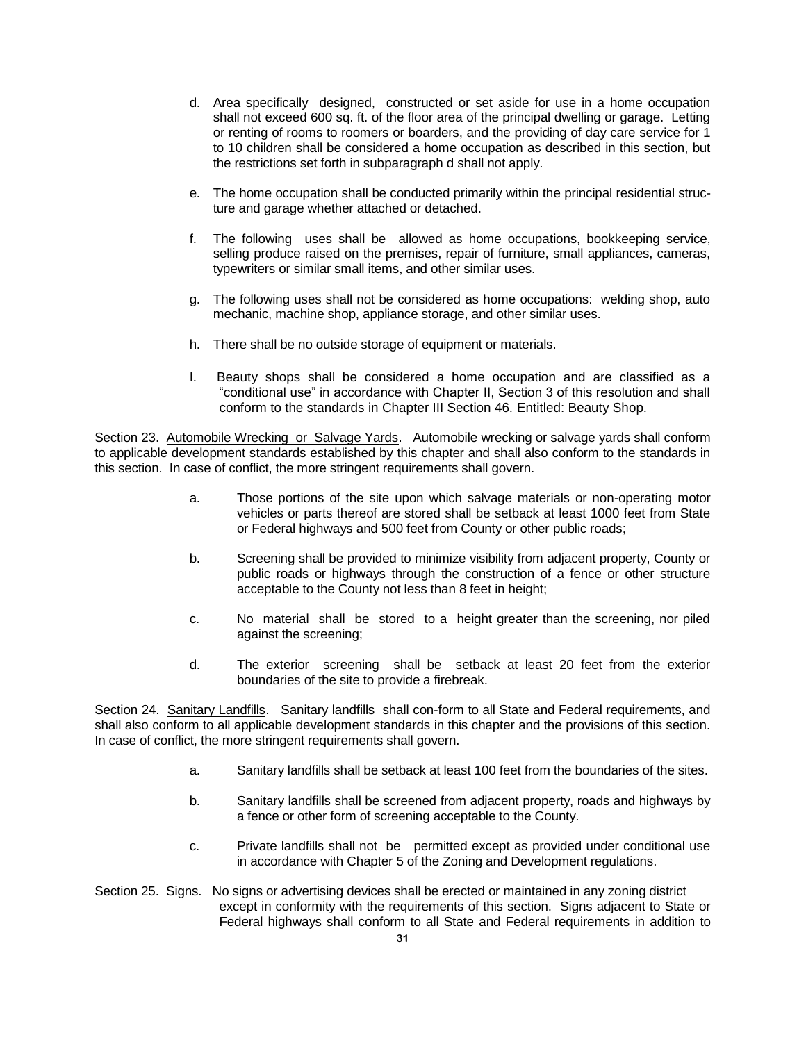- d. Area specifically designed, constructed or set aside for use in a home occupation shall not exceed 600 sq. ft. of the floor area of the principal dwelling or garage. Letting or renting of rooms to roomers or boarders, and the providing of day care service for 1 to 10 children shall be considered a home occupation as described in this section, but the restrictions set forth in subparagraph d shall not apply.
- e. The home occupation shall be conducted primarily within the principal residential structure and garage whether attached or detached.
- f. The following uses shall be allowed as home occupations, bookkeeping service, selling produce raised on the premises, repair of furniture, small appliances, cameras, typewriters or similar small items, and other similar uses.
- g. The following uses shall not be considered as home occupations: welding shop, auto mechanic, machine shop, appliance storage, and other similar uses.
- h. There shall be no outside storage of equipment or materials.
- I. Beauty shops shall be considered a home occupation and are classified as a "conditional use" in accordance with Chapter II, Section 3 of this resolution and shall conform to the standards in Chapter III Section 46. Entitled: Beauty Shop.

Section 23. Automobile Wrecking or Salvage Yards. Automobile wrecking or salvage yards shall conform to applicable development standards established by this chapter and shall also conform to the standards in this section. In case of conflict, the more stringent requirements shall govern.

- a. Those portions of the site upon which salvage materials or non-operating motor vehicles or parts thereof are stored shall be setback at least 1000 feet from State or Federal highways and 500 feet from County or other public roads;
- b. Screening shall be provided to minimize visibility from adjacent property, County or public roads or highways through the construction of a fence or other structure acceptable to the County not less than 8 feet in height;
- c. No material shall be stored to a height greater than the screening, nor piled against the screening;
- d. The exterior screening shall be setback at least 20 feet from the exterior boundaries of the site to provide a firebreak.

Section 24. Sanitary Landfills. Sanitary landfills shall con-form to all State and Federal requirements, and shall also conform to all applicable development standards in this chapter and the provisions of this section. In case of conflict, the more stringent requirements shall govern.

- a. Sanitary landfills shall be setback at least 100 feet from the boundaries of the sites.
- b. Sanitary landfills shall be screened from adjacent property, roads and highways by a fence or other form of screening acceptable to the County.
- c. Private landfills shall not be permitted except as provided under conditional use in accordance with Chapter 5 of the Zoning and Development regulations.
- Section 25. Signs. No signs or advertising devices shall be erected or maintained in any zoning district except in conformity with the requirements of this section. Signs adjacent to State or Federal highways shall conform to all State and Federal requirements in addition to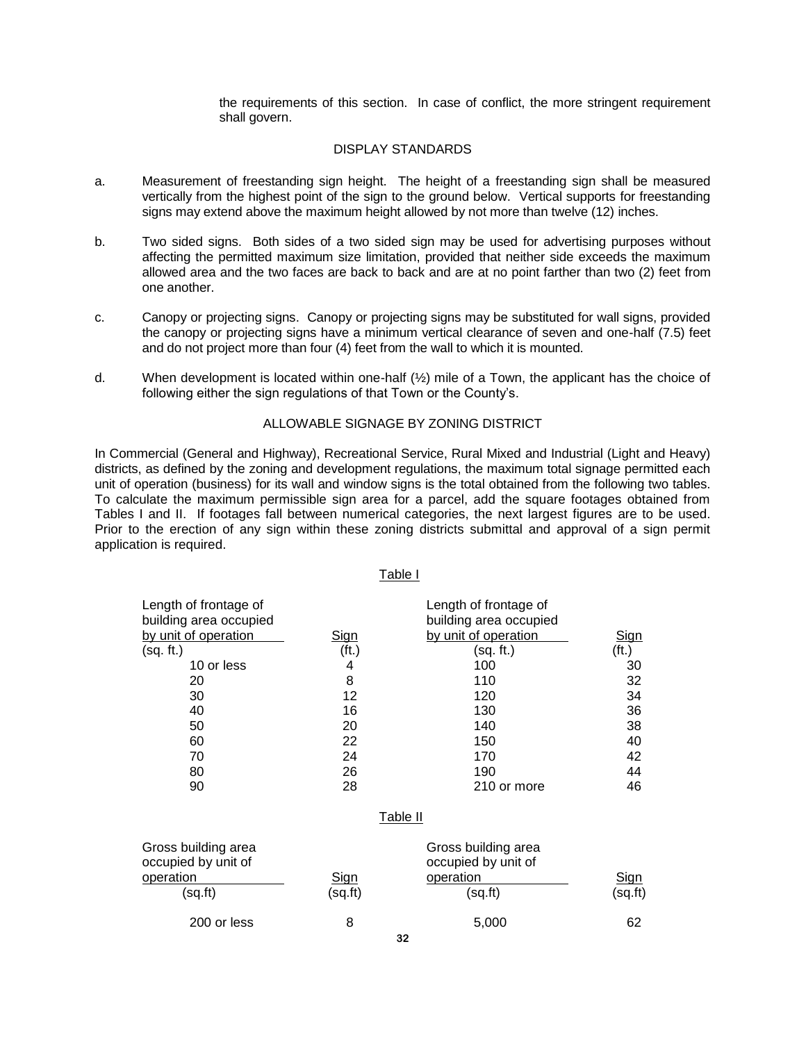the requirements of this section. In case of conflict, the more stringent requirement shall govern.

### DISPLAY STANDARDS

- a. Measurement of freestanding sign height. The height of a freestanding sign shall be measured vertically from the highest point of the sign to the ground below. Vertical supports for freestanding signs may extend above the maximum height allowed by not more than twelve (12) inches.
- b. Two sided signs. Both sides of a two sided sign may be used for advertising purposes without affecting the permitted maximum size limitation, provided that neither side exceeds the maximum allowed area and the two faces are back to back and are at no point farther than two (2) feet from one another.
- c. Canopy or projecting signs. Canopy or projecting signs may be substituted for wall signs, provided the canopy or projecting signs have a minimum vertical clearance of seven and one-half (7.5) feet and do not project more than four (4) feet from the wall to which it is mounted.
- d. When development is located within one-half  $(\frac{1}{2})$  mile of a Town, the applicant has the choice of following either the sign regulations of that Town or the County's.

#### ALLOWABLE SIGNAGE BY ZONING DISTRICT

In Commercial (General and Highway), Recreational Service, Rural Mixed and Industrial (Light and Heavy) districts, as defined by the zoning and development regulations, the maximum total signage permitted each unit of operation (business) for its wall and window signs is the total obtained from the following two tables. To calculate the maximum permissible sign area for a parcel, add the square footages obtained from Tables I and II. If footages fall between numerical categories, the next largest figures are to be used. Prior to the erection of any sign within these zoning districts submittal and approval of a sign permit application is required.

Table I

| Length of frontage of<br>building area occupied<br>by unit of operation | <u>Sign</u>       | Length of frontage of<br>building area occupied<br>by unit of operation | Sign              |
|-------------------------------------------------------------------------|-------------------|-------------------------------------------------------------------------|-------------------|
| (sq. ft.)                                                               | (f <sub>t</sub> ) | (sq. ft.)                                                               | (f <sub>t</sub> ) |
| 10 or less                                                              | 4                 | 100                                                                     | 30                |
| 20                                                                      | 8                 | 110                                                                     | 32                |
| 30                                                                      | 12                | 120                                                                     | 34                |
| 40                                                                      | 16                | 130                                                                     | 36                |
| 50                                                                      | 20                | 140                                                                     | 38                |
| 60                                                                      | 22                | 150                                                                     | 40                |
| 70                                                                      | 24                | 170                                                                     | 42                |
| 80                                                                      | 26                | 190                                                                     | 44                |
| 90                                                                      | 28                | 210 or more                                                             | 46                |
|                                                                         |                   |                                                                         |                   |

#### <u>Table II</u>

| Gross building area<br>occupied by unit of<br>operation<br>(sq.ft) | <u>Sign</u><br>(sq.fr) | Gross building area<br>occupied by unit of<br>operation<br>(sq.ft) | <u>Sign</u><br>(sq.fit) |
|--------------------------------------------------------------------|------------------------|--------------------------------------------------------------------|-------------------------|
| 200 or less                                                        |                        | 5,000                                                              | 62                      |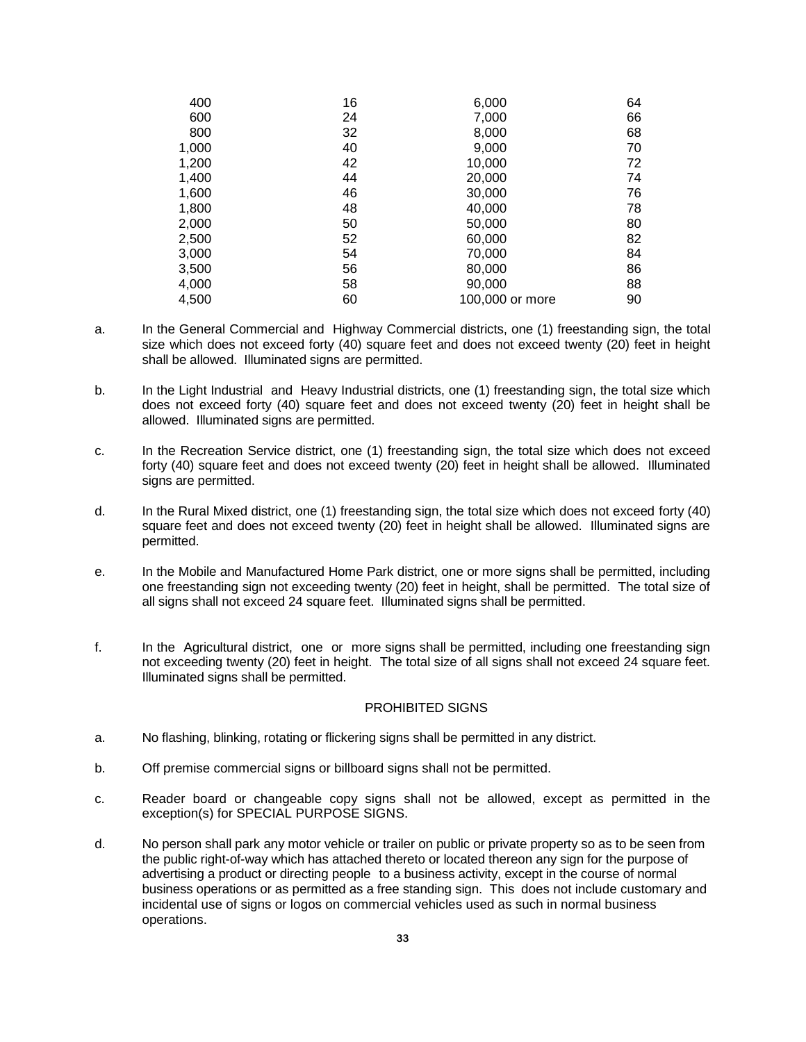| 400   | 16 | 6,000           | 64 |
|-------|----|-----------------|----|
| 600   | 24 | 7,000           | 66 |
| 800   | 32 | 8,000           | 68 |
| 1,000 | 40 | 9,000           | 70 |
| 1,200 | 42 | 10,000          | 72 |
| 1,400 | 44 | 20,000          | 74 |
| 1,600 | 46 | 30,000          | 76 |
| 1,800 | 48 | 40,000          | 78 |
| 2,000 | 50 | 50,000          | 80 |
| 2,500 | 52 | 60,000          | 82 |
| 3,000 | 54 | 70,000          | 84 |
| 3,500 | 56 | 80,000          | 86 |
| 4,000 | 58 | 90,000          | 88 |
| 4,500 | 60 | 100,000 or more | 90 |

- a. In the General Commercial and Highway Commercial districts, one (1) freestanding sign, the total size which does not exceed forty (40) square feet and does not exceed twenty (20) feet in height shall be allowed. Illuminated signs are permitted.
- b. In the Light Industrial and Heavy Industrial districts, one (1) freestanding sign, the total size which does not exceed forty (40) square feet and does not exceed twenty (20) feet in height shall be allowed. Illuminated signs are permitted.
- c. In the Recreation Service district, one (1) freestanding sign, the total size which does not exceed forty (40) square feet and does not exceed twenty (20) feet in height shall be allowed. Illuminated signs are permitted.
- d. In the Rural Mixed district, one (1) freestanding sign, the total size which does not exceed forty (40) square feet and does not exceed twenty (20) feet in height shall be allowed. Illuminated signs are permitted.
- e. In the Mobile and Manufactured Home Park district, one or more signs shall be permitted, including one freestanding sign not exceeding twenty (20) feet in height, shall be permitted. The total size of all signs shall not exceed 24 square feet. Illuminated signs shall be permitted.
- f. In the Agricultural district, one or more signs shall be permitted, including one freestanding sign not exceeding twenty (20) feet in height. The total size of all signs shall not exceed 24 square feet. Illuminated signs shall be permitted.

#### PROHIBITED SIGNS

- a. No flashing, blinking, rotating or flickering signs shall be permitted in any district.
- b. Off premise commercial signs or billboard signs shall not be permitted.
- c. Reader board or changeable copy signs shall not be allowed, except as permitted in the exception(s) for SPECIAL PURPOSE SIGNS.
- d. No person shall park any motor vehicle or trailer on public or private property so as to be seen from the public right-of-way which has attached thereto or located thereon any sign for the purpose of advertising a product or directing people to a business activity, except in the course of normal business operations or as permitted as a free standing sign. This does not include customary and incidental use of signs or logos on commercial vehicles used as such in normal business operations.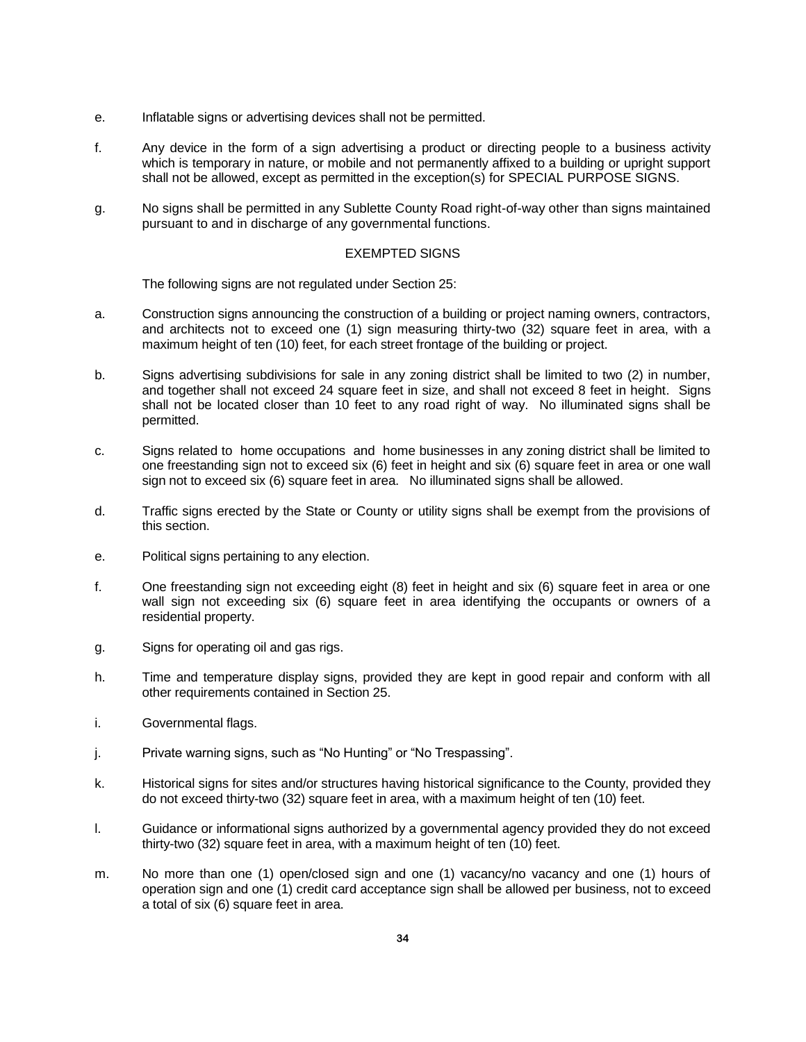- e. Inflatable signs or advertising devices shall not be permitted.
- f. Any device in the form of a sign advertising a product or directing people to a business activity which is temporary in nature, or mobile and not permanently affixed to a building or upright support shall not be allowed, except as permitted in the exception(s) for SPECIAL PURPOSE SIGNS.
- g. No signs shall be permitted in any Sublette County Road right-of-way other than signs maintained pursuant to and in discharge of any governmental functions.

### EXEMPTED SIGNS

The following signs are not regulated under Section 25:

- a. Construction signs announcing the construction of a building or project naming owners, contractors, and architects not to exceed one (1) sign measuring thirty-two (32) square feet in area, with a maximum height of ten (10) feet, for each street frontage of the building or project.
- b. Signs advertising subdivisions for sale in any zoning district shall be limited to two (2) in number, and together shall not exceed 24 square feet in size, and shall not exceed 8 feet in height. Signs shall not be located closer than 10 feet to any road right of way. No illuminated signs shall be permitted.
- c. Signs related to home occupations and home businesses in any zoning district shall be limited to one freestanding sign not to exceed six (6) feet in height and six (6) square feet in area or one wall sign not to exceed six (6) square feet in area. No illuminated signs shall be allowed.
- d. Traffic signs erected by the State or County or utility signs shall be exempt from the provisions of this section.
- e. Political signs pertaining to any election.
- f. One freestanding sign not exceeding eight (8) feet in height and six (6) square feet in area or one wall sign not exceeding six (6) square feet in area identifying the occupants or owners of a residential property.
- g. Signs for operating oil and gas rigs.
- h. Time and temperature display signs, provided they are kept in good repair and conform with all other requirements contained in Section 25.
- i. Governmental flags.
- j. Private warning signs, such as "No Hunting" or "No Trespassing".
- k. Historical signs for sites and/or structures having historical significance to the County, provided they do not exceed thirty-two (32) square feet in area, with a maximum height of ten (10) feet.
- l. Guidance or informational signs authorized by a governmental agency provided they do not exceed thirty-two (32) square feet in area, with a maximum height of ten (10) feet.
- m. No more than one (1) open/closed sign and one (1) vacancy/no vacancy and one (1) hours of operation sign and one (1) credit card acceptance sign shall be allowed per business, not to exceed a total of six (6) square feet in area.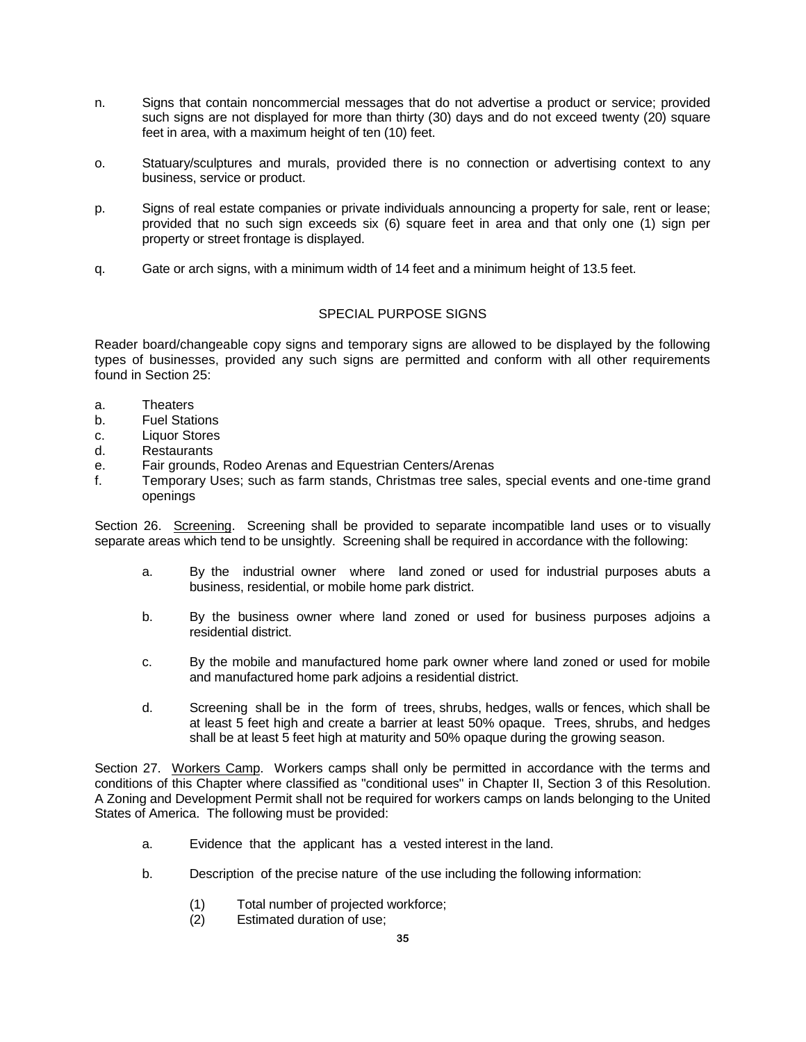- n. Signs that contain noncommercial messages that do not advertise a product or service; provided such signs are not displayed for more than thirty (30) days and do not exceed twenty (20) square feet in area, with a maximum height of ten (10) feet.
- o. Statuary/sculptures and murals, provided there is no connection or advertising context to any business, service or product.
- p. Signs of real estate companies or private individuals announcing a property for sale, rent or lease; provided that no such sign exceeds six (6) square feet in area and that only one (1) sign per property or street frontage is displayed.
- q. Gate or arch signs, with a minimum width of 14 feet and a minimum height of 13.5 feet.

## SPECIAL PURPOSE SIGNS

Reader board/changeable copy signs and temporary signs are allowed to be displayed by the following types of businesses, provided any such signs are permitted and conform with all other requirements found in Section 25:

- a. Theaters
- b. Fuel Stations
- c. Liquor Stores
- d. Restaurants
- e. Fair grounds, Rodeo Arenas and Equestrian Centers/Arenas
- f. Temporary Uses; such as farm stands, Christmas tree sales, special events and one-time grand openings

Section 26. Screening. Screening shall be provided to separate incompatible land uses or to visually separate areas which tend to be unsightly. Screening shall be required in accordance with the following:

- a. By the industrial owner where land zoned or used for industrial purposes abuts a business, residential, or mobile home park district.
- b. By the business owner where land zoned or used for business purposes adjoins a residential district.
- c. By the mobile and manufactured home park owner where land zoned or used for mobile and manufactured home park adjoins a residential district.
- d. Screening shall be in the form of trees, shrubs, hedges, walls or fences, which shall be at least 5 feet high and create a barrier at least 50% opaque. Trees, shrubs, and hedges shall be at least 5 feet high at maturity and 50% opaque during the growing season.

Section 27. Workers Camp. Workers camps shall only be permitted in accordance with the terms and conditions of this Chapter where classified as "conditional uses" in Chapter II, Section 3 of this Resolution. A Zoning and Development Permit shall not be required for workers camps on lands belonging to the United States of America. The following must be provided:

- a. Evidence that the applicant has a vested interest in the land.
- b. Description of the precise nature of the use including the following information:
	- (1) Total number of projected workforce;<br>(2) Estimated duration of use;
	- Estimated duration of use: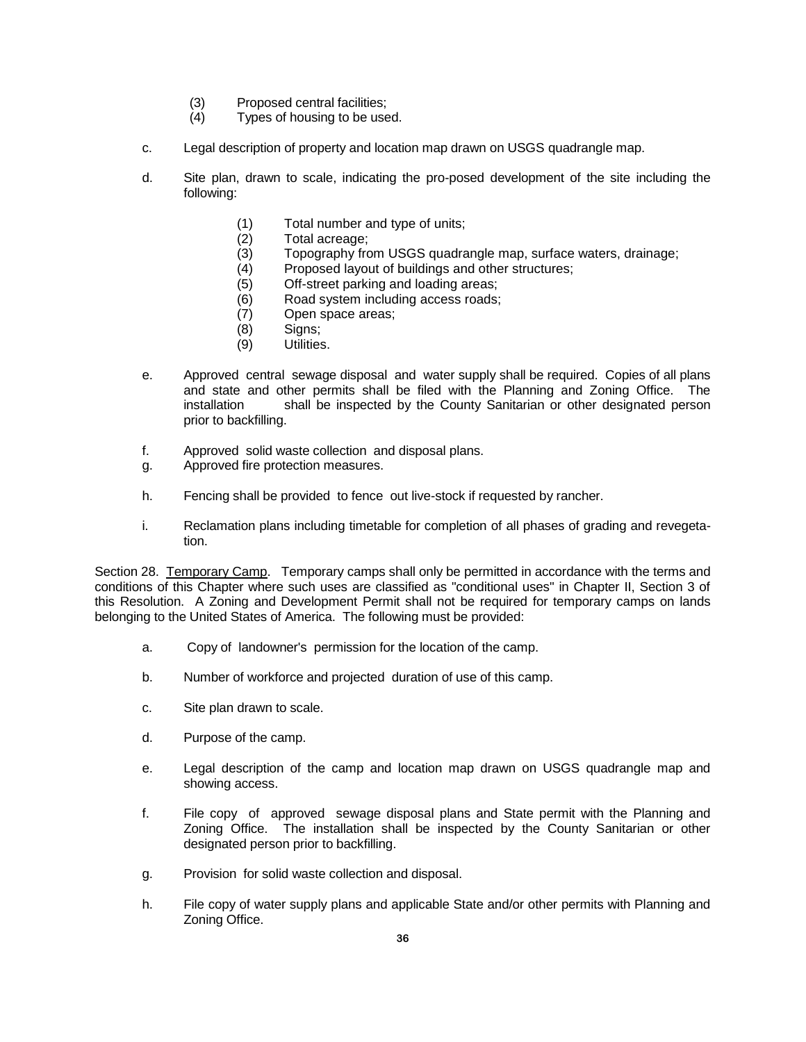- (3) Proposed central facilities;
- (4) Types of housing to be used.
- c. Legal description of property and location map drawn on USGS quadrangle map.
- d. Site plan, drawn to scale, indicating the pro-posed development of the site including the following:
	- (1) Total number and type of units;<br>(2) Total acreage;
	- Total acreage;
	- (3) Topography from USGS quadrangle map, surface waters, drainage;
	- (4) Proposed layout of buildings and other structures;
	- (5) Off-street parking and loading areas;
	- (6) Road system including access roads;
	- (7) Open space areas;
	- (8) Signs;
	- (9) Utilities.
- e. Approved central sewage disposal and water supply shall be required. Copies of all plans and state and other permits shall be filed with the Planning and Zoning Office. The installation shall be inspected by the County Sanitarian or other designated person prior to backfilling.
- f. Approved solid waste collection and disposal plans.
- g. Approved fire protection measures.
- h. Fencing shall be provided to fence out live-stock if requested by rancher.
- i. Reclamation plans including timetable for completion of all phases of grading and revegetation.

Section 28. Temporary Camp. Temporary camps shall only be permitted in accordance with the terms and conditions of this Chapter where such uses are classified as "conditional uses" in Chapter II, Section 3 of this Resolution. A Zoning and Development Permit shall not be required for temporary camps on lands belonging to the United States of America. The following must be provided:

- a. Copy of landowner's permission for the location of the camp.
- b. Number of workforce and projected duration of use of this camp.
- c. Site plan drawn to scale.
- d. Purpose of the camp.
- e. Legal description of the camp and location map drawn on USGS quadrangle map and showing access.
- f. File copy of approved sewage disposal plans and State permit with the Planning and Zoning Office. The installation shall be inspected by the County Sanitarian or other designated person prior to backfilling.
- g. Provision for solid waste collection and disposal.
- h. File copy of water supply plans and applicable State and/or other permits with Planning and Zoning Office.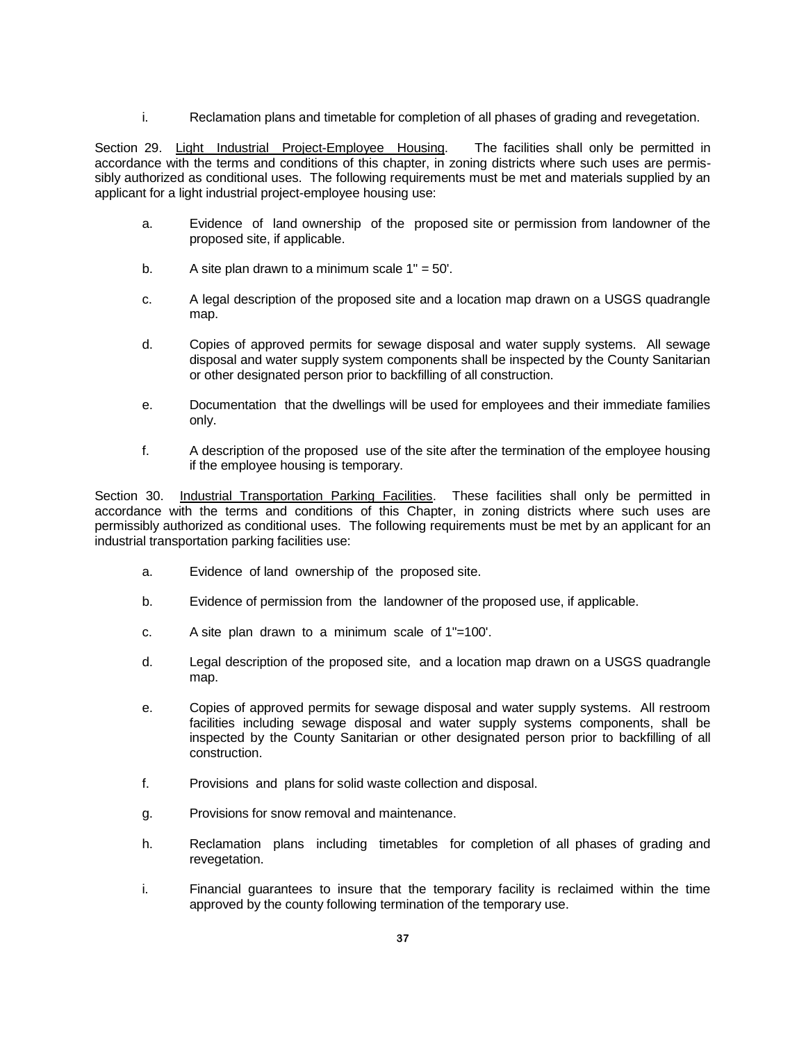i. Reclamation plans and timetable for completion of all phases of grading and revegetation.

Section 29. Light Industrial Project-Employee Housing. The facilities shall only be permitted in accordance with the terms and conditions of this chapter, in zoning districts where such uses are permissibly authorized as conditional uses. The following requirements must be met and materials supplied by an applicant for a light industrial project-employee housing use:

- a. Evidence of land ownership of the proposed site or permission from landowner of the proposed site, if applicable.
- b. A site plan drawn to a minimum scale  $1" = 50'$ .
- c. A legal description of the proposed site and a location map drawn on a USGS quadrangle map.
- d. Copies of approved permits for sewage disposal and water supply systems. All sewage disposal and water supply system components shall be inspected by the County Sanitarian or other designated person prior to backfilling of all construction.
- e. Documentation that the dwellings will be used for employees and their immediate families only.
- f. A description of the proposed use of the site after the termination of the employee housing if the employee housing is temporary.

Section 30. Industrial Transportation Parking Facilities. These facilities shall only be permitted in accordance with the terms and conditions of this Chapter, in zoning districts where such uses are permissibly authorized as conditional uses. The following requirements must be met by an applicant for an industrial transportation parking facilities use:

- a. Evidence of land ownership of the proposed site.
- b. Evidence of permission from the landowner of the proposed use, if applicable.
- c. A site plan drawn to a minimum scale of 1"=100'.
- d. Legal description of the proposed site, and a location map drawn on a USGS quadrangle map.
- e. Copies of approved permits for sewage disposal and water supply systems. All restroom facilities including sewage disposal and water supply systems components, shall be inspected by the County Sanitarian or other designated person prior to backfilling of all construction.
- f. Provisions and plans for solid waste collection and disposal.
- g. Provisions for snow removal and maintenance.
- h. Reclamation plans including timetables for completion of all phases of grading and revegetation.
- i. Financial guarantees to insure that the temporary facility is reclaimed within the time approved by the county following termination of the temporary use.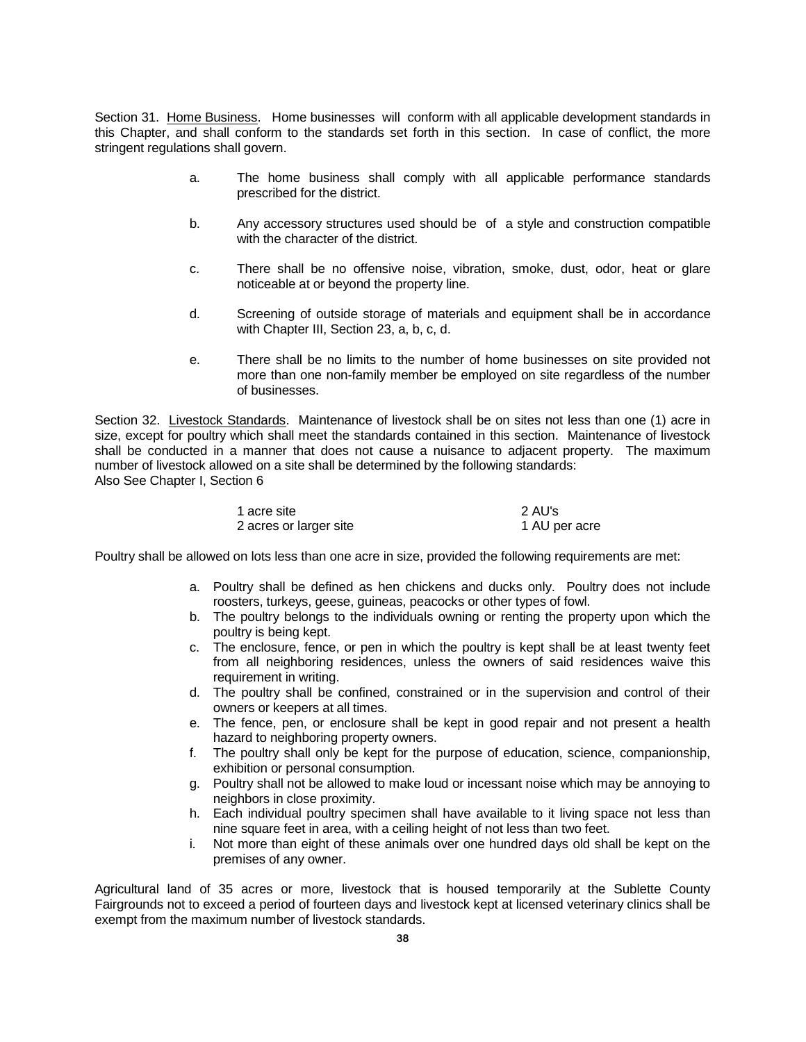Section 31. Home Business. Home businesses will conform with all applicable development standards in this Chapter, and shall conform to the standards set forth in this section. In case of conflict, the more stringent regulations shall govern.

- a. The home business shall comply with all applicable performance standards prescribed for the district.
- b. Any accessory structures used should be of a style and construction compatible with the character of the district.
- c. There shall be no offensive noise, vibration, smoke, dust, odor, heat or glare noticeable at or beyond the property line.
- d. Screening of outside storage of materials and equipment shall be in accordance with Chapter III, Section 23, a, b, c, d.
- e. There shall be no limits to the number of home businesses on site provided not more than one non-family member be employed on site regardless of the number of businesses.

Section 32. Livestock Standards. Maintenance of livestock shall be on sites not less than one (1) acre in size, except for poultry which shall meet the standards contained in this section. Maintenance of livestock shall be conducted in a manner that does not cause a nuisance to adjacent property. The maximum number of livestock allowed on a site shall be determined by the following standards: Also See Chapter I, Section 6

| 1 acre site            | 2 AU's        |
|------------------------|---------------|
| 2 acres or larger site | 1 AU per acre |

Poultry shall be allowed on lots less than one acre in size, provided the following requirements are met:

- a. Poultry shall be defined as hen chickens and ducks only. Poultry does not include roosters, turkeys, geese, guineas, peacocks or other types of fowl.
- b. The poultry belongs to the individuals owning or renting the property upon which the poultry is being kept.
- c. The enclosure, fence, or pen in which the poultry is kept shall be at least twenty feet from all neighboring residences, unless the owners of said residences waive this requirement in writing.
- d. The poultry shall be confined, constrained or in the supervision and control of their owners or keepers at all times.
- e. The fence, pen, or enclosure shall be kept in good repair and not present a health hazard to neighboring property owners.
- f. The poultry shall only be kept for the purpose of education, science, companionship, exhibition or personal consumption.
- g. Poultry shall not be allowed to make loud or incessant noise which may be annoying to neighbors in close proximity.
- h. Each individual poultry specimen shall have available to it living space not less than nine square feet in area, with a ceiling height of not less than two feet.
- i. Not more than eight of these animals over one hundred days old shall be kept on the premises of any owner.

Agricultural land of 35 acres or more, livestock that is housed temporarily at the Sublette County Fairgrounds not to exceed a period of fourteen days and livestock kept at licensed veterinary clinics shall be exempt from the maximum number of livestock standards.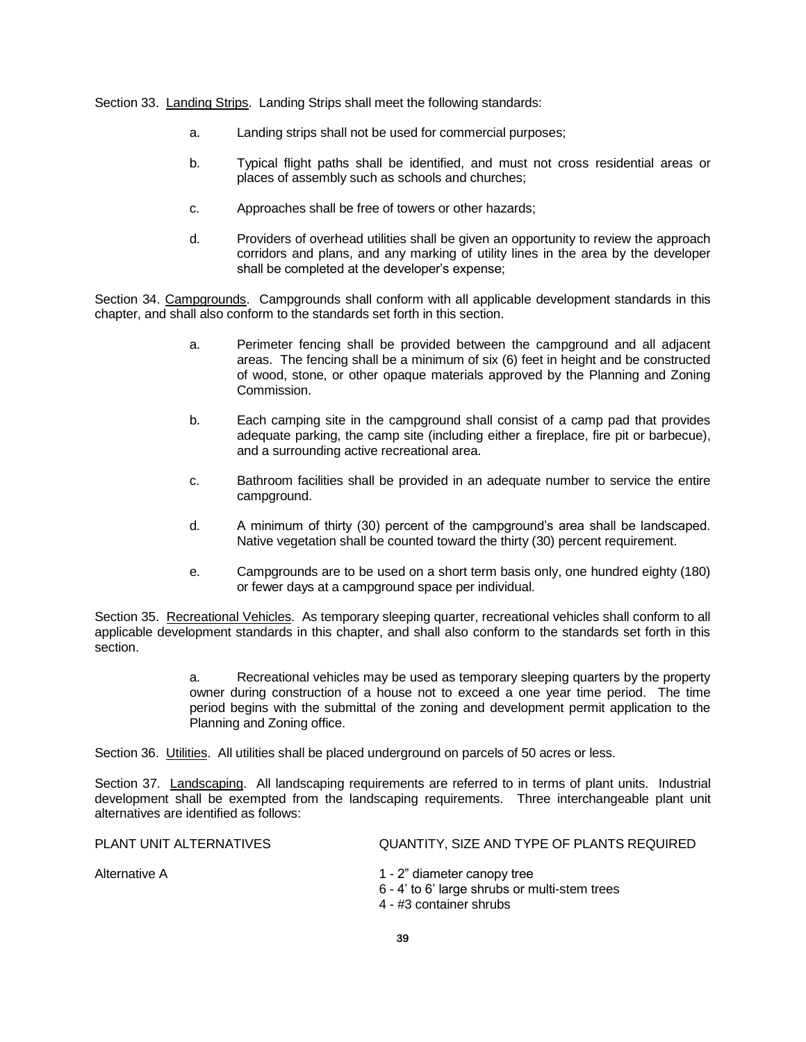Section 33. Landing Strips. Landing Strips shall meet the following standards:

- a. Landing strips shall not be used for commercial purposes;
- b. Typical flight paths shall be identified, and must not cross residential areas or places of assembly such as schools and churches;
- c. Approaches shall be free of towers or other hazards;
- d. Providers of overhead utilities shall be given an opportunity to review the approach corridors and plans, and any marking of utility lines in the area by the developer shall be completed at the developer's expense;

Section 34. Campgrounds. Campgrounds shall conform with all applicable development standards in this chapter, and shall also conform to the standards set forth in this section.

- a. Perimeter fencing shall be provided between the campground and all adjacent areas. The fencing shall be a minimum of six (6) feet in height and be constructed of wood, stone, or other opaque materials approved by the Planning and Zoning Commission.
- b. Each camping site in the campground shall consist of a camp pad that provides adequate parking, the camp site (including either a fireplace, fire pit or barbecue), and a surrounding active recreational area.
- c. Bathroom facilities shall be provided in an adequate number to service the entire campground.
- d. A minimum of thirty (30) percent of the campground's area shall be landscaped. Native vegetation shall be counted toward the thirty (30) percent requirement.
- e. Campgrounds are to be used on a short term basis only, one hundred eighty (180) or fewer days at a campground space per individual.

Section 35. Recreational Vehicles. As temporary sleeping quarter, recreational vehicles shall conform to all applicable development standards in this chapter, and shall also conform to the standards set forth in this section.

> a. Recreational vehicles may be used as temporary sleeping quarters by the property owner during construction of a house not to exceed a one year time period. The time period begins with the submittal of the zoning and development permit application to the Planning and Zoning office.

Section 36. Utilities. All utilities shall be placed underground on parcels of 50 acres or less.

Section 37. Landscaping. All landscaping requirements are referred to in terms of plant units. Industrial development shall be exempted from the landscaping requirements. Three interchangeable plant unit alternatives are identified as follows:

| PLANT UNIT ALTERNATIVES | QUANTITY, SIZE AND TYPE OF PLANTS REQUIRED                                                              |
|-------------------------|---------------------------------------------------------------------------------------------------------|
| Alternative A           | 1 - 2" diameter canopy tree<br>6 - 4' to 6' large shrubs or multi-stem trees<br>4 - #3 container shrubs |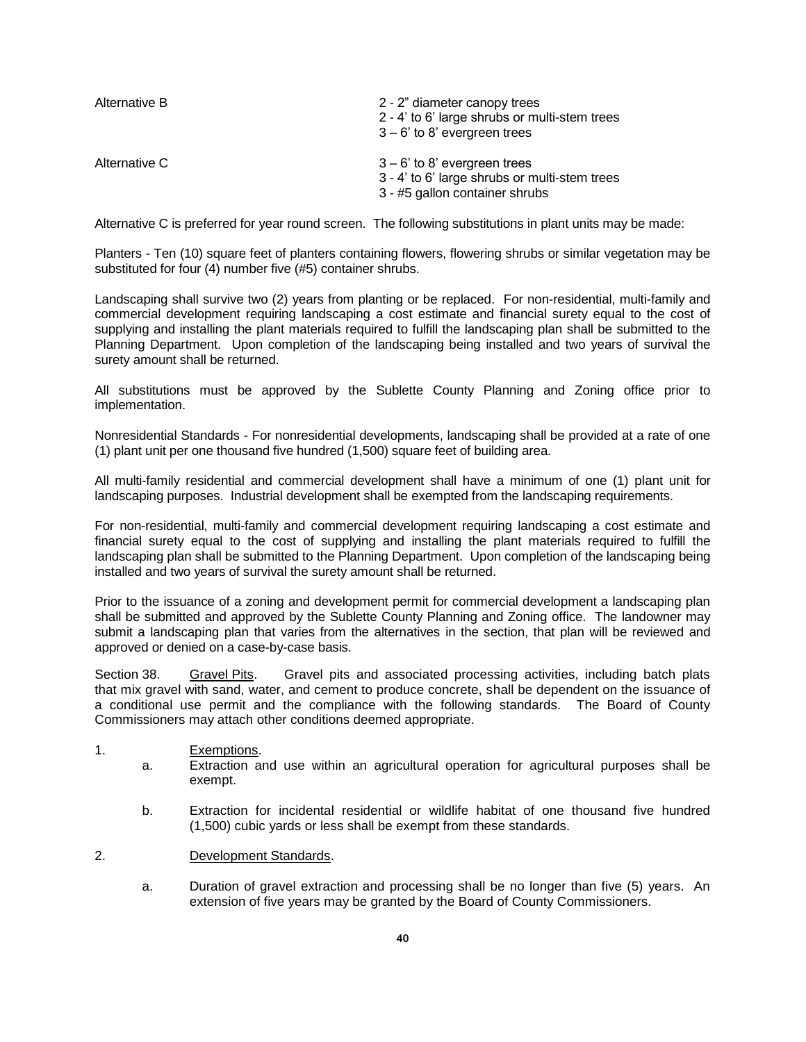| Alternative B | 2 - 2" diameter canopy trees<br>2 - 4' to 6' large shrubs or multi-stem trees<br>$3 - 6'$ to 8' evergreen trees   |
|---------------|-------------------------------------------------------------------------------------------------------------------|
| Alternative C | $3 - 6'$ to 8' evergreen trees<br>3 - 4' to 6' large shrubs or multi-stem trees<br>3 - #5 gallon container shrubs |

Alternative C is preferred for year round screen. The following substitutions in plant units may be made:

Planters - Ten (10) square feet of planters containing flowers, flowering shrubs or similar vegetation may be substituted for four (4) number five (#5) container shrubs.

Landscaping shall survive two (2) years from planting or be replaced. For non-residential, multi-family and commercial development requiring landscaping a cost estimate and financial surety equal to the cost of supplying and installing the plant materials required to fulfill the landscaping plan shall be submitted to the Planning Department. Upon completion of the landscaping being installed and two years of survival the surety amount shall be returned.

All substitutions must be approved by the Sublette County Planning and Zoning office prior to implementation.

Nonresidential Standards - For nonresidential developments, landscaping shall be provided at a rate of one (1) plant unit per one thousand five hundred (1,500) square feet of building area.

All multi-family residential and commercial development shall have a minimum of one (1) plant unit for landscaping purposes. Industrial development shall be exempted from the landscaping requirements.

For non-residential, multi-family and commercial development requiring landscaping a cost estimate and financial surety equal to the cost of supplying and installing the plant materials required to fulfill the landscaping plan shall be submitted to the Planning Department. Upon completion of the landscaping being installed and two years of survival the surety amount shall be returned.

Prior to the issuance of a zoning and development permit for commercial development a landscaping plan shall be submitted and approved by the Sublette County Planning and Zoning office. The landowner may submit a landscaping plan that varies from the alternatives in the section, that plan will be reviewed and approved or denied on a case-by-case basis.

Section 38. Gravel Pits. Gravel pits and associated processing activities, including batch plats that mix gravel with sand, water, and cement to produce concrete, shall be dependent on the issuance of a conditional use permit and the compliance with the following standards. The Board of County Commissioners may attach other conditions deemed appropriate.

### 1. Exemptions.

- a. Extraction and use within an agricultural operation for agricultural purposes shall be exempt.
- b. Extraction for incidental residential or wildlife habitat of one thousand five hundred (1,500) cubic yards or less shall be exempt from these standards.
- 2. Development Standards.
	- a. Duration of gravel extraction and processing shall be no longer than five (5) years. An extension of five years may be granted by the Board of County Commissioners.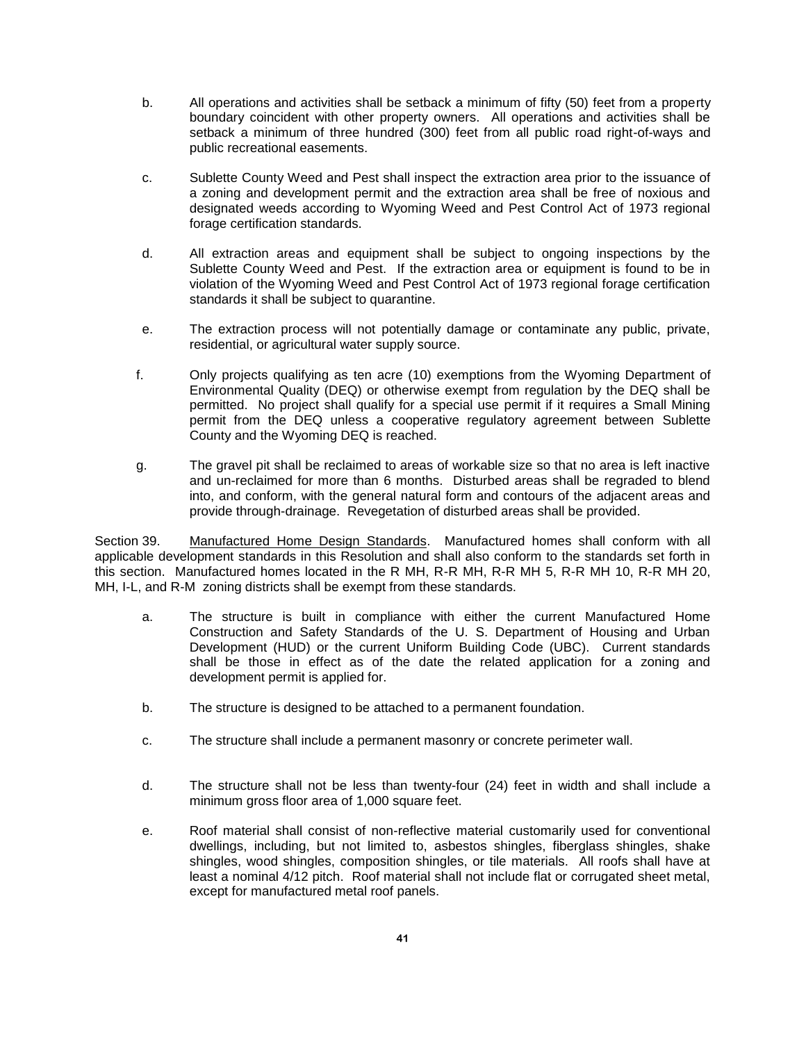- b. All operations and activities shall be setback a minimum of fifty (50) feet from a property boundary coincident with other property owners. All operations and activities shall be setback a minimum of three hundred (300) feet from all public road right-of-ways and public recreational easements.
- c. Sublette County Weed and Pest shall inspect the extraction area prior to the issuance of a zoning and development permit and the extraction area shall be free of noxious and designated weeds according to Wyoming Weed and Pest Control Act of 1973 regional forage certification standards.
- d. All extraction areas and equipment shall be subject to ongoing inspections by the Sublette County Weed and Pest. If the extraction area or equipment is found to be in violation of the Wyoming Weed and Pest Control Act of 1973 regional forage certification standards it shall be subject to quarantine.
- e. The extraction process will not potentially damage or contaminate any public, private, residential, or agricultural water supply source.
- f. Only projects qualifying as ten acre (10) exemptions from the Wyoming Department of Environmental Quality (DEQ) or otherwise exempt from regulation by the DEQ shall be permitted. No project shall qualify for a special use permit if it requires a Small Mining permit from the DEQ unless a cooperative regulatory agreement between Sublette County and the Wyoming DEQ is reached.
- g. The gravel pit shall be reclaimed to areas of workable size so that no area is left inactive and un-reclaimed for more than 6 months. Disturbed areas shall be regraded to blend into, and conform, with the general natural form and contours of the adjacent areas and provide through-drainage. Revegetation of disturbed areas shall be provided.

Section 39. Manufactured Home Design Standards. Manufactured homes shall conform with all applicable development standards in this Resolution and shall also conform to the standards set forth in this section. Manufactured homes located in the R MH, R-R MH, R-R MH 5, R-R MH 10, R-R MH 20, MH, I-L, and R-M zoning districts shall be exempt from these standards.

- a. The structure is built in compliance with either the current Manufactured Home Construction and Safety Standards of the U. S. Department of Housing and Urban Development (HUD) or the current Uniform Building Code (UBC). Current standards shall be those in effect as of the date the related application for a zoning and development permit is applied for.
- b. The structure is designed to be attached to a permanent foundation.
- c. The structure shall include a permanent masonry or concrete perimeter wall.
- d. The structure shall not be less than twenty-four (24) feet in width and shall include a minimum gross floor area of 1,000 square feet.
- e. Roof material shall consist of non-reflective material customarily used for conventional dwellings, including, but not limited to, asbestos shingles, fiberglass shingles, shake shingles, wood shingles, composition shingles, or tile materials. All roofs shall have at least a nominal 4/12 pitch. Roof material shall not include flat or corrugated sheet metal, except for manufactured metal roof panels.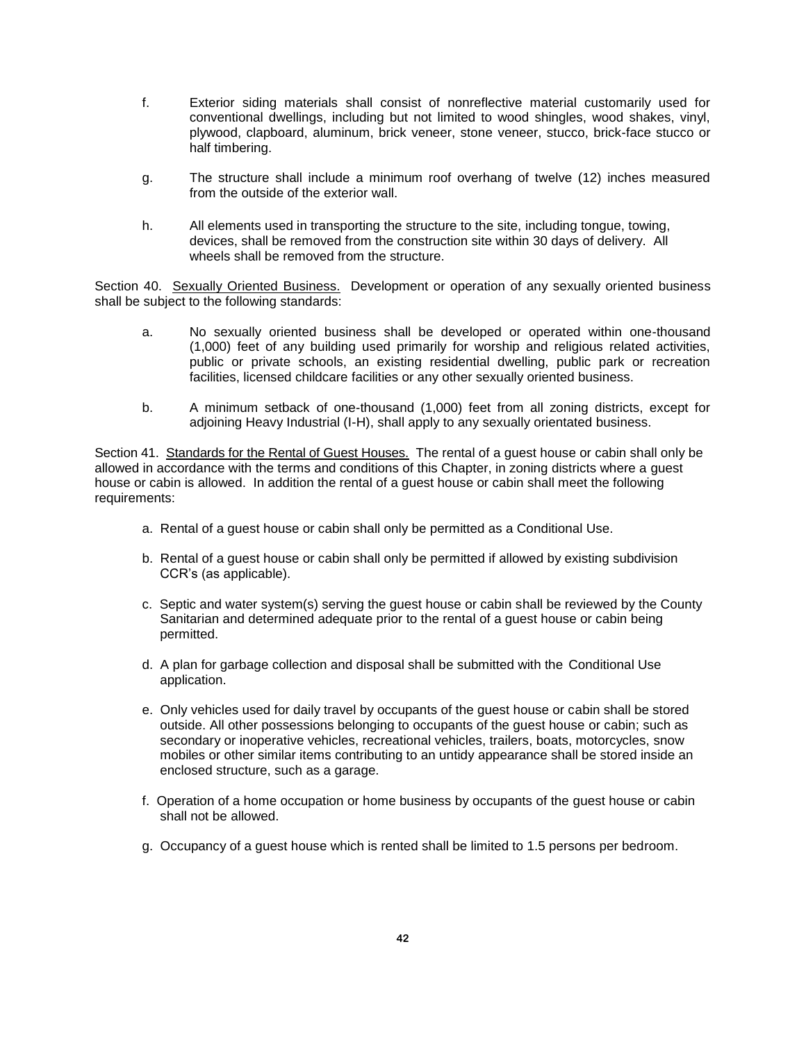- f. Exterior siding materials shall consist of nonreflective material customarily used for conventional dwellings, including but not limited to wood shingles, wood shakes, vinyl, plywood, clapboard, aluminum, brick veneer, stone veneer, stucco, brick-face stucco or half timbering.
- g. The structure shall include a minimum roof overhang of twelve (12) inches measured from the outside of the exterior wall.
- h. All elements used in transporting the structure to the site, including tongue, towing, devices, shall be removed from the construction site within 30 days of delivery. All wheels shall be removed from the structure.

Section 40. Sexually Oriented Business. Development or operation of any sexually oriented business shall be subject to the following standards:

- a. No sexually oriented business shall be developed or operated within one-thousand (1,000) feet of any building used primarily for worship and religious related activities, public or private schools, an existing residential dwelling, public park or recreation facilities, licensed childcare facilities or any other sexually oriented business.
- b. A minimum setback of one-thousand (1,000) feet from all zoning districts, except for adjoining Heavy Industrial (I-H), shall apply to any sexually orientated business.

Section 41. Standards for the Rental of Guest Houses. The rental of a guest house or cabin shall only be allowed in accordance with the terms and conditions of this Chapter, in zoning districts where a guest house or cabin is allowed. In addition the rental of a guest house or cabin shall meet the following requirements:

- a. Rental of a guest house or cabin shall only be permitted as a Conditional Use.
- b. Rental of a guest house or cabin shall only be permitted if allowed by existing subdivision CCR's (as applicable).
- c. Septic and water system(s) serving the guest house or cabin shall be reviewed by the County Sanitarian and determined adequate prior to the rental of a guest house or cabin being permitted.
- d. A plan for garbage collection and disposal shall be submitted with the Conditional Use application.
- e. Only vehicles used for daily travel by occupants of the guest house or cabin shall be stored outside. All other possessions belonging to occupants of the guest house or cabin; such as secondary or inoperative vehicles, recreational vehicles, trailers, boats, motorcycles, snow mobiles or other similar items contributing to an untidy appearance shall be stored inside an enclosed structure, such as a garage.
- f. Operation of a home occupation or home business by occupants of the guest house or cabin shall not be allowed.
- g. Occupancy of a guest house which is rented shall be limited to 1.5 persons per bedroom.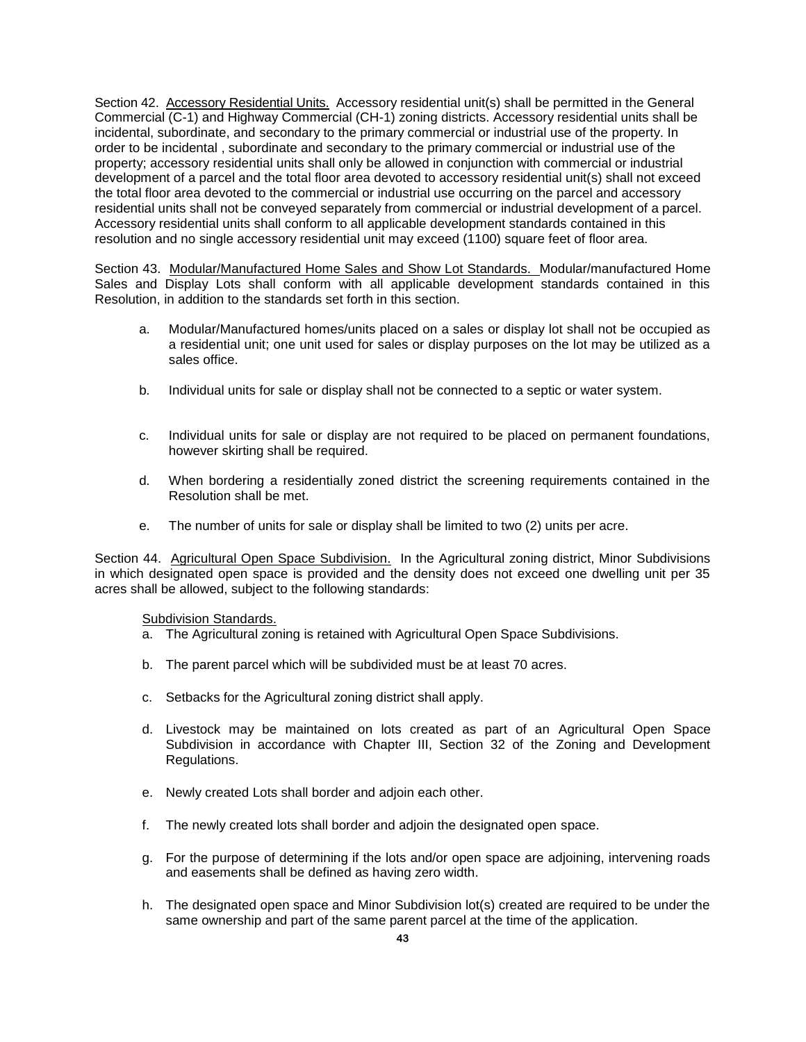Section 42. Accessory Residential Units. Accessory residential unit(s) shall be permitted in the General Commercial (C-1) and Highway Commercial (CH-1) zoning districts. Accessory residential units shall be incidental, subordinate, and secondary to the primary commercial or industrial use of the property. In order to be incidental , subordinate and secondary to the primary commercial or industrial use of the property; accessory residential units shall only be allowed in conjunction with commercial or industrial development of a parcel and the total floor area devoted to accessory residential unit(s) shall not exceed the total floor area devoted to the commercial or industrial use occurring on the parcel and accessory residential units shall not be conveyed separately from commercial or industrial development of a parcel. Accessory residential units shall conform to all applicable development standards contained in this resolution and no single accessory residential unit may exceed (1100) square feet of floor area.

Section 43. Modular/Manufactured Home Sales and Show Lot Standards. Modular/manufactured Home Sales and Display Lots shall conform with all applicable development standards contained in this Resolution, in addition to the standards set forth in this section.

- a. Modular/Manufactured homes/units placed on a sales or display lot shall not be occupied as a residential unit; one unit used for sales or display purposes on the lot may be utilized as a sales office.
- b. Individual units for sale or display shall not be connected to a septic or water system.
- c. Individual units for sale or display are not required to be placed on permanent foundations, however skirting shall be required.
- d. When bordering a residentially zoned district the screening requirements contained in the Resolution shall be met.
- e. The number of units for sale or display shall be limited to two (2) units per acre.

Section 44. Agricultural Open Space Subdivision. In the Agricultural zoning district, Minor Subdivisions in which designated open space is provided and the density does not exceed one dwelling unit per 35 acres shall be allowed, subject to the following standards:

#### Subdivision Standards.

- a. The Agricultural zoning is retained with Agricultural Open Space Subdivisions.
- b. The parent parcel which will be subdivided must be at least 70 acres.
- c. Setbacks for the Agricultural zoning district shall apply.
- d. Livestock may be maintained on lots created as part of an Agricultural Open Space Subdivision in accordance with Chapter III, Section 32 of the Zoning and Development Regulations.
- e. Newly created Lots shall border and adjoin each other.
- f. The newly created lots shall border and adjoin the designated open space.
- g. For the purpose of determining if the lots and/or open space are adjoining, intervening roads and easements shall be defined as having zero width.
- h. The designated open space and Minor Subdivision lot(s) created are required to be under the same ownership and part of the same parent parcel at the time of the application.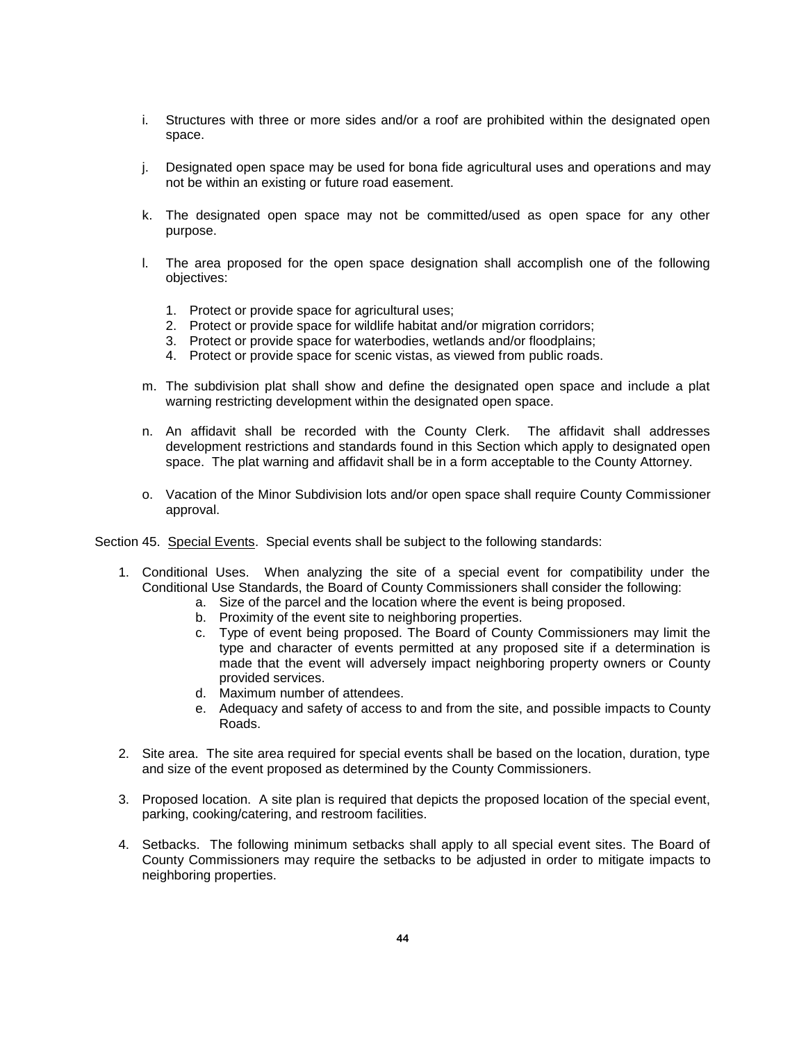- i. Structures with three or more sides and/or a roof are prohibited within the designated open space.
- j. Designated open space may be used for bona fide agricultural uses and operations and may not be within an existing or future road easement.
- k. The designated open space may not be committed/used as open space for any other purpose.
- l. The area proposed for the open space designation shall accomplish one of the following objectives:
	- 1. Protect or provide space for agricultural uses;
	- 2. Protect or provide space for wildlife habitat and/or migration corridors;
	- 3. Protect or provide space for waterbodies, wetlands and/or floodplains;
	- 4. Protect or provide space for scenic vistas, as viewed from public roads.
- m. The subdivision plat shall show and define the designated open space and include a plat warning restricting development within the designated open space.
- n. An affidavit shall be recorded with the County Clerk. The affidavit shall addresses development restrictions and standards found in this Section which apply to designated open space. The plat warning and affidavit shall be in a form acceptable to the County Attorney.
- o. Vacation of the Minor Subdivision lots and/or open space shall require County Commissioner approval.
- Section 45. Special Events. Special events shall be subject to the following standards:
	- 1. Conditional Uses. When analyzing the site of a special event for compatibility under the Conditional Use Standards, the Board of County Commissioners shall consider the following:
		- a. Size of the parcel and the location where the event is being proposed.
		- b. Proximity of the event site to neighboring properties.
		- c. Type of event being proposed. The Board of County Commissioners may limit the type and character of events permitted at any proposed site if a determination is made that the event will adversely impact neighboring property owners or County provided services.
		- d. Maximum number of attendees.
		- e. Adequacy and safety of access to and from the site, and possible impacts to County Roads.
	- 2. Site area. The site area required for special events shall be based on the location, duration, type and size of the event proposed as determined by the County Commissioners.
	- 3. Proposed location. A site plan is required that depicts the proposed location of the special event, parking, cooking/catering, and restroom facilities.
	- 4. Setbacks. The following minimum setbacks shall apply to all special event sites. The Board of County Commissioners may require the setbacks to be adjusted in order to mitigate impacts to neighboring properties.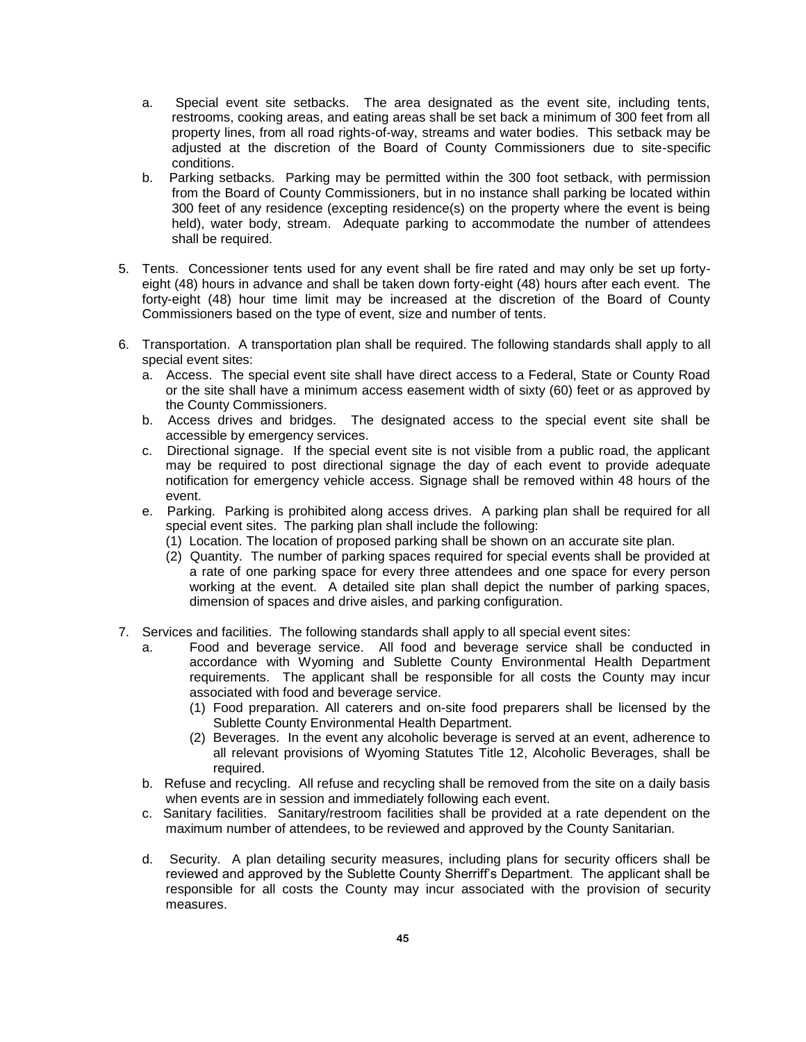- a. Special event site setbacks. The area designated as the event site, including tents, restrooms, cooking areas, and eating areas shall be set back a minimum of 300 feet from all property lines, from all road rights-of-way, streams and water bodies. This setback may be adjusted at the discretion of the Board of County Commissioners due to site-specific conditions.
- b. Parking setbacks. Parking may be permitted within the 300 foot setback, with permission from the Board of County Commissioners, but in no instance shall parking be located within 300 feet of any residence (excepting residence(s) on the property where the event is being held), water body, stream. Adequate parking to accommodate the number of attendees shall be required.
- 5. Tents. Concessioner tents used for any event shall be fire rated and may only be set up fortyeight (48) hours in advance and shall be taken down forty-eight (48) hours after each event. The forty-eight (48) hour time limit may be increased at the discretion of the Board of County Commissioners based on the type of event, size and number of tents.
- 6. Transportation. A transportation plan shall be required. The following standards shall apply to all special event sites:
	- a. Access. The special event site shall have direct access to a Federal, State or County Road or the site shall have a minimum access easement width of sixty (60) feet or as approved by the County Commissioners.
	- b. Access drives and bridges. The designated access to the special event site shall be accessible by emergency services.
	- c. Directional signage. If the special event site is not visible from a public road, the applicant may be required to post directional signage the day of each event to provide adequate notification for emergency vehicle access. Signage shall be removed within 48 hours of the event.
	- e. Parking. Parking is prohibited along access drives. A parking plan shall be required for all special event sites. The parking plan shall include the following:
		- (1) Location. The location of proposed parking shall be shown on an accurate site plan.
		- (2) Quantity. The number of parking spaces required for special events shall be provided at a rate of one parking space for every three attendees and one space for every person working at the event. A detailed site plan shall depict the number of parking spaces, dimension of spaces and drive aisles, and parking configuration.
- 7. Services and facilities. The following standards shall apply to all special event sites:
	- a. Food and beverage service. All food and beverage service shall be conducted in accordance with Wyoming and Sublette County Environmental Health Department requirements. The applicant shall be responsible for all costs the County may incur associated with food and beverage service.
		- (1) Food preparation. All caterers and on-site food preparers shall be licensed by the Sublette County Environmental Health Department.
		- (2) Beverages. In the event any alcoholic beverage is served at an event, adherence to all relevant provisions of Wyoming Statutes Title 12, Alcoholic Beverages, shall be required.
	- b. Refuse and recycling. All refuse and recycling shall be removed from the site on a daily basis when events are in session and immediately following each event.
	- c. Sanitary facilities. Sanitary/restroom facilities shall be provided at a rate dependent on the maximum number of attendees, to be reviewed and approved by the County Sanitarian.
	- d. Security. A plan detailing security measures, including plans for security officers shall be reviewed and approved by the Sublette County Sherriff's Department. The applicant shall be responsible for all costs the County may incur associated with the provision of security measures.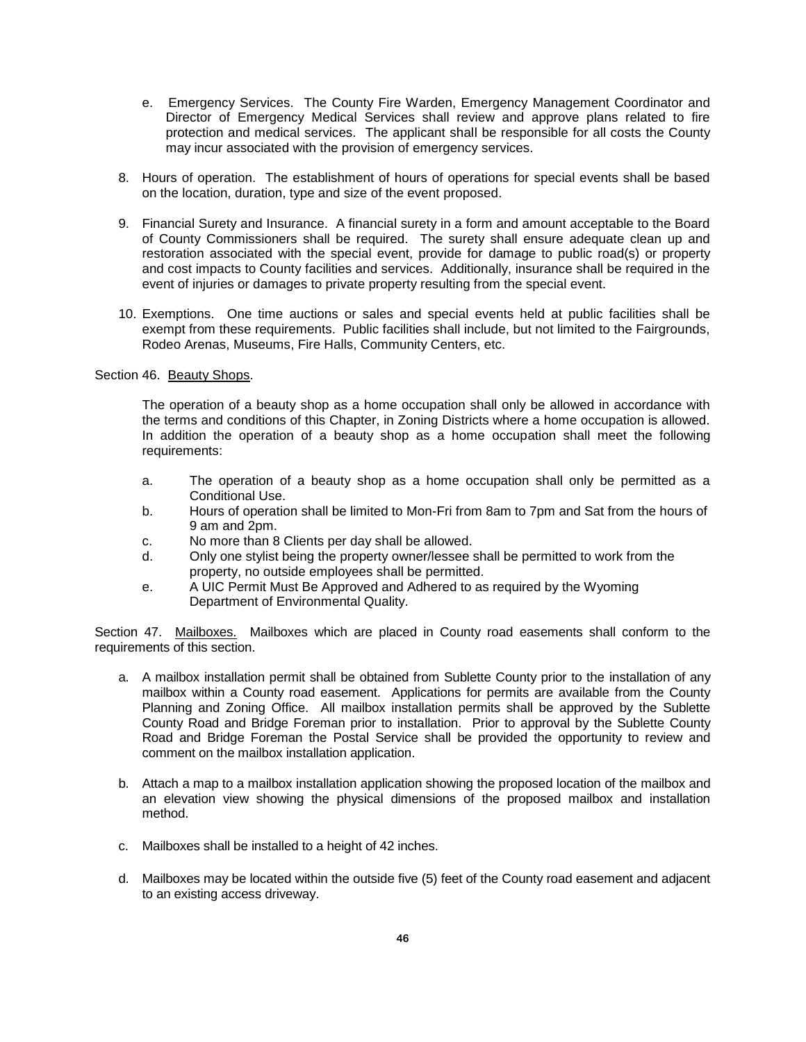- e. Emergency Services. The County Fire Warden, Emergency Management Coordinator and Director of Emergency Medical Services shall review and approve plans related to fire protection and medical services. The applicant shall be responsible for all costs the County may incur associated with the provision of emergency services.
- 8. Hours of operation. The establishment of hours of operations for special events shall be based on the location, duration, type and size of the event proposed.
- 9. Financial Surety and Insurance. A financial surety in a form and amount acceptable to the Board of County Commissioners shall be required. The surety shall ensure adequate clean up and restoration associated with the special event, provide for damage to public road(s) or property and cost impacts to County facilities and services. Additionally, insurance shall be required in the event of injuries or damages to private property resulting from the special event.
- 10. Exemptions. One time auctions or sales and special events held at public facilities shall be exempt from these requirements. Public facilities shall include, but not limited to the Fairgrounds, Rodeo Arenas, Museums, Fire Halls, Community Centers, etc.

Section 46. Beauty Shops.

The operation of a beauty shop as a home occupation shall only be allowed in accordance with the terms and conditions of this Chapter, in Zoning Districts where a home occupation is allowed. In addition the operation of a beauty shop as a home occupation shall meet the following requirements:

- a. The operation of a beauty shop as a home occupation shall only be permitted as a Conditional Use.
- b. Hours of operation shall be limited to Mon-Fri from 8am to 7pm and Sat from the hours of 9 am and 2pm.
- c. No more than 8 Clients per day shall be allowed.
- d. Only one stylist being the property owner/lessee shall be permitted to work from the property, no outside employees shall be permitted.
- e. A UIC Permit Must Be Approved and Adhered to as required by the Wyoming Department of Environmental Quality.

Section 47. Mailboxes. Mailboxes which are placed in County road easements shall conform to the requirements of this section.

- a. A mailbox installation permit shall be obtained from Sublette County prior to the installation of any mailbox within a County road easement. Applications for permits are available from the County Planning and Zoning Office. All mailbox installation permits shall be approved by the Sublette County Road and Bridge Foreman prior to installation. Prior to approval by the Sublette County Road and Bridge Foreman the Postal Service shall be provided the opportunity to review and comment on the mailbox installation application.
- b. Attach a map to a mailbox installation application showing the proposed location of the mailbox and an elevation view showing the physical dimensions of the proposed mailbox and installation method.
- c. Mailboxes shall be installed to a height of 42 inches.
- d. Mailboxes may be located within the outside five (5) feet of the County road easement and adjacent to an existing access driveway.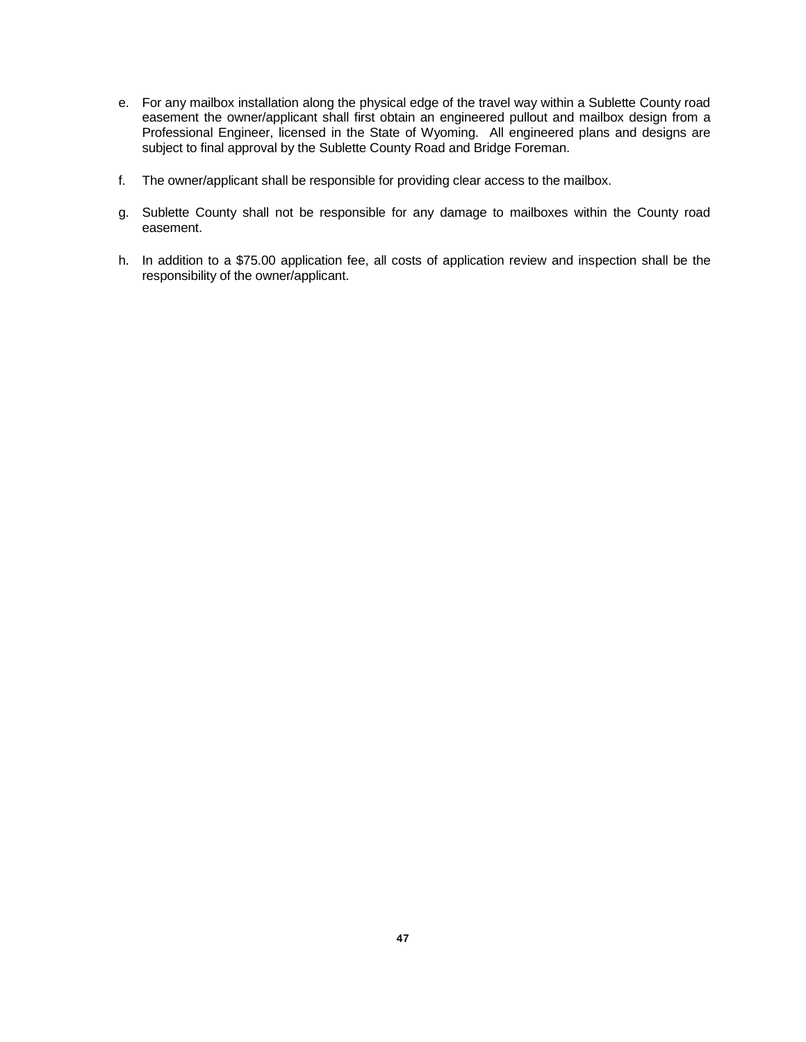- e. For any mailbox installation along the physical edge of the travel way within a Sublette County road easement the owner/applicant shall first obtain an engineered pullout and mailbox design from a Professional Engineer, licensed in the State of Wyoming. All engineered plans and designs are subject to final approval by the Sublette County Road and Bridge Foreman.
- f. The owner/applicant shall be responsible for providing clear access to the mailbox.
- g. Sublette County shall not be responsible for any damage to mailboxes within the County road easement.
- h. In addition to a \$75.00 application fee, all costs of application review and inspection shall be the responsibility of the owner/applicant.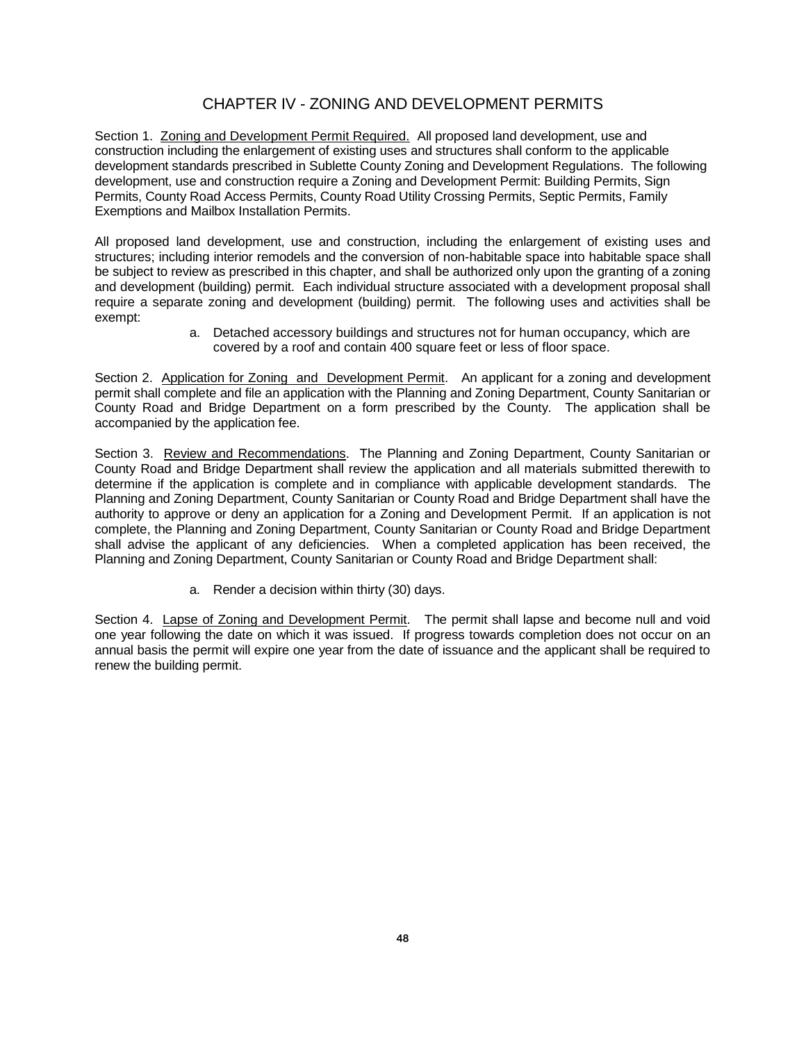# CHAPTER IV - ZONING AND DEVELOPMENT PERMITS

Section 1. Zoning and Development Permit Required. All proposed land development, use and construction including the enlargement of existing uses and structures shall conform to the applicable development standards prescribed in Sublette County Zoning and Development Regulations. The following development, use and construction require a Zoning and Development Permit: Building Permits, Sign Permits, County Road Access Permits, County Road Utility Crossing Permits, Septic Permits, Family Exemptions and Mailbox Installation Permits.

All proposed land development, use and construction, including the enlargement of existing uses and structures; including interior remodels and the conversion of non-habitable space into habitable space shall be subject to review as prescribed in this chapter, and shall be authorized only upon the granting of a zoning and development (building) permit. Each individual structure associated with a development proposal shall require a separate zoning and development (building) permit. The following uses and activities shall be exempt:

> a. Detached accessory buildings and structures not for human occupancy, which are covered by a roof and contain 400 square feet or less of floor space.

Section 2. Application for Zoning and Development Permit. An applicant for a zoning and development permit shall complete and file an application with the Planning and Zoning Department, County Sanitarian or County Road and Bridge Department on a form prescribed by the County. The application shall be accompanied by the application fee.

Section 3. Review and Recommendations. The Planning and Zoning Department, County Sanitarian or County Road and Bridge Department shall review the application and all materials submitted therewith to determine if the application is complete and in compliance with applicable development standards. The Planning and Zoning Department, County Sanitarian or County Road and Bridge Department shall have the authority to approve or deny an application for a Zoning and Development Permit. If an application is not complete, the Planning and Zoning Department, County Sanitarian or County Road and Bridge Department shall advise the applicant of any deficiencies. When a completed application has been received, the Planning and Zoning Department, County Sanitarian or County Road and Bridge Department shall:

a. Render a decision within thirty (30) days.

Section 4. Lapse of Zoning and Development Permit. The permit shall lapse and become null and void one year following the date on which it was issued. If progress towards completion does not occur on an annual basis the permit will expire one year from the date of issuance and the applicant shall be required to renew the building permit.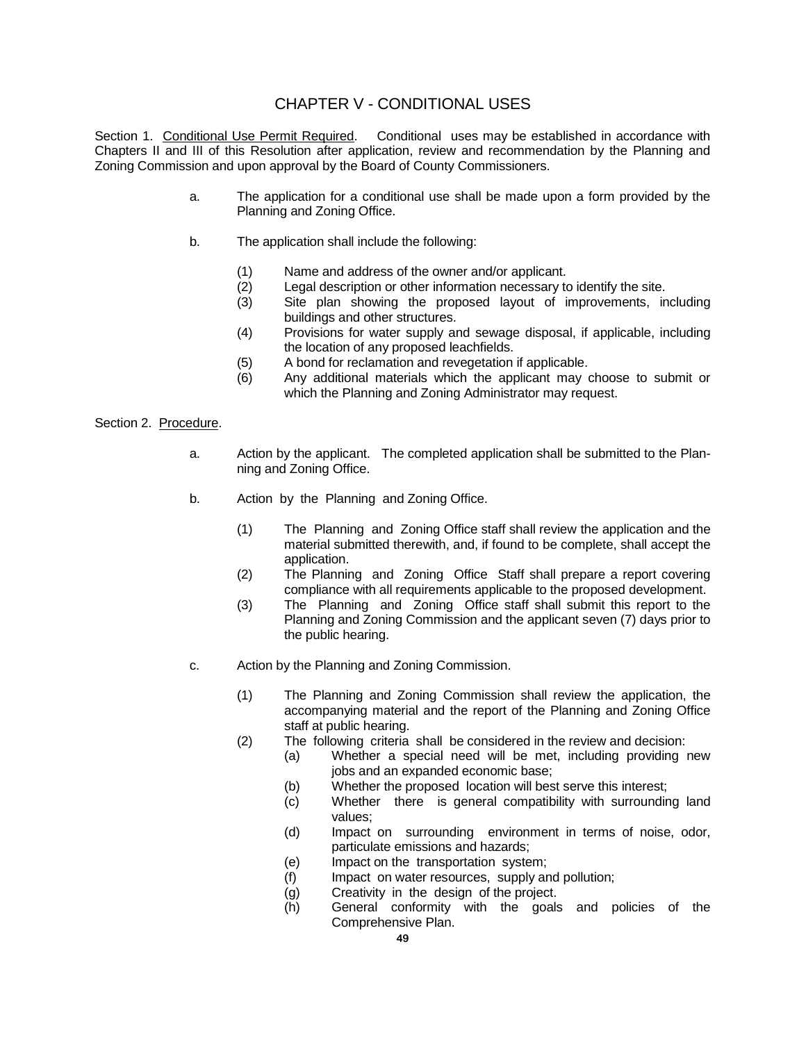## CHAPTER V - CONDITIONAL USES

Section 1. Conditional Use Permit Required. Conditional uses may be established in accordance with Chapters II and III of this Resolution after application, review and recommendation by the Planning and Zoning Commission and upon approval by the Board of County Commissioners.

- a. The application for a conditional use shall be made upon a form provided by the Planning and Zoning Office.
- b. The application shall include the following:
	- (1) Name and address of the owner and/or applicant.
	- (2) Legal description or other information necessary to identify the site.
	- (3) Site plan showing the proposed layout of improvements, including buildings and other structures.
	- (4) Provisions for water supply and sewage disposal, if applicable, including the location of any proposed leachfields.
	- (5) A bond for reclamation and revegetation if applicable.
	- (6) Any additional materials which the applicant may choose to submit or which the Planning and Zoning Administrator may request.

### Section 2. Procedure.

- a. Action by the applicant. The completed application shall be submitted to the Planning and Zoning Office.
- b. Action by the Planning and Zoning Office.
	- (1) The Planning and Zoning Office staff shall review the application and the material submitted therewith, and, if found to be complete, shall accept the application.
	- (2) The Planning and Zoning Office Staff shall prepare a report covering compliance with all requirements applicable to the proposed development.
	- (3) The Planning and Zoning Office staff shall submit this report to the Planning and Zoning Commission and the applicant seven (7) days prior to the public hearing.
- c. Action by the Planning and Zoning Commission.
	- (1) The Planning and Zoning Commission shall review the application, the accompanying material and the report of the Planning and Zoning Office staff at public hearing.
	- (2) The following criteria shall be considered in the review and decision:
		- (a) Whether a special need will be met, including providing new jobs and an expanded economic base;
		- (b) Whether the proposed location will best serve this interest;
		- (c) Whether there is general compatibility with surrounding land values;
		- (d) Impact on surrounding environment in terms of noise, odor, particulate emissions and hazards;
		- (e) Impact on the transportation system;
		- (f) Impact on water resources, supply and pollution;
		- (g) Creativity in the design of the project.
		- (h) General conformity with the goals and policies of the Comprehensive Plan.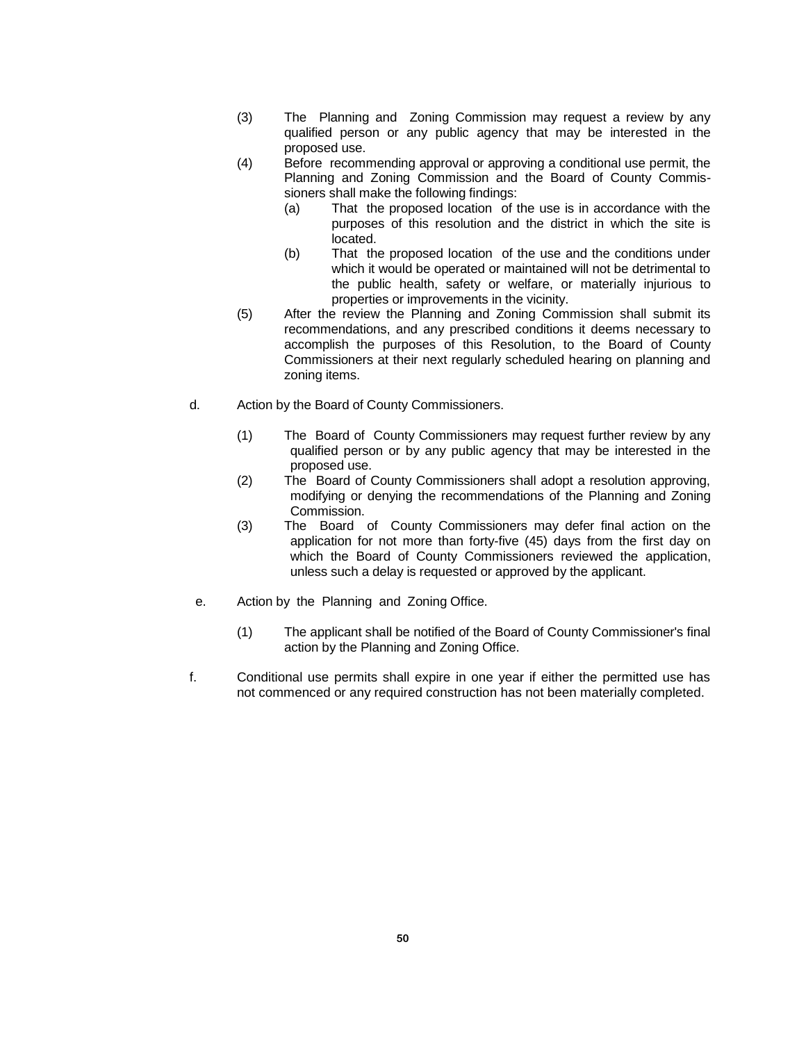- (3) The Planning and Zoning Commission may request a review by any qualified person or any public agency that may be interested in the proposed use.
- (4) Before recommending approval or approving a conditional use permit, the Planning and Zoning Commission and the Board of County Commissioners shall make the following findings:
	- (a) That the proposed location of the use is in accordance with the purposes of this resolution and the district in which the site is located.
	- (b) That the proposed location of the use and the conditions under which it would be operated or maintained will not be detrimental to the public health, safety or welfare, or materially injurious to properties or improvements in the vicinity.
- (5) After the review the Planning and Zoning Commission shall submit its recommendations, and any prescribed conditions it deems necessary to accomplish the purposes of this Resolution, to the Board of County Commissioners at their next regularly scheduled hearing on planning and zoning items.
- d. Action by the Board of County Commissioners.
	- (1) The Board of County Commissioners may request further review by any qualified person or by any public agency that may be interested in the proposed use.
	- (2) The Board of County Commissioners shall adopt a resolution approving, modifying or denying the recommendations of the Planning and Zoning Commission.
	- (3) The Board of County Commissioners may defer final action on the application for not more than forty-five (45) days from the first day on which the Board of County Commissioners reviewed the application, unless such a delay is requested or approved by the applicant.
- e. Action by the Planning and Zoning Office.
	- (1) The applicant shall be notified of the Board of County Commissioner's final action by the Planning and Zoning Office.
- f. Conditional use permits shall expire in one year if either the permitted use has not commenced or any required construction has not been materially completed.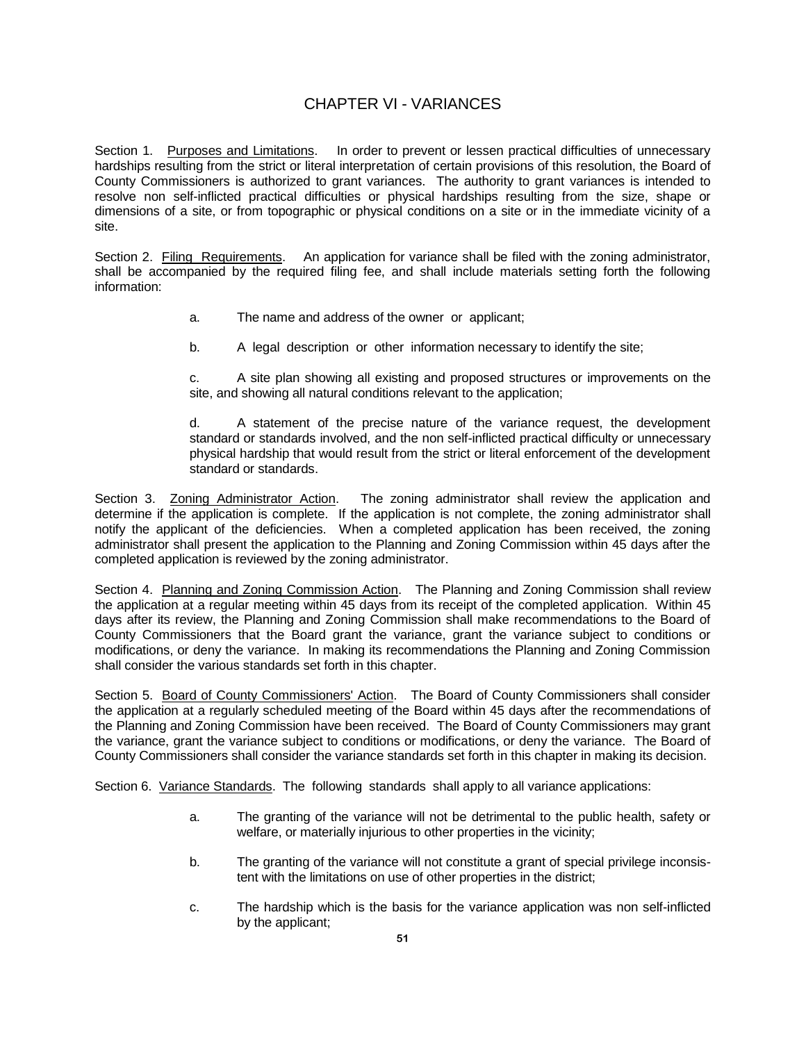# CHAPTER VI - VARIANCES

Section 1. Purposes and Limitations. In order to prevent or lessen practical difficulties of unnecessary hardships resulting from the strict or literal interpretation of certain provisions of this resolution, the Board of County Commissioners is authorized to grant variances. The authority to grant variances is intended to resolve non self-inflicted practical difficulties or physical hardships resulting from the size, shape or dimensions of a site, or from topographic or physical conditions on a site or in the immediate vicinity of a site.

Section 2. Filing Requirements. An application for variance shall be filed with the zoning administrator, shall be accompanied by the required filing fee, and shall include materials setting forth the following information:

- a. The name and address of the owner or applicant;
- b. A legal description or other information necessary to identify the site;

c. A site plan showing all existing and proposed structures or improvements on the site, and showing all natural conditions relevant to the application;

d. A statement of the precise nature of the variance request, the development standard or standards involved, and the non self-inflicted practical difficulty or unnecessary physical hardship that would result from the strict or literal enforcement of the development standard or standards.

Section 3. Zoning Administrator Action. The zoning administrator shall review the application and determine if the application is complete. If the application is not complete, the zoning administrator shall notify the applicant of the deficiencies. When a completed application has been received, the zoning administrator shall present the application to the Planning and Zoning Commission within 45 days after the completed application is reviewed by the zoning administrator.

Section 4. Planning and Zoning Commission Action. The Planning and Zoning Commission shall review the application at a regular meeting within 45 days from its receipt of the completed application. Within 45 days after its review, the Planning and Zoning Commission shall make recommendations to the Board of County Commissioners that the Board grant the variance, grant the variance subject to conditions or modifications, or deny the variance. In making its recommendations the Planning and Zoning Commission shall consider the various standards set forth in this chapter.

Section 5. Board of County Commissioners' Action. The Board of County Commissioners shall consider the application at a regularly scheduled meeting of the Board within 45 days after the recommendations of the Planning and Zoning Commission have been received. The Board of County Commissioners may grant the variance, grant the variance subject to conditions or modifications, or deny the variance. The Board of County Commissioners shall consider the variance standards set forth in this chapter in making its decision.

Section 6. Variance Standards. The following standards shall apply to all variance applications:

- a. The granting of the variance will not be detrimental to the public health, safety or welfare, or materially injurious to other properties in the vicinity;
- b. The granting of the variance will not constitute a grant of special privilege inconsistent with the limitations on use of other properties in the district;
- c. The hardship which is the basis for the variance application was non self-inflicted by the applicant;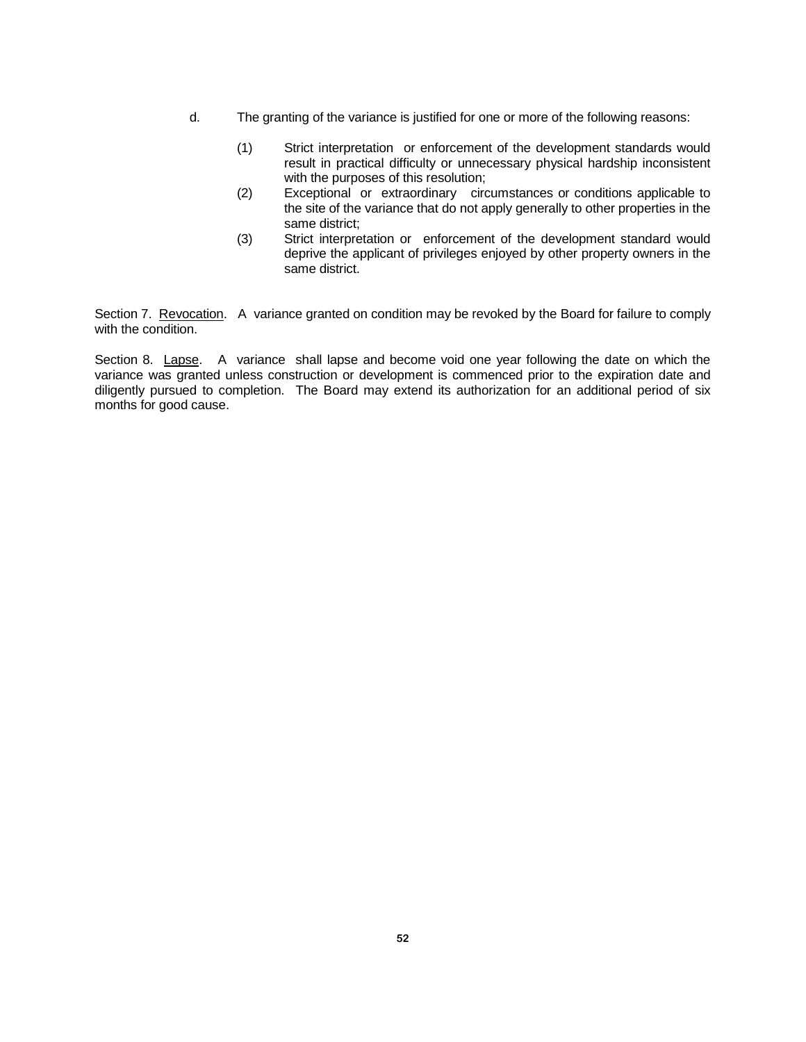- d. The granting of the variance is justified for one or more of the following reasons:
	- (1) Strict interpretation or enforcement of the development standards would result in practical difficulty or unnecessary physical hardship inconsistent with the purposes of this resolution;
	- (2) Exceptional or extraordinary circumstances or conditions applicable to the site of the variance that do not apply generally to other properties in the same district;
	- (3) Strict interpretation or enforcement of the development standard would deprive the applicant of privileges enjoyed by other property owners in the same district.

Section 7. Revocation. A variance granted on condition may be revoked by the Board for failure to comply with the condition.

Section 8. Lapse. A variance shall lapse and become void one year following the date on which the variance was granted unless construction or development is commenced prior to the expiration date and diligently pursued to completion. The Board may extend its authorization for an additional period of six months for good cause.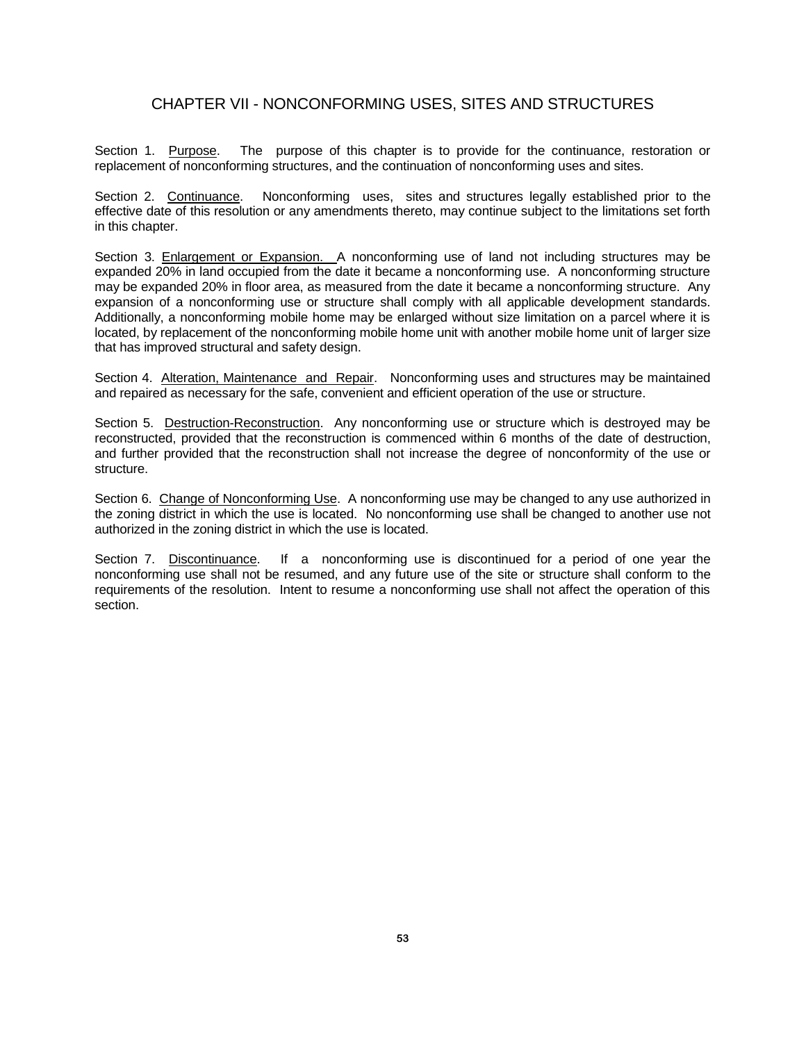## CHAPTER VII - NONCONFORMING USES, SITES AND STRUCTURES

Section 1. Purpose. The purpose of this chapter is to provide for the continuance, restoration or replacement of nonconforming structures, and the continuation of nonconforming uses and sites.

Section 2. Continuance. Nonconforming uses, sites and structures legally established prior to the effective date of this resolution or any amendments thereto, may continue subject to the limitations set forth in this chapter.

Section 3. Enlargement or Expansion. A nonconforming use of land not including structures may be expanded 20% in land occupied from the date it became a nonconforming use. A nonconforming structure may be expanded 20% in floor area, as measured from the date it became a nonconforming structure. Any expansion of a nonconforming use or structure shall comply with all applicable development standards. Additionally, a nonconforming mobile home may be enlarged without size limitation on a parcel where it is located, by replacement of the nonconforming mobile home unit with another mobile home unit of larger size that has improved structural and safety design.

Section 4. Alteration, Maintenance and Repair. Nonconforming uses and structures may be maintained and repaired as necessary for the safe, convenient and efficient operation of the use or structure.

Section 5. Destruction-Reconstruction. Any nonconforming use or structure which is destroyed may be reconstructed, provided that the reconstruction is commenced within 6 months of the date of destruction, and further provided that the reconstruction shall not increase the degree of nonconformity of the use or structure.

Section 6. Change of Nonconforming Use. A nonconforming use may be changed to any use authorized in the zoning district in which the use is located. No nonconforming use shall be changed to another use not authorized in the zoning district in which the use is located.

Section 7. Discontinuance. If a nonconforming use is discontinued for a period of one year the nonconforming use shall not be resumed, and any future use of the site or structure shall conform to the requirements of the resolution. Intent to resume a nonconforming use shall not affect the operation of this section.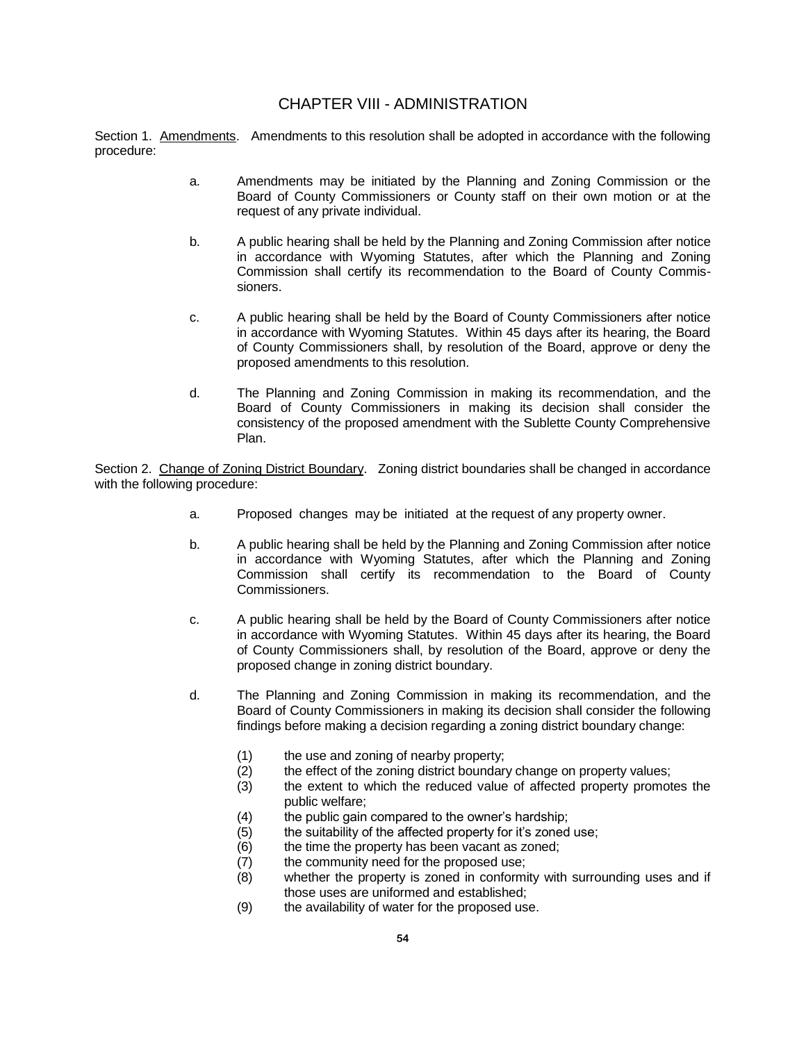### CHAPTER VIII - ADMINISTRATION

Section 1. Amendments. Amendments to this resolution shall be adopted in accordance with the following procedure:

- a. Amendments may be initiated by the Planning and Zoning Commission or the Board of County Commissioners or County staff on their own motion or at the request of any private individual.
- b. A public hearing shall be held by the Planning and Zoning Commission after notice in accordance with Wyoming Statutes, after which the Planning and Zoning Commission shall certify its recommendation to the Board of County Commissioners.
- c. A public hearing shall be held by the Board of County Commissioners after notice in accordance with Wyoming Statutes. Within 45 days after its hearing, the Board of County Commissioners shall, by resolution of the Board, approve or deny the proposed amendments to this resolution.
- d. The Planning and Zoning Commission in making its recommendation, and the Board of County Commissioners in making its decision shall consider the consistency of the proposed amendment with the Sublette County Comprehensive Plan.

Section 2. Change of Zoning District Boundary. Zoning district boundaries shall be changed in accordance with the following procedure:

- a. Proposed changes may be initiated at the request of any property owner.
- b. A public hearing shall be held by the Planning and Zoning Commission after notice in accordance with Wyoming Statutes, after which the Planning and Zoning Commission shall certify its recommendation to the Board of County Commissioners.
- c. A public hearing shall be held by the Board of County Commissioners after notice in accordance with Wyoming Statutes. Within 45 days after its hearing, the Board of County Commissioners shall, by resolution of the Board, approve or deny the proposed change in zoning district boundary.
- d. The Planning and Zoning Commission in making its recommendation, and the Board of County Commissioners in making its decision shall consider the following findings before making a decision regarding a zoning district boundary change:
	- (1) the use and zoning of nearby property;
	- (2) the effect of the zoning district boundary change on property values;
	- (3) the extent to which the reduced value of affected property promotes the public welfare;
	- (4) the public gain compared to the owner's hardship;
	- (5) the suitability of the affected property for it's zoned use;
	- (6) the time the property has been vacant as zoned;
	- (7) the community need for the proposed use;
	- (8) whether the property is zoned in conformity with surrounding uses and if those uses are uniformed and established;
	- (9) the availability of water for the proposed use.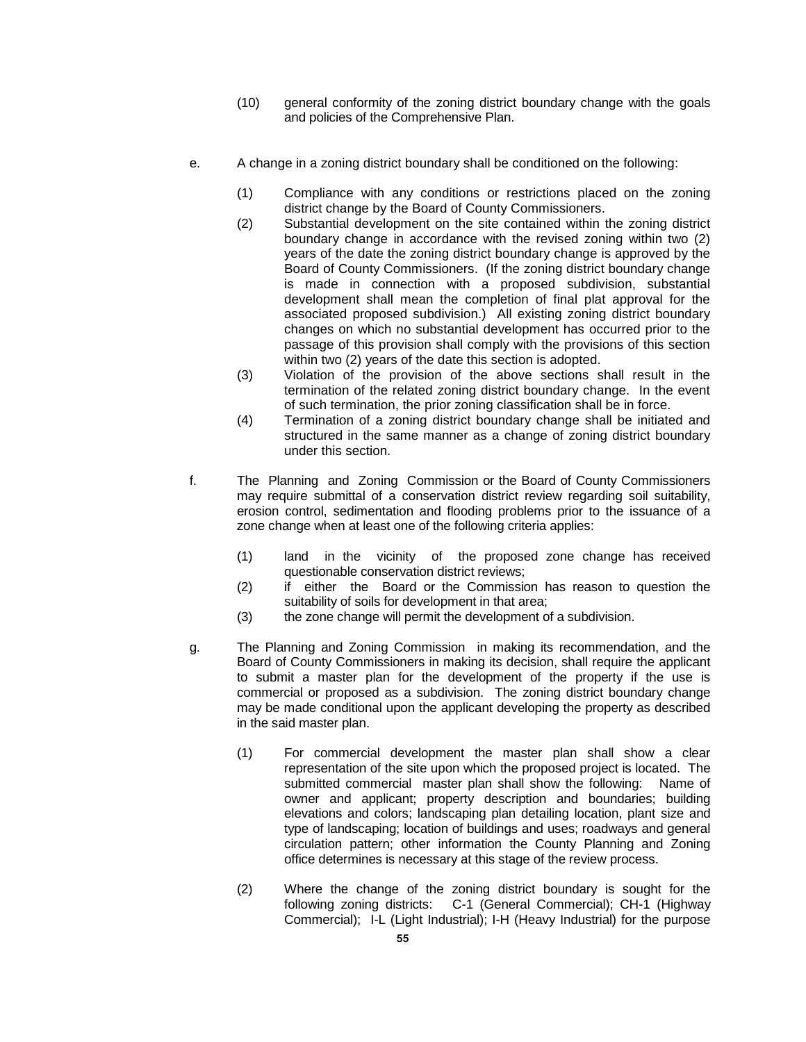- (10) general conformity of the zoning district boundary change with the goals and policies of the Comprehensive Plan.
- e. A change in a zoning district boundary shall be conditioned on the following:
	- (1) Compliance with any conditions or restrictions placed on the zoning district change by the Board of County Commissioners.
	- (2) Substantial development on the site contained within the zoning district boundary change in accordance with the revised zoning within two (2) years of the date the zoning district boundary change is approved by the Board of County Commissioners. (If the zoning district boundary change is made in connection with a proposed subdivision, substantial development shall mean the completion of final plat approval for the associated proposed subdivision.) All existing zoning district boundary changes on which no substantial development has occurred prior to the passage of this provision shall comply with the provisions of this section within two (2) years of the date this section is adopted.
	- (3) Violation of the provision of the above sections shall result in the termination of the related zoning district boundary change. In the event of such termination, the prior zoning classification shall be in force.
	- (4) Termination of a zoning district boundary change shall be initiated and structured in the same manner as a change of zoning district boundary under this section.
- f. The Planning and Zoning Commission or the Board of County Commissioners may require submittal of a conservation district review regarding soil suitability, erosion control, sedimentation and flooding problems prior to the issuance of a zone change when at least one of the following criteria applies:
	- (1) land in the vicinity of the proposed zone change has received questionable conservation district reviews;
	- (2) if either the Board or the Commission has reason to question the suitability of soils for development in that area;
	- (3) the zone change will permit the development of a subdivision.
- g. The Planning and Zoning Commission in making its recommendation, and the Board of County Commissioners in making its decision, shall require the applicant to submit a master plan for the development of the property if the use is commercial or proposed as a subdivision. The zoning district boundary change may be made conditional upon the applicant developing the property as described in the said master plan.
	- (1) For commercial development the master plan shall show a clear representation of the site upon which the proposed project is located. The submitted commercial master plan shall show the following: Name of owner and applicant; property description and boundaries; building elevations and colors; landscaping plan detailing location, plant size and type of landscaping; location of buildings and uses; roadways and general circulation pattern; other information the County Planning and Zoning office determines is necessary at this stage of the review process.
	- (2) Where the change of the zoning district boundary is sought for the following zoning districts: C-1 (General Commercial); CH-1 (Highway Commercial); I-L (Light Industrial); I-H (Heavy Industrial) for the purpose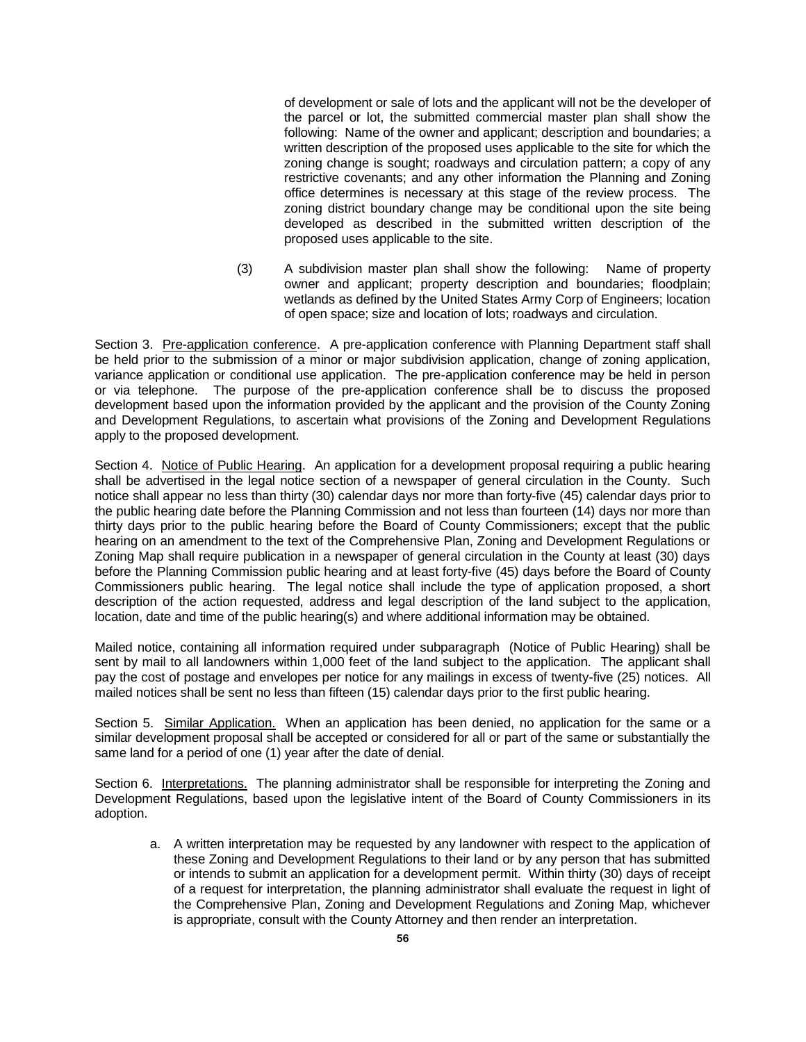of development or sale of lots and the applicant will not be the developer of the parcel or lot, the submitted commercial master plan shall show the following: Name of the owner and applicant; description and boundaries; a written description of the proposed uses applicable to the site for which the zoning change is sought; roadways and circulation pattern; a copy of any restrictive covenants; and any other information the Planning and Zoning office determines is necessary at this stage of the review process. The zoning district boundary change may be conditional upon the site being developed as described in the submitted written description of the proposed uses applicable to the site.

(3) A subdivision master plan shall show the following: Name of property owner and applicant; property description and boundaries; floodplain; wetlands as defined by the United States Army Corp of Engineers; location of open space; size and location of lots; roadways and circulation.

Section 3. Pre-application conference. A pre-application conference with Planning Department staff shall be held prior to the submission of a minor or major subdivision application, change of zoning application, variance application or conditional use application. The pre-application conference may be held in person or via telephone. The purpose of the pre-application conference shall be to discuss the proposed development based upon the information provided by the applicant and the provision of the County Zoning and Development Regulations, to ascertain what provisions of the Zoning and Development Regulations apply to the proposed development.

Section 4. Notice of Public Hearing. An application for a development proposal requiring a public hearing shall be advertised in the legal notice section of a newspaper of general circulation in the County. Such notice shall appear no less than thirty (30) calendar days nor more than forty-five (45) calendar days prior to the public hearing date before the Planning Commission and not less than fourteen (14) days nor more than thirty days prior to the public hearing before the Board of County Commissioners; except that the public hearing on an amendment to the text of the Comprehensive Plan, Zoning and Development Regulations or Zoning Map shall require publication in a newspaper of general circulation in the County at least (30) days before the Planning Commission public hearing and at least forty-five (45) days before the Board of County Commissioners public hearing. The legal notice shall include the type of application proposed, a short description of the action requested, address and legal description of the land subject to the application, location, date and time of the public hearing(s) and where additional information may be obtained.

Mailed notice, containing all information required under subparagraph (Notice of Public Hearing) shall be sent by mail to all landowners within 1,000 feet of the land subject to the application. The applicant shall pay the cost of postage and envelopes per notice for any mailings in excess of twenty-five (25) notices. All mailed notices shall be sent no less than fifteen (15) calendar days prior to the first public hearing.

Section 5. Similar Application. When an application has been denied, no application for the same or a similar development proposal shall be accepted or considered for all or part of the same or substantially the same land for a period of one (1) year after the date of denial.

Section 6. Interpretations. The planning administrator shall be responsible for interpreting the Zoning and Development Regulations, based upon the legislative intent of the Board of County Commissioners in its adoption.

a. A written interpretation may be requested by any landowner with respect to the application of these Zoning and Development Regulations to their land or by any person that has submitted or intends to submit an application for a development permit. Within thirty (30) days of receipt of a request for interpretation, the planning administrator shall evaluate the request in light of the Comprehensive Plan, Zoning and Development Regulations and Zoning Map, whichever is appropriate, consult with the County Attorney and then render an interpretation.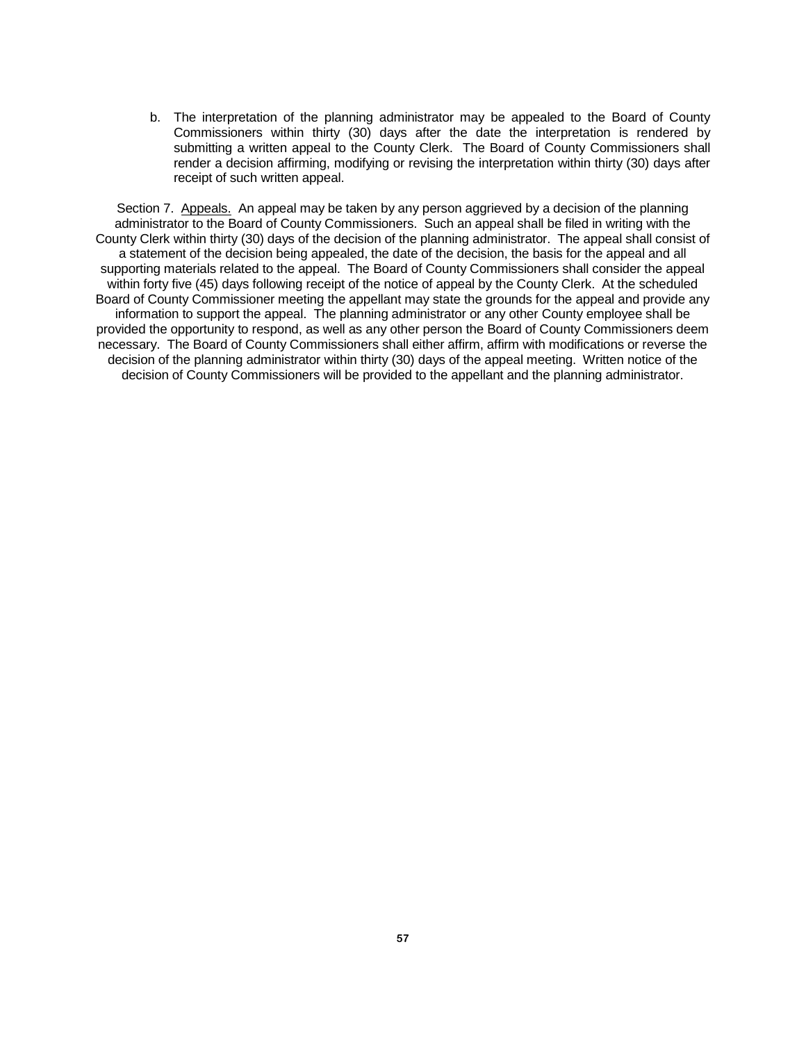b. The interpretation of the planning administrator may be appealed to the Board of County Commissioners within thirty (30) days after the date the interpretation is rendered by submitting a written appeal to the County Clerk. The Board of County Commissioners shall render a decision affirming, modifying or revising the interpretation within thirty (30) days after receipt of such written appeal.

Section 7. Appeals. An appeal may be taken by any person aggrieved by a decision of the planning administrator to the Board of County Commissioners. Such an appeal shall be filed in writing with the County Clerk within thirty (30) days of the decision of the planning administrator. The appeal shall consist of a statement of the decision being appealed, the date of the decision, the basis for the appeal and all supporting materials related to the appeal. The Board of County Commissioners shall consider the appeal within forty five (45) days following receipt of the notice of appeal by the County Clerk. At the scheduled Board of County Commissioner meeting the appellant may state the grounds for the appeal and provide any information to support the appeal. The planning administrator or any other County employee shall be provided the opportunity to respond, as well as any other person the Board of County Commissioners deem necessary. The Board of County Commissioners shall either affirm, affirm with modifications or reverse the decision of the planning administrator within thirty (30) days of the appeal meeting. Written notice of the decision of County Commissioners will be provided to the appellant and the planning administrator.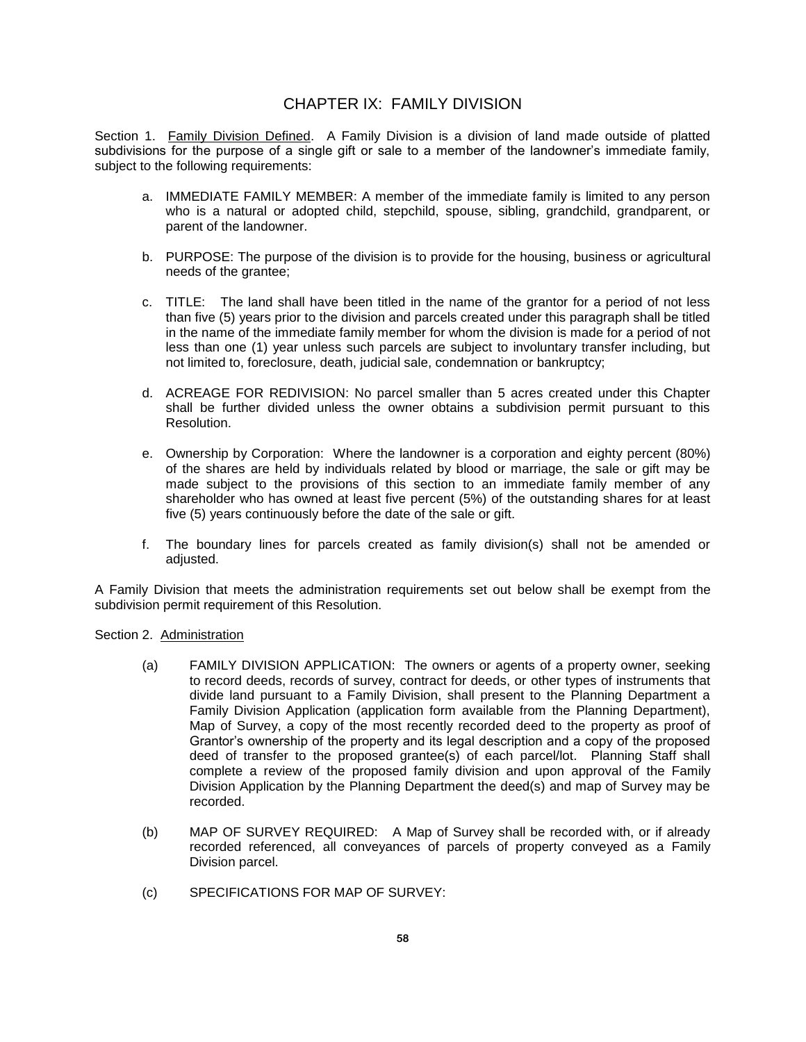# CHAPTER IX: FAMILY DIVISION

Section 1. Family Division Defined.A Family Division is a division of land made outside of platted subdivisions for the purpose of a single gift or sale to a member of the landowner's immediate family, subject to the following requirements:

- a. IMMEDIATE FAMILY MEMBER: A member of the immediate family is limited to any person who is a natural or adopted child, stepchild, spouse, sibling, grandchild, grandparent, or parent of the landowner.
- b. PURPOSE: The purpose of the division is to provide for the housing, business or agricultural needs of the grantee;
- c. TITLE: The land shall have been titled in the name of the grantor for a period of not less than five (5) years prior to the division and parcels created under this paragraph shall be titled in the name of the immediate family member for whom the division is made for a period of not less than one (1) year unless such parcels are subject to involuntary transfer including, but not limited to, foreclosure, death, judicial sale, condemnation or bankruptcy;
- d. ACREAGE FOR REDIVISION: No parcel smaller than 5 acres created under this Chapter shall be further divided unless the owner obtains a subdivision permit pursuant to this Resolution.
- e. Ownership by Corporation:Where the landowner is a corporation and eighty percent (80%) of the shares are held by individuals related by blood or marriage, the sale or gift may be made subject to the provisions of this section to an immediate family member of any shareholder who has owned at least five percent (5%) of the outstanding shares for at least five (5) years continuously before the date of the sale or gift.
- f. The boundary lines for parcels created as family division(s) shall not be amended or adjusted.

A Family Division that meets the administration requirements set out below shall be exempt from the subdivision permit requirement of this Resolution.

Section 2. Administration

- (a) FAMILY DIVISION APPLICATION:The owners or agents of a property owner, seeking to record deeds, records of survey, contract for deeds, or other types of instruments that divide land pursuant to a Family Division, shall present to the Planning Department a Family Division Application (application form available from the Planning Department), Map of Survey, a copy of the most recently recorded deed to the property as proof of Grantor's ownership of the property and its legal description and a copy of the proposed deed of transfer to the proposed grantee(s) of each parcel/lot. Planning Staff shall complete a review of the proposed family division and upon approval of the Family Division Application by the Planning Department the deed(s) and map of Survey may be recorded.
- (b) MAP OF SURVEY REQUIRED: A Map of Survey shall be recorded with, or if already recorded referenced, all conveyances of parcels of property conveyed as a Family Division parcel.
- (c) SPECIFICATIONS FOR MAP OF SURVEY: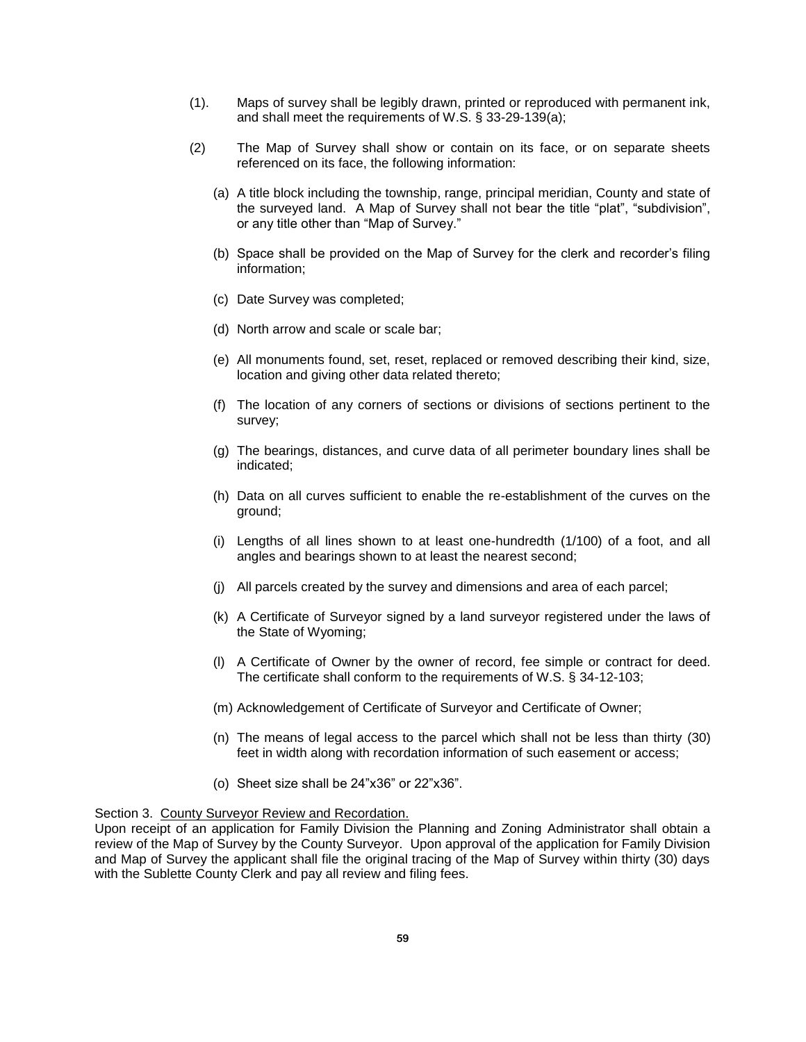- (1). Maps of survey shall be legibly drawn, printed or reproduced with permanent ink, and shall meet the requirements of W.S. § 33-29-139(a);
- (2) The Map of Survey shall show or contain on its face, or on separate sheets referenced on its face, the following information:
	- (a) A title block including the township, range, principal meridian, County and state of the surveyed land. A Map of Survey shall not bear the title "plat", "subdivision", or any title other than "Map of Survey."
	- (b) Space shall be provided on the Map of Survey for the clerk and recorder's filing information;
	- (c) Date Survey was completed;
	- (d) North arrow and scale or scale bar;
	- (e) All monuments found, set, reset, replaced or removed describing their kind, size, location and giving other data related thereto;
	- (f) The location of any corners of sections or divisions of sections pertinent to the survey;
	- (g) The bearings, distances, and curve data of all perimeter boundary lines shall be indicated;
	- (h) Data on all curves sufficient to enable the re-establishment of the curves on the ground;
	- (i) Lengths of all lines shown to at least one-hundredth (1/100) of a foot, and all angles and bearings shown to at least the nearest second;
	- (j) All parcels created by the survey and dimensions and area of each parcel;
	- (k) A Certificate of Surveyor signed by a land surveyor registered under the laws of the State of Wyoming;
	- (l) A Certificate of Owner by the owner of record, fee simple or contract for deed. The certificate shall conform to the requirements of W.S. § 34-12-103;
	- (m) Acknowledgement of Certificate of Surveyor and Certificate of Owner;
	- (n) The means of legal access to the parcel which shall not be less than thirty (30) feet in width along with recordation information of such easement or access;
	- (o) Sheet size shall be 24"x36" or 22"x36".

#### Section 3. County Surveyor Review and Recordation.

Upon receipt of an application for Family Division the Planning and Zoning Administrator shall obtain a review of the Map of Survey by the County Surveyor. Upon approval of the application for Family Division and Map of Survey the applicant shall file the original tracing of the Map of Survey within thirty (30) days with the Sublette County Clerk and pay all review and filing fees.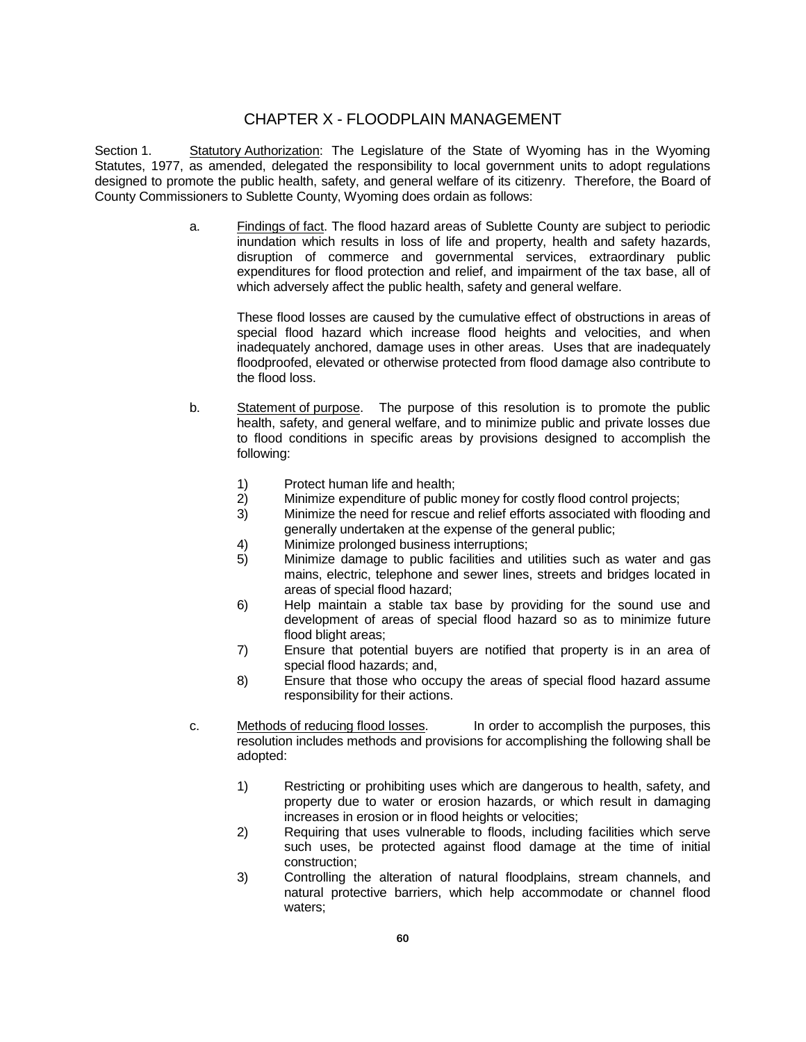### CHAPTER X - FLOODPLAIN MANAGEMENT

Section 1. Statutory Authorization: The Legislature of the State of Wyoming has in the Wyoming Statutes, 1977, as amended, delegated the responsibility to local government units to adopt regulations designed to promote the public health, safety, and general welfare of its citizenry. Therefore, the Board of County Commissioners to Sublette County, Wyoming does ordain as follows:

> a. Findings of fact. The flood hazard areas of Sublette County are subject to periodic inundation which results in loss of life and property, health and safety hazards, disruption of commerce and governmental services, extraordinary public expenditures for flood protection and relief, and impairment of the tax base, all of which adversely affect the public health, safety and general welfare.

These flood losses are caused by the cumulative effect of obstructions in areas of special flood hazard which increase flood heights and velocities, and when inadequately anchored, damage uses in other areas. Uses that are inadequately floodproofed, elevated or otherwise protected from flood damage also contribute to the flood loss.

- b. Statement of purpose. The purpose of this resolution is to promote the public health, safety, and general welfare, and to minimize public and private losses due to flood conditions in specific areas by provisions designed to accomplish the following:
	- 1) Protect human life and health;
	- 2) Minimize expenditure of public money for costly flood control projects;
	- 3) Minimize the need for rescue and relief efforts associated with flooding and generally undertaken at the expense of the general public;
	- 4) Minimize prolonged business interruptions;
	- 5) Minimize damage to public facilities and utilities such as water and gas mains, electric, telephone and sewer lines, streets and bridges located in areas of special flood hazard;
	- 6) Help maintain a stable tax base by providing for the sound use and development of areas of special flood hazard so as to minimize future flood blight areas;
	- 7) Ensure that potential buyers are notified that property is in an area of special flood hazards; and,
	- 8) Ensure that those who occupy the areas of special flood hazard assume responsibility for their actions.
- c. Methods of reducing flood losses. In order to accomplish the purposes, this resolution includes methods and provisions for accomplishing the following shall be adopted:
	- 1) Restricting or prohibiting uses which are dangerous to health, safety, and property due to water or erosion hazards, or which result in damaging increases in erosion or in flood heights or velocities;
	- 2) Requiring that uses vulnerable to floods, including facilities which serve such uses, be protected against flood damage at the time of initial construction;
	- 3) Controlling the alteration of natural floodplains, stream channels, and natural protective barriers, which help accommodate or channel flood waters;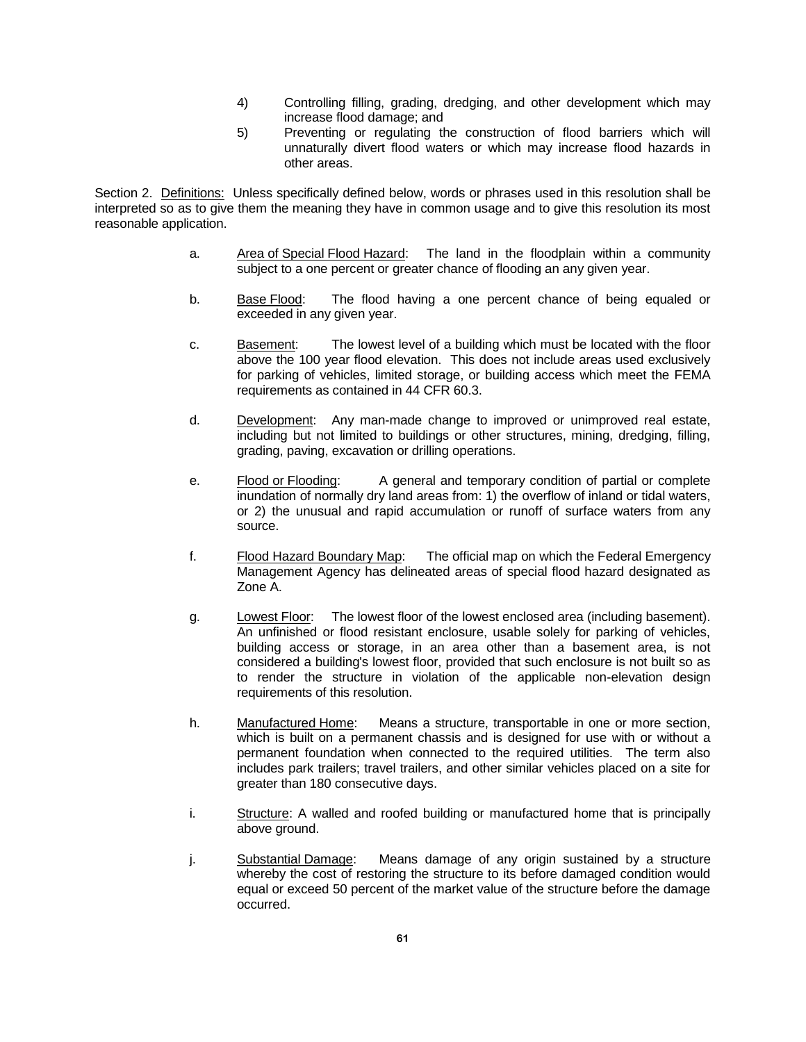- 4) Controlling filling, grading, dredging, and other development which may increase flood damage; and
- 5) Preventing or regulating the construction of flood barriers which will unnaturally divert flood waters or which may increase flood hazards in other areas.

Section 2. Definitions: Unless specifically defined below, words or phrases used in this resolution shall be interpreted so as to give them the meaning they have in common usage and to give this resolution its most reasonable application.

- a. Area of Special Flood Hazard: The land in the floodplain within a community subject to a one percent or greater chance of flooding an any given year.
- b. Base Flood: The flood having a one percent chance of being equaled or exceeded in any given year.
- c. Basement: The lowest level of a building which must be located with the floor above the 100 year flood elevation. This does not include areas used exclusively for parking of vehicles, limited storage, or building access which meet the FEMA requirements as contained in 44 CFR 60.3.
- d. Development: Any man-made change to improved or unimproved real estate, including but not limited to buildings or other structures, mining, dredging, filling, grading, paving, excavation or drilling operations.
- e. Flood or Flooding: A general and temporary condition of partial or complete inundation of normally dry land areas from: 1) the overflow of inland or tidal waters, or 2) the unusual and rapid accumulation or runoff of surface waters from any source.
- f. Flood Hazard Boundary Map: The official map on which the Federal Emergency Management Agency has delineated areas of special flood hazard designated as Zone A.
- g. Lowest Floor: The lowest floor of the lowest enclosed area (including basement). An unfinished or flood resistant enclosure, usable solely for parking of vehicles, building access or storage, in an area other than a basement area, is not considered a building's lowest floor, provided that such enclosure is not built so as to render the structure in violation of the applicable non-elevation design requirements of this resolution.
- h. Manufactured Home: Means a structure, transportable in one or more section, which is built on a permanent chassis and is designed for use with or without a permanent foundation when connected to the required utilities. The term also includes park trailers; travel trailers, and other similar vehicles placed on a site for greater than 180 consecutive days.
- i. Structure: A walled and roofed building or manufactured home that is principally above ground.
- j. Substantial Damage: Means damage of any origin sustained by a structure whereby the cost of restoring the structure to its before damaged condition would equal or exceed 50 percent of the market value of the structure before the damage occurred.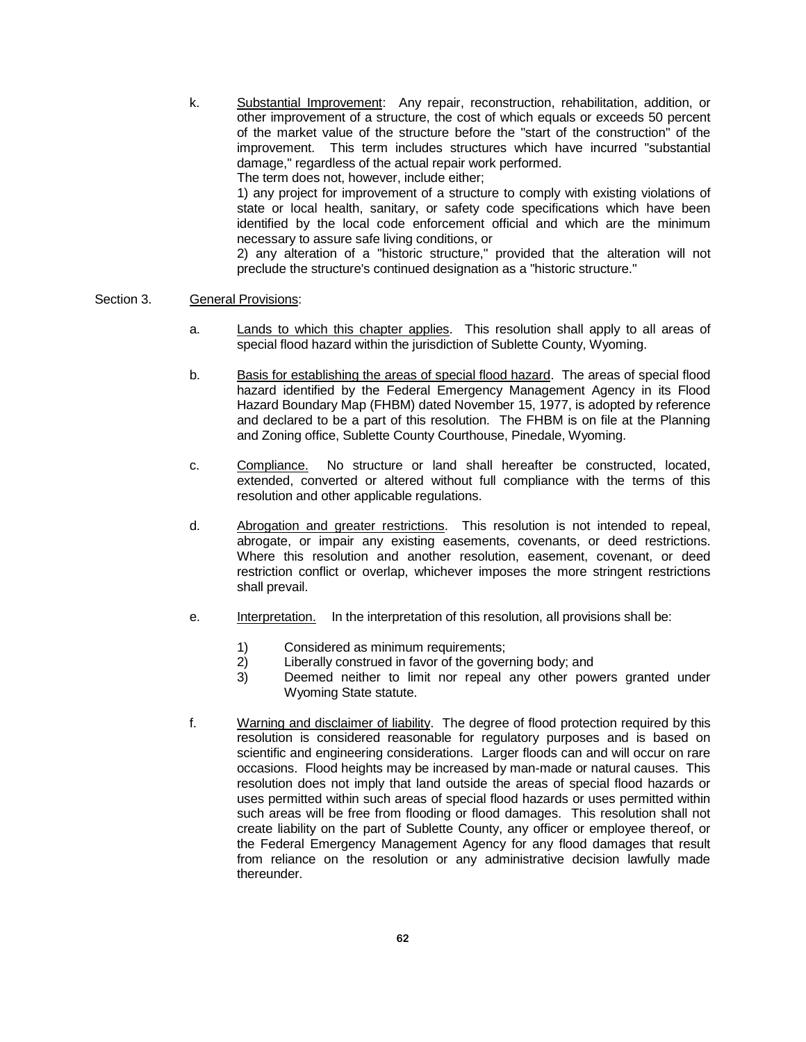k. Substantial Improvement: Any repair, reconstruction, rehabilitation, addition, or other improvement of a structure, the cost of which equals or exceeds 50 percent of the market value of the structure before the "start of the construction" of the improvement. This term includes structures which have incurred "substantial damage," regardless of the actual repair work performed. The term does not, however, include either; 1) any project for improvement of a structure to comply with existing violations of state or local health, sanitary, or safety code specifications which have been identified by the local code enforcement official and which are the minimum necessary to assure safe living conditions, or

2) any alteration of a "historic structure," provided that the alteration will not preclude the structure's continued designation as a "historic structure."

#### Section 3. General Provisions:

- a. Lands to which this chapter applies. This resolution shall apply to all areas of special flood hazard within the jurisdiction of Sublette County, Wyoming.
- b. Basis for establishing the areas of special flood hazard. The areas of special flood hazard identified by the Federal Emergency Management Agency in its Flood Hazard Boundary Map (FHBM) dated November 15, 1977, is adopted by reference and declared to be a part of this resolution. The FHBM is on file at the Planning and Zoning office, Sublette County Courthouse, Pinedale, Wyoming.
- c. Compliance. No structure or land shall hereafter be constructed, located, extended, converted or altered without full compliance with the terms of this resolution and other applicable regulations.
- d. Abrogation and greater restrictions. This resolution is not intended to repeal, abrogate, or impair any existing easements, covenants, or deed restrictions. Where this resolution and another resolution, easement, covenant, or deed restriction conflict or overlap, whichever imposes the more stringent restrictions shall prevail.
- e. Interpretation. In the interpretation of this resolution, all provisions shall be:
	- 1) Considered as minimum requirements;
	- 2) Liberally construed in favor of the governing body; and
	- 3) Deemed neither to limit nor repeal any other powers granted under Wyoming State statute.
- f. Warning and disclaimer of liability. The degree of flood protection required by this resolution is considered reasonable for regulatory purposes and is based on scientific and engineering considerations. Larger floods can and will occur on rare occasions. Flood heights may be increased by man-made or natural causes. This resolution does not imply that land outside the areas of special flood hazards or uses permitted within such areas of special flood hazards or uses permitted within such areas will be free from flooding or flood damages. This resolution shall not create liability on the part of Sublette County, any officer or employee thereof, or the Federal Emergency Management Agency for any flood damages that result from reliance on the resolution or any administrative decision lawfully made thereunder.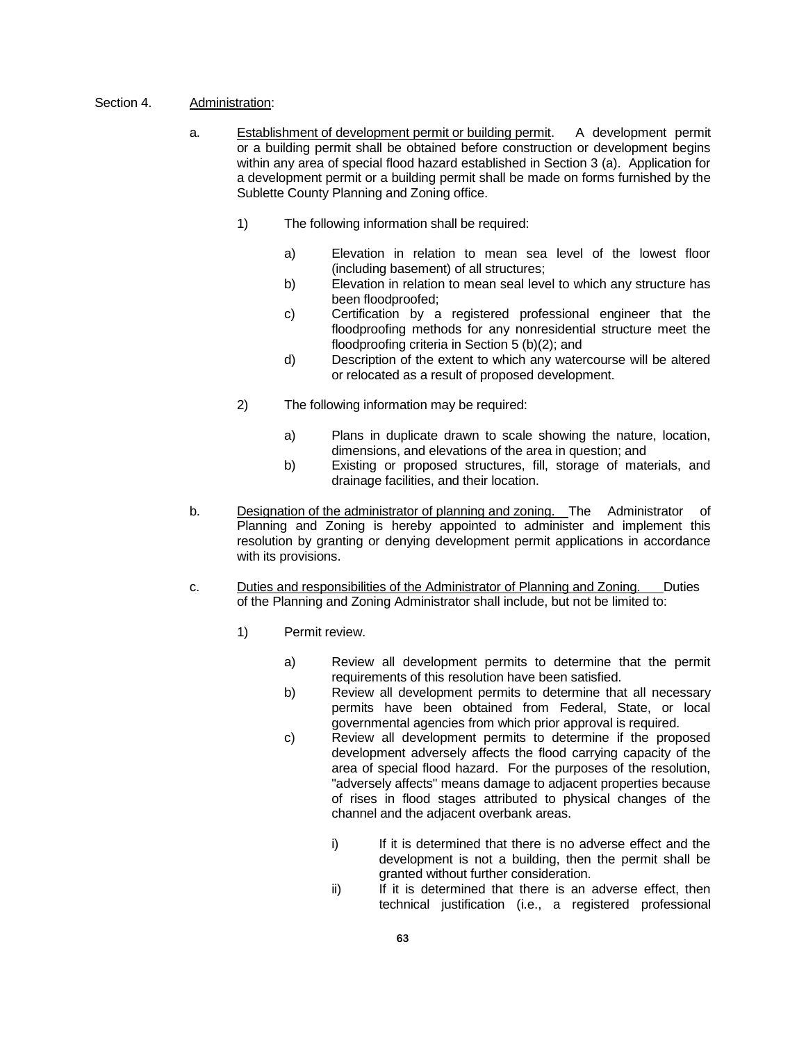- Section 4. Administration:
	- a. Establishment of development permit or building permit. A development permit or a building permit shall be obtained before construction or development begins within any area of special flood hazard established in Section 3 (a). Application for a development permit or a building permit shall be made on forms furnished by the Sublette County Planning and Zoning office.
		- 1) The following information shall be required:
			- a) Elevation in relation to mean sea level of the lowest floor (including basement) of all structures;
			- b) Elevation in relation to mean seal level to which any structure has been floodproofed;
			- c) Certification by a registered professional engineer that the floodproofing methods for any nonresidential structure meet the floodproofing criteria in Section 5 (b)(2); and
			- d) Description of the extent to which any watercourse will be altered or relocated as a result of proposed development.
		- 2) The following information may be required:
			- a) Plans in duplicate drawn to scale showing the nature, location, dimensions, and elevations of the area in question; and
			- b) Existing or proposed structures, fill, storage of materials, and drainage facilities, and their location.
	- b. Designation of the administrator of planning and zoning. The Administrator of Planning and Zoning is hereby appointed to administer and implement this resolution by granting or denying development permit applications in accordance with its provisions.
	- c. Duties and responsibilities of the Administrator of Planning and Zoning. Duties of the Planning and Zoning Administrator shall include, but not be limited to:
		- 1) Permit review.
			- a) Review all development permits to determine that the permit requirements of this resolution have been satisfied.
			- b) Review all development permits to determine that all necessary permits have been obtained from Federal, State, or local governmental agencies from which prior approval is required.
			- c) Review all development permits to determine if the proposed development adversely affects the flood carrying capacity of the area of special flood hazard. For the purposes of the resolution, "adversely affects" means damage to adjacent properties because of rises in flood stages attributed to physical changes of the channel and the adjacent overbank areas.
				- i) If it is determined that there is no adverse effect and the development is not a building, then the permit shall be granted without further consideration.
				- ii) If it is determined that there is an adverse effect, then technical justification (i.e., a registered professional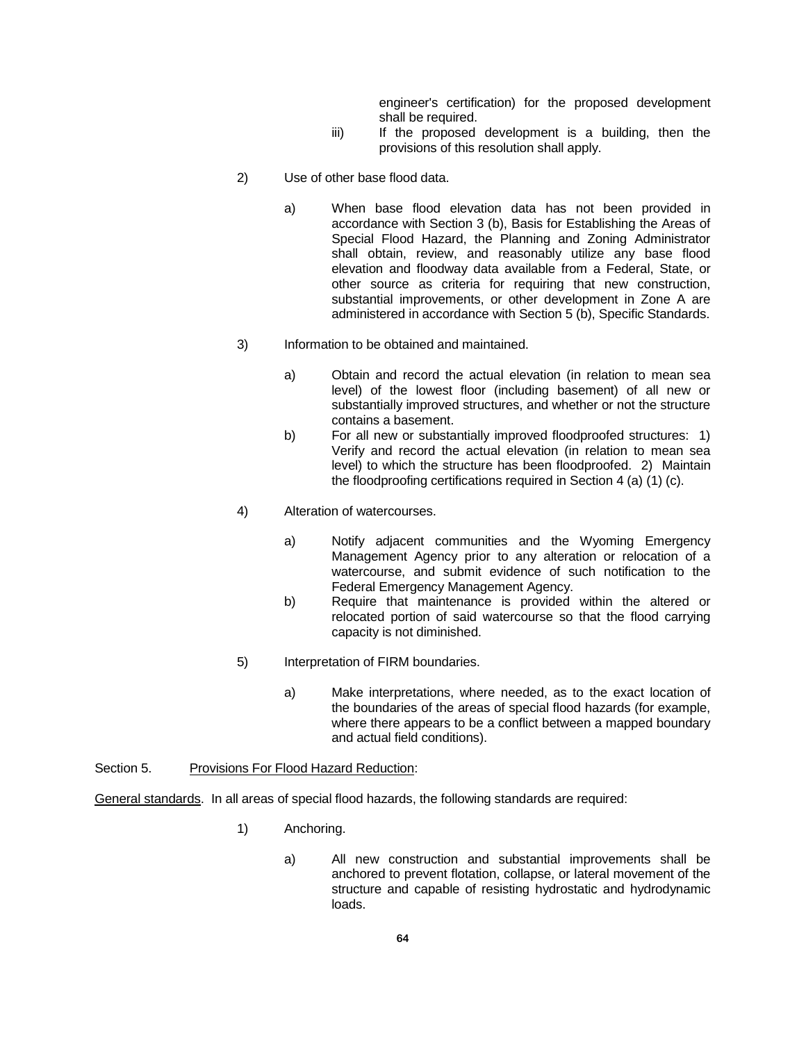engineer's certification) for the proposed development shall be required.

- iii) If the proposed development is a building, then the provisions of this resolution shall apply.
- 2) Use of other base flood data.
	- a) When base flood elevation data has not been provided in accordance with Section 3 (b), Basis for Establishing the Areas of Special Flood Hazard, the Planning and Zoning Administrator shall obtain, review, and reasonably utilize any base flood elevation and floodway data available from a Federal, State, or other source as criteria for requiring that new construction, substantial improvements, or other development in Zone A are administered in accordance with Section 5 (b), Specific Standards.
- 3) Information to be obtained and maintained.
	- a) Obtain and record the actual elevation (in relation to mean sea level) of the lowest floor (including basement) of all new or substantially improved structures, and whether or not the structure contains a basement.
	- b) For all new or substantially improved floodproofed structures: 1) Verify and record the actual elevation (in relation to mean sea level) to which the structure has been floodproofed. 2) Maintain the floodproofing certifications required in Section 4 (a) (1) (c).
- 4) Alteration of watercourses.
	- a) Notify adjacent communities and the Wyoming Emergency Management Agency prior to any alteration or relocation of a watercourse, and submit evidence of such notification to the Federal Emergency Management Agency.
	- b) Require that maintenance is provided within the altered or relocated portion of said watercourse so that the flood carrying capacity is not diminished.
- 5) Interpretation of FIRM boundaries.
	- a) Make interpretations, where needed, as to the exact location of the boundaries of the areas of special flood hazards (for example, where there appears to be a conflict between a mapped boundary and actual field conditions).

Section 5. Provisions For Flood Hazard Reduction:

General standards. In all areas of special flood hazards, the following standards are required:

- 1) Anchoring.
	- a) All new construction and substantial improvements shall be anchored to prevent flotation, collapse, or lateral movement of the structure and capable of resisting hydrostatic and hydrodynamic loads.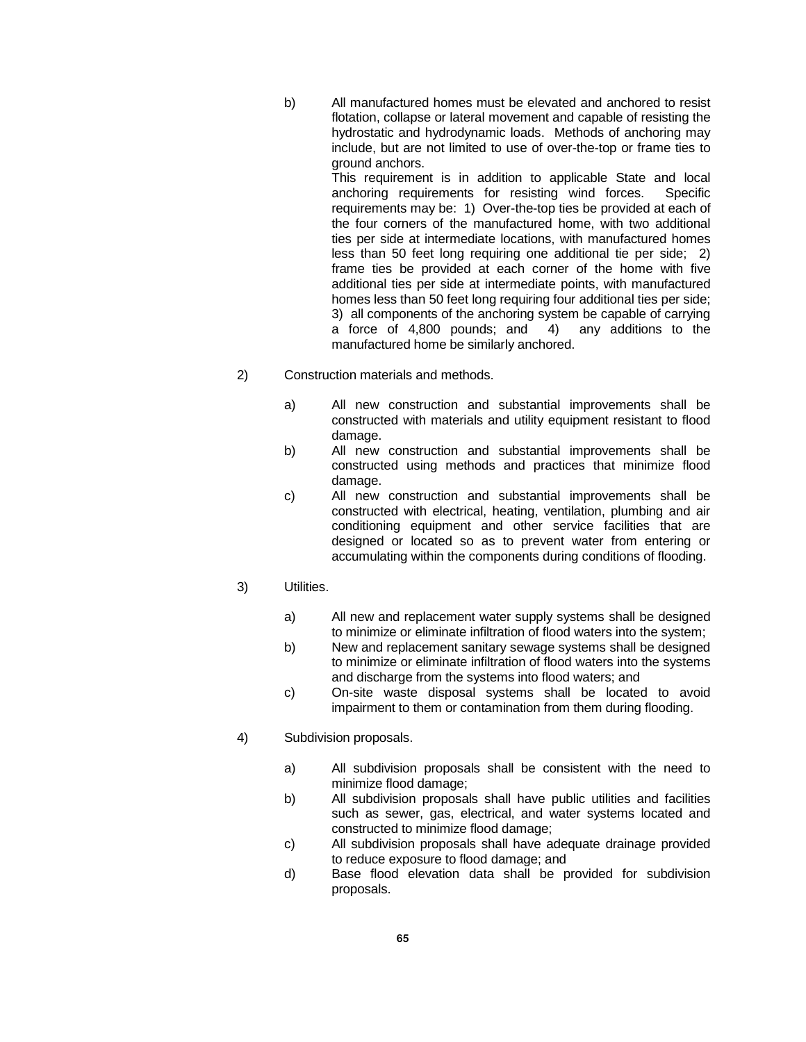b) All manufactured homes must be elevated and anchored to resist flotation, collapse or lateral movement and capable of resisting the hydrostatic and hydrodynamic loads. Methods of anchoring may include, but are not limited to use of over-the-top or frame ties to ground anchors.

This requirement is in addition to applicable State and local anchoring requirements for resisting wind forces. Specific requirements may be: 1) Over-the-top ties be provided at each of the four corners of the manufactured home, with two additional ties per side at intermediate locations, with manufactured homes less than 50 feet long requiring one additional tie per side; 2) frame ties be provided at each corner of the home with five additional ties per side at intermediate points, with manufactured homes less than 50 feet long requiring four additional ties per side; 3) all components of the anchoring system be capable of carrying a force of 4,800 pounds; and 4) any additions to the manufactured home be similarly anchored.

- 2) Construction materials and methods.
	- a) All new construction and substantial improvements shall be constructed with materials and utility equipment resistant to flood damage.
	- b) All new construction and substantial improvements shall be constructed using methods and practices that minimize flood damage.
	- c) All new construction and substantial improvements shall be constructed with electrical, heating, ventilation, plumbing and air conditioning equipment and other service facilities that are designed or located so as to prevent water from entering or accumulating within the components during conditions of flooding.

### 3) Utilities.

- a) All new and replacement water supply systems shall be designed to minimize or eliminate infiltration of flood waters into the system;
- b) New and replacement sanitary sewage systems shall be designed to minimize or eliminate infiltration of flood waters into the systems and discharge from the systems into flood waters; and
- c) On-site waste disposal systems shall be located to avoid impairment to them or contamination from them during flooding.

### 4) Subdivision proposals.

- a) All subdivision proposals shall be consistent with the need to minimize flood damage;
- b) All subdivision proposals shall have public utilities and facilities such as sewer, gas, electrical, and water systems located and constructed to minimize flood damage;
- c) All subdivision proposals shall have adequate drainage provided to reduce exposure to flood damage; and
- d) Base flood elevation data shall be provided for subdivision proposals.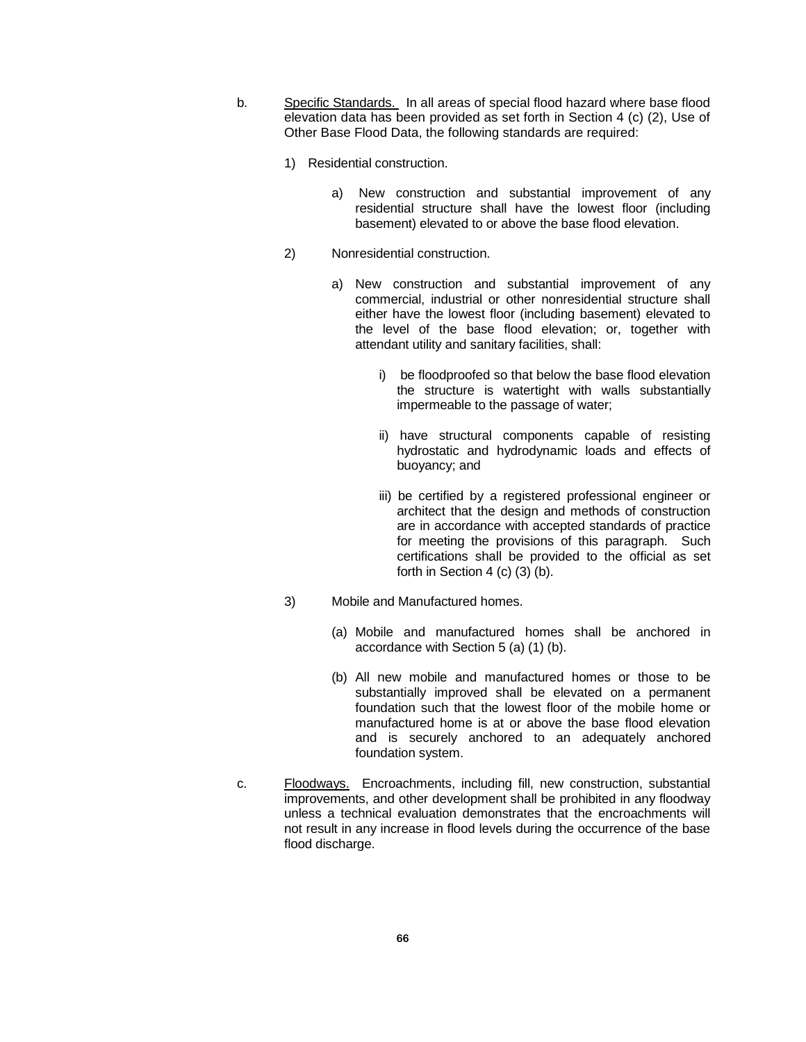- b. Specific Standards. In all areas of special flood hazard where base flood elevation data has been provided as set forth in Section 4 (c) (2), Use of Other Base Flood Data, the following standards are required:
	- 1) Residential construction.
		- a) New construction and substantial improvement of any residential structure shall have the lowest floor (including basement) elevated to or above the base flood elevation.
	- 2) Nonresidential construction.
		- a) New construction and substantial improvement of any commercial, industrial or other nonresidential structure shall either have the lowest floor (including basement) elevated to the level of the base flood elevation; or, together with attendant utility and sanitary facilities, shall:
			- i) be floodproofed so that below the base flood elevation the structure is watertight with walls substantially impermeable to the passage of water;
			- ii) have structural components capable of resisting hydrostatic and hydrodynamic loads and effects of buoyancy; and
			- iii) be certified by a registered professional engineer or architect that the design and methods of construction are in accordance with accepted standards of practice for meeting the provisions of this paragraph. Such certifications shall be provided to the official as set forth in Section 4 (c) (3) (b).
	- 3) Mobile and Manufactured homes.
		- (a) Mobile and manufactured homes shall be anchored in accordance with Section 5 (a) (1) (b).
		- (b) All new mobile and manufactured homes or those to be substantially improved shall be elevated on a permanent foundation such that the lowest floor of the mobile home or manufactured home is at or above the base flood elevation and is securely anchored to an adequately anchored foundation system.
- c. Floodways. Encroachments, including fill, new construction, substantial improvements, and other development shall be prohibited in any floodway unless a technical evaluation demonstrates that the encroachments will not result in any increase in flood levels during the occurrence of the base flood discharge.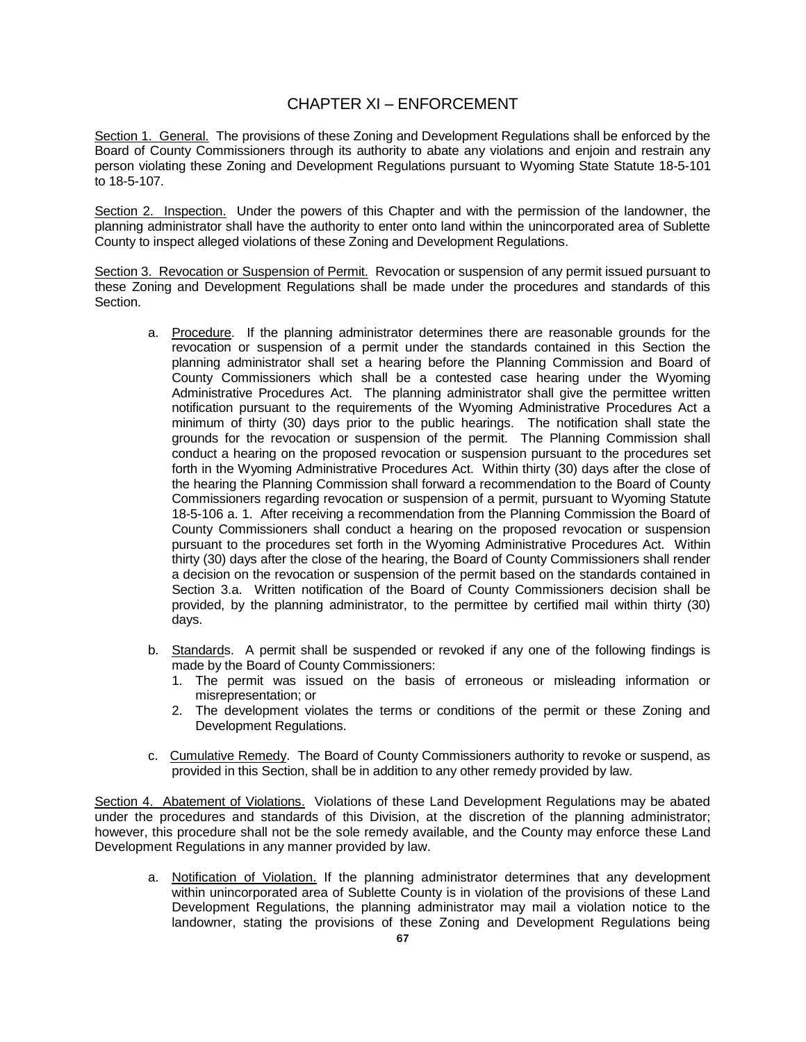## CHAPTER XI – ENFORCEMENT

Section 1. General. The provisions of these Zoning and Development Regulations shall be enforced by the Board of County Commissioners through its authority to abate any violations and enjoin and restrain any person violating these Zoning and Development Regulations pursuant to Wyoming State Statute 18-5-101 to 18-5-107.

Section 2. Inspection. Under the powers of this Chapter and with the permission of the landowner, the planning administrator shall have the authority to enter onto land within the unincorporated area of Sublette County to inspect alleged violations of these Zoning and Development Regulations.

Section 3. Revocation or Suspension of Permit. Revocation or suspension of any permit issued pursuant to these Zoning and Development Regulations shall be made under the procedures and standards of this Section.

- a. Procedure. If the planning administrator determines there are reasonable grounds for the revocation or suspension of a permit under the standards contained in this Section the planning administrator shall set a hearing before the Planning Commission and Board of County Commissioners which shall be a contested case hearing under the Wyoming Administrative Procedures Act. The planning administrator shall give the permittee written notification pursuant to the requirements of the Wyoming Administrative Procedures Act a minimum of thirty (30) days prior to the public hearings. The notification shall state the grounds for the revocation or suspension of the permit. The Planning Commission shall conduct a hearing on the proposed revocation or suspension pursuant to the procedures set forth in the Wyoming Administrative Procedures Act. Within thirty (30) days after the close of the hearing the Planning Commission shall forward a recommendation to the Board of County Commissioners regarding revocation or suspension of a permit, pursuant to Wyoming Statute 18-5-106 a. 1. After receiving a recommendation from the Planning Commission the Board of County Commissioners shall conduct a hearing on the proposed revocation or suspension pursuant to the procedures set forth in the Wyoming Administrative Procedures Act. Within thirty (30) days after the close of the hearing, the Board of County Commissioners shall render a decision on the revocation or suspension of the permit based on the standards contained in Section 3.a. Written notification of the Board of County Commissioners decision shall be provided, by the planning administrator, to the permittee by certified mail within thirty (30) days.
- b. Standards. A permit shall be suspended or revoked if any one of the following findings is made by the Board of County Commissioners:
	- 1. The permit was issued on the basis of erroneous or misleading information or misrepresentation; or
	- 2. The development violates the terms or conditions of the permit or these Zoning and Development Regulations.
- c. Cumulative Remedy. The Board of County Commissioners authority to revoke or suspend, as provided in this Section, shall be in addition to any other remedy provided by law.

Section 4. Abatement of Violations. Violations of these Land Development Regulations may be abated under the procedures and standards of this Division, at the discretion of the planning administrator; however, this procedure shall not be the sole remedy available, and the County may enforce these Land Development Regulations in any manner provided by law.

a. Notification of Violation. If the planning administrator determines that any development within unincorporated area of Sublette County is in violation of the provisions of these Land Development Regulations, the planning administrator may mail a violation notice to the landowner, stating the provisions of these Zoning and Development Regulations being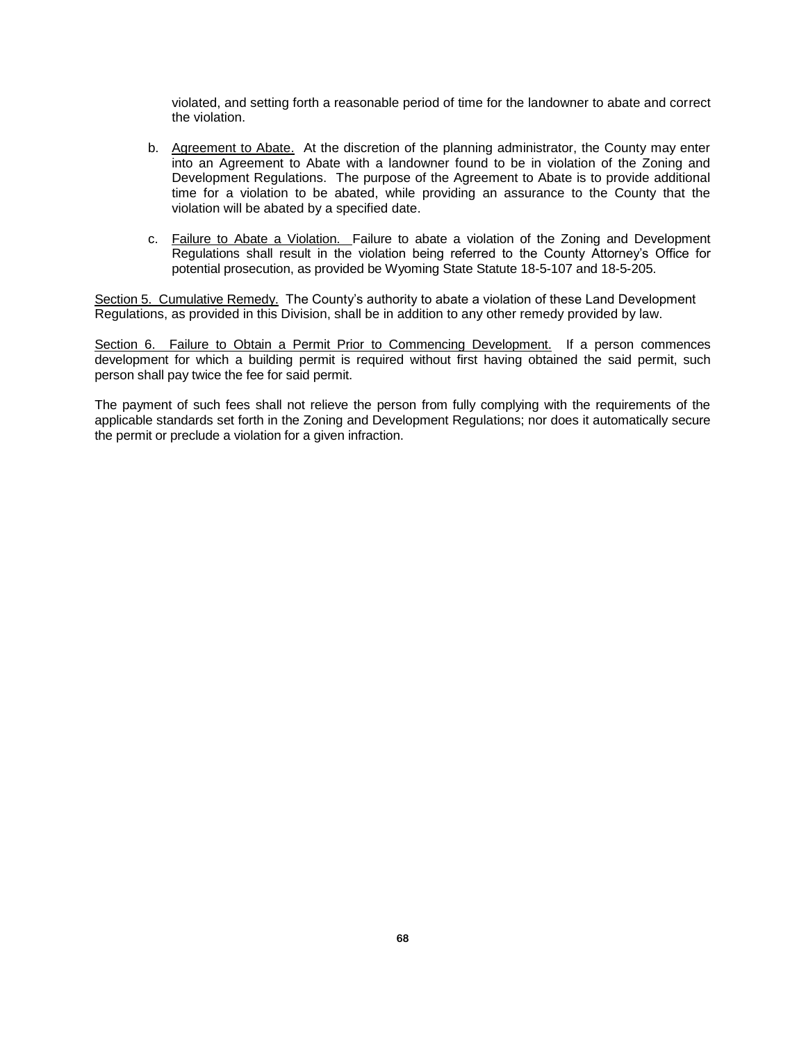violated, and setting forth a reasonable period of time for the landowner to abate and correct the violation.

- b. Agreement to Abate. At the discretion of the planning administrator, the County may enter into an Agreement to Abate with a landowner found to be in violation of the Zoning and Development Regulations. The purpose of the Agreement to Abate is to provide additional time for a violation to be abated, while providing an assurance to the County that the violation will be abated by a specified date.
- c. Failure to Abate a Violation. Failure to abate a violation of the Zoning and Development Regulations shall result in the violation being referred to the County Attorney's Office for potential prosecution, as provided be Wyoming State Statute 18-5-107 and 18-5-205.

Section 5. Cumulative Remedy. The County's authority to abate a violation of these Land Development Regulations, as provided in this Division, shall be in addition to any other remedy provided by law.

Section 6. Failure to Obtain a Permit Prior to Commencing Development. If a person commences development for which a building permit is required without first having obtained the said permit, such person shall pay twice the fee for said permit.

The payment of such fees shall not relieve the person from fully complying with the requirements of the applicable standards set forth in the Zoning and Development Regulations; nor does it automatically secure the permit or preclude a violation for a given infraction.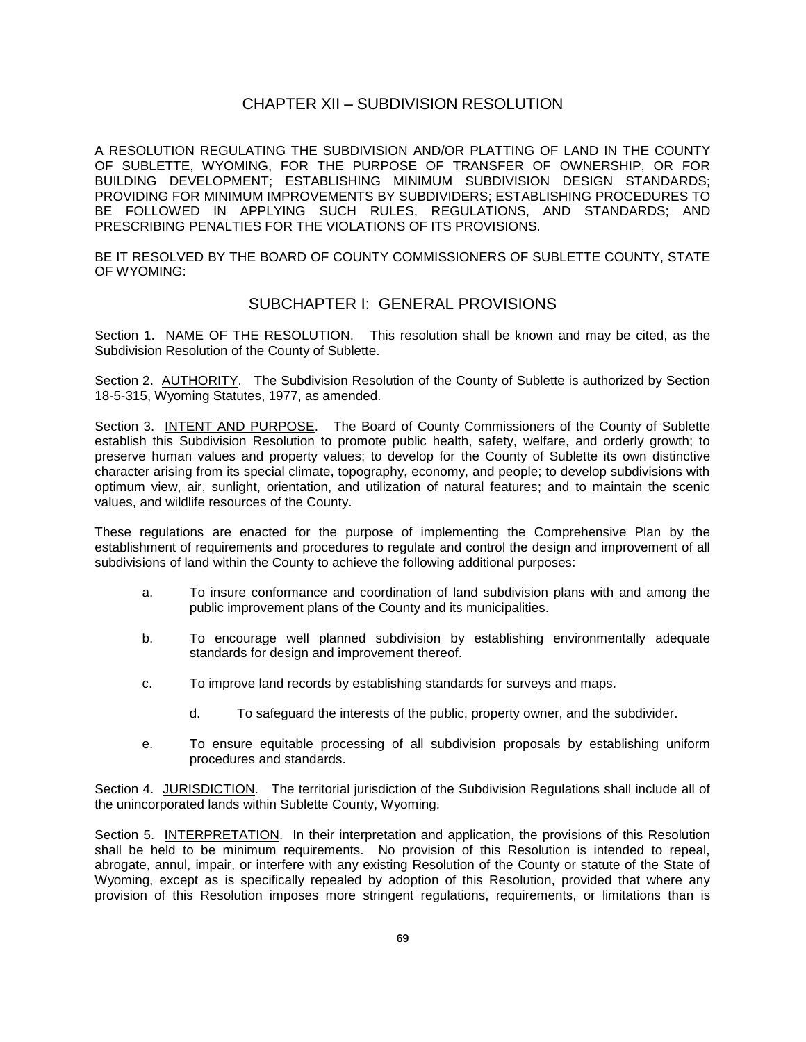### CHAPTER XII – SUBDIVISION RESOLUTION

A RESOLUTION REGULATING THE SUBDIVISION AND/OR PLATTING OF LAND IN THE COUNTY OF SUBLETTE, WYOMING, FOR THE PURPOSE OF TRANSFER OF OWNERSHIP, OR FOR BUILDING DEVELOPMENT; ESTABLISHING MINIMUM SUBDIVISION DESIGN STANDARDS; PROVIDING FOR MINIMUM IMPROVEMENTS BY SUBDIVIDERS; ESTABLISHING PROCEDURES TO BE FOLLOWED IN APPLYING SUCH RULES, REGULATIONS, AND STANDARDS; AND PRESCRIBING PENALTIES FOR THE VIOLATIONS OF ITS PROVISIONS.

BE IT RESOLVED BY THE BOARD OF COUNTY COMMISSIONERS OF SUBLETTE COUNTY, STATE OF WYOMING:

## SUBCHAPTER I: GENERAL PROVISIONS

Section 1. NAME OF THE RESOLUTION. This resolution shall be known and may be cited, as the Subdivision Resolution of the County of Sublette.

Section 2. AUTHORITY. The Subdivision Resolution of the County of Sublette is authorized by Section 18-5-315, Wyoming Statutes, 1977, as amended.

Section 3. INTENT AND PURPOSE. The Board of County Commissioners of the County of Sublette establish this Subdivision Resolution to promote public health, safety, welfare, and orderly growth; to preserve human values and property values; to develop for the County of Sublette its own distinctive character arising from its special climate, topography, economy, and people; to develop subdivisions with optimum view, air, sunlight, orientation, and utilization of natural features; and to maintain the scenic values, and wildlife resources of the County.

These regulations are enacted for the purpose of implementing the Comprehensive Plan by the establishment of requirements and procedures to regulate and control the design and improvement of all subdivisions of land within the County to achieve the following additional purposes:

- a. To insure conformance and coordination of land subdivision plans with and among the public improvement plans of the County and its municipalities.
- b. To encourage well planned subdivision by establishing environmentally adequate standards for design and improvement thereof.
- c. To improve land records by establishing standards for surveys and maps.
	- d. To safeguard the interests of the public, property owner, and the subdivider.
- e. To ensure equitable processing of all subdivision proposals by establishing uniform procedures and standards.

Section 4. JURISDICTION. The territorial jurisdiction of the Subdivision Regulations shall include all of the unincorporated lands within Sublette County, Wyoming.

Section 5. INTERPRETATION. In their interpretation and application, the provisions of this Resolution shall be held to be minimum requirements. No provision of this Resolution is intended to repeal, abrogate, annul, impair, or interfere with any existing Resolution of the County or statute of the State of Wyoming, except as is specifically repealed by adoption of this Resolution, provided that where any provision of this Resolution imposes more stringent regulations, requirements, or limitations than is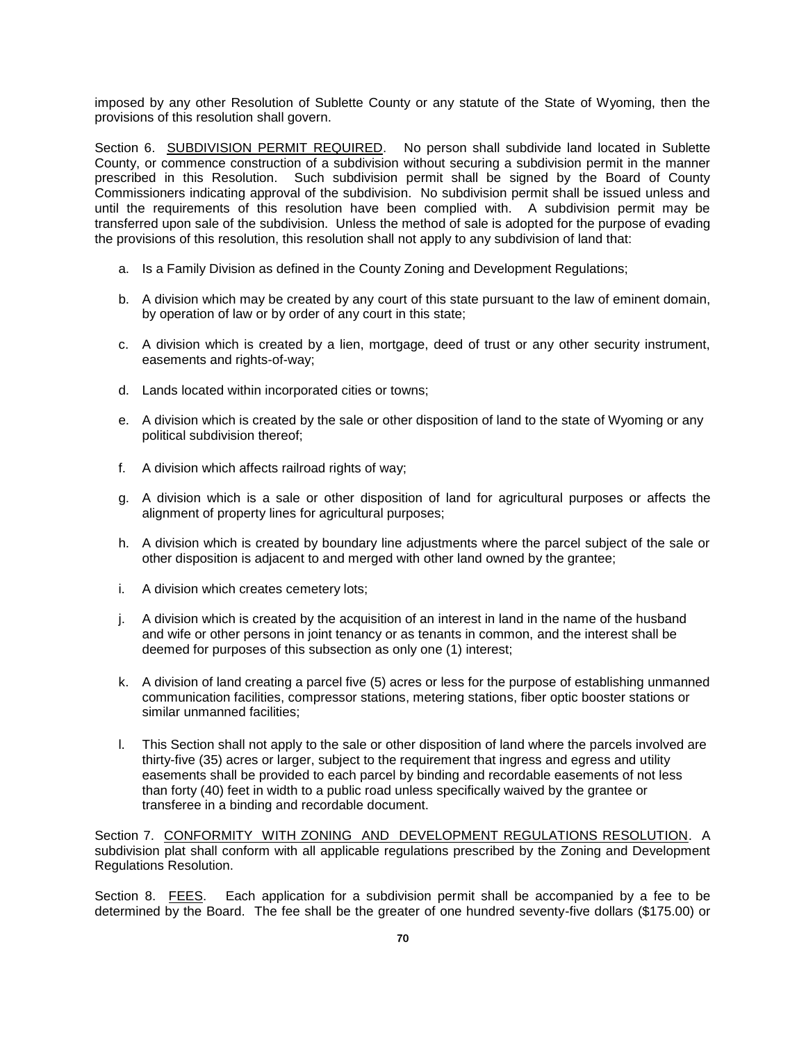imposed by any other Resolution of Sublette County or any statute of the State of Wyoming, then the provisions of this resolution shall govern.

Section 6. SUBDIVISION PERMIT REQUIRED. No person shall subdivide land located in Sublette County, or commence construction of a subdivision without securing a subdivision permit in the manner prescribed in this Resolution. Such subdivision permit shall be signed by the Board of County Commissioners indicating approval of the subdivision. No subdivision permit shall be issued unless and until the requirements of this resolution have been complied with. A subdivision permit may be transferred upon sale of the subdivision. Unless the method of sale is adopted for the purpose of evading the provisions of this resolution, this resolution shall not apply to any subdivision of land that:

- a. Is a Family Division as defined in the County Zoning and Development Regulations;
- b. A division which may be created by any court of this state pursuant to the law of eminent domain, by operation of law or by order of any court in this state;
- c. A division which is created by a lien, mortgage, deed of trust or any other security instrument, easements and rights-of-way;
- d. Lands located within incorporated cities or towns;
- e. A division which is created by the sale or other disposition of land to the state of Wyoming or any political subdivision thereof;
- f. A division which affects railroad rights of way;
- g. A division which is a sale or other disposition of land for agricultural purposes or affects the alignment of property lines for agricultural purposes;
- h. A division which is created by boundary line adjustments where the parcel subject of the sale or other disposition is adjacent to and merged with other land owned by the grantee;
- i. A division which creates cemetery lots;
- j. A division which is created by the acquisition of an interest in land in the name of the husband and wife or other persons in joint tenancy or as tenants in common, and the interest shall be deemed for purposes of this subsection as only one (1) interest;
- k. A division of land creating a parcel five (5) acres or less for the purpose of establishing unmanned communication facilities, compressor stations, metering stations, fiber optic booster stations or similar unmanned facilities;
- l. This Section shall not apply to the sale or other disposition of land where the parcels involved are thirty-five (35) acres or larger, subject to the requirement that ingress and egress and utility easements shall be provided to each parcel by binding and recordable easements of not less than forty (40) feet in width to a public road unless specifically waived by the grantee or transferee in a binding and recordable document.

Section 7. CONFORMITY WITH ZONING AND DEVELOPMENT REGULATIONS RESOLUTION. A subdivision plat shall conform with all applicable regulations prescribed by the Zoning and Development Regulations Resolution.

Section 8. FEES. Each application for a subdivision permit shall be accompanied by a fee to be determined by the Board. The fee shall be the greater of one hundred seventy-five dollars (\$175.00) or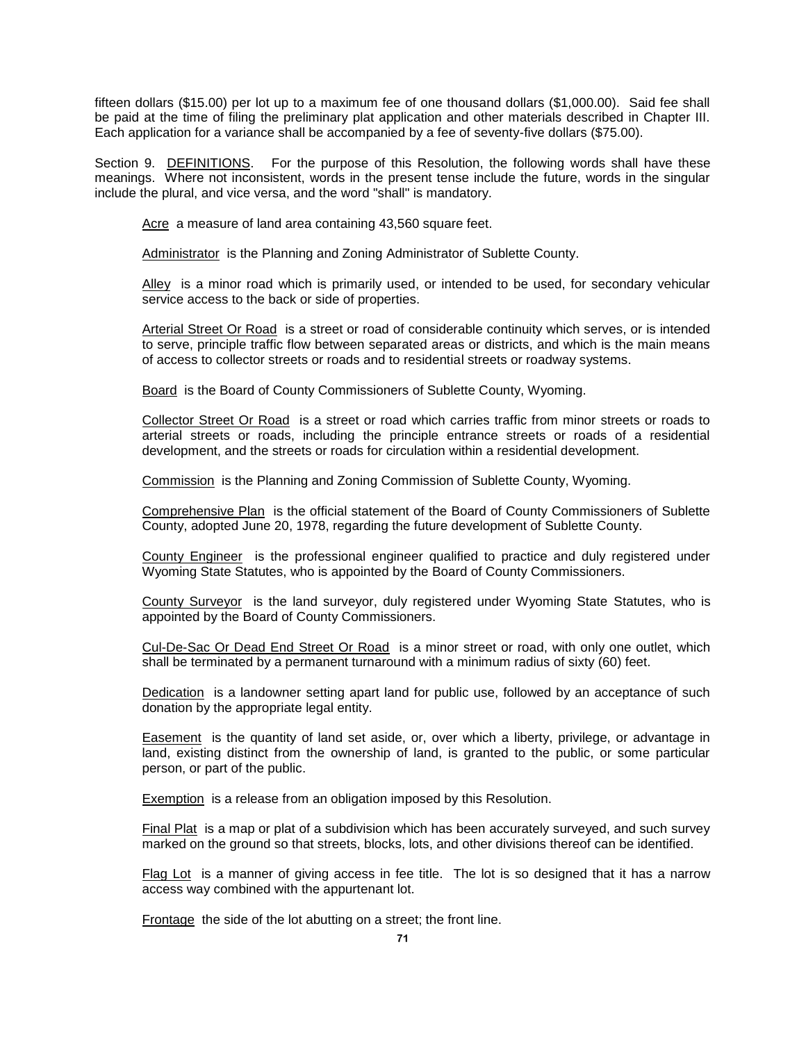fifteen dollars (\$15.00) per lot up to a maximum fee of one thousand dollars (\$1,000.00). Said fee shall be paid at the time of filing the preliminary plat application and other materials described in Chapter III. Each application for a variance shall be accompanied by a fee of seventy-five dollars (\$75.00).

Section 9. DEFINITIONS. For the purpose of this Resolution, the following words shall have these meanings. Where not inconsistent, words in the present tense include the future, words in the singular include the plural, and vice versa, and the word "shall" is mandatory.

Acre a measure of land area containing 43,560 square feet.

Administrator is the Planning and Zoning Administrator of Sublette County.

Alley is a minor road which is primarily used, or intended to be used, for secondary vehicular service access to the back or side of properties.

Arterial Street Or Road is a street or road of considerable continuity which serves, or is intended to serve, principle traffic flow between separated areas or districts, and which is the main means of access to collector streets or roads and to residential streets or roadway systems.

Board is the Board of County Commissioners of Sublette County, Wyoming.

Collector Street Or Road is a street or road which carries traffic from minor streets or roads to arterial streets or roads, including the principle entrance streets or roads of a residential development, and the streets or roads for circulation within a residential development.

Commission is the Planning and Zoning Commission of Sublette County, Wyoming.

Comprehensive Plan is the official statement of the Board of County Commissioners of Sublette County, adopted June 20, 1978, regarding the future development of Sublette County.

County Engineer is the professional engineer qualified to practice and duly registered under Wyoming State Statutes, who is appointed by the Board of County Commissioners.

County Surveyor is the land surveyor, duly registered under Wyoming State Statutes, who is appointed by the Board of County Commissioners.

Cul-De-Sac Or Dead End Street Or Road is a minor street or road, with only one outlet, which shall be terminated by a permanent turnaround with a minimum radius of sixty (60) feet.

Dedication is a landowner setting apart land for public use, followed by an acceptance of such donation by the appropriate legal entity.

Easement is the quantity of land set aside, or, over which a liberty, privilege, or advantage in land, existing distinct from the ownership of land, is granted to the public, or some particular person, or part of the public.

Exemption is a release from an obligation imposed by this Resolution.

Final Plat is a map or plat of a subdivision which has been accurately surveyed, and such survey marked on the ground so that streets, blocks, lots, and other divisions thereof can be identified.

Flag Lot is a manner of giving access in fee title. The lot is so designed that it has a narrow access way combined with the appurtenant lot.

Frontage the side of the lot abutting on a street; the front line.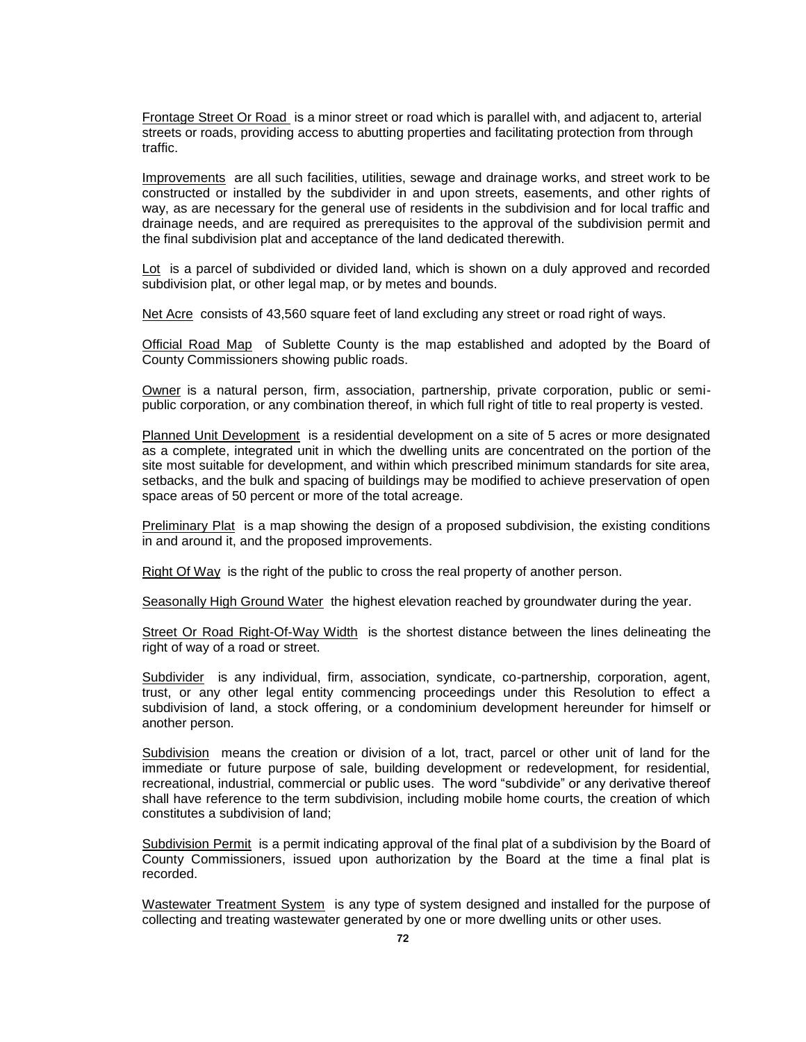Frontage Street Or Road is a minor street or road which is parallel with, and adjacent to, arterial streets or roads, providing access to abutting properties and facilitating protection from through traffic.

Improvements are all such facilities, utilities, sewage and drainage works, and street work to be constructed or installed by the subdivider in and upon streets, easements, and other rights of way, as are necessary for the general use of residents in the subdivision and for local traffic and drainage needs, and are required as prerequisites to the approval of the subdivision permit and the final subdivision plat and acceptance of the land dedicated therewith.

Lot is a parcel of subdivided or divided land, which is shown on a duly approved and recorded subdivision plat, or other legal map, or by metes and bounds.

Net Acre consists of 43,560 square feet of land excluding any street or road right of ways.

Official Road Map of Sublette County is the map established and adopted by the Board of County Commissioners showing public roads.

Owner is a natural person, firm, association, partnership, private corporation, public or semipublic corporation, or any combination thereof, in which full right of title to real property is vested.

Planned Unit Development is a residential development on a site of 5 acres or more designated as a complete, integrated unit in which the dwelling units are concentrated on the portion of the site most suitable for development, and within which prescribed minimum standards for site area, setbacks, and the bulk and spacing of buildings may be modified to achieve preservation of open space areas of 50 percent or more of the total acreage.

**Preliminary Plat** is a map showing the design of a proposed subdivision, the existing conditions in and around it, and the proposed improvements.

Right Of Way is the right of the public to cross the real property of another person.

Seasonally High Ground Water the highest elevation reached by groundwater during the year.

Street Or Road Right-Of-Way Width is the shortest distance between the lines delineating the right of way of a road or street.

Subdivider is any individual, firm, association, syndicate, co-partnership, corporation, agent, trust, or any other legal entity commencing proceedings under this Resolution to effect a subdivision of land, a stock offering, or a condominium development hereunder for himself or another person.

Subdivision means the creation or division of a lot, tract, parcel or other unit of land for the immediate or future purpose of sale, building development or redevelopment, for residential, recreational, industrial, commercial or public uses. The word "subdivide" or any derivative thereof shall have reference to the term subdivision, including mobile home courts, the creation of which constitutes a subdivision of land;

Subdivision Permit is a permit indicating approval of the final plat of a subdivision by the Board of County Commissioners, issued upon authorization by the Board at the time a final plat is recorded.

Wastewater Treatment System is any type of system designed and installed for the purpose of collecting and treating wastewater generated by one or more dwelling units or other uses.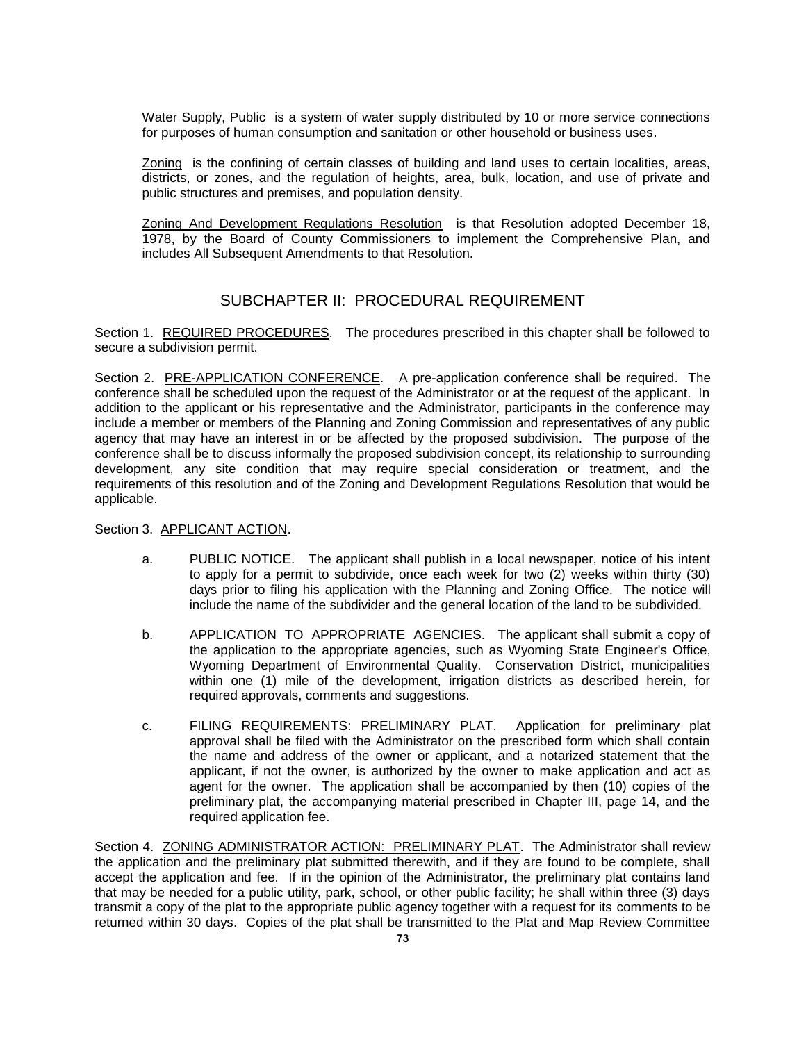Water Supply, Public is a system of water supply distributed by 10 or more service connections for purposes of human consumption and sanitation or other household or business uses.

Zoning is the confining of certain classes of building and land uses to certain localities, areas, districts, or zones, and the regulation of heights, area, bulk, location, and use of private and public structures and premises, and population density.

Zoning And Development Regulations Resolution is that Resolution adopted December 18, 1978, by the Board of County Commissioners to implement the Comprehensive Plan, and includes All Subsequent Amendments to that Resolution.

# SUBCHAPTER II: PROCEDURAL REQUIREMENT

Section 1. REQUIRED PROCEDURES. The procedures prescribed in this chapter shall be followed to secure a subdivision permit.

Section 2. PRE-APPLICATION CONFERENCE. A pre-application conference shall be required. The conference shall be scheduled upon the request of the Administrator or at the request of the applicant. In addition to the applicant or his representative and the Administrator, participants in the conference may include a member or members of the Planning and Zoning Commission and representatives of any public agency that may have an interest in or be affected by the proposed subdivision. The purpose of the conference shall be to discuss informally the proposed subdivision concept, its relationship to surrounding development, any site condition that may require special consideration or treatment, and the requirements of this resolution and of the Zoning and Development Regulations Resolution that would be applicable.

Section 3. APPLICANT ACTION.

- a. PUBLIC NOTICE. The applicant shall publish in a local newspaper, notice of his intent to apply for a permit to subdivide, once each week for two (2) weeks within thirty (30) days prior to filing his application with the Planning and Zoning Office. The notice will include the name of the subdivider and the general location of the land to be subdivided.
- b. APPLICATION TO APPROPRIATE AGENCIES. The applicant shall submit a copy of the application to the appropriate agencies, such as Wyoming State Engineer's Office, Wyoming Department of Environmental Quality. Conservation District, municipalities within one (1) mile of the development, irrigation districts as described herein, for required approvals, comments and suggestions.
- c. FILING REQUIREMENTS: PRELIMINARY PLAT. Application for preliminary plat approval shall be filed with the Administrator on the prescribed form which shall contain the name and address of the owner or applicant, and a notarized statement that the applicant, if not the owner, is authorized by the owner to make application and act as agent for the owner. The application shall be accompanied by then (10) copies of the preliminary plat, the accompanying material prescribed in Chapter III, page 14, and the required application fee.

Section 4. ZONING ADMINISTRATOR ACTION: PRELIMINARY PLAT. The Administrator shall review the application and the preliminary plat submitted therewith, and if they are found to be complete, shall accept the application and fee. If in the opinion of the Administrator, the preliminary plat contains land that may be needed for a public utility, park, school, or other public facility; he shall within three (3) days transmit a copy of the plat to the appropriate public agency together with a request for its comments to be returned within 30 days. Copies of the plat shall be transmitted to the Plat and Map Review Committee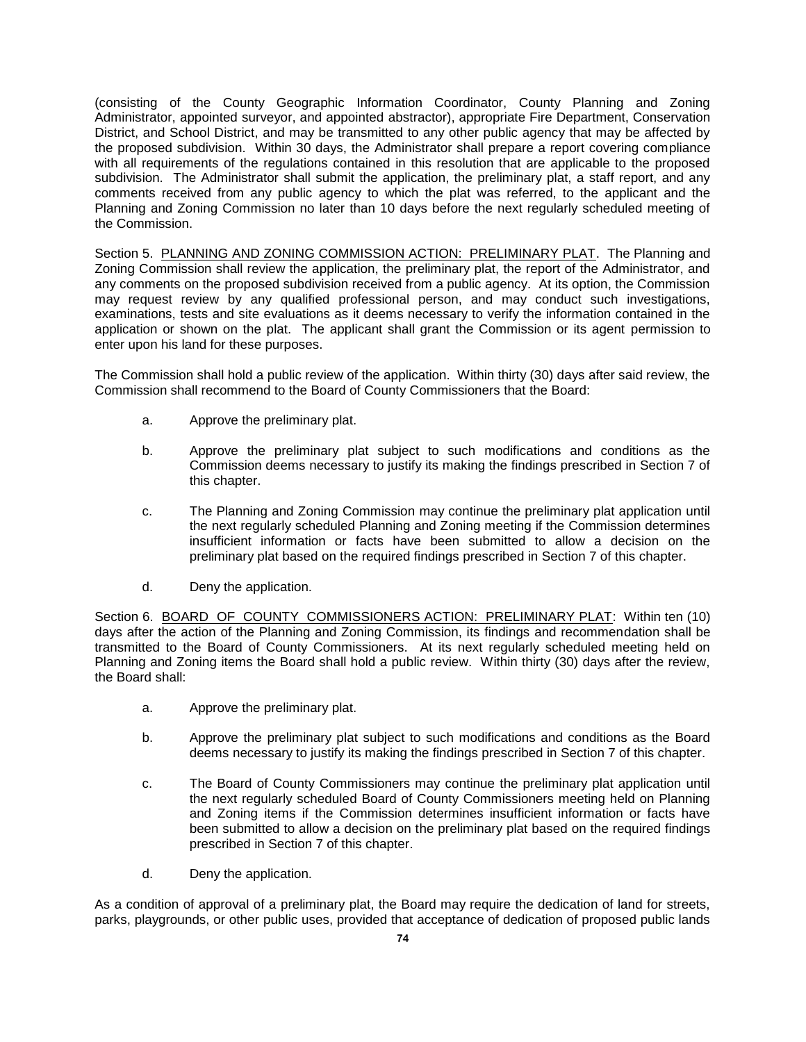(consisting of the County Geographic Information Coordinator, County Planning and Zoning Administrator, appointed surveyor, and appointed abstractor), appropriate Fire Department, Conservation District, and School District, and may be transmitted to any other public agency that may be affected by the proposed subdivision. Within 30 days, the Administrator shall prepare a report covering compliance with all requirements of the regulations contained in this resolution that are applicable to the proposed subdivision. The Administrator shall submit the application, the preliminary plat, a staff report, and any comments received from any public agency to which the plat was referred, to the applicant and the Planning and Zoning Commission no later than 10 days before the next regularly scheduled meeting of the Commission.

Section 5. PLANNING AND ZONING COMMISSION ACTION: PRELIMINARY PLAT. The Planning and Zoning Commission shall review the application, the preliminary plat, the report of the Administrator, and any comments on the proposed subdivision received from a public agency. At its option, the Commission may request review by any qualified professional person, and may conduct such investigations, examinations, tests and site evaluations as it deems necessary to verify the information contained in the application or shown on the plat. The applicant shall grant the Commission or its agent permission to enter upon his land for these purposes.

The Commission shall hold a public review of the application. Within thirty (30) days after said review, the Commission shall recommend to the Board of County Commissioners that the Board:

- a. Approve the preliminary plat.
- b. Approve the preliminary plat subject to such modifications and conditions as the Commission deems necessary to justify its making the findings prescribed in Section 7 of this chapter.
- c. The Planning and Zoning Commission may continue the preliminary plat application until the next regularly scheduled Planning and Zoning meeting if the Commission determines insufficient information or facts have been submitted to allow a decision on the preliminary plat based on the required findings prescribed in Section 7 of this chapter.
- d. Deny the application.

Section 6. BOARD OF COUNTY COMMISSIONERS ACTION: PRELIMINARY PLAT: Within ten (10) days after the action of the Planning and Zoning Commission, its findings and recommendation shall be transmitted to the Board of County Commissioners. At its next regularly scheduled meeting held on Planning and Zoning items the Board shall hold a public review. Within thirty (30) days after the review, the Board shall:

- a. Approve the preliminary plat.
- b. Approve the preliminary plat subject to such modifications and conditions as the Board deems necessary to justify its making the findings prescribed in Section 7 of this chapter.
- c. The Board of County Commissioners may continue the preliminary plat application until the next regularly scheduled Board of County Commissioners meeting held on Planning and Zoning items if the Commission determines insufficient information or facts have been submitted to allow a decision on the preliminary plat based on the required findings prescribed in Section 7 of this chapter.
- d. Deny the application.

As a condition of approval of a preliminary plat, the Board may require the dedication of land for streets, parks, playgrounds, or other public uses, provided that acceptance of dedication of proposed public lands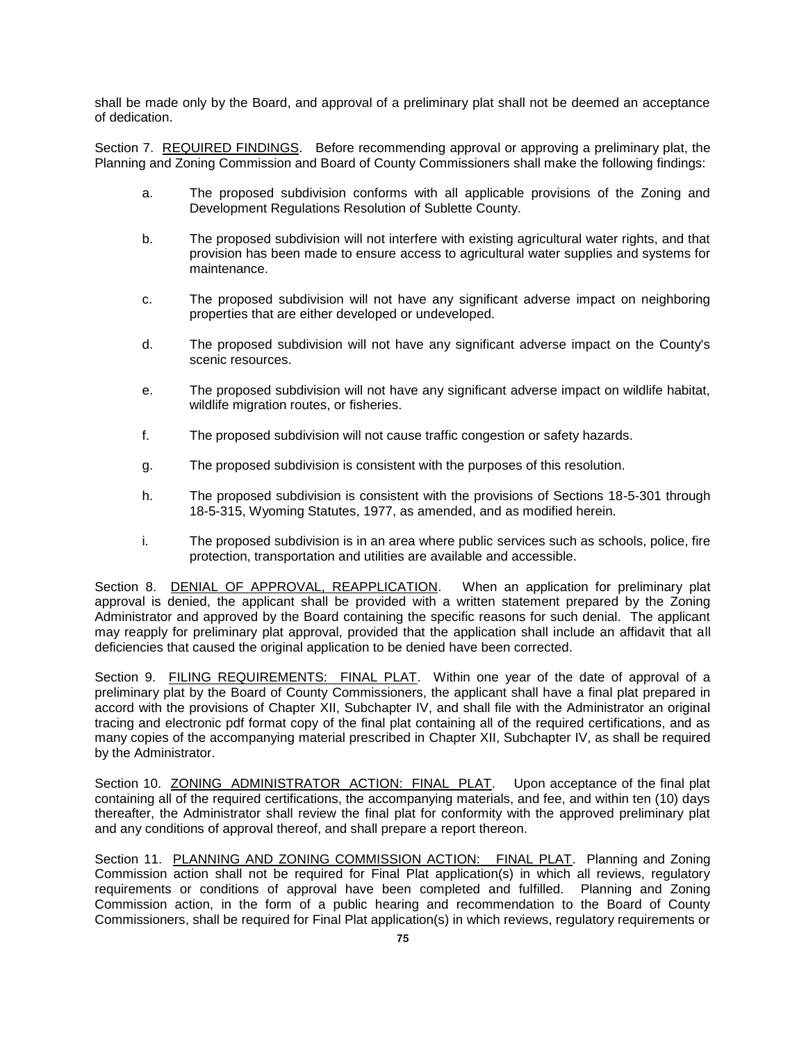shall be made only by the Board, and approval of a preliminary plat shall not be deemed an acceptance of dedication.

Section 7. REQUIRED FINDINGS. Before recommending approval or approving a preliminary plat, the Planning and Zoning Commission and Board of County Commissioners shall make the following findings:

- a. The proposed subdivision conforms with all applicable provisions of the Zoning and Development Regulations Resolution of Sublette County.
- b. The proposed subdivision will not interfere with existing agricultural water rights, and that provision has been made to ensure access to agricultural water supplies and systems for maintenance.
- c. The proposed subdivision will not have any significant adverse impact on neighboring properties that are either developed or undeveloped.
- d. The proposed subdivision will not have any significant adverse impact on the County's scenic resources.
- e. The proposed subdivision will not have any significant adverse impact on wildlife habitat, wildlife migration routes, or fisheries.
- f. The proposed subdivision will not cause traffic congestion or safety hazards.
- g. The proposed subdivision is consistent with the purposes of this resolution.
- h. The proposed subdivision is consistent with the provisions of Sections 18-5-301 through 18-5-315, Wyoming Statutes, 1977, as amended, and as modified herein.
- i. The proposed subdivision is in an area where public services such as schools, police, fire protection, transportation and utilities are available and accessible.

Section 8. DENIAL OF APPROVAL, REAPPLICATION. When an application for preliminary plat approval is denied, the applicant shall be provided with a written statement prepared by the Zoning Administrator and approved by the Board containing the specific reasons for such denial. The applicant may reapply for preliminary plat approval, provided that the application shall include an affidavit that all deficiencies that caused the original application to be denied have been corrected.

Section 9. FILING REQUIREMENTS: FINAL PLAT. Within one year of the date of approval of a preliminary plat by the Board of County Commissioners, the applicant shall have a final plat prepared in accord with the provisions of Chapter XII, Subchapter IV, and shall file with the Administrator an original tracing and electronic pdf format copy of the final plat containing all of the required certifications, and as many copies of the accompanying material prescribed in Chapter XII, Subchapter IV, as shall be required by the Administrator.

Section 10. ZONING ADMINISTRATOR ACTION: FINAL PLAT. Upon acceptance of the final plat containing all of the required certifications, the accompanying materials, and fee, and within ten (10) days thereafter, the Administrator shall review the final plat for conformity with the approved preliminary plat and any conditions of approval thereof, and shall prepare a report thereon.

Section 11. PLANNING AND ZONING COMMISSION ACTION: FINAL PLAT. Planning and Zoning Commission action shall not be required for Final Plat application(s) in which all reviews, regulatory requirements or conditions of approval have been completed and fulfilled. Planning and Zoning Commission action, in the form of a public hearing and recommendation to the Board of County Commissioners, shall be required for Final Plat application(s) in which reviews, regulatory requirements or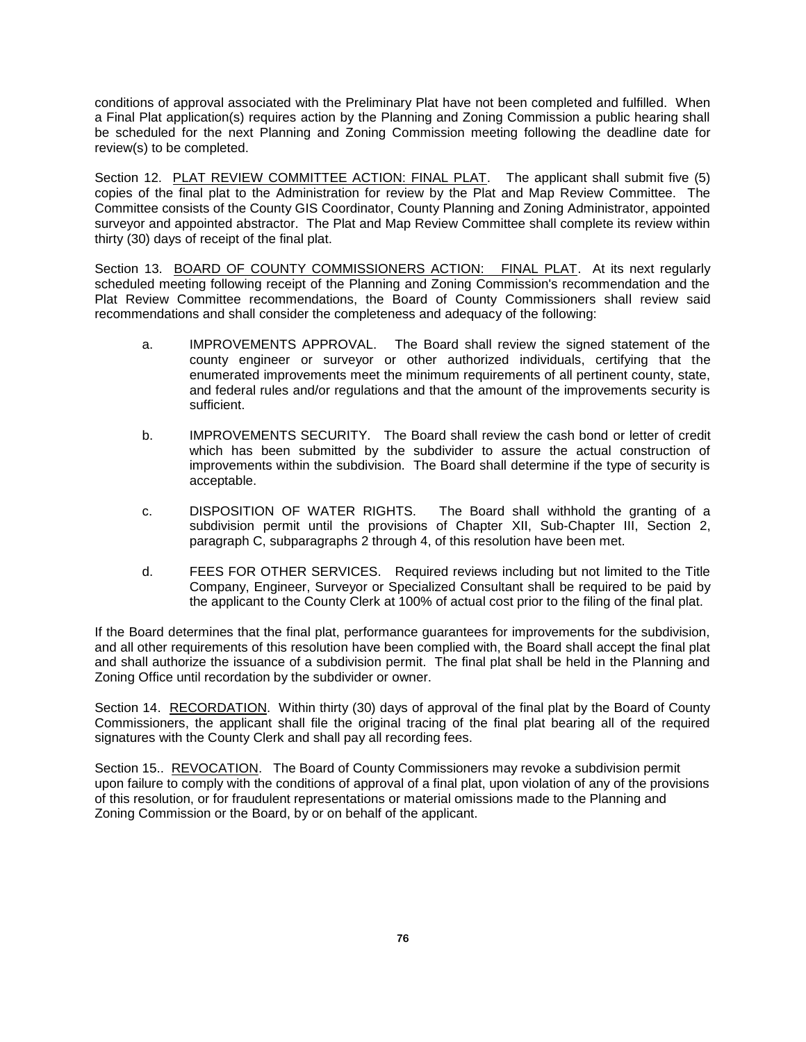conditions of approval associated with the Preliminary Plat have not been completed and fulfilled. When a Final Plat application(s) requires action by the Planning and Zoning Commission a public hearing shall be scheduled for the next Planning and Zoning Commission meeting following the deadline date for review(s) to be completed.

Section 12. PLAT REVIEW COMMITTEE ACTION: FINAL PLAT. The applicant shall submit five (5) copies of the final plat to the Administration for review by the Plat and Map Review Committee. The Committee consists of the County GIS Coordinator, County Planning and Zoning Administrator, appointed surveyor and appointed abstractor. The Plat and Map Review Committee shall complete its review within thirty (30) days of receipt of the final plat.

Section 13. BOARD OF COUNTY COMMISSIONERS ACTION: FINAL PLAT. At its next regularly scheduled meeting following receipt of the Planning and Zoning Commission's recommendation and the Plat Review Committee recommendations, the Board of County Commissioners shall review said recommendations and shall consider the completeness and adequacy of the following:

- a. IMPROVEMENTS APPROVAL. The Board shall review the signed statement of the county engineer or surveyor or other authorized individuals, certifying that the enumerated improvements meet the minimum requirements of all pertinent county, state, and federal rules and/or regulations and that the amount of the improvements security is sufficient.
- b. IMPROVEMENTS SECURITY. The Board shall review the cash bond or letter of credit which has been submitted by the subdivider to assure the actual construction of improvements within the subdivision. The Board shall determine if the type of security is acceptable.
- c. DISPOSITION OF WATER RIGHTS. The Board shall withhold the granting of a subdivision permit until the provisions of Chapter XII, Sub-Chapter III, Section 2, paragraph C, subparagraphs 2 through 4, of this resolution have been met.
- d. FEES FOR OTHER SERVICES. Required reviews including but not limited to the Title Company, Engineer, Surveyor or Specialized Consultant shall be required to be paid by the applicant to the County Clerk at 100% of actual cost prior to the filing of the final plat.

If the Board determines that the final plat, performance guarantees for improvements for the subdivision, and all other requirements of this resolution have been complied with, the Board shall accept the final plat and shall authorize the issuance of a subdivision permit. The final plat shall be held in the Planning and Zoning Office until recordation by the subdivider or owner.

Section 14. RECORDATION. Within thirty (30) days of approval of the final plat by the Board of County Commissioners, the applicant shall file the original tracing of the final plat bearing all of the required signatures with the County Clerk and shall pay all recording fees.

Section 15.. REVOCATION. The Board of County Commissioners may revoke a subdivision permit upon failure to comply with the conditions of approval of a final plat, upon violation of any of the provisions of this resolution, or for fraudulent representations or material omissions made to the Planning and Zoning Commission or the Board, by or on behalf of the applicant.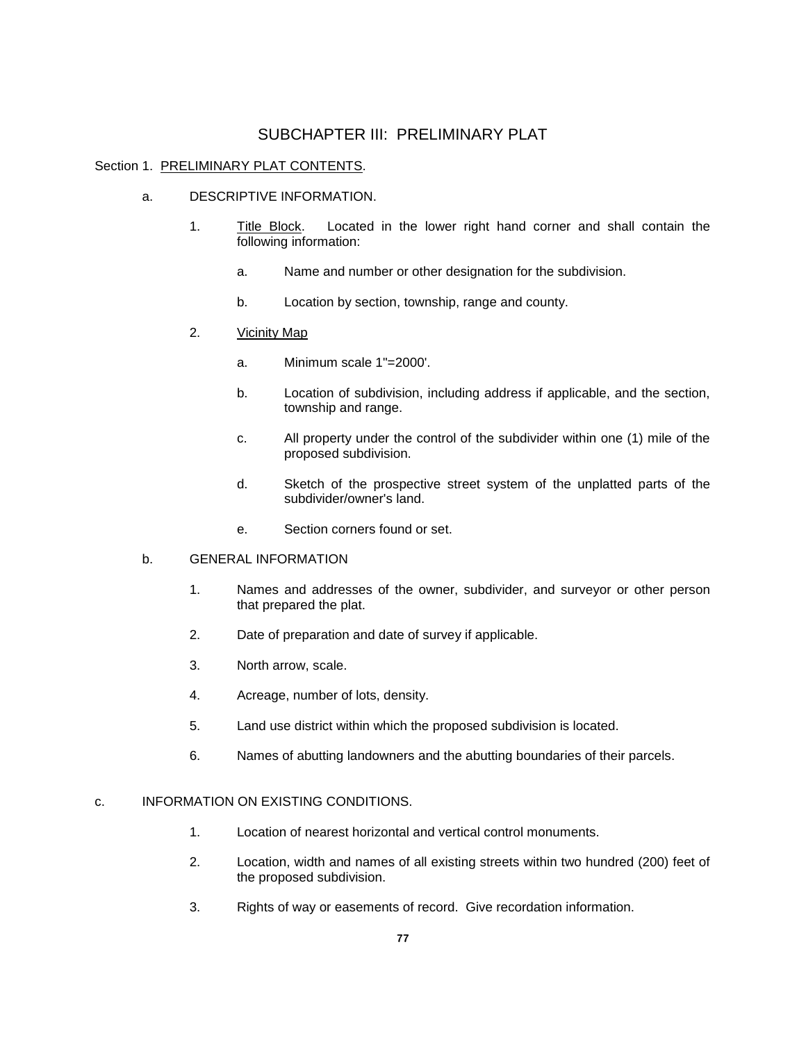# SUBCHAPTER III: PRELIMINARY PLAT

## Section 1. PRELIMINARY PLAT CONTENTS.

- a. DESCRIPTIVE INFORMATION.
	- 1. Title Block. Located in the lower right hand corner and shall contain the following information:
		- a. Name and number or other designation for the subdivision.
		- b. Location by section, township, range and county.
	- 2. Vicinity Map
		- a. Minimum scale 1"=2000'.
		- b. Location of subdivision, including address if applicable, and the section, township and range.
		- c. All property under the control of the subdivider within one (1) mile of the proposed subdivision.
		- d. Sketch of the prospective street system of the unplatted parts of the subdivider/owner's land.
		- e. Section corners found or set.

# b. GENERAL INFORMATION

- 1. Names and addresses of the owner, subdivider, and surveyor or other person that prepared the plat.
- 2. Date of preparation and date of survey if applicable.
- 3. North arrow, scale.
- 4. Acreage, number of lots, density.
- 5. Land use district within which the proposed subdivision is located.
- 6. Names of abutting landowners and the abutting boundaries of their parcels.

## c. INFORMATION ON EXISTING CONDITIONS.

- 1. Location of nearest horizontal and vertical control monuments.
- 2. Location, width and names of all existing streets within two hundred (200) feet of the proposed subdivision.
- 3. Rights of way or easements of record. Give recordation information.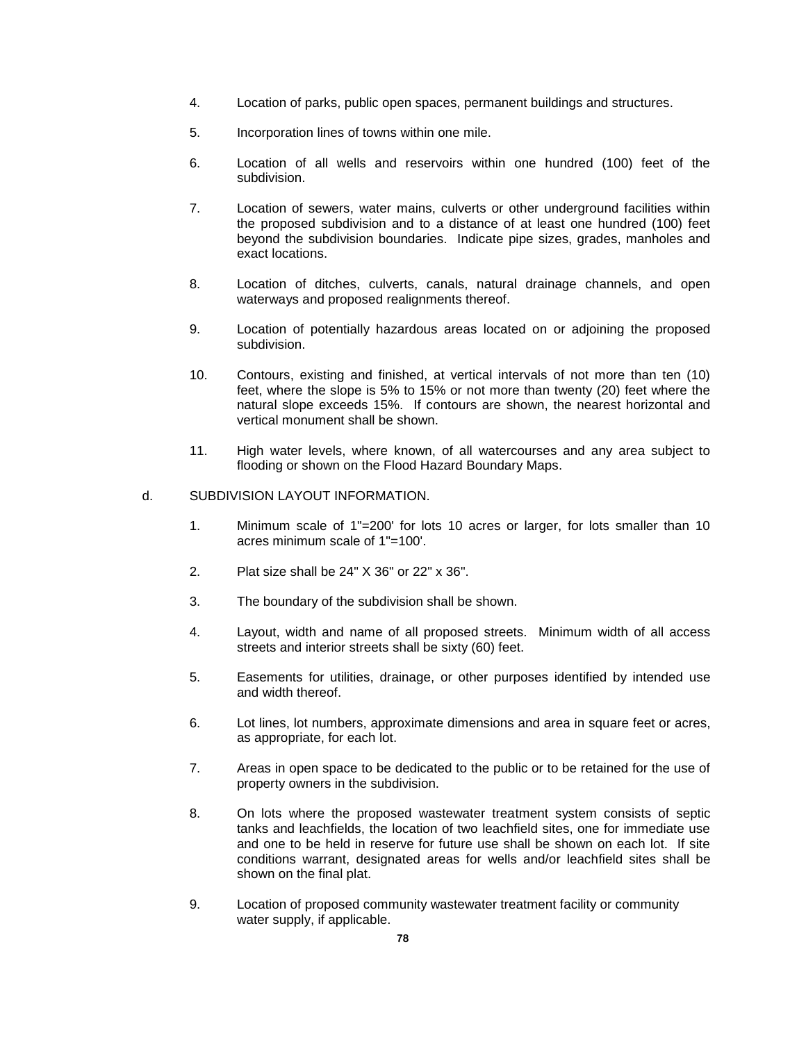- 4. Location of parks, public open spaces, permanent buildings and structures.
- 5. Incorporation lines of towns within one mile.
- 6. Location of all wells and reservoirs within one hundred (100) feet of the subdivision.
- 7. Location of sewers, water mains, culverts or other underground facilities within the proposed subdivision and to a distance of at least one hundred (100) feet beyond the subdivision boundaries. Indicate pipe sizes, grades, manholes and exact locations.
- 8. Location of ditches, culverts, canals, natural drainage channels, and open waterways and proposed realignments thereof.
- 9. Location of potentially hazardous areas located on or adjoining the proposed subdivision.
- 10. Contours, existing and finished, at vertical intervals of not more than ten (10) feet, where the slope is 5% to 15% or not more than twenty (20) feet where the natural slope exceeds 15%. If contours are shown, the nearest horizontal and vertical monument shall be shown.
- 11. High water levels, where known, of all watercourses and any area subject to flooding or shown on the Flood Hazard Boundary Maps.

### d. SUBDIVISION LAYOUT INFORMATION.

- 1. Minimum scale of 1"=200' for lots 10 acres or larger, for lots smaller than 10 acres minimum scale of 1"=100'.
- 2. Plat size shall be 24" X 36" or 22" x 36".
- 3. The boundary of the subdivision shall be shown.
- 4. Layout, width and name of all proposed streets. Minimum width of all access streets and interior streets shall be sixty (60) feet.
- 5. Easements for utilities, drainage, or other purposes identified by intended use and width thereof.
- 6. Lot lines, lot numbers, approximate dimensions and area in square feet or acres, as appropriate, for each lot.
- 7. Areas in open space to be dedicated to the public or to be retained for the use of property owners in the subdivision.
- 8. On lots where the proposed wastewater treatment system consists of septic tanks and leachfields, the location of two leachfield sites, one for immediate use and one to be held in reserve for future use shall be shown on each lot. If site conditions warrant, designated areas for wells and/or leachfield sites shall be shown on the final plat.
- 9. Location of proposed community wastewater treatment facility or community water supply, if applicable.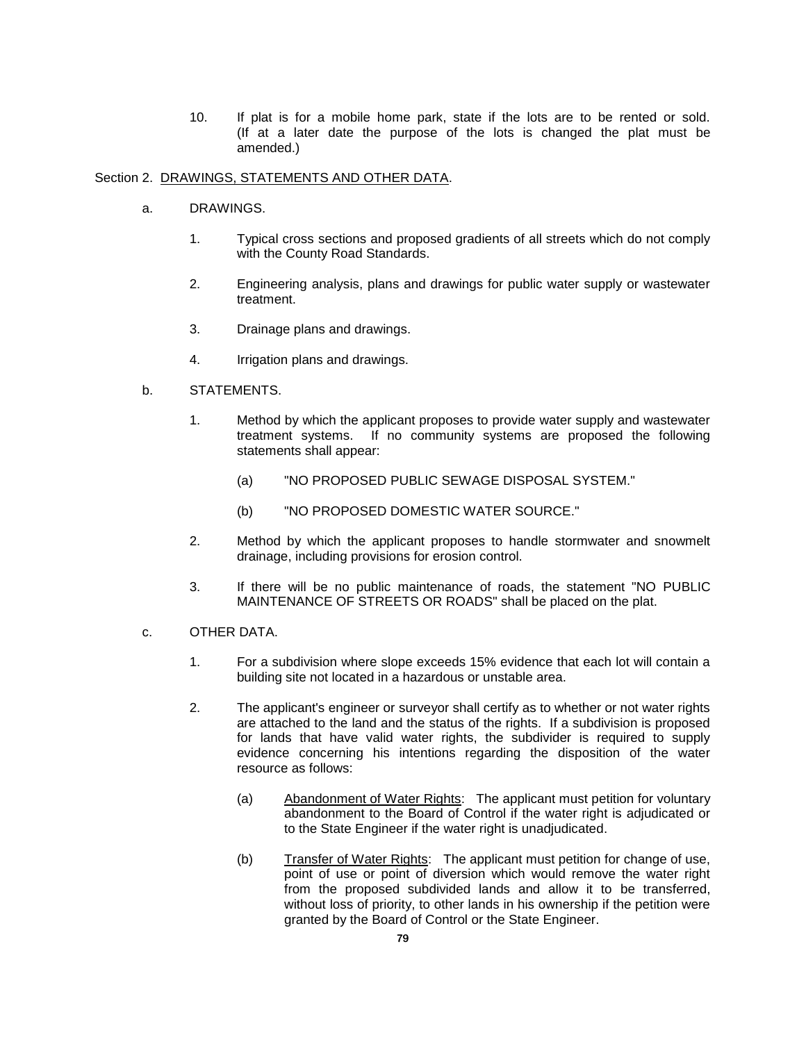10. If plat is for a mobile home park, state if the lots are to be rented or sold. (If at a later date the purpose of the lots is changed the plat must be amended.)

## Section 2. DRAWINGS, STATEMENTS AND OTHER DATA.

- a. DRAWINGS.
	- 1. Typical cross sections and proposed gradients of all streets which do not comply with the County Road Standards.
	- 2. Engineering analysis, plans and drawings for public water supply or wastewater treatment.
	- 3. Drainage plans and drawings.
	- 4. Irrigation plans and drawings.

## b. STATEMENTS.

- 1. Method by which the applicant proposes to provide water supply and wastewater treatment systems. If no community systems are proposed the following statements shall appear:
	- (a) "NO PROPOSED PUBLIC SEWAGE DISPOSAL SYSTEM."
	- (b) "NO PROPOSED DOMESTIC WATER SOURCE."
- 2. Method by which the applicant proposes to handle stormwater and snowmelt drainage, including provisions for erosion control.
- 3. If there will be no public maintenance of roads, the statement "NO PUBLIC MAINTENANCE OF STREETS OR ROADS" shall be placed on the plat.
- c. OTHER DATA.
	- 1. For a subdivision where slope exceeds 15% evidence that each lot will contain a building site not located in a hazardous or unstable area.
	- 2. The applicant's engineer or surveyor shall certify as to whether or not water rights are attached to the land and the status of the rights. If a subdivision is proposed for lands that have valid water rights, the subdivider is required to supply evidence concerning his intentions regarding the disposition of the water resource as follows:
		- (a) Abandonment of Water Rights: The applicant must petition for voluntary abandonment to the Board of Control if the water right is adjudicated or to the State Engineer if the water right is unadjudicated.
		- (b) Transfer of Water Rights: The applicant must petition for change of use, point of use or point of diversion which would remove the water right from the proposed subdivided lands and allow it to be transferred, without loss of priority, to other lands in his ownership if the petition were granted by the Board of Control or the State Engineer.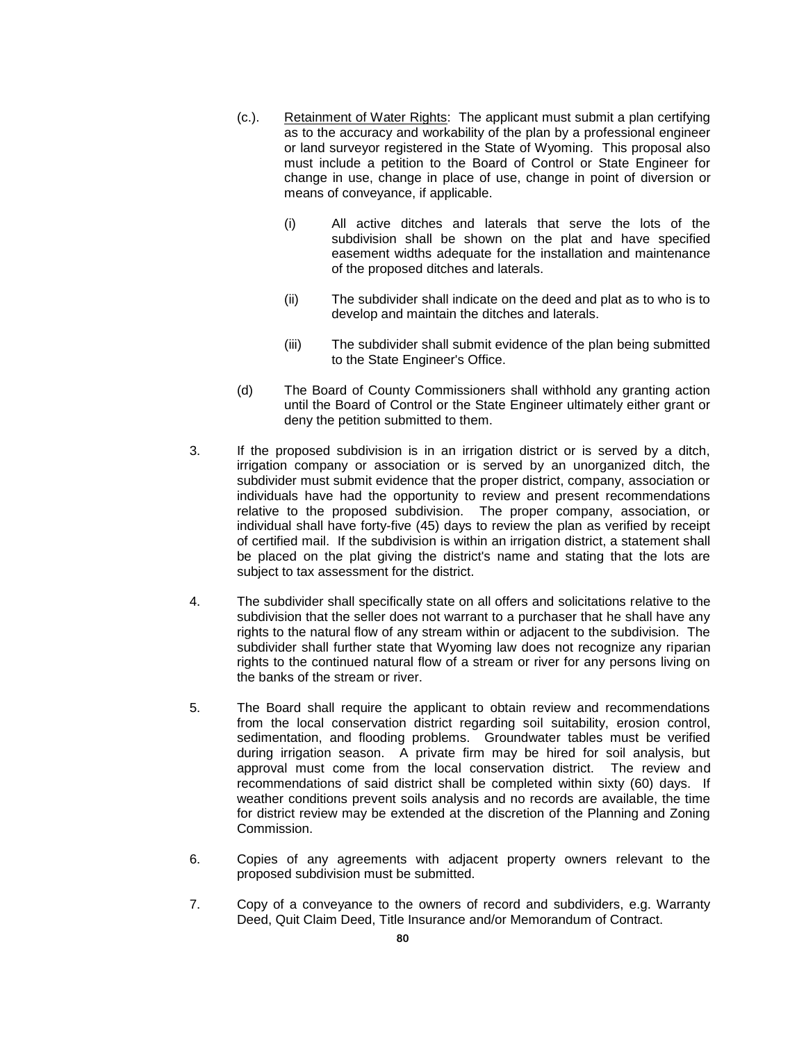- (c.). Retainment of Water Rights: The applicant must submit a plan certifying as to the accuracy and workability of the plan by a professional engineer or land surveyor registered in the State of Wyoming. This proposal also must include a petition to the Board of Control or State Engineer for change in use, change in place of use, change in point of diversion or means of conveyance, if applicable.
	- (i) All active ditches and laterals that serve the lots of the subdivision shall be shown on the plat and have specified easement widths adequate for the installation and maintenance of the proposed ditches and laterals.
	- (ii) The subdivider shall indicate on the deed and plat as to who is to develop and maintain the ditches and laterals.
	- (iii) The subdivider shall submit evidence of the plan being submitted to the State Engineer's Office.
- (d) The Board of County Commissioners shall withhold any granting action until the Board of Control or the State Engineer ultimately either grant or deny the petition submitted to them.
- 3. If the proposed subdivision is in an irrigation district or is served by a ditch, irrigation company or association or is served by an unorganized ditch, the subdivider must submit evidence that the proper district, company, association or individuals have had the opportunity to review and present recommendations relative to the proposed subdivision. The proper company, association, or individual shall have forty-five (45) days to review the plan as verified by receipt of certified mail. If the subdivision is within an irrigation district, a statement shall be placed on the plat giving the district's name and stating that the lots are subject to tax assessment for the district.
- 4. The subdivider shall specifically state on all offers and solicitations relative to the subdivision that the seller does not warrant to a purchaser that he shall have any rights to the natural flow of any stream within or adjacent to the subdivision. The subdivider shall further state that Wyoming law does not recognize any riparian rights to the continued natural flow of a stream or river for any persons living on the banks of the stream or river.
- 5. The Board shall require the applicant to obtain review and recommendations from the local conservation district regarding soil suitability, erosion control, sedimentation, and flooding problems. Groundwater tables must be verified during irrigation season. A private firm may be hired for soil analysis, but approval must come from the local conservation district. The review and recommendations of said district shall be completed within sixty (60) days. If weather conditions prevent soils analysis and no records are available, the time for district review may be extended at the discretion of the Planning and Zoning Commission.
- 6. Copies of any agreements with adjacent property owners relevant to the proposed subdivision must be submitted.
- 7. Copy of a conveyance to the owners of record and subdividers, e.g. Warranty Deed, Quit Claim Deed, Title Insurance and/or Memorandum of Contract.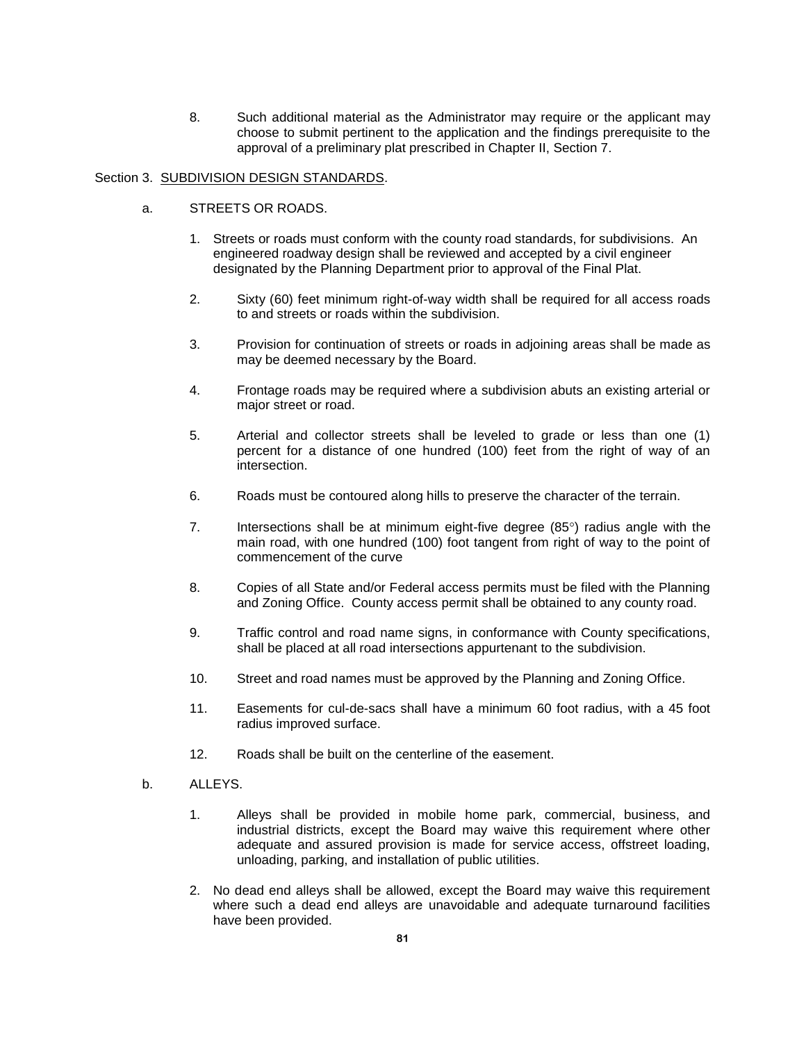8. Such additional material as the Administrator may require or the applicant may choose to submit pertinent to the application and the findings prerequisite to the approval of a preliminary plat prescribed in Chapter II, Section 7.

# Section 3. SUBDIVISION DESIGN STANDARDS.

- a. STREETS OR ROADS.
	- 1. Streets or roads must conform with the county road standards, for subdivisions. An engineered roadway design shall be reviewed and accepted by a civil engineer designated by the Planning Department prior to approval of the Final Plat.
	- 2. Sixty (60) feet minimum right-of-way width shall be required for all access roads to and streets or roads within the subdivision.
	- 3. Provision for continuation of streets or roads in adjoining areas shall be made as may be deemed necessary by the Board.
	- 4. Frontage roads may be required where a subdivision abuts an existing arterial or major street or road.
	- 5. Arterial and collector streets shall be leveled to grade or less than one (1) percent for a distance of one hundred (100) feet from the right of way of an intersection.
	- 6. Roads must be contoured along hills to preserve the character of the terrain.
	- 7. Intersections shall be at minimum eight-five degree  $(85^\circ)$  radius angle with the main road, with one hundred (100) foot tangent from right of way to the point of commencement of the curve
	- 8. Copies of all State and/or Federal access permits must be filed with the Planning and Zoning Office. County access permit shall be obtained to any county road.
	- 9. Traffic control and road name signs, in conformance with County specifications, shall be placed at all road intersections appurtenant to the subdivision.
	- 10. Street and road names must be approved by the Planning and Zoning Office.
	- 11. Easements for cul-de-sacs shall have a minimum 60 foot radius, with a 45 foot radius improved surface.
	- 12. Roads shall be built on the centerline of the easement.
- b. ALLEYS.
	- 1. Alleys shall be provided in mobile home park, commercial, business, and industrial districts, except the Board may waive this requirement where other adequate and assured provision is made for service access, offstreet loading, unloading, parking, and installation of public utilities.
	- 2. No dead end alleys shall be allowed, except the Board may waive this requirement where such a dead end alleys are unavoidable and adequate turnaround facilities have been provided.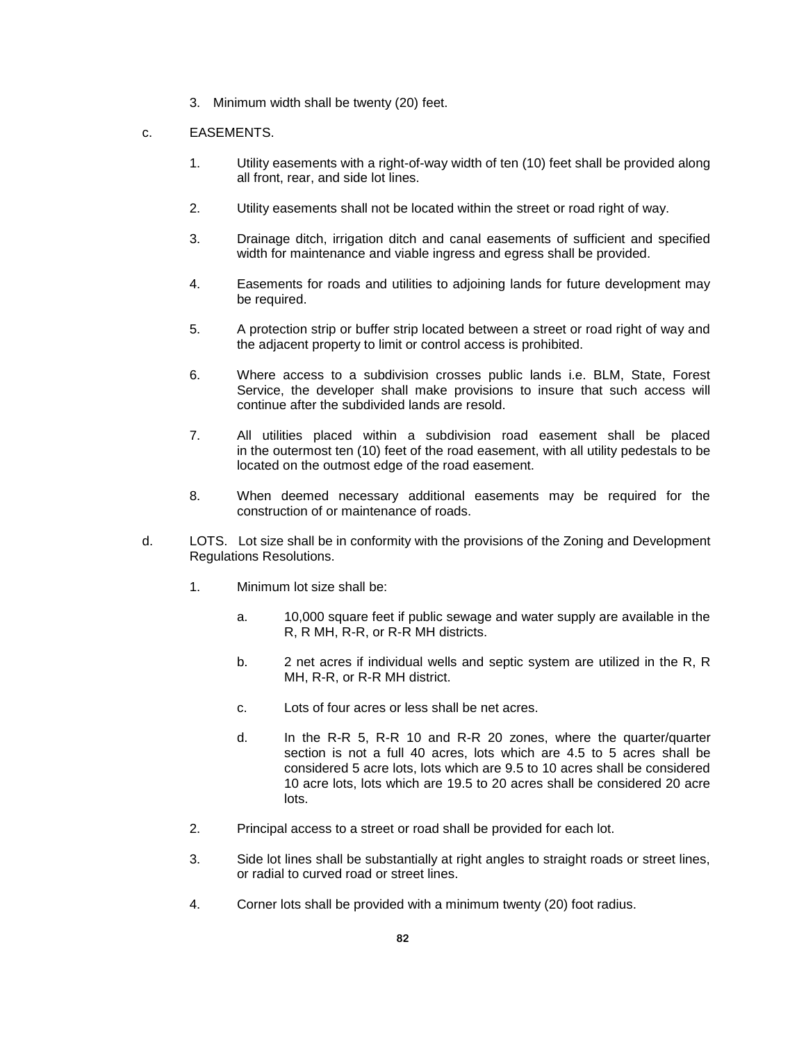3. Minimum width shall be twenty (20) feet.

# c. EASEMENTS.

- 1. Utility easements with a right-of-way width of ten (10) feet shall be provided along all front, rear, and side lot lines.
- 2. Utility easements shall not be located within the street or road right of way.
- 3. Drainage ditch, irrigation ditch and canal easements of sufficient and specified width for maintenance and viable ingress and egress shall be provided.
- 4. Easements for roads and utilities to adjoining lands for future development may be required.
- 5. A protection strip or buffer strip located between a street or road right of way and the adjacent property to limit or control access is prohibited.
- 6. Where access to a subdivision crosses public lands i.e. BLM, State, Forest Service, the developer shall make provisions to insure that such access will continue after the subdivided lands are resold.
- 7. All utilities placed within a subdivision road easement shall be placed in the outermost ten (10) feet of the road easement, with all utility pedestals to be located on the outmost edge of the road easement.
- 8. When deemed necessary additional easements may be required for the construction of or maintenance of roads.
- d. LOTS. Lot size shall be in conformity with the provisions of the Zoning and Development Regulations Resolutions.
	- 1. Minimum lot size shall be:
		- a. 10,000 square feet if public sewage and water supply are available in the R, R MH, R-R, or R-R MH districts.
		- b. 2 net acres if individual wells and septic system are utilized in the R, R MH, R-R, or R-R MH district.
		- c. Lots of four acres or less shall be net acres.
		- d. In the R-R 5, R-R 10 and R-R 20 zones, where the quarter/quarter section is not a full 40 acres, lots which are 4.5 to 5 acres shall be considered 5 acre lots, lots which are 9.5 to 10 acres shall be considered 10 acre lots, lots which are 19.5 to 20 acres shall be considered 20 acre lots.
	- 2. Principal access to a street or road shall be provided for each lot.
	- 3. Side lot lines shall be substantially at right angles to straight roads or street lines, or radial to curved road or street lines.
	- 4. Corner lots shall be provided with a minimum twenty (20) foot radius.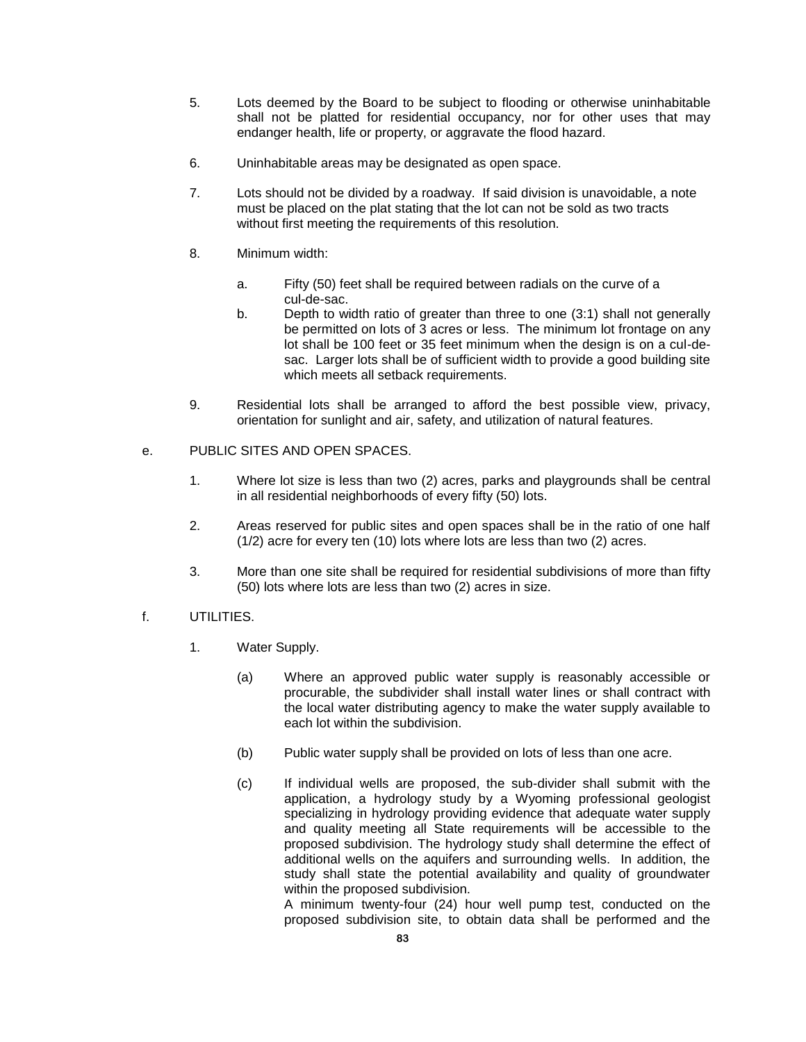- 5. Lots deemed by the Board to be subject to flooding or otherwise uninhabitable shall not be platted for residential occupancy, nor for other uses that may endanger health, life or property, or aggravate the flood hazard.
- 6. Uninhabitable areas may be designated as open space.
- 7. Lots should not be divided by a roadway. If said division is unavoidable, a note must be placed on the plat stating that the lot can not be sold as two tracts without first meeting the requirements of this resolution.
- 8. Minimum width:
	- a. Fifty (50) feet shall be required between radials on the curve of a cul-de-sac.
	- b. Depth to width ratio of greater than three to one (3:1) shall not generally be permitted on lots of 3 acres or less. The minimum lot frontage on any lot shall be 100 feet or 35 feet minimum when the design is on a cul-desac. Larger lots shall be of sufficient width to provide a good building site which meets all setback requirements.
- 9. Residential lots shall be arranged to afford the best possible view, privacy, orientation for sunlight and air, safety, and utilization of natural features.
- e. PUBLIC SITES AND OPEN SPACES.
	- 1. Where lot size is less than two (2) acres, parks and playgrounds shall be central in all residential neighborhoods of every fifty (50) lots.
	- 2. Areas reserved for public sites and open spaces shall be in the ratio of one half (1/2) acre for every ten (10) lots where lots are less than two (2) acres.
	- 3. More than one site shall be required for residential subdivisions of more than fifty (50) lots where lots are less than two (2) acres in size.
- f. UTILITIES.
	- 1. Water Supply.
		- (a) Where an approved public water supply is reasonably accessible or procurable, the subdivider shall install water lines or shall contract with the local water distributing agency to make the water supply available to each lot within the subdivision.
		- (b) Public water supply shall be provided on lots of less than one acre.
		- (c) If individual wells are proposed, the sub-divider shall submit with the application, a hydrology study by a Wyoming professional geologist specializing in hydrology providing evidence that adequate water supply and quality meeting all State requirements will be accessible to the proposed subdivision. The hydrology study shall determine the effect of additional wells on the aquifers and surrounding wells. In addition, the study shall state the potential availability and quality of groundwater within the proposed subdivision.

A minimum twenty-four (24) hour well pump test, conducted on the proposed subdivision site, to obtain data shall be performed and the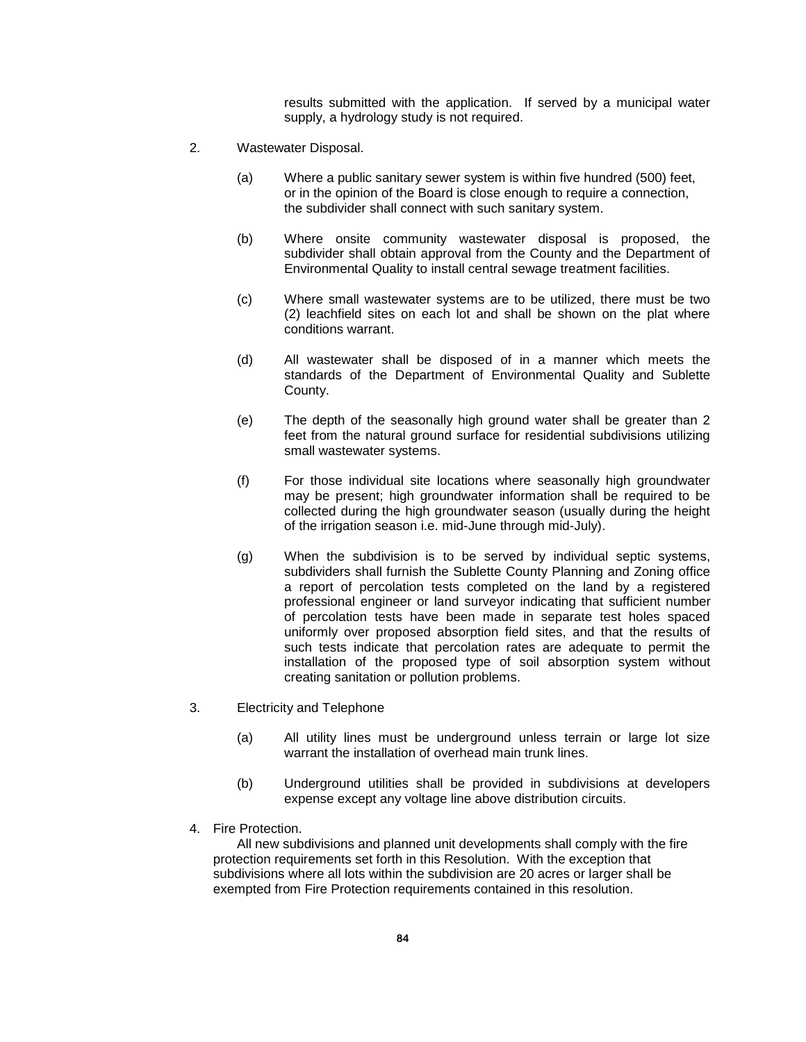results submitted with the application. If served by a municipal water supply, a hydrology study is not required.

- 2. Wastewater Disposal.
	- (a) Where a public sanitary sewer system is within five hundred (500) feet, or in the opinion of the Board is close enough to require a connection, the subdivider shall connect with such sanitary system.
	- (b) Where onsite community wastewater disposal is proposed, the subdivider shall obtain approval from the County and the Department of Environmental Quality to install central sewage treatment facilities.
	- (c) Where small wastewater systems are to be utilized, there must be two (2) leachfield sites on each lot and shall be shown on the plat where conditions warrant.
	- (d) All wastewater shall be disposed of in a manner which meets the standards of the Department of Environmental Quality and Sublette County.
	- (e) The depth of the seasonally high ground water shall be greater than 2 feet from the natural ground surface for residential subdivisions utilizing small wastewater systems.
	- (f) For those individual site locations where seasonally high groundwater may be present; high groundwater information shall be required to be collected during the high groundwater season (usually during the height of the irrigation season i.e. mid-June through mid-July).
	- (g) When the subdivision is to be served by individual septic systems, subdividers shall furnish the Sublette County Planning and Zoning office a report of percolation tests completed on the land by a registered professional engineer or land surveyor indicating that sufficient number of percolation tests have been made in separate test holes spaced uniformly over proposed absorption field sites, and that the results of such tests indicate that percolation rates are adequate to permit the installation of the proposed type of soil absorption system without creating sanitation or pollution problems.
- 3. Electricity and Telephone
	- (a) All utility lines must be underground unless terrain or large lot size warrant the installation of overhead main trunk lines.
	- (b) Underground utilities shall be provided in subdivisions at developers expense except any voltage line above distribution circuits.
- 4. Fire Protection.

All new subdivisions and planned unit developments shall comply with the fire protection requirements set forth in this Resolution. With the exception that subdivisions where all lots within the subdivision are 20 acres or larger shall be exempted from Fire Protection requirements contained in this resolution.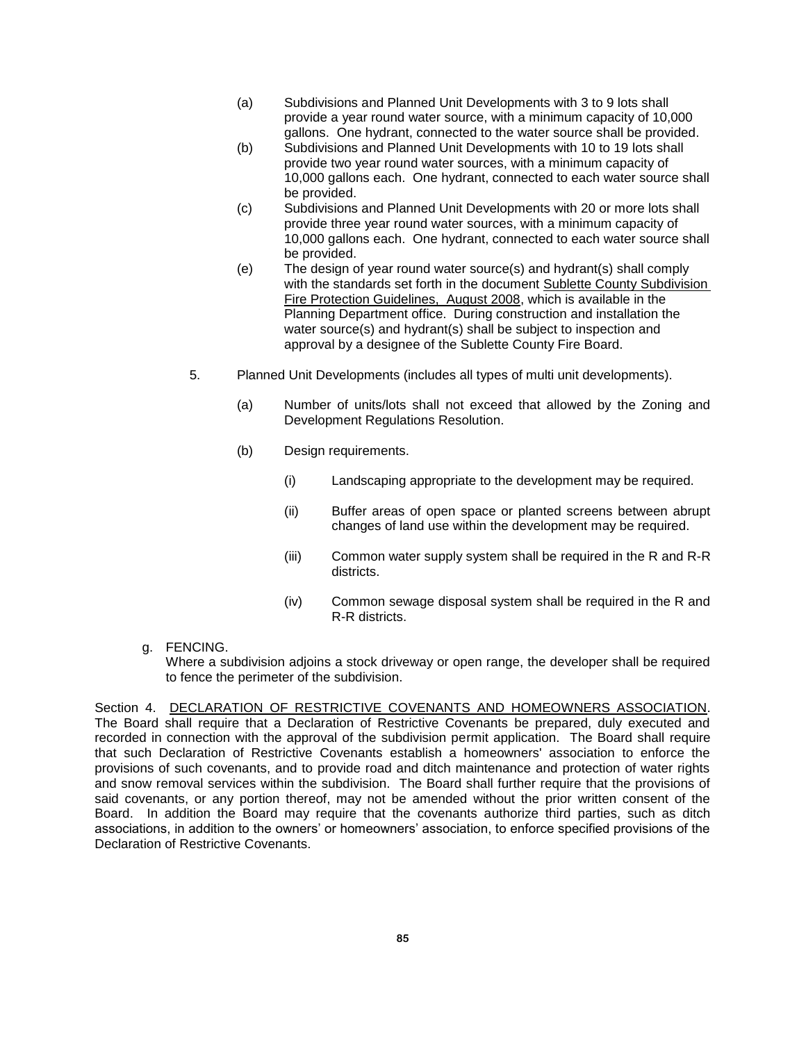- (a) Subdivisions and Planned Unit Developments with 3 to 9 lots shall provide a year round water source, with a minimum capacity of 10,000 gallons. One hydrant, connected to the water source shall be provided.
- (b) Subdivisions and Planned Unit Developments with 10 to 19 lots shall provide two year round water sources, with a minimum capacity of 10,000 gallons each. One hydrant, connected to each water source shall be provided.
- (c) Subdivisions and Planned Unit Developments with 20 or more lots shall provide three year round water sources, with a minimum capacity of 10,000 gallons each. One hydrant, connected to each water source shall be provided.
- (e) The design of year round water source(s) and hydrant(s) shall comply with the standards set forth in the document Sublette County Subdivision Fire Protection Guidelines, August 2008, which is available in the Planning Department office. During construction and installation the water source(s) and hydrant(s) shall be subject to inspection and approval by a designee of the Sublette County Fire Board.
- 5. Planned Unit Developments (includes all types of multi unit developments).
	- (a) Number of units/lots shall not exceed that allowed by the Zoning and Development Regulations Resolution.
	- (b) Design requirements.
		- (i) Landscaping appropriate to the development may be required.
		- (ii) Buffer areas of open space or planted screens between abrupt changes of land use within the development may be required.
		- (iii) Common water supply system shall be required in the R and R-R districts.
		- (iv) Common sewage disposal system shall be required in the R and R-R districts.
- g. FENCING.

Where a subdivision adjoins a stock driveway or open range, the developer shall be required to fence the perimeter of the subdivision.

Section 4. DECLARATION OF RESTRICTIVE COVENANTS AND HOMEOWNERS ASSOCIATION. The Board shall require that a Declaration of Restrictive Covenants be prepared, duly executed and recorded in connection with the approval of the subdivision permit application. The Board shall require that such Declaration of Restrictive Covenants establish a homeowners' association to enforce the provisions of such covenants, and to provide road and ditch maintenance and protection of water rights and snow removal services within the subdivision. The Board shall further require that the provisions of said covenants, or any portion thereof, may not be amended without the prior written consent of the Board. In addition the Board may require that the covenants authorize third parties, such as ditch associations, in addition to the owners' or homeowners' association, to enforce specified provisions of the Declaration of Restrictive Covenants.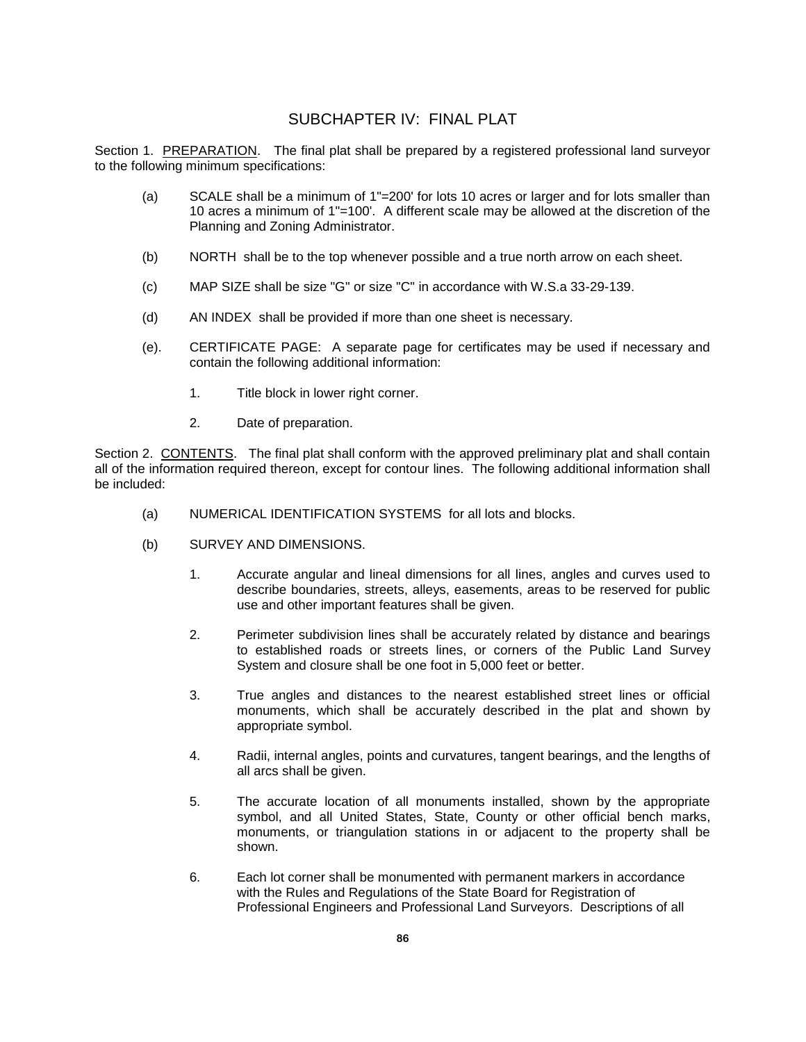# SUBCHAPTER IV: FINAL PLAT

Section 1. PREPARATION. The final plat shall be prepared by a registered professional land surveyor to the following minimum specifications:

- (a) SCALE shall be a minimum of 1"=200' for lots 10 acres or larger and for lots smaller than 10 acres a minimum of 1"=100'. A different scale may be allowed at the discretion of the Planning and Zoning Administrator.
- (b) NORTH shall be to the top whenever possible and a true north arrow on each sheet.
- (c) MAP SIZE shall be size "G" or size "C" in accordance with W.S.a 33-29-139.
- (d) AN INDEX shall be provided if more than one sheet is necessary.
- (e). CERTIFICATE PAGE: A separate page for certificates may be used if necessary and contain the following additional information:
	- 1. Title block in lower right corner.
	- 2. Date of preparation.

Section 2. CONTENTS. The final plat shall conform with the approved preliminary plat and shall contain all of the information required thereon, except for contour lines. The following additional information shall be included:

- (a) NUMERICAL IDENTIFICATION SYSTEMS for all lots and blocks.
- (b) SURVEY AND DIMENSIONS.
	- 1. Accurate angular and lineal dimensions for all lines, angles and curves used to describe boundaries, streets, alleys, easements, areas to be reserved for public use and other important features shall be given.
	- 2. Perimeter subdivision lines shall be accurately related by distance and bearings to established roads or streets lines, or corners of the Public Land Survey System and closure shall be one foot in 5,000 feet or better.
	- 3. True angles and distances to the nearest established street lines or official monuments, which shall be accurately described in the plat and shown by appropriate symbol.
	- 4. Radii, internal angles, points and curvatures, tangent bearings, and the lengths of all arcs shall be given.
	- 5. The accurate location of all monuments installed, shown by the appropriate symbol, and all United States, State, County or other official bench marks, monuments, or triangulation stations in or adjacent to the property shall be shown.
	- 6. Each lot corner shall be monumented with permanent markers in accordance with the Rules and Regulations of the State Board for Registration of Professional Engineers and Professional Land Surveyors. Descriptions of all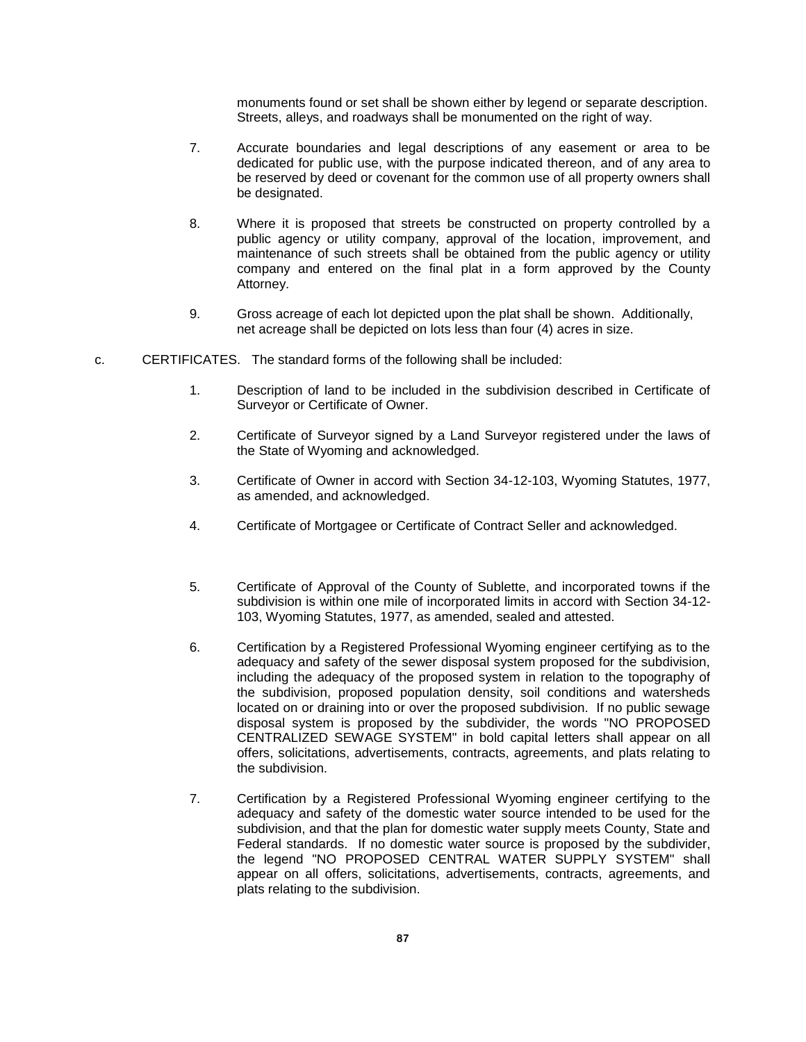monuments found or set shall be shown either by legend or separate description. Streets, alleys, and roadways shall be monumented on the right of way.

- 7. Accurate boundaries and legal descriptions of any easement or area to be dedicated for public use, with the purpose indicated thereon, and of any area to be reserved by deed or covenant for the common use of all property owners shall be designated.
- 8. Where it is proposed that streets be constructed on property controlled by a public agency or utility company, approval of the location, improvement, and maintenance of such streets shall be obtained from the public agency or utility company and entered on the final plat in a form approved by the County Attorney.
- 9. Gross acreage of each lot depicted upon the plat shall be shown. Additionally, net acreage shall be depicted on lots less than four (4) acres in size.
- c. CERTIFICATES. The standard forms of the following shall be included:
	- 1. Description of land to be included in the subdivision described in Certificate of Surveyor or Certificate of Owner.
	- 2. Certificate of Surveyor signed by a Land Surveyor registered under the laws of the State of Wyoming and acknowledged.
	- 3. Certificate of Owner in accord with Section 34-12-103, Wyoming Statutes, 1977, as amended, and acknowledged.
	- 4. Certificate of Mortgagee or Certificate of Contract Seller and acknowledged.
	- 5. Certificate of Approval of the County of Sublette, and incorporated towns if the subdivision is within one mile of incorporated limits in accord with Section 34-12- 103, Wyoming Statutes, 1977, as amended, sealed and attested.
	- 6. Certification by a Registered Professional Wyoming engineer certifying as to the adequacy and safety of the sewer disposal system proposed for the subdivision, including the adequacy of the proposed system in relation to the topography of the subdivision, proposed population density, soil conditions and watersheds located on or draining into or over the proposed subdivision. If no public sewage disposal system is proposed by the subdivider, the words "NO PROPOSED CENTRALIZED SEWAGE SYSTEM" in bold capital letters shall appear on all offers, solicitations, advertisements, contracts, agreements, and plats relating to the subdivision.
	- 7. Certification by a Registered Professional Wyoming engineer certifying to the adequacy and safety of the domestic water source intended to be used for the subdivision, and that the plan for domestic water supply meets County, State and Federal standards. If no domestic water source is proposed by the subdivider, the legend "NO PROPOSED CENTRAL WATER SUPPLY SYSTEM" shall appear on all offers, solicitations, advertisements, contracts, agreements, and plats relating to the subdivision.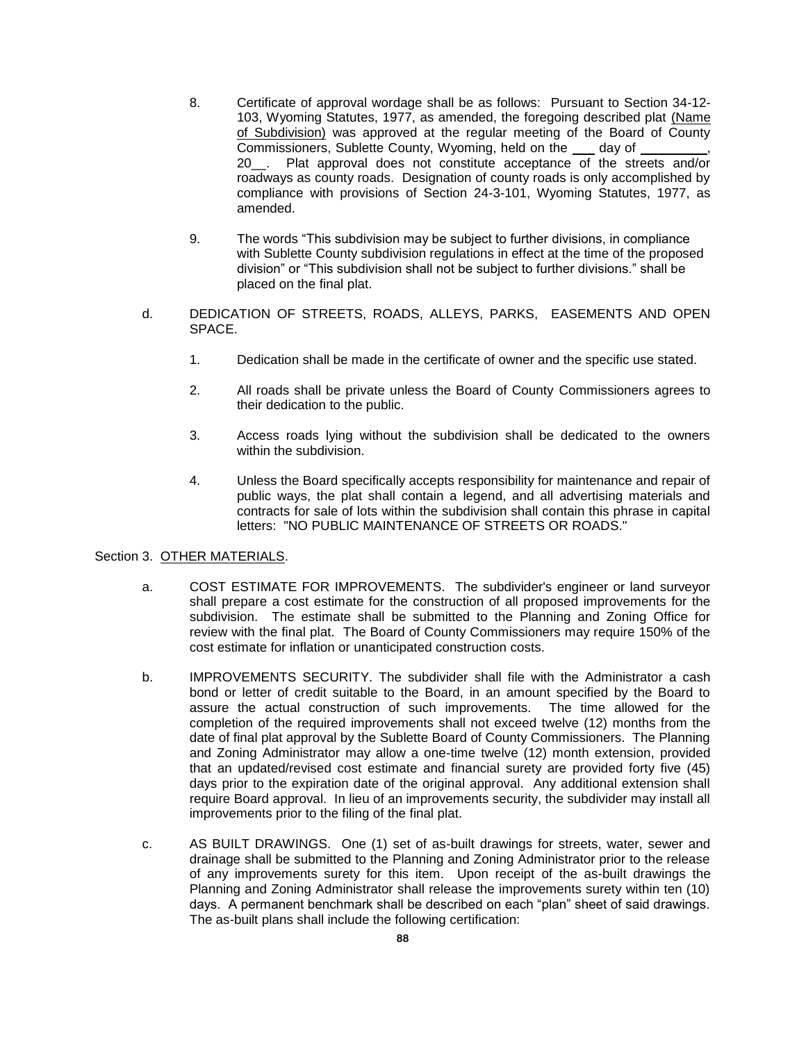- 8. Certificate of approval wordage shall be as follows: Pursuant to Section 34-12- 103, Wyoming Statutes, 1977, as amended, the foregoing described plat (Name of Subdivision) was approved at the regular meeting of the Board of County Commissioners, Sublette County, Wyoming, held on the day of 20\_\_. Plat approval does not constitute acceptance of the streets and/or roadways as county roads. Designation of county roads is only accomplished by compliance with provisions of Section 24-3-101, Wyoming Statutes, 1977, as amended.
- 9. The words "This subdivision may be subject to further divisions, in compliance with Sublette County subdivision regulations in effect at the time of the proposed division" or "This subdivision shall not be subject to further divisions." shall be placed on the final plat.
- d. DEDICATION OF STREETS, ROADS, ALLEYS, PARKS, EASEMENTS AND OPEN SPACE.
	- 1. Dedication shall be made in the certificate of owner and the specific use stated.
	- 2. All roads shall be private unless the Board of County Commissioners agrees to their dedication to the public.
	- 3. Access roads lying without the subdivision shall be dedicated to the owners within the subdivision.
	- 4. Unless the Board specifically accepts responsibility for maintenance and repair of public ways, the plat shall contain a legend, and all advertising materials and contracts for sale of lots within the subdivision shall contain this phrase in capital letters: "NO PUBLIC MAINTENANCE OF STREETS OR ROADS."

#### Section 3. OTHER MATERIALS.

- a. COST ESTIMATE FOR IMPROVEMENTS. The subdivider's engineer or land surveyor shall prepare a cost estimate for the construction of all proposed improvements for the subdivision. The estimate shall be submitted to the Planning and Zoning Office for review with the final plat. The Board of County Commissioners may require 150% of the cost estimate for inflation or unanticipated construction costs.
- b. IMPROVEMENTS SECURITY. The subdivider shall file with the Administrator a cash bond or letter of credit suitable to the Board, in an amount specified by the Board to assure the actual construction of such improvements. The time allowed for the completion of the required improvements shall not exceed twelve (12) months from the date of final plat approval by the Sublette Board of County Commissioners. The Planning and Zoning Administrator may allow a one-time twelve (12) month extension, provided that an updated/revised cost estimate and financial surety are provided forty five (45) days prior to the expiration date of the original approval. Any additional extension shall require Board approval. In lieu of an improvements security, the subdivider may install all improvements prior to the filing of the final plat.
- c. AS BUILT DRAWINGS. One (1) set of as-built drawings for streets, water, sewer and drainage shall be submitted to the Planning and Zoning Administrator prior to the release of any improvements surety for this item. Upon receipt of the as-built drawings the Planning and Zoning Administrator shall release the improvements surety within ten (10) days. A permanent benchmark shall be described on each "plan" sheet of said drawings. The as-built plans shall include the following certification: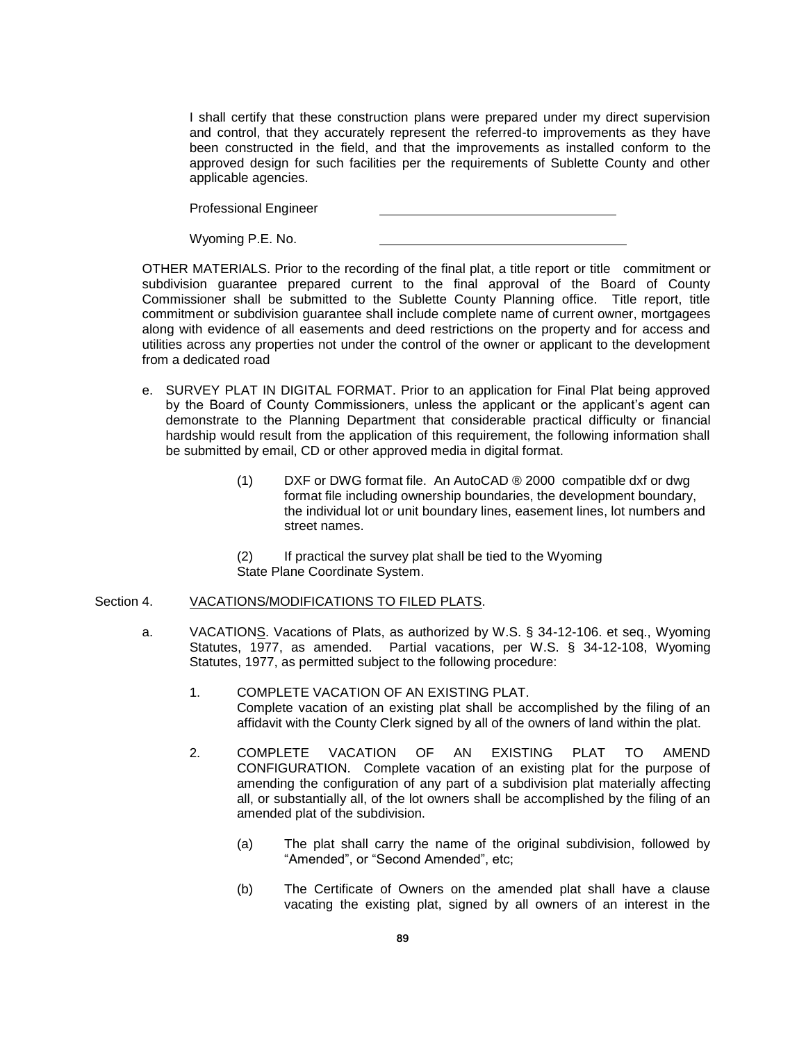I shall certify that these construction plans were prepared under my direct supervision and control, that they accurately represent the referred-to improvements as they have been constructed in the field, and that the improvements as installed conform to the approved design for such facilities per the requirements of Sublette County and other applicable agencies.

Professional Engineer

Wyoming P.E. No.

OTHER MATERIALS. Prior to the recording of the final plat, a title report or title commitment or subdivision guarantee prepared current to the final approval of the Board of County Commissioner shall be submitted to the Sublette County Planning office. Title report, title commitment or subdivision guarantee shall include complete name of current owner, mortgagees along with evidence of all easements and deed restrictions on the property and for access and utilities across any properties not under the control of the owner or applicant to the development from a dedicated road

- e. SURVEY PLAT IN DIGITAL FORMAT. Prior to an application for Final Plat being approved by the Board of County Commissioners, unless the applicant or the applicant's agent can demonstrate to the Planning Department that considerable practical difficulty or financial hardship would result from the application of this requirement, the following information shall be submitted by email, CD or other approved media in digital format.
	- (1) DXF or DWG format file. An AutoCAD ® 2000 compatible dxf or dwg format file including ownership boundaries, the development boundary, the individual lot or unit boundary lines, easement lines, lot numbers and street names.
	- (2) If practical the survey plat shall be tied to the Wyoming State Plane Coordinate System.

#### Section 4. VACATIONS/MODIFICATIONS TO FILED PLATS.

- a. VACATIONS. Vacations of Plats, as authorized by W.S. § 34-12-106. et seq., Wyoming Statutes, 1977, as amended. Partial vacations, per W.S. § 34-12-108, Wyoming Statutes, 1977, as permitted subject to the following procedure:
	- 1. COMPLETE VACATION OF AN EXISTING PLAT. Complete vacation of an existing plat shall be accomplished by the filing of an affidavit with the County Clerk signed by all of the owners of land within the plat.
	- 2. COMPLETE VACATION OF AN EXISTING PLAT TO AMEND CONFIGURATION. Complete vacation of an existing plat for the purpose of amending the configuration of any part of a subdivision plat materially affecting all, or substantially all, of the lot owners shall be accomplished by the filing of an amended plat of the subdivision.
		- (a) The plat shall carry the name of the original subdivision, followed by "Amended", or "Second Amended", etc;
		- (b) The Certificate of Owners on the amended plat shall have a clause vacating the existing plat, signed by all owners of an interest in the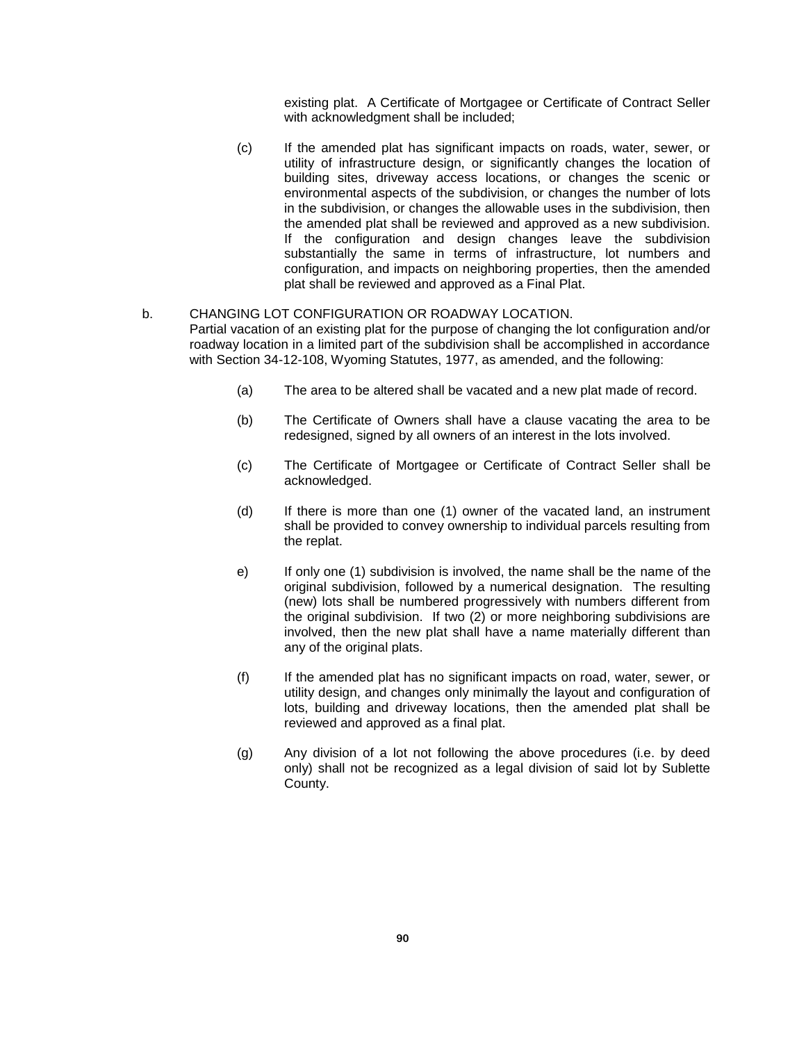existing plat. A Certificate of Mortgagee or Certificate of Contract Seller with acknowledgment shall be included:

(c) If the amended plat has significant impacts on roads, water, sewer, or utility of infrastructure design, or significantly changes the location of building sites, driveway access locations, or changes the scenic or environmental aspects of the subdivision, or changes the number of lots in the subdivision, or changes the allowable uses in the subdivision, then the amended plat shall be reviewed and approved as a new subdivision. If the configuration and design changes leave the subdivision substantially the same in terms of infrastructure, lot numbers and configuration, and impacts on neighboring properties, then the amended plat shall be reviewed and approved as a Final Plat.

#### b. CHANGING LOT CONFIGURATION OR ROADWAY LOCATION.

- Partial vacation of an existing plat for the purpose of changing the lot configuration and/or roadway location in a limited part of the subdivision shall be accomplished in accordance with Section 34-12-108, Wyoming Statutes, 1977, as amended, and the following:
	- (a) The area to be altered shall be vacated and a new plat made of record.
	- (b) The Certificate of Owners shall have a clause vacating the area to be redesigned, signed by all owners of an interest in the lots involved.
	- (c) The Certificate of Mortgagee or Certificate of Contract Seller shall be acknowledged.
	- (d) If there is more than one (1) owner of the vacated land, an instrument shall be provided to convey ownership to individual parcels resulting from the replat.
	- e) If only one (1) subdivision is involved, the name shall be the name of the original subdivision, followed by a numerical designation. The resulting (new) lots shall be numbered progressively with numbers different from the original subdivision. If two (2) or more neighboring subdivisions are involved, then the new plat shall have a name materially different than any of the original plats.
	- (f) If the amended plat has no significant impacts on road, water, sewer, or utility design, and changes only minimally the layout and configuration of lots, building and driveway locations, then the amended plat shall be reviewed and approved as a final plat.
	- (g) Any division of a lot not following the above procedures (i.e. by deed only) shall not be recognized as a legal division of said lot by Sublette County.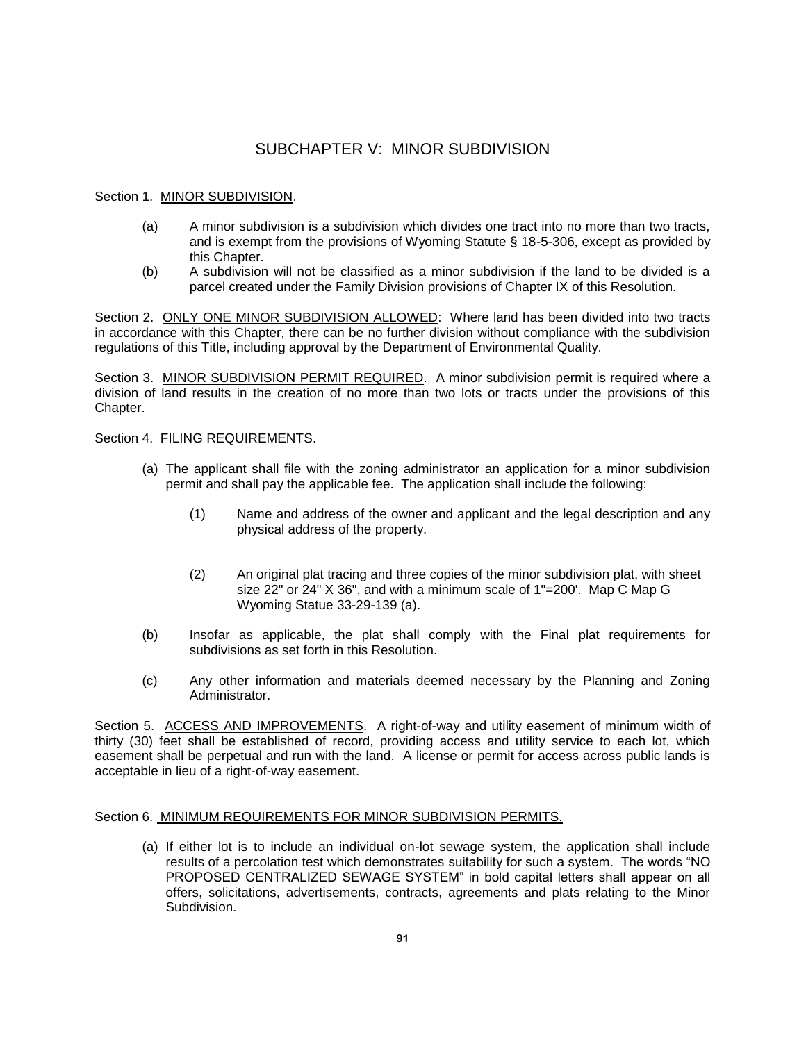# SUBCHAPTER V: MINOR SUBDIVISION

## Section 1. MINOR SUBDIVISION.

- (a) A minor subdivision is a subdivision which divides one tract into no more than two tracts, and is exempt from the provisions of Wyoming Statute § 18-5-306, except as provided by this Chapter.
- (b) A subdivision will not be classified as a minor subdivision if the land to be divided is a parcel created under the Family Division provisions of Chapter IX of this Resolution.

Section 2. ONLY ONE MINOR SUBDIVISION ALLOWED: Where land has been divided into two tracts in accordance with this Chapter, there can be no further division without compliance with the subdivision regulations of this Title, including approval by the Department of Environmental Quality.

Section 3. MINOR SUBDIVISION PERMIT REQUIRED. A minor subdivision permit is required where a division of land results in the creation of no more than two lots or tracts under the provisions of this Chapter.

Section 4. FILING REQUIREMENTS.

- (a) The applicant shall file with the zoning administrator an application for a minor subdivision permit and shall pay the applicable fee. The application shall include the following:
	- (1) Name and address of the owner and applicant and the legal description and any physical address of the property.
	- (2) An original plat tracing and three copies of the minor subdivision plat, with sheet size 22" or 24" X 36", and with a minimum scale of 1"=200'. Map C Map G Wyoming Statue 33-29-139 (a).
- (b) Insofar as applicable, the plat shall comply with the Final plat requirements for subdivisions as set forth in this Resolution.
- (c) Any other information and materials deemed necessary by the Planning and Zoning Administrator.

Section 5. ACCESS AND IMPROVEMENTS. A right-of-way and utility easement of minimum width of thirty (30) feet shall be established of record, providing access and utility service to each lot, which easement shall be perpetual and run with the land. A license or permit for access across public lands is acceptable in lieu of a right-of-way easement.

## Section 6. MINIMUM REQUIREMENTS FOR MINOR SUBDIVISION PERMITS.

(a) If either lot is to include an individual on-lot sewage system, the application shall include results of a percolation test which demonstrates suitability for such a system. The words "NO PROPOSED CENTRALIZED SEWAGE SYSTEM" in bold capital letters shall appear on all offers, solicitations, advertisements, contracts, agreements and plats relating to the Minor Subdivision.